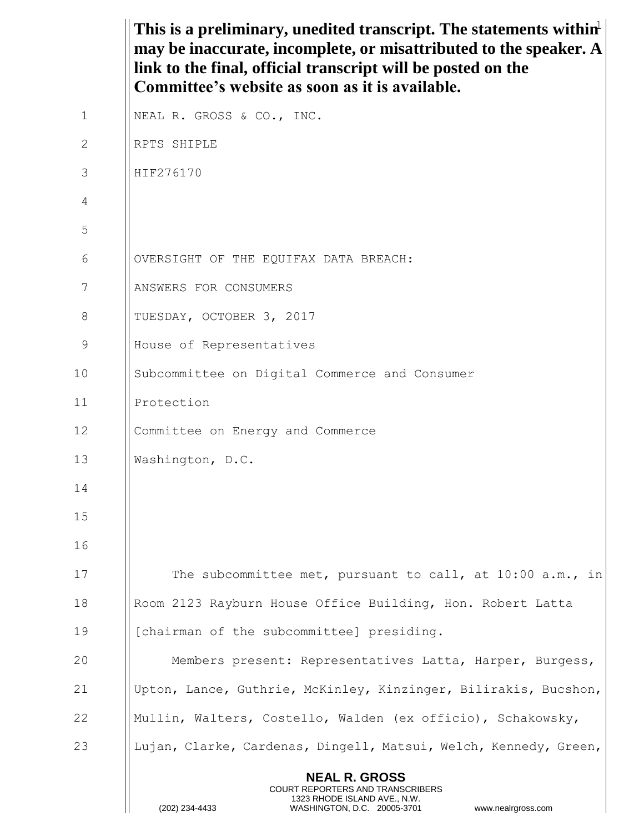This is a preliminary, unedited transcript. The statements within<sup>1</sup> **NEAL R. GROSS** COURT REPORTERS AND TRANSCRIBERS 1323 RHODE ISLAND AVE., N.W. (202) 234-4433 WASHINGTON, D.C. 20005-3701 www.nealrgross.com **may be inaccurate, incomplete, or misattributed to the speaker. A link to the final, official transcript will be posted on the Committee's website as soon as it is available.** 1 | NEAL R. GROSS & CO., INC. 2 RPTS SHIPLE 3 HIF276170 4 5 6 | OVERSIGHT OF THE EQUIFAX DATA BREACH: 7 | ANSWERS FOR CONSUMERS 8 || TUESDAY, OCTOBER 3, 2017 9 || House of Representatives 10 Subcommittee on Digital Commerce and Consumer 11 Protection 12 | Committee on Energy and Commerce 13 Washington, D.C. 14 15 16 17 | The subcommittee met, pursuant to call, at 10:00 a.m., in 18 | Room 2123 Rayburn House Office Building, Hon. Robert Latta 19 **I** [chairman of the subcommittee] presiding. 20 Members present: Representatives Latta, Harper, Burgess, 21 Upton, Lance, Guthrie, McKinley, Kinzinger, Bilirakis, Bucshon, 22 Mullin, Walters, Costello, Walden (ex officio), Schakowsky, 23 | Lujan, Clarke, Cardenas, Dingell, Matsui, Welch, Kennedy, Green,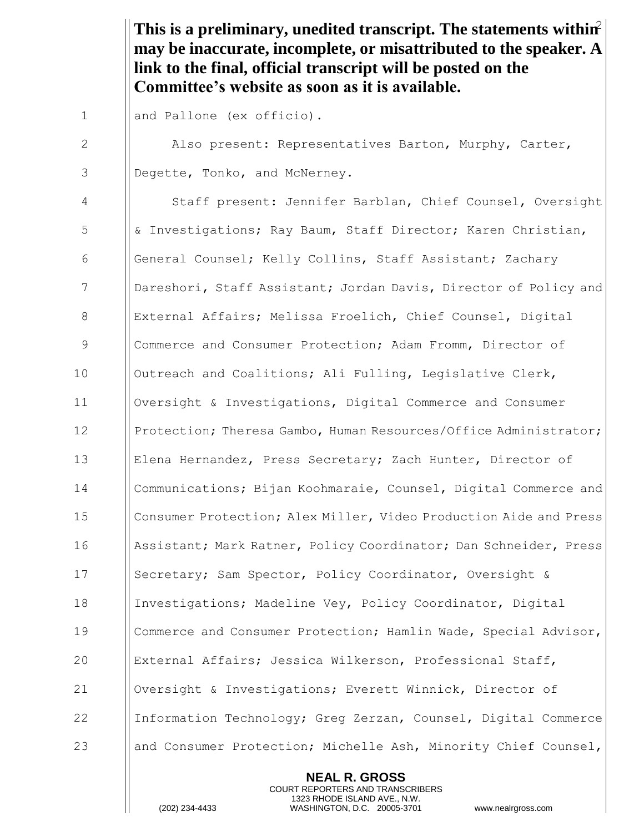This is a preliminary, unedited transcript. The statements within<sup>2</sup> **may be inaccurate, incomplete, or misattributed to the speaker. A link to the final, official transcript will be posted on the Committee's website as soon as it is available.**

1 || and Pallone (ex officio).

2 Also present: Representatives Barton, Murphy, Carter, 3 Degette, Tonko, and McNerney.

 Staff present: Jennifer Barblan, Chief Counsel, Oversight & Investigations; Ray Baum, Staff Director; Karen Christian, General Counsel; Kelly Collins, Staff Assistant; Zachary **Dareshori, Staff Assistant; Jordan Davis, Director of Policy and** 8 | External Affairs; Melissa Froelich, Chief Counsel, Digital 9 | Commerce and Consumer Protection; Adam Fromm, Director of 10 | Outreach and Coalitions; Ali Fulling, Legislative Clerk, Oversight & Investigations, Digital Commerce and Consumer **Protection; Theresa Gambo, Human Resources/Office Administrator;**  Elena Hernandez, Press Secretary; Zach Hunter, Director of Communications; Bijan Koohmaraie, Counsel, Digital Commerce and Consumer Protection; Alex Miller, Video Production Aide and Press 16 Assistant; Mark Ratner, Policy Coordinator; Dan Schneider, Press 17 | Secretary; Sam Spector, Policy Coordinator, Oversight & 18 | Investigations; Madeline Vey, Policy Coordinator, Digital Commerce and Consumer Protection; Hamlin Wade, Special Advisor, External Affairs; Jessica Wilkerson, Professional Staff, Oversight & Investigations; Everett Winnick, Director of Information Technology; Greg Zerzan, Counsel, Digital Commerce 23 and Consumer Protection; Michelle Ash, Minority Chief Counsel,

> **NEAL R. GROSS** COURT REPORTERS AND TRANSCRIBERS 1323 RHODE ISLAND AVE., N.W.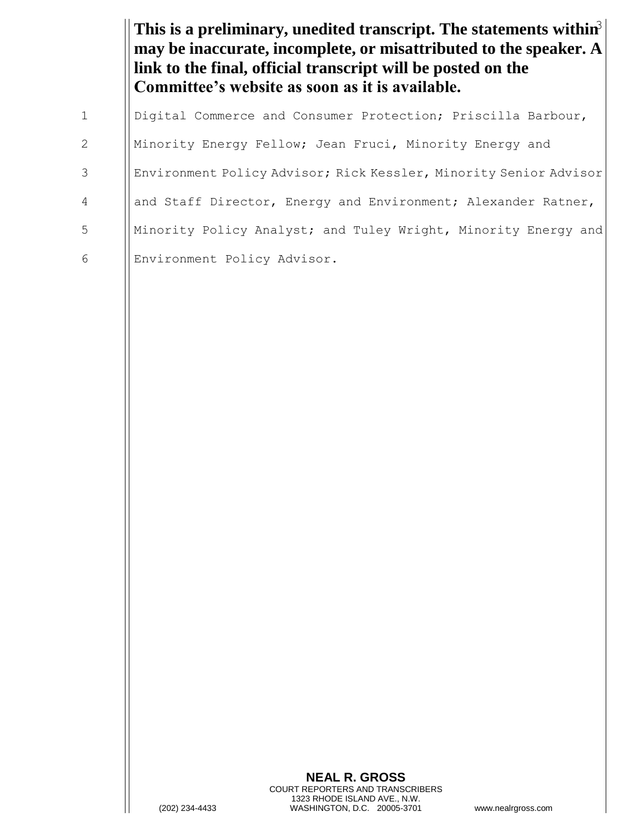This is a preliminary, unedited transcript. The statements within<sup>3</sup> **may be inaccurate, incomplete, or misattributed to the speaker. A link to the final, official transcript will be posted on the Committee's website as soon as it is available.**

|                | Digital Commerce and Consumer Protection; Priscilla Barbour,      |
|----------------|-------------------------------------------------------------------|
| 2              | Minority Energy Fellow; Jean Fruci, Minority Energy and           |
| 3              | Environment Policy Advisor; Rick Kessler, Minority Senior Advisor |
| $\overline{4}$ | and Staff Director, Energy and Environment; Alexander Ratner,     |
| 5              | Minority Policy Analyst; and Tuley Wright, Minority Energy and    |
| 6              | Environment Policy Advisor.                                       |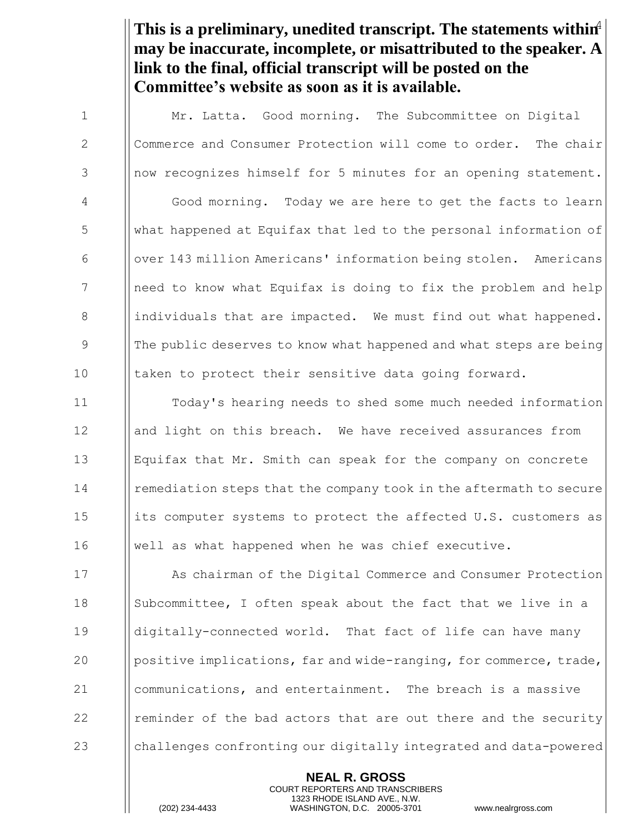This is a preliminary, unedited transcript. The statements within<sup>4</sup> **may be inaccurate, incomplete, or misattributed to the speaker. A link to the final, official transcript will be posted on the Committee's website as soon as it is available.**

1 | Mr. Latta. Good morning. The Subcommittee on Digital 2 | Commerce and Consumer Protection will come to order. The chair 3 | now recognizes himself for 5 minutes for an opening statement. 4 Good morning. Today we are here to get the facts to learn 5 what happened at Equifax that led to the personal information of 6 over 143 million Americans' information being stolen. Americans 7 1 | need to know what Equifax is doing to fix the problem and help 8 individuals that are impacted. We must find out what happened. 9 **Ional The public deserves to know what happened and what steps are being** 10 I taken to protect their sensitive data going forward.

 Today's hearing needs to shed some much needed information 12 and light on this breach. We have received assurances from Equifax that Mr. Smith can speak for the company on concrete **Indee Figure 1** remediation steps that the company took in the aftermath to secure 15 its computer systems to protect the affected U.S. customers as well as what happened when he was chief executive.

**As chairman of the Digital Commerce and Consumer Protection**  Subcommittee, I often speak about the fact that we live in a digitally-connected world. That fact of life can have many  $\|\$ positive implications, far and wide-ranging, for commerce, trade, communications, and entertainment. The breach is a massive **Fig.** The minder of the bad actors that are out there and the security 23 challenges confronting our digitally integrated and data-powered

> **NEAL R. GROSS** COURT REPORTERS AND TRANSCRIBERS 1323 RHODE ISLAND AVE., N.W.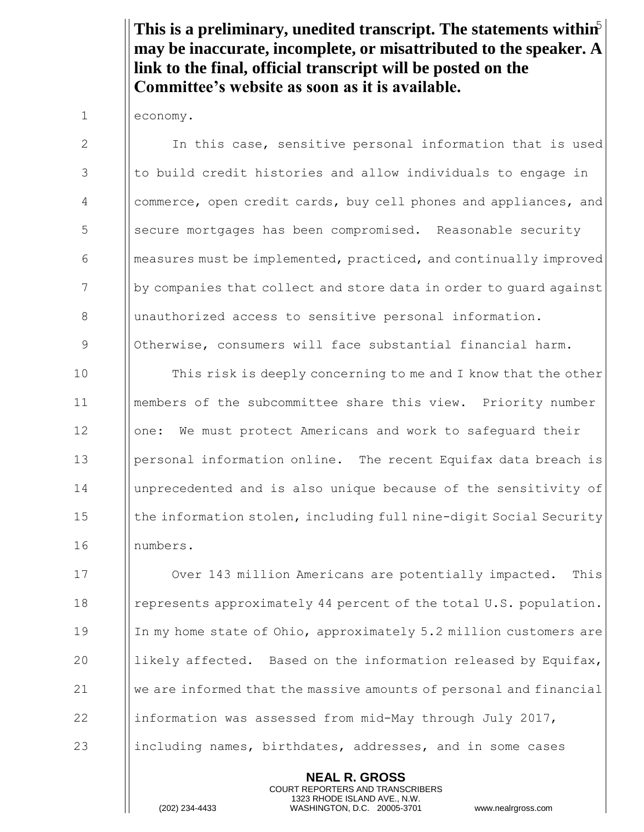This is a preliminary, unedited transcript. The statements within<sup>5</sup> **may be inaccurate, incomplete, or misattributed to the speaker. A link to the final, official transcript will be posted on the Committee's website as soon as it is available.**

1 economy.

2 In this case, sensitive personal information that is used 3 I to build credit histories and allow individuals to engage in 4 | commerce, open credit cards, buy cell phones and appliances, and 5 | Secure mortgages has been compromised. Reasonable security  $\theta$  measures must be implemented, practiced, and continually improved 7 by companies that collect and store data in order to quard against 8 | unauthorized access to sensitive personal information. 9 | Otherwise, consumers will face substantial financial harm. 10 **I** This risk is deeply concerning to me and I know that the other 11 members of the subcommittee share this view. Priority number 12 | | one: We must protect Americans and work to safeguard their 13 personal information online. The recent Equifax data breach is 14 unprecedented and is also unique because of the sensitivity of 15 **the information stolen, including full nine-digit Social Security** 16 numbers. 17 **I** Over 143 million Americans are potentially impacted. This 18 **e** represents approximately 44 percent of the total U.S. population. 19 In my home state of Ohio, approximately 5.2 million customers are 20  $\parallel$  likely affected. Based on the information released by Equifax,  $21$  We are informed that the massive amounts of personal and financial 22 information was assessed from mid-May through July 2017, 23 including names, birthdates, addresses, and in some cases

> **NEAL R. GROSS** COURT REPORTERS AND TRANSCRIBERS 1323 RHODE ISLAND AVE., N.W.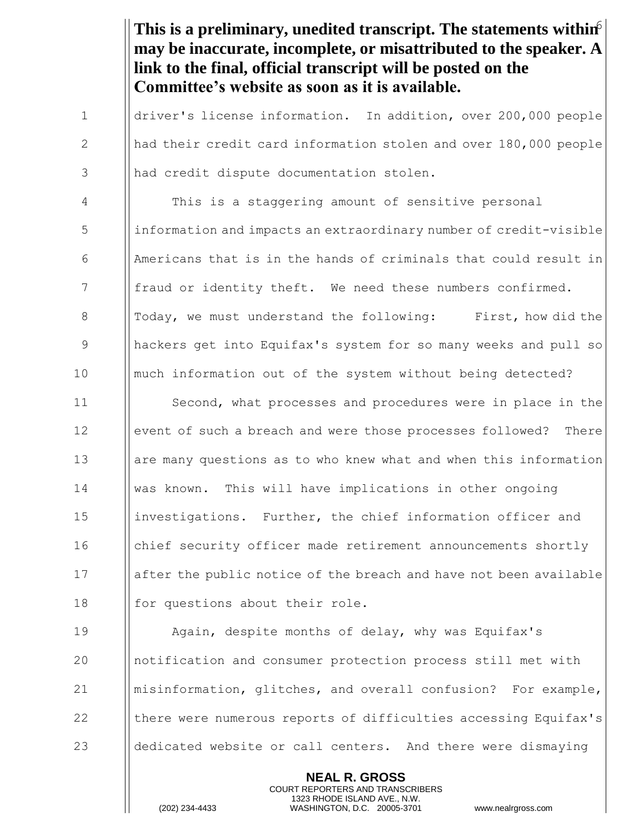This is a preliminary, unedited transcript. The statements within<sup>6</sup> **may be inaccurate, incomplete, or misattributed to the speaker. A link to the final, official transcript will be posted on the Committee's website as soon as it is available.** 1 driver's license information. In addition, over 200,000 people 2 || had their credit card information stolen and over 180,000 people 3 || had credit dispute documentation stolen. 4 This is a staggering amount of sensitive personal 5 information and impacts an extraordinary number of credit-visible 6  $\blacksquare$  Americans that is in the hands of criminals that could result in 7 | fraud or identity theft. We need these numbers confirmed. 8 || Today, we must understand the following: First, how did the 9 hackers get into Equifax's system for so many weeks and pull so 10 much information out of the system without being detected? 11 **Inter-** Second, what processes and procedures were in place in the 12 | event of such a breach and were those processes followed? There 13 are many questions as to who knew what and when this information 14 was known. This will have implications in other ongoing 15 | investigations. Further, the chief information officer and 16 **chief security officer made retirement announcements shortly** 17 after the public notice of the breach and have not been available  $18$  || for questions about their role. 19 Again, despite months of delay, why was Equifax's 20 notification and consumer protection process still met with 21 misinformation, glitches, and overall confusion? For example,

22 **there were numerous reports of difficulties accessing Equifax's** 

23 and dedicated website or call centers. And there were dismaying

**NEAL R. GROSS** COURT REPORTERS AND TRANSCRIBERS 1323 RHODE ISLAND AVE., N.W.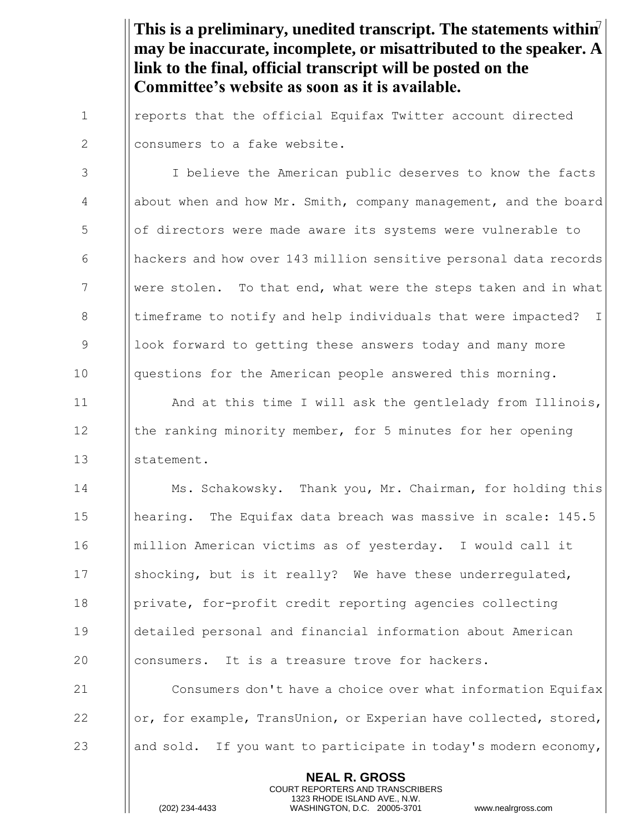This is a preliminary, unedited transcript. The statements within<sup>7</sup> **may be inaccurate, incomplete, or misattributed to the speaker. A link to the final, official transcript will be posted on the Committee's website as soon as it is available.**

1 | reports that the official Equifax Twitter account directed 2 Il consumers to a fake website.

3 | I believe the American public deserves to know the facts 4 | about when and how Mr. Smith, company management, and the board 5 of directors were made aware its systems were vulnerable to 6 hackers and how over 143 million sensitive personal data records 7 Were stolen. To that end, what were the steps taken and in what 8 Intimeframe to notify and help individuals that were impacted? I 9 Iook forward to getting these answers today and many more 10 || questions for the American people answered this morning.

11 | And at this time I will ask the gentlelady from Illinois, 12 | the ranking minority member, for 5 minutes for her opening 13 Istatement.

14 **Ms. Schakowsky.** Thank you, Mr. Chairman, for holding this 15 | hearing. The Equifax data breach was massive in scale: 145.5 16 million American victims as of yesterday. I would call it 17 Shocking, but is it really? We have these underregulated, 18 | private, for-profit credit reporting agencies collecting 19 detailed personal and financial information about American 20 Illiconsumers. It is a treasure trove for hackers.

21 **I** Consumers don't have a choice over what information Equifax 22 | or, for example, TransUnion, or Experian have collected, stored, 23 and sold. If you want to participate in today's modern economy,

> **NEAL R. GROSS** COURT REPORTERS AND TRANSCRIBERS 1323 RHODE ISLAND AVE., N.W.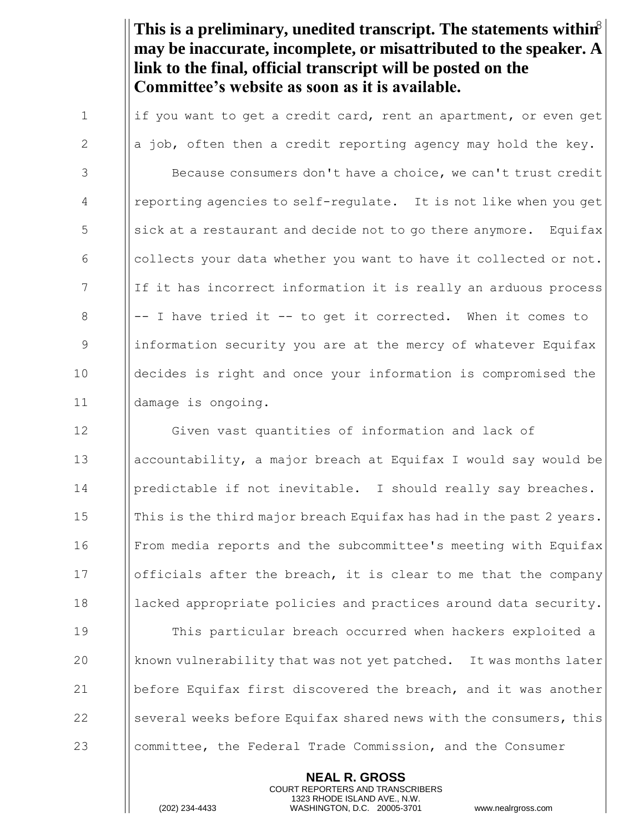This is a preliminary, unedited transcript. The statements within<sup>8</sup> **may be inaccurate, incomplete, or misattributed to the speaker. A link to the final, official transcript will be posted on the Committee's website as soon as it is available.**

 $\parallel$  if you want to get a credit card, rent an apartment, or even get  $\|\cdot\|$  a job, often then a credit reporting agency may hold the key. **Because consumers don't have a choice, we can't trust credit**  reporting agencies to self-regulate. It is not like when you get  $\frac{1}{5}$  || sick at a restaurant and decide not to go there anymore. Equifax  $\begin{array}{c|c|c|c|c} \hline \text{6} & \text{l} & \text{collects your data whether you want to have it collected or not.} \hline \end{array}$ 7 If it has incorrect information it is really an arduous process ||-- I have tried it -- to get it corrected. When it comes to 9 Information security you are at the mercy of whatever Equifax decides is right and once your information is compromised the damage is ongoing.

**Given vast quantities of information and lack of**  accountability, a major breach at Equifax I would say would be 14 | predictable if not inevitable. I should really say breaches.  $\parallel$  This is the third major breach Equifax has had in the past 2 years. From media reports and the subcommittee's meeting with Equifax 17 Iofficials after the breach, it is clear to me that the company **I** lacked appropriate policies and practices around data security. This particular breach occurred when hackers exploited a 20 Known vulnerability that was not yet patched. It was months later before Equifax first discovered the breach, and it was another  $\parallel$  several weeks before Equifax shared news with the consumers, this

23 **committee, the Federal Trade Commission, and the Consumer** 

**NEAL R. GROSS** COURT REPORTERS AND TRANSCRIBERS 1323 RHODE ISLAND AVE., N.W.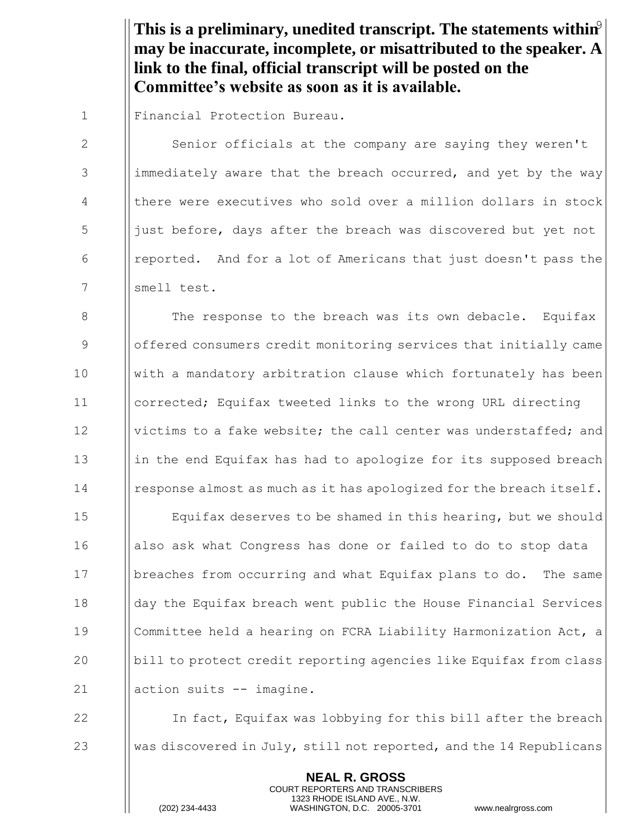This is a preliminary, unedited transcript. The statements within<sup>9</sup> **may be inaccurate, incomplete, or misattributed to the speaker. A link to the final, official transcript will be posted on the Committee's website as soon as it is available.**

1 Financial Protection Bureau.

2 | Senior officials at the company are saying they weren't 3 immediately aware that the breach occurred, and yet by the way 4 | there were executives who sold over a million dollars in stock  $\frac{1}{2}$  just before, days after the breach was discovered but yet not 6 **I** reported. And for a lot of Americans that just doesn't pass the 7 || smell test.

 $\parallel$  The response to the breach was its own debacle. Equifax offered consumers credit monitoring services that initially came with a mandatory arbitration clause which fortunately has been corrected; Equifax tweeted links to the wrong URL directing **V** victims to a fake website; the call center was understaffed; and 13 in the end Equifax has had to apologize for its supposed breach response almost as much as it has apologized for the breach itself.

15 Equifax deserves to be shamed in this hearing, but we should 16 also ask what Congress has done or failed to do to stop data 17 breaches from occurring and what Equifax plans to do. The same 18 | day the Equifax breach went public the House Financial Services 19 Committee held a hearing on FCRA Liability Harmonization Act, a 20 bill to protect credit reporting agencies like Equifax from class 21 | action suits -- imagine.

22 In fact, Equifax was lobbying for this bill after the breach 23 Was discovered in July, still not reported, and the 14 Republicans

> **NEAL R. GROSS** COURT REPORTERS AND TRANSCRIBERS 1323 RHODE ISLAND AVE., N.W.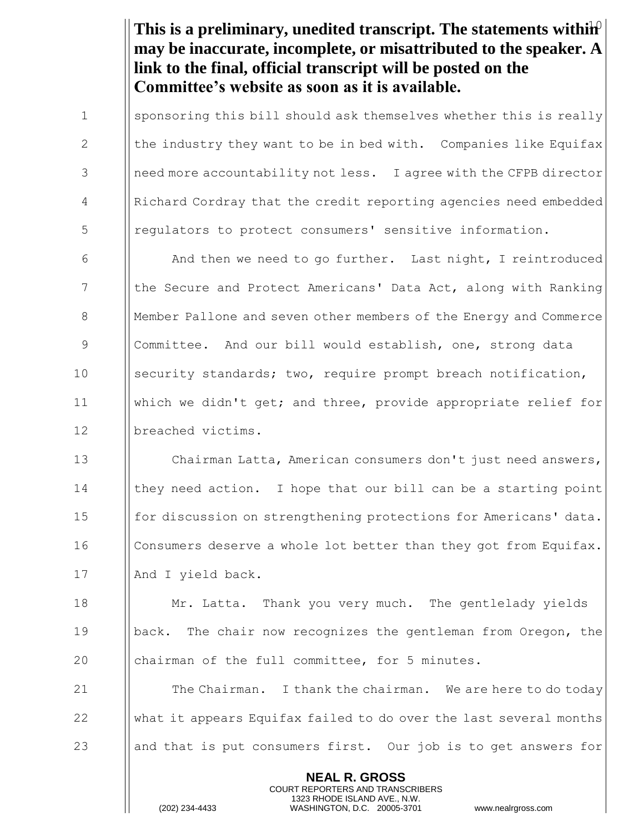This is a preliminary, unedited transcript. The statements withih<sup>0</sup> **may be inaccurate, incomplete, or misattributed to the speaker. A link to the final, official transcript will be posted on the Committee's website as soon as it is available.**

1 Sponsoring this bill should ask themselves whether this is really 2  $\parallel$  the industry they want to be in bed with. Companies like Equifax 3 | || need more accountability not less. I agree with the CFPB director 4 Richard Cordray that the credit reporting agencies need embedded 5 | regulators to protect consumers' sensitive information.

6 And then we need to go further. Last night, I reintroduced 7 The Secure and Protect Americans' Data Act, along with Ranking 8 Member Pallone and seven other members of the Energy and Commerce 9 Committee. And our bill would establish, one, strong data 10 Security standards; two, require prompt breach notification, 11 which we didn't get; and three, provide appropriate relief for 12 Ilbreached victims.

13 **I** Chairman Latta, American consumers don't just need answers, 14 I | they need action. I hope that our bill can be a starting point 15 **for discussion on strengthening protections for Americans' data.** 16 **Consumers deserve a whole lot better than they got from Equifax.** 17 | And I yield back.

18 **Mr. Latta.** Thank you very much. The gentlelady vields 19 back. The chair now recognizes the gentleman from Oregon, the 20 **chairman of the full committee, for 5 minutes.** 

21  $\parallel$  The Chairman. I thank the chairman. We are here to do today 22 what it appears Equifax failed to do over the last several months 23 and that is put consumers first. Our job is to get answers for

> **NEAL R. GROSS** COURT REPORTERS AND TRANSCRIBERS 1323 RHODE ISLAND AVE., N.W.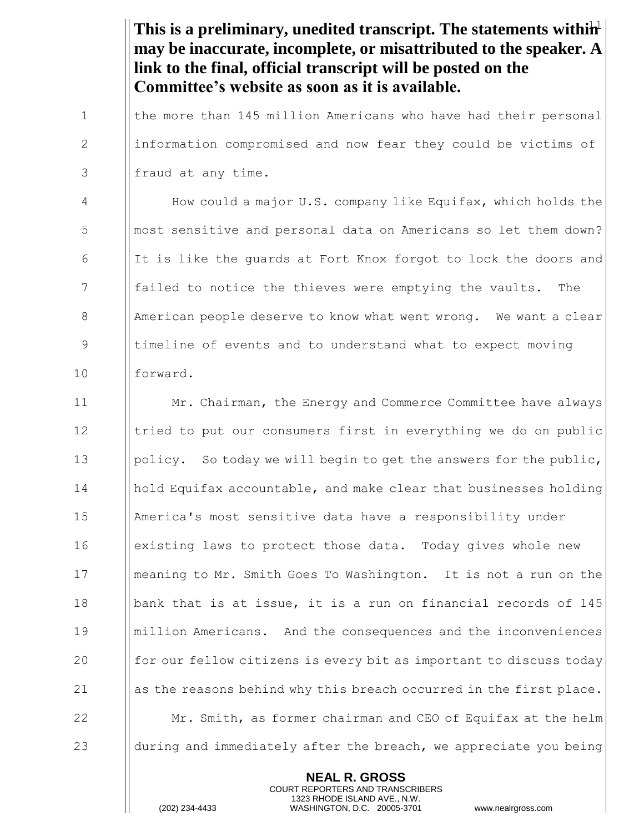This is a preliminary, unedited transcript. The statements withih<sup>1</sup> **may be inaccurate, incomplete, or misattributed to the speaker. A link to the final, official transcript will be posted on the Committee's website as soon as it is available.**

1 I the more than 145 million Americans who have had their personal 2 information compromised and now fear they could be victims of  $3$  || fraud at any time.

4 How could a major U.S. company like Equifax, which holds the 5 | || most sensitive and personal data on Americans so let them down? 6 If It is like the quards at Fort Knox forgot to lock the doors and 7 **failed to notice the thieves were emptying the vaults.** The 8 American people deserve to know what went wrong. We want a clear 9 || timeline of events and to understand what to expect moving 10 forward.

**Interpre** Mr. Chairman, the Energy and Commerce Committee have always 12 I tried to put our consumers first in everything we do on public 13 | policy. So today we will begin to get the answers for the public, hold Equifax accountable, and make clear that businesses holding America's most sensitive data have a responsibility under **example 16** existing laws to protect those data. Today gives whole new meaning to Mr. Smith Goes To Washington. It is not a run on the bank that is at issue, it is a run on financial records of 145 million Americans. And the consequences and the inconveniences 20 for our fellow citizens is every bit as important to discuss today  $\|\$ as the reasons behind why this breach occurred in the first place. 22 Mr. Smith, as former chairman and CEO of Equifax at the helm  $\parallel$  during and immediately after the breach, we appreciate you being

> **NEAL R. GROSS** COURT REPORTERS AND TRANSCRIBERS 1323 RHODE ISLAND AVE., N.W.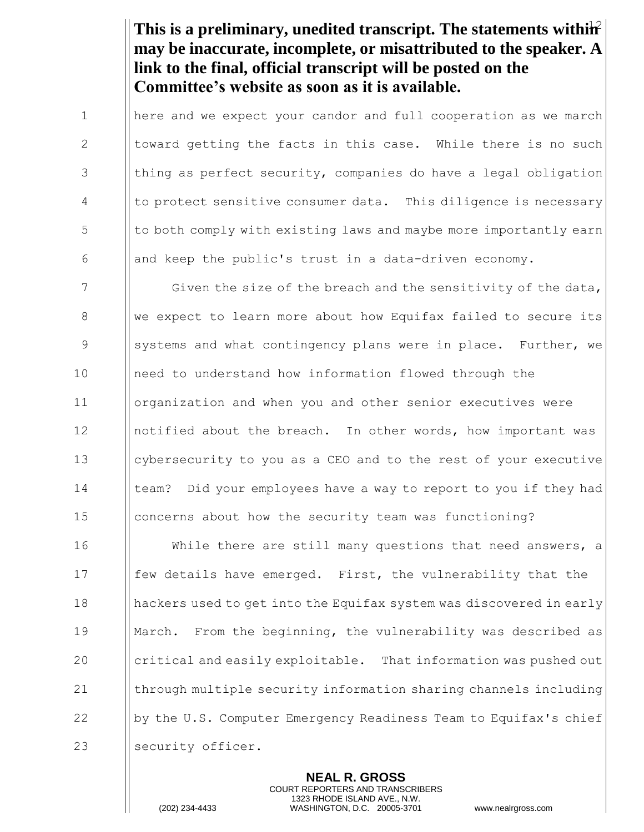This is a preliminary, unedited transcript. The statements withih<sup>2</sup> **may be inaccurate, incomplete, or misattributed to the speaker. A link to the final, official transcript will be posted on the Committee's website as soon as it is available.**

1 I here and we expect your candor and full cooperation as we march 2  $\parallel$  toward getting the facts in this case. While there is no such  $3$  || thing as perfect security, companies do have a legal obligation 4 | to protect sensitive consumer data. This diligence is necessary  $\frac{1}{5}$  || to both comply with existing laws and maybe more importantly earn 6  $\Box$  and keep the public's trust in a data-driven economy.

7 Siven the size of the breach and the sensitivity of the data, 8 We expect to learn more about how Equifax failed to secure its 9 Supermum and what contingency plans were in place. Further, we 10 need to understand how information flowed through the 11 organization and when you and other senior executives were 12 Inotified about the breach. In other words, how important was 13 cybersecurity to you as a CEO and to the rest of your executive 14 I leam? Did your employees have a way to report to you if they had 15 concerns about how the security team was functioning?

**I** While there are still many questions that need answers, a **follogilis** have emerged. First, the vulnerability that the hackers used to get into the Equifax system was discovered in early March. From the beginning, the vulnerability was described as  $\parallel$  critical and easily exploitable. That information was pushed out  $\parallel$  through multiple security information sharing channels including  $\vert \vert$  by the U.S. Computer Emergency Readiness Team to Equifax's chief 23 | security officer.

> **NEAL R. GROSS** COURT REPORTERS AND TRANSCRIBERS 1323 RHODE ISLAND AVE., N.W.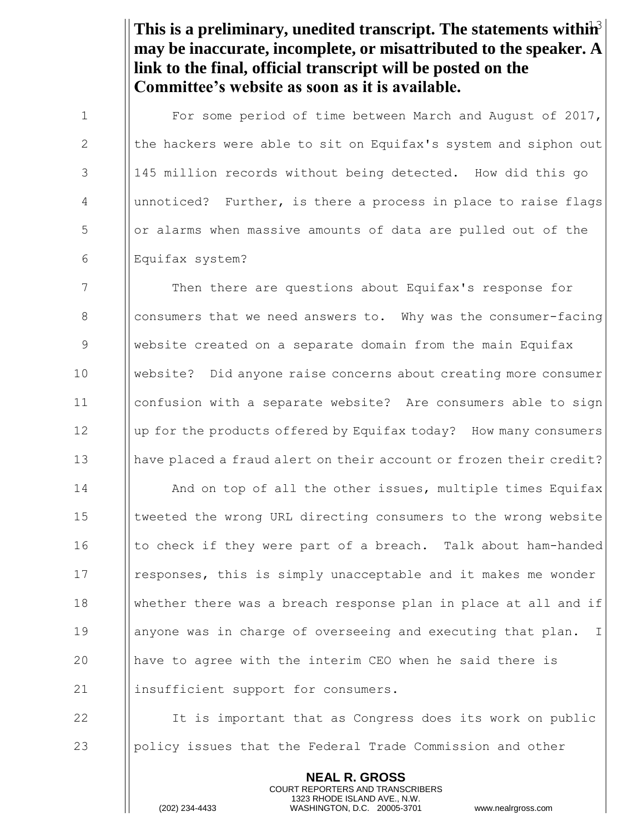This is a preliminary, unedited transcript. The statements withih<sup>3</sup> **may be inaccurate, incomplete, or misattributed to the speaker. A link to the final, official transcript will be posted on the Committee's website as soon as it is available.**

1 | For some period of time between March and August of 2017, 2  $\parallel$  the hackers were able to sit on Equifax's system and siphon out 3 145 million records without being detected. How did this go 4 | unnoticed? Further, is there a process in place to raise flags 5 **b** or alarms when massive amounts of data are pulled out of the 6 Equifax system?

 Then there are questions about Equifax's response for **I** consumers that we need answers to. Why was the consumer-facing website created on a separate domain from the main Equifax website? Did anyone raise concerns about creating more consumer confusion with a separate website? Are consumers able to sign 12 | up for the products offered by Equifax today? How many consumers 13 have placed a fraud alert on their account or frozen their credit?

14 **I** And on top of all the other issues, multiple times Equifax 15 | tweeted the wrong URL directing consumers to the wrong website 16 Ito check if they were part of a breach. Talk about ham-handed 17 Interpress, this is simply unacceptable and it makes me wonder 18 whether there was a breach response plan in place at all and if 19 **anyone was in charge of overseeing and executing that plan.** I 20 have to agree with the interim CEO when he said there is 21 | insufficient support for consumers.

22 It is important that as Congress does its work on public 23 **polical policy** issues that the Federal Trade Commission and other

> **NEAL R. GROSS** COURT REPORTERS AND TRANSCRIBERS 1323 RHODE ISLAND AVE., N.W.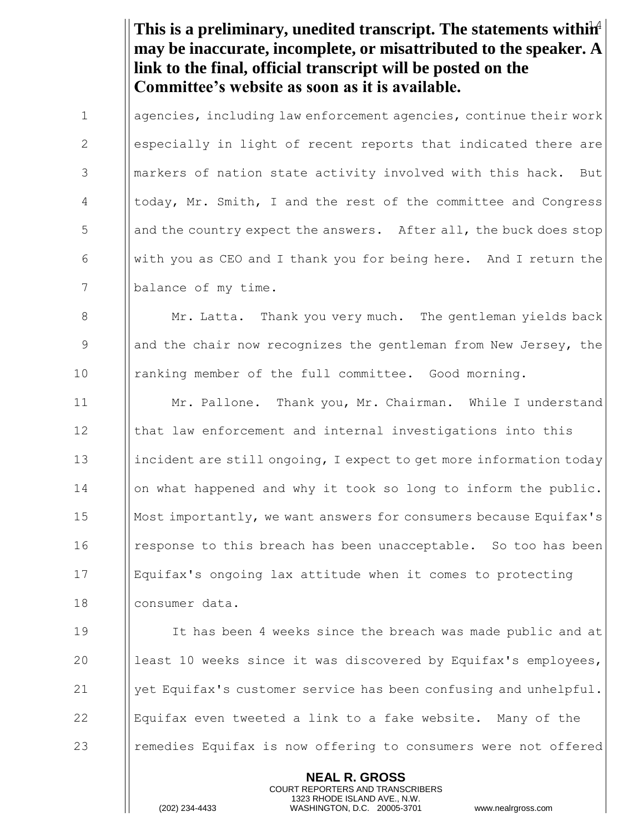This is a preliminary, unedited transcript. The statements withih<sup>4</sup> **may be inaccurate, incomplete, or misattributed to the speaker. A link to the final, official transcript will be posted on the Committee's website as soon as it is available.**

1 **agencies, including law enforcement agencies, continue their work** 2 especially in light of recent reports that indicated there are 3 **I** markers of nation state activity involved with this hack. But 4 today, Mr. Smith, I and the rest of the committee and Congress 5 and the country expect the answers. After all, the buck does stop 6 With you as CEO and I thank you for being here. And I return the 7 | balance of my time.

8 Mr. Latta. Thank you very much. The gentleman yields back 9 9 || and the chair now recognizes the gentleman from New Jersey, the 10 ranking member of the full committee. Good morning.

11 Mr. Pallone. Thank you, Mr. Chairman. While I understand 12 | | that law enforcement and internal investigations into this 13 incident are still ongoing, I expect to get more information today 14 | | on what happened and why it took so long to inform the public. 15 Most importantly, we want answers for consumers because Equifax's 16 I response to this breach has been unacceptable. So too has been 17 Equifax's ongoing lax attitude when it comes to protecting 18 consumer data.

19 It has been 4 weeks since the breach was made public and at  $\parallel$  least 10 weeks since it was discovered by Equifax's employees,  $\parallel$  yet Equifax's customer service has been confusing and unhelpful. Equifax even tweeted a link to a fake website. Many of the **I** remedies Equifax is now offering to consumers were not offered

> **NEAL R. GROSS** COURT REPORTERS AND TRANSCRIBERS 1323 RHODE ISLAND AVE., N.W.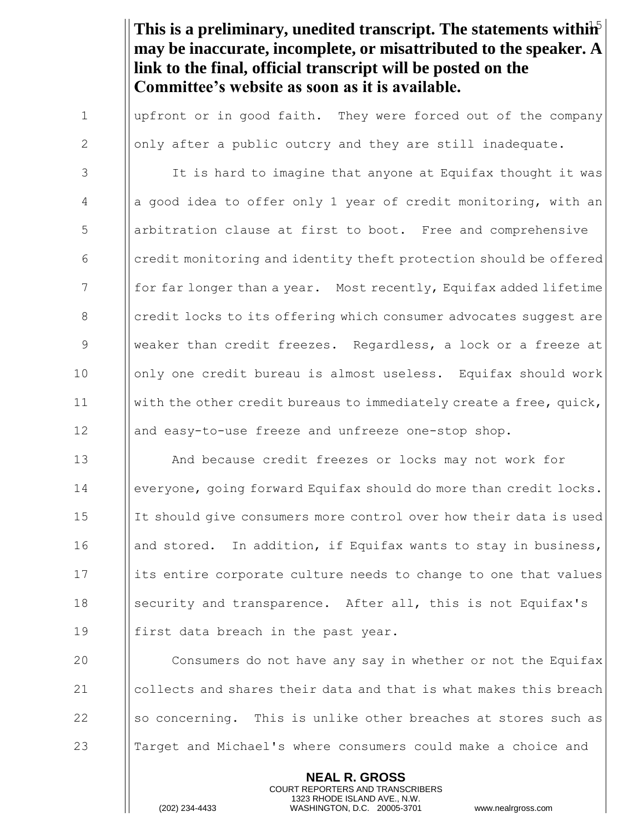This is a preliminary, unedited transcript. The statements withih<sup>5</sup> **may be inaccurate, incomplete, or misattributed to the speaker. A link to the final, official transcript will be posted on the Committee's website as soon as it is available.**

1 | upfront or in good faith. They were forced out of the company 2  $\parallel$  only after a public outcry and they are still inadequate.

3 I It is hard to imagine that anyone at Equifax thought it was  $4$  ||a good idea to offer only 1 year of credit monitoring, with an 5 | arbitration clause at first to boot. Free and comprehensive  $\begin{array}{c|c} 6 & \text{[} & \text{[} & \text{[} & \text{[] } & \text{[] } \text{[] } & \text{[] } \text{[] } & \text{[] } \text{[] } & \text{[] } & \text{[] } & \text{[] } \text{[] } & \text{[] } & \text{[] } & \text{[] } & \text{[] } & \text{[] } & \text{[] } & \text{[] } & \text{[] } & \text{[] } & \text{[] } & \text{[] } & \text{[] } & \text{[] } & \text{[] } & \text{[] } & \text{[] } & \text{[]$ 7 for far longer than a year. Most recently, Equifax added lifetime 8 **credit locks to its offering which consumer advocates suggest are** 9 Weaker than credit freezes. Regardless, a lock or a freeze at 10 Ionly one credit bureau is almost useless. Equifax should work 11 with the other credit bureaus to immediately create a free, quick, 12 || and easy-to-use freeze and unfreeze one-stop shop.

13 **And because credit freezes or locks may not work for** 14 everyone, going forward Equifax should do more than credit locks. 15 It should give consumers more control over how their data is used 16 | and stored. In addition, if Equifax wants to stay in business,  $17$  ||its entire corporate culture needs to change to one that values 18 Security and transparence. After all, this is not Equifax's 19 || first data breach in the past year.

**I** Consumers do not have any say in whether or not the Equifax  $\Box$  collects and shares their data and that is what makes this breach 22 Solution  $\|$  so concerning. This is unlike other breaches at stores such as **Target and Michael's where consumers could make a choice and** 

> **NEAL R. GROSS** COURT REPORTERS AND TRANSCRIBERS 1323 RHODE ISLAND AVE., N.W.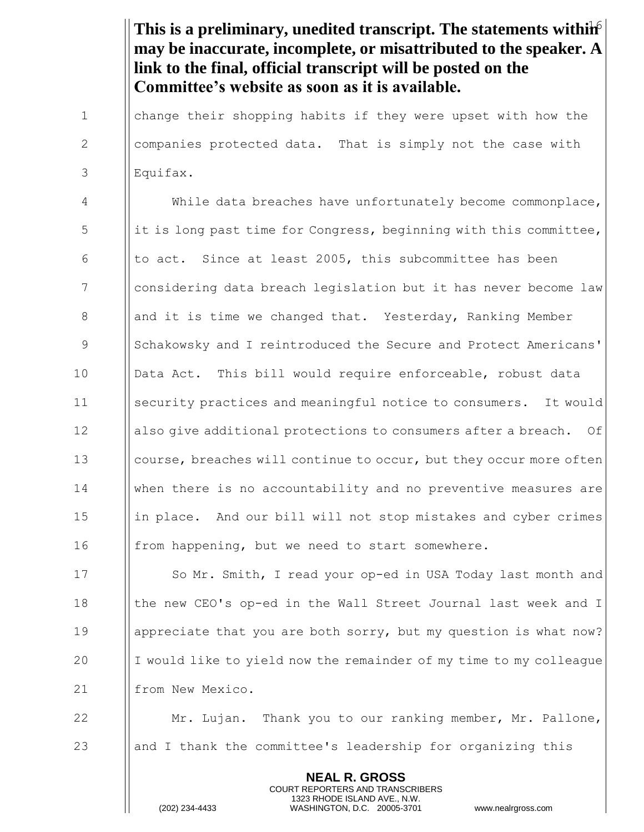This is a preliminary, unedited transcript. The statements withih<sup>6</sup> **may be inaccurate, incomplete, or misattributed to the speaker. A link to the final, official transcript will be posted on the Committee's website as soon as it is available.**

1 I change their shopping habits if they were upset with how the 2 | companies protected data. That is simply not the case with 3 Equifax.

4 | While data breaches have unfortunately become commonplace,  $\frac{1}{1}$  it is long past time for Congress, beginning with this committee, 6  $\parallel$  to act. Since at least 2005, this subcommittee has been 7 considering data breach legislation but it has never become law 8 **a** and it is time we changed that. Yesterday, Ranking Member 9 Schakowsky and I reintroduced the Secure and Protect Americans' 10 I Data Act. This bill would require enforceable, robust data 11 security practices and meaningful notice to consumers. It would 12 | also give additional protections to consumers after a breach. Of 13 **course, breaches will continue to occur, but they occur more often** 14 when there is no accountability and no preventive measures are 15 in place. And our bill will not stop mistakes and cyber crimes 16 **from happening, but we need to start somewhere.** 

17 **I** So Mr. Smith, I read your op-ed in USA Today last month and 18 Iche new CEO's op-ed in the Wall Street Journal last week and I 19 **a** | appreciate that you are both sorry, but my question is what now? 20 I I would like to yield now the remainder of my time to my colleague 21 | from New Mexico.

22 **Mr. Lujan.** Thank you to our ranking member, Mr. Pallone, 23 and I thank the committee's leadership for organizing this

> **NEAL R. GROSS** COURT REPORTERS AND TRANSCRIBERS 1323 RHODE ISLAND AVE., N.W.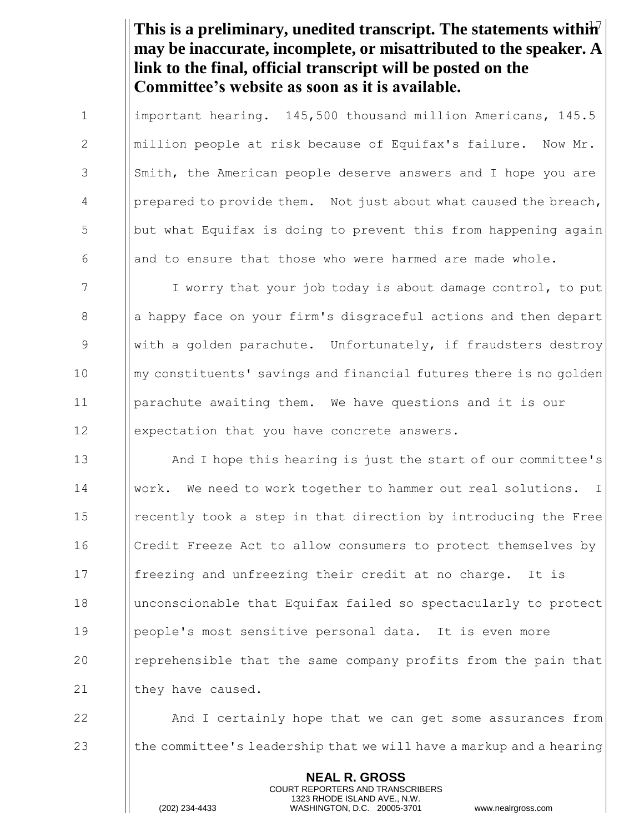This is a preliminary, unedited transcript. The statements withih<sup>7</sup> **may be inaccurate, incomplete, or misattributed to the speaker. A link to the final, official transcript will be posted on the Committee's website as soon as it is available.**

1 important hearing. 145,500 thousand million Americans, 145.5 2 | million people at risk because of Equifax's failure. Now Mr. 3 Smith, the American people deserve answers and I hope you are 4 | prepared to provide them. Not just about what caused the breach, 5 but what Equifax is doing to prevent this from happening again 6 | and to ensure that those who were harmed are made whole.

7 I I worry that your job today is about damage control, to put 8 a all a happy face on your firm's disgraceful actions and then depart 9 With a golden parachute. Unfortunately, if fraudsters destroy 10 || my constituents' savings and financial futures there is no golden 11 parachute awaiting them. We have questions and it is our 12 **expectation that you have concrete answers.** 

**And I** hope this hearing is just the start of our committee's work. We need to work together to hammer out real solutions. I 15 I recently took a step in that direction by introducing the Free Credit Freeze Act to allow consumers to protect themselves by **In** freezing and unfreezing their credit at no charge. It is unconscionable that Equifax failed so spectacularly to protect people's most sensitive personal data. It is even more **I** reprehensible that the same company profits from the pain that  $\parallel$  they have caused.

22 **And I** certainly hope that we can get some assurances from 23  $\parallel$  the committee's leadership that we will have a markup and a hearing

> **NEAL R. GROSS** COURT REPORTERS AND TRANSCRIBERS 1323 RHODE ISLAND AVE., N.W.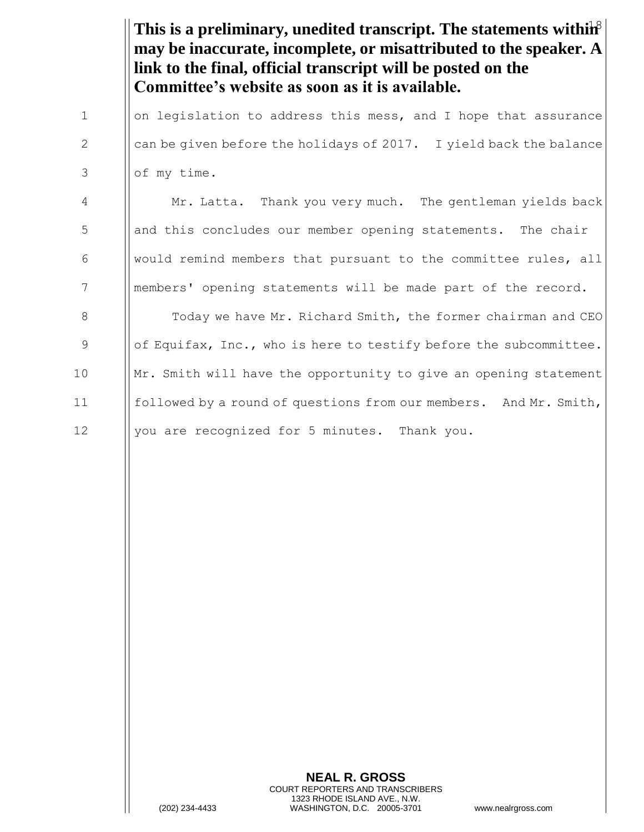This is a preliminary, unedited transcript. The statements within<sup>8</sup> **may be inaccurate, incomplete, or misattributed to the speaker. A link to the final, official transcript will be posted on the Committee's website as soon as it is available.**

1 on legislation to address this mess, and I hope that assurance 2  $\parallel$  can be given before the holidays of 2017. I yield back the balance  $3$  | of my time.

4 Mr. Latta. Thank you very much. The gentleman yields back 5 **b** and this concludes our member opening statements. The chair 6 | | would remind members that pursuant to the committee rules, all 7 | | members' opening statements will be made part of the record.

**The Today we have Mr. Richard Smith, the former chairman and CEO**  $\|\circ\|$  of Equifax, Inc., who is here to testify before the subcommittee. ||Mr. Smith will have the opportunity to give an opening statement **followed by a round of questions from our members.** And Mr. Smith, 12 | you are recognized for 5 minutes. Thank you.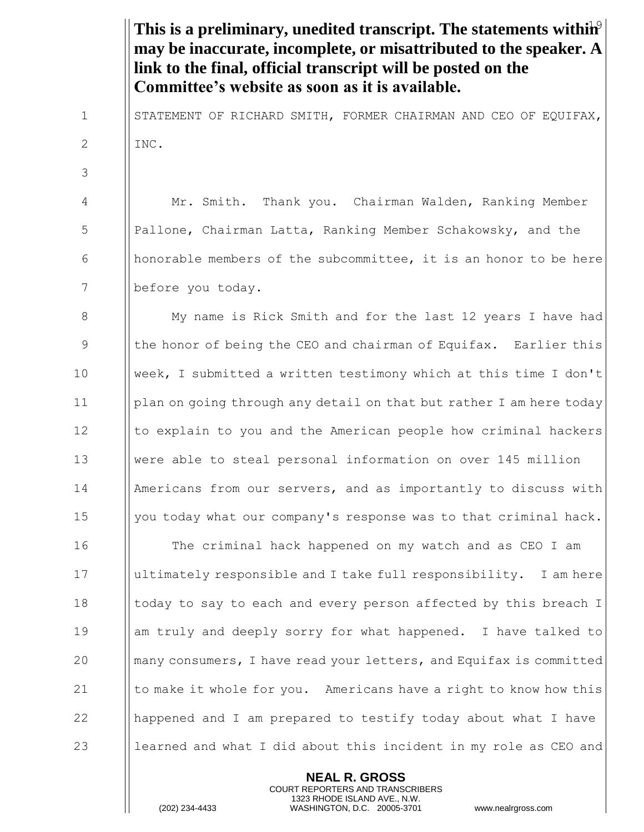This is a preliminary, unedited transcript. The statements within<sup>9</sup> **may be inaccurate, incomplete, or misattributed to the speaker. A link to the final, official transcript will be posted on the Committee's website as soon as it is available.** 1 | STATEMENT OF RICHARD SMITH, FORMER CHAIRMAN AND CEO OF EQUIFAX, 2  $\parallel$  INC. 3 4 Mr. Smith. Thank you. Chairman Walden, Ranking Member 5 | Pallone, Chairman Latta, Ranking Member Schakowsky, and the 6  $\Box$  honorable members of the subcommittee, it is an honor to be here 7 | before you today. 8 My name is Rick Smith and for the last 12 years I have had 9 In the honor of being the CEO and chairman of Equifax. Earlier this 10 week, I submitted a written testimony which at this time I don't 11 | plan on going through any detail on that but rather I am here today  $12$  || to explain to you and the American people how criminal hackers 13 Were able to steal personal information on over 145 million 14 Americans from our servers, and as importantly to discuss with 15  $\parallel$  you today what our company's response was to that criminal hack. 16 **The criminal hack happened on my watch and as CEO I am** 17 ultimately responsible and I take full responsibility. I am here 18  $\parallel$  today to say to each and every person affected by this breach I 19 **a** am truly and deeply sorry for what happened. I have talked to 20 **many consumers, I have read your letters, and Equifax is committed** 21  $\parallel$  to make it whole for you. Americans have a right to know how this 22  $\parallel$  happened and I am prepared to testify today about what I have 23  $\parallel$  learned and what I did about this incident in my role as CEO and

> **NEAL R. GROSS** COURT REPORTERS AND TRANSCRIBERS 1323 RHODE ISLAND AVE., N.W.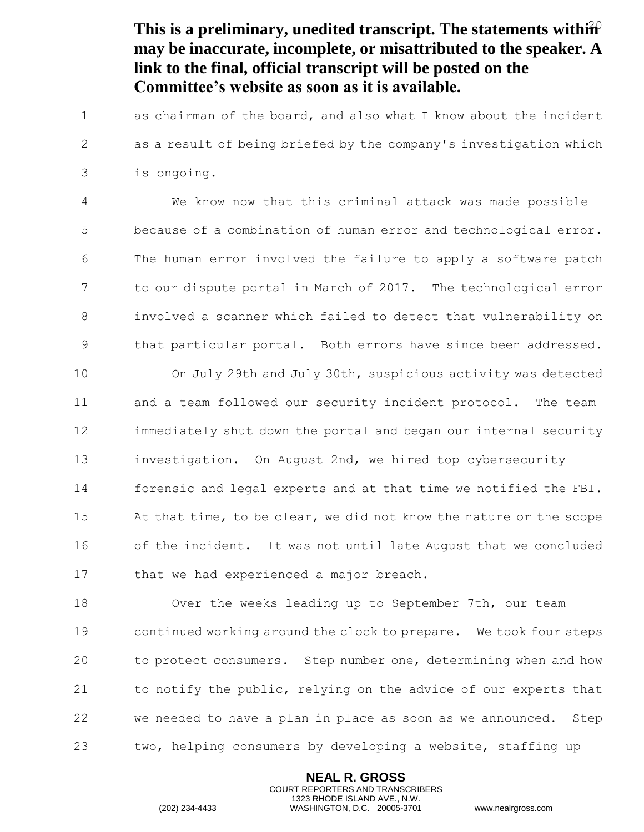This is a preliminary, unedited transcript. The statements within<sup>2</sup> **may be inaccurate, incomplete, or misattributed to the speaker. A link to the final, official transcript will be posted on the Committee's website as soon as it is available.**

1  $\parallel$  as chairman of the board, and also what I know about the incident  $2 \t\t ||$  as a result of being briefed by the company's investigation which  $3$  || is ongoing.

4 We know now that this criminal attack was made possible 5 **because of a combination of human error and technological error.** 6  $\blacksquare$  The human error involved the failure to apply a software patch 7 The lotto our dispute portal in March of 2017. The technological error 8 involved a scanner which failed to detect that vulnerability on 9 || that particular portal. Both errors have since been addressed.

10 **I** On July 29th and July 30th, suspicious activity was detected 11 | and a team followed our security incident protocol. The team 12 immediately shut down the portal and began our internal security 13 **investigation.** On August 2nd, we hired top cybersecurity 14 forensic and legal experts and at that time we notified the FBI. 15  $\parallel$  At that time, to be clear, we did not know the nature or the scope 16 | | of the incident. It was not until late August that we concluded 17 | that we had experienced a major breach.

**I** Over the weeks leading up to September 7th, our team **continued working around the clock to prepare.** We took four steps **the protect consumers.** Step number one, determining when and how  $\parallel$  to notify the public, relying on the advice of our experts that  $\parallel$  We needed to have a plan in place as soon as we announced. Step  $\parallel$  two, helping consumers by developing a website, staffing up

> **NEAL R. GROSS** COURT REPORTERS AND TRANSCRIBERS 1323 RHODE ISLAND AVE., N.W.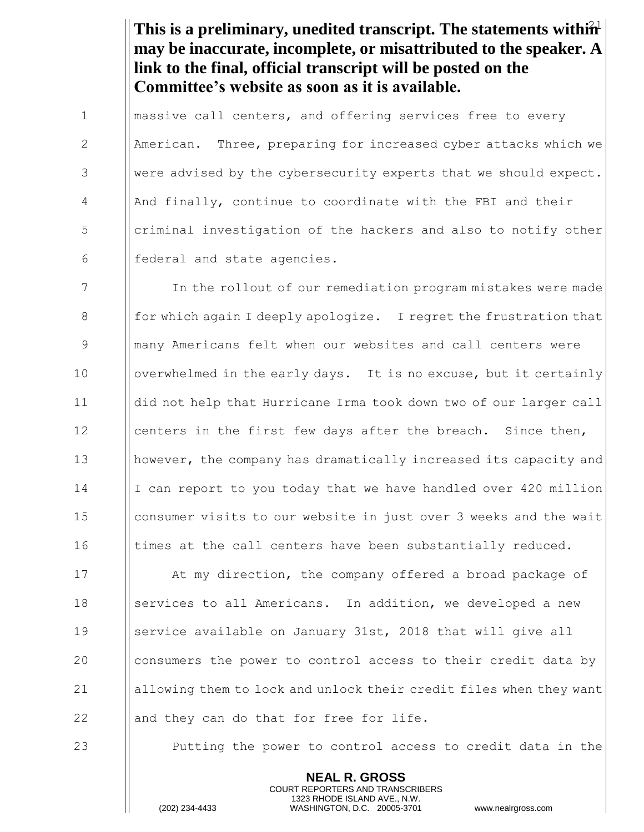This is a preliminary, unedited transcript. The statements within<sup>1</sup> **may be inaccurate, incomplete, or misattributed to the speaker. A link to the final, official transcript will be posted on the Committee's website as soon as it is available.**

1 | massive call centers, and offering services free to every 2 American. Three, preparing for increased cyber attacks which we 3 Were advised by the cybersecurity experts that we should expect.  $4$  || And finally, continue to coordinate with the FBI and their 5 Interal criminal investigation of the hackers and also to notify other  $6$  || federal and state agencies.

7 In the rollout of our remediation program mistakes were made 8  $\parallel$  for which again I deeply apologize. I regret the frustration that 9 many Americans felt when our websites and call centers were 10 | overwhelmed in the early days. It is no excuse, but it certainly 11 did not help that Hurricane Irma took down two of our larger call 12  $\parallel$  centers in the first few days after the breach. Since then, 13 however, the company has dramatically increased its capacity and 14 I I can report to you today that we have handled over 420 million 15 | consumer visits to our website in just over 3 weeks and the wait 16 I times at the call centers have been substantially reduced.

17 **I** At my direction, the company offered a broad package of 18 Services to all Americans. In addition, we developed a new 19 Service available on January 31st, 2018 that will give all 20 consumers the power to control access to their credit data by 21 allowing them to lock and unlock their credit files when they want 22  $\parallel$  and they can do that for free for life.

23 **Putting the power to control access to credit data in the** 

**NEAL R. GROSS** COURT REPORTERS AND TRANSCRIBERS 1323 RHODE ISLAND AVE., N.W.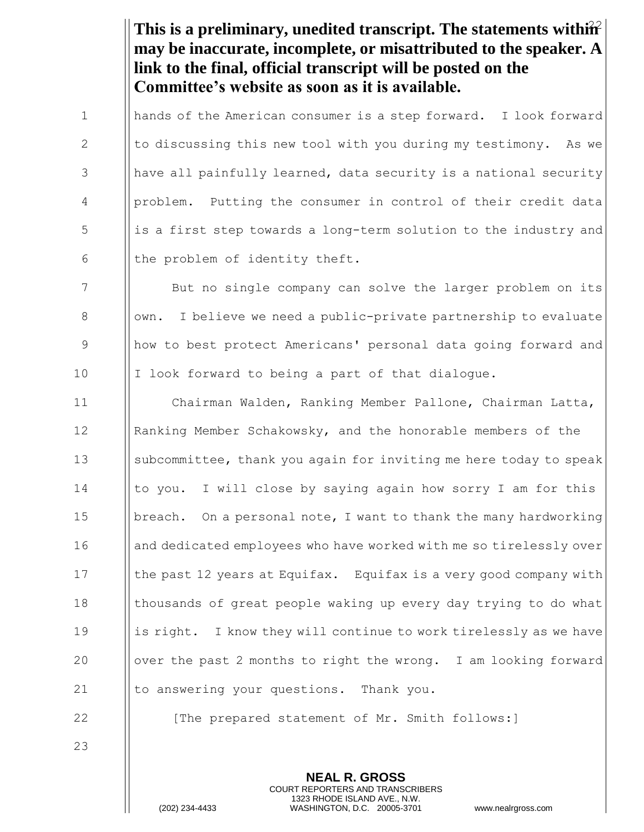This is a preliminary, unedited transcript. The statements within<sup>2</sup> **may be inaccurate, incomplete, or misattributed to the speaker. A link to the final, official transcript will be posted on the Committee's website as soon as it is available.**

1 | hands of the American consumer is a step forward. I look forward 2  $\parallel$  to discussing this new tool with you during my testimony. As we 3 | have all painfully learned, data security is a national security 4 | problem. Putting the consumer in control of their credit data 5 is a first step towards a long-term solution to the industry and 6  $\parallel$  the problem of identity theft.

7 | But no single company can solve the larger problem on its 8 | | own. I believe we need a public-private partnership to evaluate 9 how to best protect Americans' personal data going forward and  $10$  | I look forward to being a part of that dialogue.

 Chairman Walden, Ranking Member Pallone, Chairman Latta, 12 Isanking Member Schakowsky, and the honorable members of the subcommittee, thank you again for inviting me here today to speak 14 Ito you. I will close by saying again how sorry I am for this **breach.** On a personal note, I want to thank the many hardworking 16 and dedicated employees who have worked with me so tirelessly over 17 Ithe past 12 years at Equifax. Equifax is a very good company with **I** thousands of great people waking up every day trying to do what ||is right. I know they will continue to work tirelessly as we have  $\blacksquare$  over the past 2 months to right the wrong. I am looking forward  $\parallel$  to answering your questions. Thank you.

23

22 **I** [The prepared statement of Mr. Smith follows:]

**NEAL R. GROSS** COURT REPORTERS AND TRANSCRIBERS 1323 RHODE ISLAND AVE., N.W.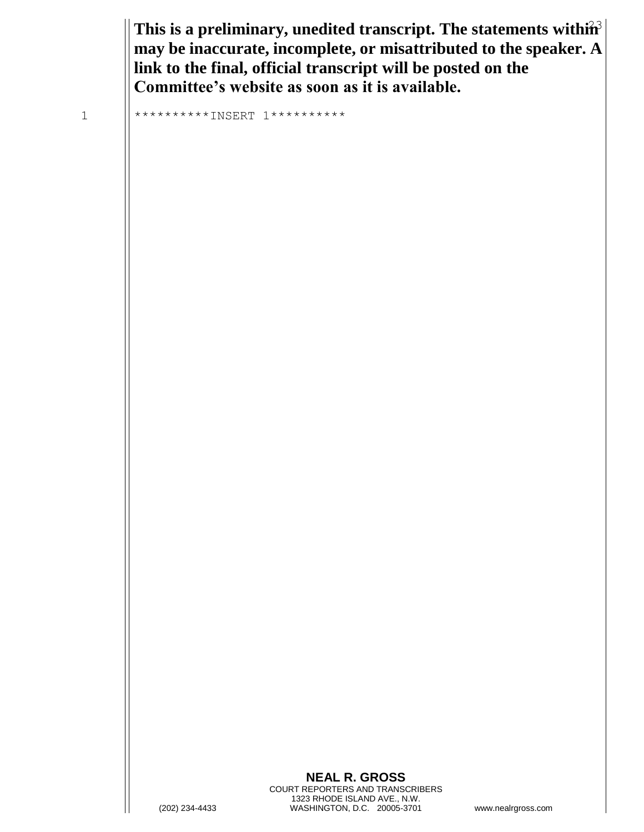This is a preliminary, unedited transcript. The statements within<sup>3</sup> **may be inaccurate, incomplete, or misattributed to the speaker. A link to the final, official transcript will be posted on the Committee's website as soon as it is available.**

1 \*\*\*\*\*\*\*\*\*\*INSERT 1\*\*\*\*\*\*\*\*\*\*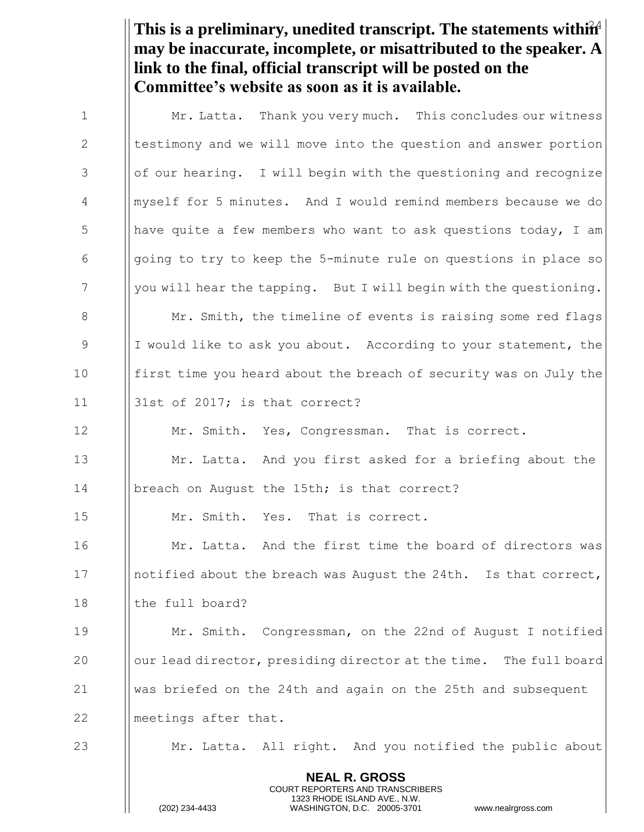This is a preliminary, unedited transcript. The statements within<sup>4</sup> **may be inaccurate, incomplete, or misattributed to the speaker. A link to the final, official transcript will be posted on the Committee's website as soon as it is available.**

| $\mathbf{1}$    | Mr. Latta. Thank you very much. This concludes our witness                                                                                                      |
|-----------------|-----------------------------------------------------------------------------------------------------------------------------------------------------------------|
| $\mathbf{2}$    | testimony and we will move into the question and answer portion                                                                                                 |
| 3               | of our hearing. I will begin with the questioning and recognize                                                                                                 |
| 4               | myself for 5 minutes. And I would remind members because we do                                                                                                  |
| 5               | have quite a few members who want to ask questions today, I am                                                                                                  |
| 6               | going to try to keep the 5-minute rule on questions in place so                                                                                                 |
| $7\phantom{.0}$ | you will hear the tapping. But I will begin with the questioning.                                                                                               |
| 8               | Mr. Smith, the timeline of events is raising some red flags                                                                                                     |
| 9               | I would like to ask you about. According to your statement, the                                                                                                 |
| 10              | first time you heard about the breach of security was on July the                                                                                               |
| 11              | 31st of 2017; is that correct?                                                                                                                                  |
| 12              | Mr. Smith. Yes, Congressman. That is correct.                                                                                                                   |
| 13              | Mr. Latta. And you first asked for a briefing about the                                                                                                         |
| 14              | breach on August the 15th; is that correct?                                                                                                                     |
| 15              | Mr. Smith. Yes. That is correct.                                                                                                                                |
| 16              | Mr. Latta. And the first time the board of directors was                                                                                                        |
| 17              | notified about the breach was August the 24th. Is that correct,                                                                                                 |
| 18              | the full board?                                                                                                                                                 |
| 19              | Mr. Smith. Congressman, on the 22nd of August I notified                                                                                                        |
| 20              | our lead director, presiding director at the time. The full board                                                                                               |
| 21              | was briefed on the 24th and again on the 25th and subsequent                                                                                                    |
| 22              | meetings after that.                                                                                                                                            |
| 23              | Mr. Latta. All right. And you notified the public about                                                                                                         |
|                 | <b>NEAL R. GROSS</b><br>COURT REPORTERS AND TRANSCRIBERS<br>1323 RHODE ISLAND AVE., N.W.<br>(202) 234-4433<br>WASHINGTON, D.C. 20005-3701<br>www.nealrgross.com |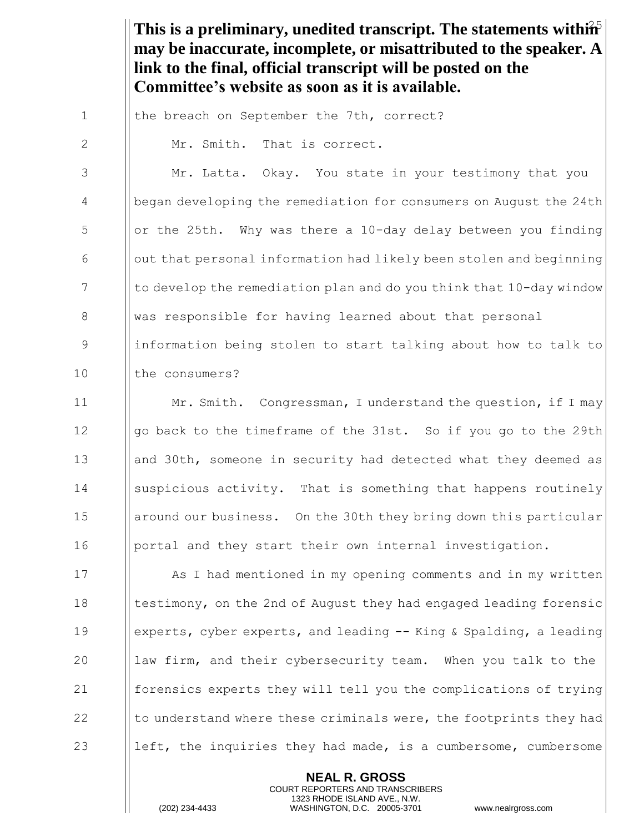This is a preliminary, unedited transcript. The statements within<sup>5</sup> **may be inaccurate, incomplete, or misattributed to the speaker. A link to the final, official transcript will be posted on the Committee's website as soon as it is available.**

1 | the breach on September the 7th, correct?

2  $\parallel$  Mr. Smith. That is correct.

3 | Mr. Latta. Okay. You state in your testimony that you 4 a || began developing the remediation for consumers on August the 24th  $5$  || or the 25th. Why was there a 10-day delay between you finding  $\begin{array}{c|c} 6 & \text{[} \end{array}$  out that personal information had likely been stolen and beginning  $7$  I to develop the remediation plan and do you think that  $10$ -day window 8 Was responsible for having learned about that personal 9 information being stolen to start talking about how to talk to 10 I the consumers?

11 **Mr. Smith.** Congressman, I understand the question, if I may 12  $\|\$ qo back to the timeframe of the 31st. So if you go to the 29th 13 and 30th, someone in security had detected what they deemed as 14 Suspicious activity. That is something that happens routinely 15 | around our business. On the 30th they bring down this particular 16 | portal and they start their own internal investigation.

**I** As I had mentioned in my opening comments and in my written **testimony, on the 2nd of August they had engaged leading forensic**  experts, cyber experts, and leading -- King & Spalding, a leading  $\parallel$  law firm, and their cybersecurity team. When you talk to the forensics experts they will tell you the complications of trying  $\parallel$  to understand where these criminals were, the footprints they had  $\|\$  left, the inquiries they had made, is a cumbersome, cumbersome

> **NEAL R. GROSS** COURT REPORTERS AND TRANSCRIBERS 1323 RHODE ISLAND AVE., N.W.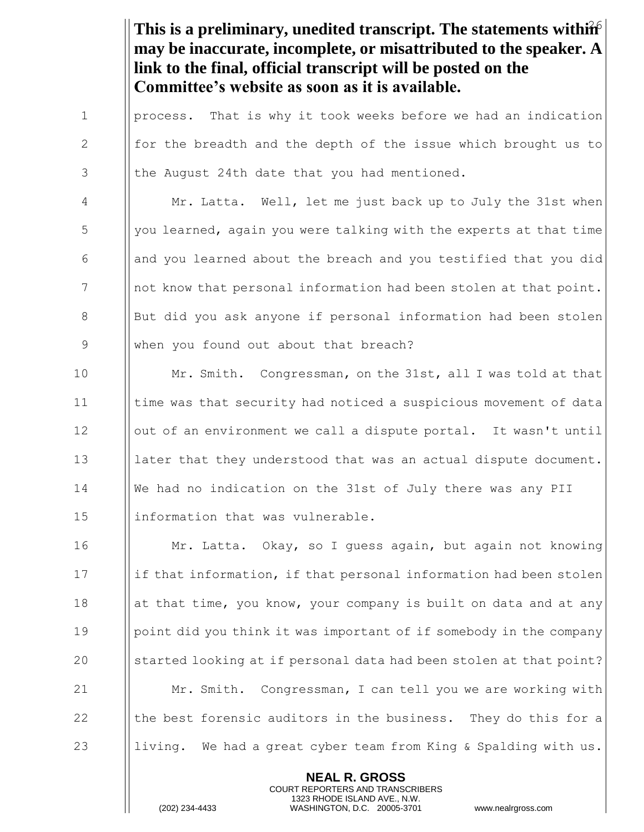This is a preliminary, unedited transcript. The statements within **may be inaccurate, incomplete, or misattributed to the speaker. A link to the final, official transcript will be posted on the Committee's website as soon as it is available.**

1 | process. That is why it took weeks before we had an indication 2  $\parallel$  for the breadth and the depth of the issue which brought us to  $3$  || the August 24th date that you had mentioned.

4 Mr. Latta. Well, let me just back up to July the 31st when  $\frac{1}{2}$   $\frac{1}{2}$  you learned, again you were talking with the experts at that time 6  $\Box$  and you learned about the breach and you testified that you did  $7$  || not know that personal information had been stolen at that point. 8 But did you ask anyone if personal information had been stolen 9 || when you found out about that breach?

**Mr. Smith.** Congressman, on the 31st, all I was told at that **time was that security had noticed a suspicious movement of data** 12 | | out of an environment we call a dispute portal. It wasn't until **later that they understood that was an actual dispute document.**  We had no indication on the 31st of July there was any PII ||information that was vulnerable.

16 Mr. Latta. Okay, so I guess again, but again not knowing 17 if that information, if that personal information had been stolen 18 **a** || at that time, you know, your company is built on data and at any 19 | point did you think it was important of if somebody in the company 20 Started looking at if personal data had been stolen at that point? 21 Mr. Smith. Congressman, I can tell you we are working with 22  $\parallel$  the best forensic auditors in the business. They do this for a 23 Iliving. We had a great cyber team from King & Spalding with us.

> **NEAL R. GROSS** COURT REPORTERS AND TRANSCRIBERS 1323 RHODE ISLAND AVE., N.W.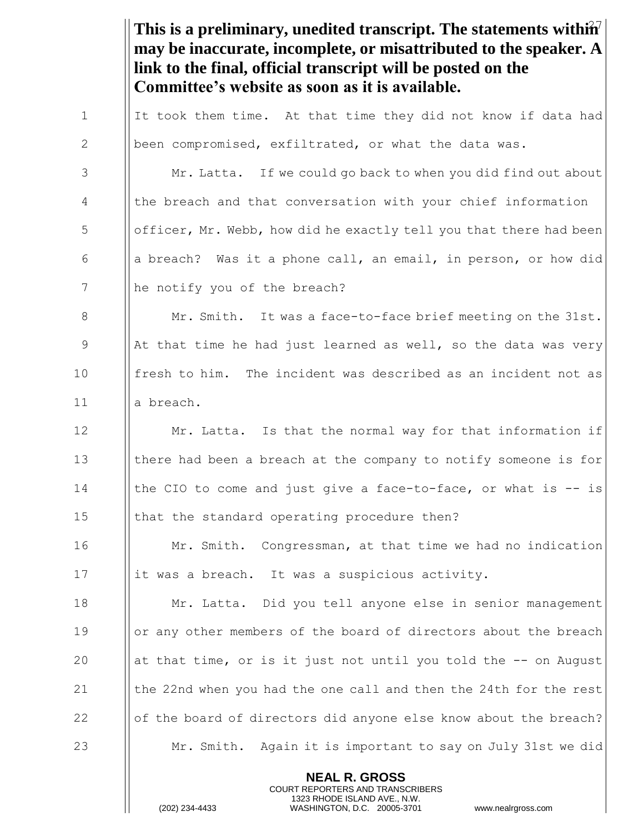This is a preliminary, unedited transcript. The statements within<sup>7</sup> **NEAL R. GROSS may be inaccurate, incomplete, or misattributed to the speaker. A link to the final, official transcript will be posted on the Committee's website as soon as it is available.** 1  $\parallel$  It took them time. At that time they did not know if data had 2 | been compromised, exfiltrated, or what the data was. 3 | Mr. Latta. If we could go back to when you did find out about 4 | the breach and that conversation with your chief information  $\frac{1}{10}$   $\frac{1}{10}$  officer, Mr. Webb, how did he exactly tell you that there had been 6  $\Box$  a breach? Was it a phone call, an email, in person, or how did 7 || he notify you of the breach? 8 Mr. Smith. It was a face-to-face brief meeting on the 31st. 9  $\parallel$  At that time he had just learned as well, so the data was very 10 **fresh to him.** The incident was described as an incident not as 11 a breach. 12 | Mr. Latta. Is that the normal way for that information if 13 I there had been a breach at the company to notify someone is for 14 I | the CIO to come and just give a face-to-face, or what is -- is 15 | that the standard operating procedure then? 16 **I** Mr. Smith. Congressman, at that time we had no indication 17 | it was a breach. It was a suspicious activity. 18 Mr. Latta. Did you tell anyone else in senior management 19 Ior any other members of the board of directors about the breach 20 at that time, or is it just not until you told the  $-$ - on August 21  $\parallel$  the 22nd when you had the one call and then the 24th for the rest 22 of the board of directors did anyone else know about the breach? 23 Mr. Smith. Again it is important to say on July 31st we did

> COURT REPORTERS AND TRANSCRIBERS 1323 RHODE ISLAND AVE., N.W.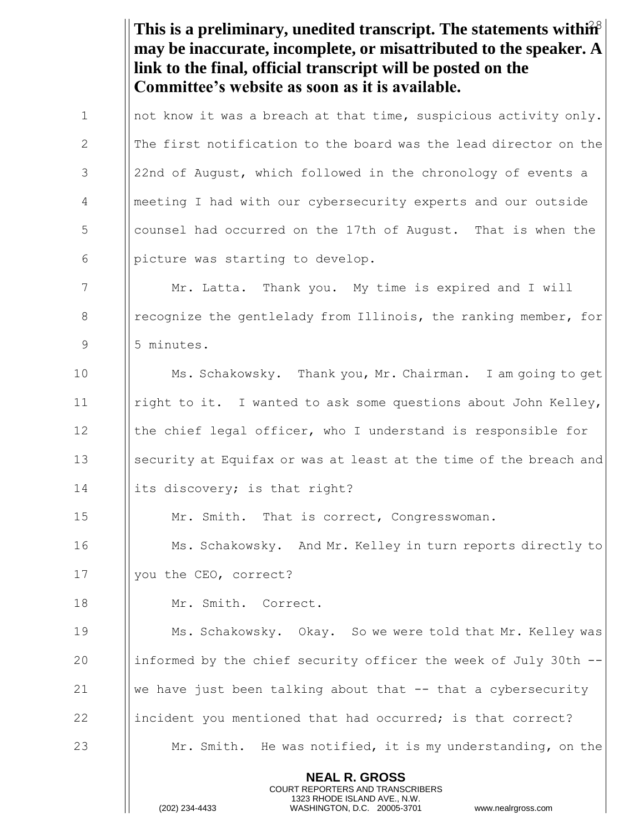This is a preliminary, unedited transcript. The statements within<sup>8</sup> **NEAL R. GROSS** COURT REPORTERS AND TRANSCRIBERS 1323 RHODE ISLAND AVE., N.W. **may be inaccurate, incomplete, or misattributed to the speaker. A link to the final, official transcript will be posted on the Committee's website as soon as it is available.** 1 | not know it was a breach at that time, suspicious activity only. 2 In The first notification to the board was the lead director on the 3 || 22nd of August, which followed in the chronology of events a 4 meeting I had with our cybersecurity experts and our outside 5 **b** counsel had occurred on the 17th of August. That is when the  $\begin{bmatrix} 6 \\ \end{bmatrix}$  | picture was starting to develop. 7 Mr. Latta. Thank you. My time is expired and I will 8 **I** recognize the gentlelady from Illinois, the ranking member, for 9 | 5 minutes. 10 Ms. Schakowsky. Thank you, Mr. Chairman. I am going to get 11 | right to it. I wanted to ask some questions about John Kelley, 12 I | the chief legal officer, who I understand is responsible for 13 Security at Equifax or was at least at the time of the breach and 14 | | its discovery; is that right? 15 | Mr. Smith. That is correct, Congresswoman. 16 **Ms. Schakowsky.** And Mr. Kelley in turn reports directly to 17 | you the CEO, correct? 18 Mr. Smith. Correct. 19 **Ms. Schakowsky.** Okay. So we were told that Mr. Kelley was 20  $\parallel$  informed by the chief security officer the week of July 30th --21  $\|\cdot\|$  we have just been talking about that  $-$  that a cybersecurity 22 incident you mentioned that had occurred; is that correct? 23  $\parallel$  Mr. Smith. He was notified, it is my understanding, on the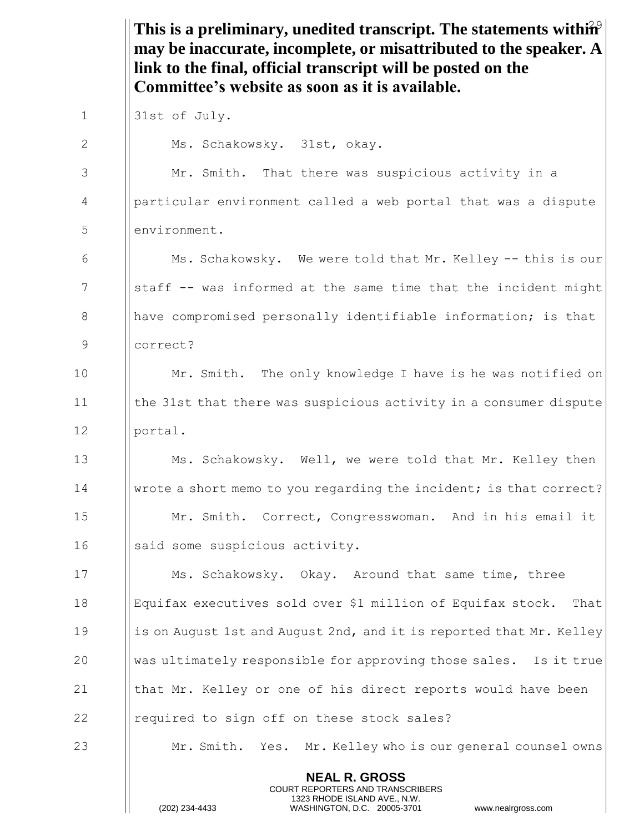This is a preliminary, unedited transcript. The statements within<sup>9</sup> **NEAL R. GROSS** COURT REPORTERS AND TRANSCRIBERS **may be inaccurate, incomplete, or misattributed to the speaker. A link to the final, official transcript will be posted on the Committee's website as soon as it is available.** 1 | 31st of July. 2 | Ms. Schakowsky. 31st, okay. 3 Mr. Smith. That there was suspicious activity in a 4 particular environment called a web portal that was a dispute 5 environment. 6 Ms. Schakowsky. We were told that Mr. Kelley -- this is our 7 Sum Staff -- was informed at the same time that the incident might 8 **have compromised personally identifiable information; is that** 9 correct? 10 | Mr. Smith. The only knowledge I have is he was notified on 11 the 31st that there was suspicious activity in a consumer dispute 12 portal. 13 Ms. Schakowsky. Well, we were told that Mr. Kelley then 14 wrote a short memo to you regarding the incident; is that correct? 15 Mr. Smith. Correct, Congresswoman. And in his email it 16 || said some suspicious activity. 17 **Ms. Schakowsky.** Okay. Around that same time, three 18 Equifax executives sold over \$1 million of Equifax stock. That 19 is on August 1st and August 2nd, and it is reported that Mr. Kelley 20  $\parallel$  was ultimately responsible for approving those sales. Is it true 21  $\parallel$  that Mr. Kelley or one of his direct reports would have been 22 **I** required to sign off on these stock sales? 23 Mr. Smith. Yes. Mr. Kelley who is our general counsel owns

1323 RHODE ISLAND AVE., N.W.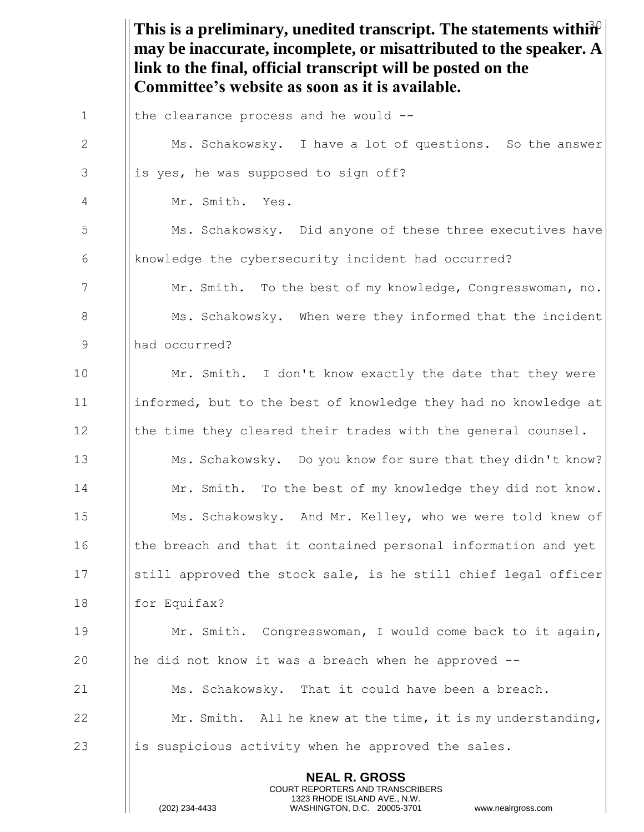This is a preliminary, unedited transcript. The statements within<sup>2</sup> **NEAL R. GROSS** COURT REPORTERS AND TRANSCRIBERS 1323 RHODE ISLAND AVE., N.W. **may be inaccurate, incomplete, or misattributed to the speaker. A link to the final, official transcript will be posted on the Committee's website as soon as it is available.** 1  $\parallel$  the clearance process and he would --2 | Ms. Schakowsky. I have a lot of questions. So the answer  $3$  || is yes, he was supposed to sign off? 4 Mr. Smith. Yes. 5  $\parallel$  Ms. Schakowsky. Did anyone of these three executives have 6 knowledge the cybersecurity incident had occurred? 7 Mr. Smith. To the best of my knowledge, Congresswoman, no. 8  $\parallel$  Ms. Schakowsky. When were they informed that the incident 9 had occurred? 10 | Mr. Smith. I don't know exactly the date that they were 11 informed, but to the best of knowledge they had no knowledge at 12 Ithe time they cleared their trades with the general counsel. 13 **Ms. Schakowsky.** Do you know for sure that they didn't know? 14 **Mr.** Smith. To the best of my knowledge they did not know. 15 | Ms. Schakowsky. And Mr. Kelley, who we were told knew of 16 In the breach and that it contained personal information and yet 17 Solutial approved the stock sale, is he still chief legal officer 18 | for Equifax? 19 Mr. Smith. Congresswoman, I would come back to it again, 20  $\|\$ he did not know it was a breach when he approved  $-$ 21  $\parallel$  Ms. Schakowsky. That it could have been a breach. 22  $\parallel$  Mr. Smith. All he knew at the time, it is my understanding, 23 is suspicious activity when he approved the sales.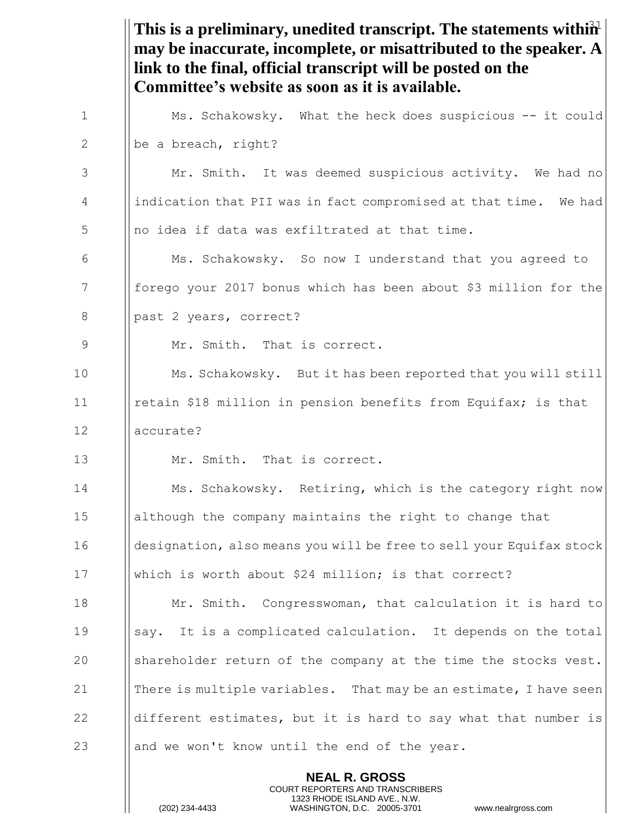This is a preliminary, unedited transcript. The statements within<sup>2</sup> **may be inaccurate, incomplete, or misattributed to the speaker. A link to the final, official transcript will be posted on the Committee's website as soon as it is available.** 1 | Ms. Schakowsky. What the heck does suspicious -- it could 2 || be a breach, right? 3 | Mr. Smith. It was deemed suspicious activity. We had no 4 | indication that PII was in fact compromised at that time. We had  $5$  || no idea if data was exfiltrated at that time. 6 Ms. Schakowsky. So now I understand that you agreed to 7 forego your 2017 bonus which has been about \$3 million for the 8 || past 2 years, correct? 9 | Mr. Smith. That is correct. 10 Ms. Schakowsky. But it has been reported that you will still 11 retain \$18 million in pension benefits from Equifax; is that 12 accurate? 13  $\parallel$  Mr. Smith. That is correct. 14 **Ms. Schakowsky.** Retiring, which is the category right now 15 although the company maintains the right to change that 16 **designation, also means you will be free to sell your Equifax stock** 17 Which is worth about \$24 million; is that correct? 18 **Mr.** Smith. Congresswoman, that calculation it is hard to 19 Say. It is a complicated calculation. It depends on the total 20 Shareholder return of the company at the time the stocks vest. 21  $\parallel$  There is multiple variables. That may be an estimate, I have seen 22  $\parallel$  different estimates, but it is hard to say what that number is 23  $\parallel$  and we won't know until the end of the year.

> **NEAL R. GROSS** COURT REPORTERS AND TRANSCRIBERS 1323 RHODE ISLAND AVE., N.W.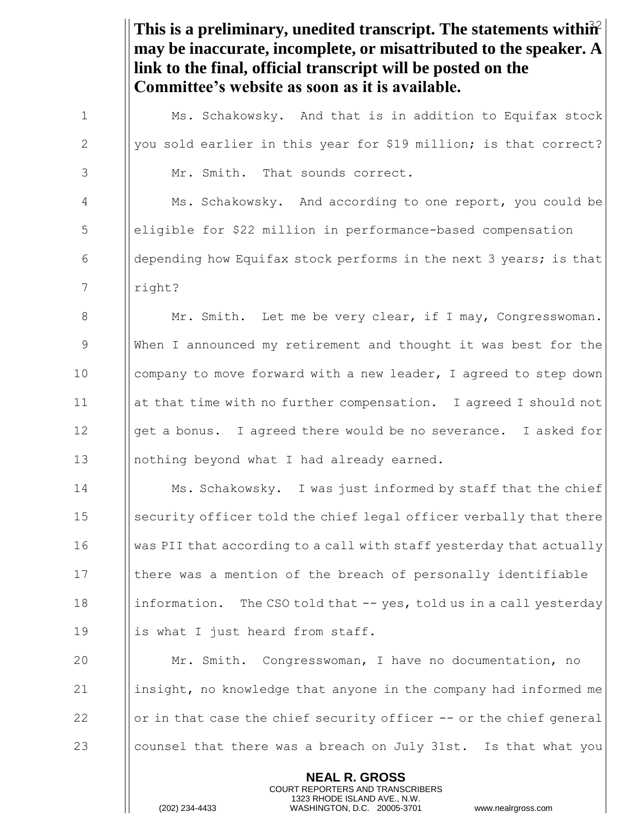This is a preliminary, unedited transcript. The statements within<sup>2</sup> **NEAL R. GROSS** COURT REPORTERS AND TRANSCRIBERS **may be inaccurate, incomplete, or misattributed to the speaker. A link to the final, official transcript will be posted on the Committee's website as soon as it is available.** 1 **Ms. Schakowsky.** And that is in addition to Equifax stock 2  $\parallel$  you sold earlier in this year for \$19 million; is that correct? 3 Mr. Smith. That sounds correct. 4 Ms. Schakowsky. And according to one report, you could be 5 eligible for \$22 million in performance-based compensation 6  $\Box$  depending how Equifax stock performs in the next 3 years; is that 7 | right? 8 | Mr. Smith. Let me be very clear, if I may, Congresswoman. 9 When I announced my retirement and thought it was best for the 10 | company to move forward with a new leader, I agreed to step down 11 at that time with no further compensation. I agreed I should not 12  $\|\$ qet a bonus. I agreed there would be no severance. I asked for 13 || nothing beyond what I had already earned. 14 **Ms. Schakowsky.** I was just informed by staff that the chief 15 Security officer told the chief legal officer verbally that there 16 Was PII that according to a call with staff yesterday that actually 17 In there was a mention of the breach of personally identifiable 18 information. The CSO told that  $-$ - yes, told us in a call yesterday 19  $\parallel$  is what I just heard from staff. 20 Mr. Smith. Congresswoman, I have no documentation, no 21 | insight, no knowledge that anyone in the company had informed me 22  $\|\sigma\|$  or in that case the chief security officer  $-\sigma$  the chief general 23 counsel that there was a breach on July 31st. Is that what you

1323 RHODE ISLAND AVE., N.W.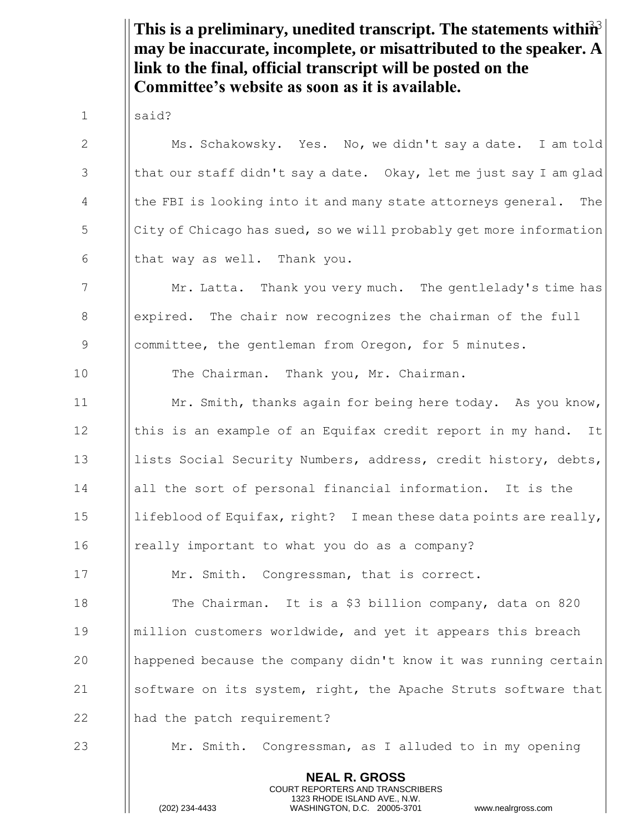This is a preliminary, unedited transcript. The statements within<sup>3</sup> **may be inaccurate, incomplete, or misattributed to the speaker. A link to the final, official transcript will be posted on the Committee's website as soon as it is available.**

1 | said?

2 Ms. Schakowsky. Yes. No, we didn't say a date. I am told 3  $\parallel$  that our staff didn't say a date. Okay, let me just say I am glad 4 | the FBI is looking into it and many state attorneys general. The  $\frac{1}{5}$  | City of Chicago has sued, so we will probably get more information 6  $\blacksquare$  that way as well. Thank you.

7 Mr. Latta. Thank you very much. The gentlelady's time has 8 | expired. The chair now recognizes the chairman of the full 9 Separal extemal from Oregon, for 5 minutes.

10 **I** The Chairman. Thank you, Mr. Chairman.

**Mr.** Smith, thanks again for being here today. As you know,  $\parallel$  this is an example of an Equifax credit report in my hand. It **li** lists Social Security Numbers, address, credit history, debts, all the sort of personal financial information. It is the 15 | lifeblood of Equifax, right? I mean these data points are really, 16 | really important to what you do as a company?

17 **Mr. Smith.** Congressman, that is correct.

18 **The Chairman.** It is a \$3 billion company, data on 820 19 million customers worldwide, and yet it appears this breach 20 happened because the company didn't know it was running certain 21 Software on its system, right, the Apache Struts software that 22 || had the patch requirement?

23 Mr. Smith. Congressman, as I alluded to in my opening

**NEAL R. GROSS** COURT REPORTERS AND TRANSCRIBERS 1323 RHODE ISLAND AVE., N.W.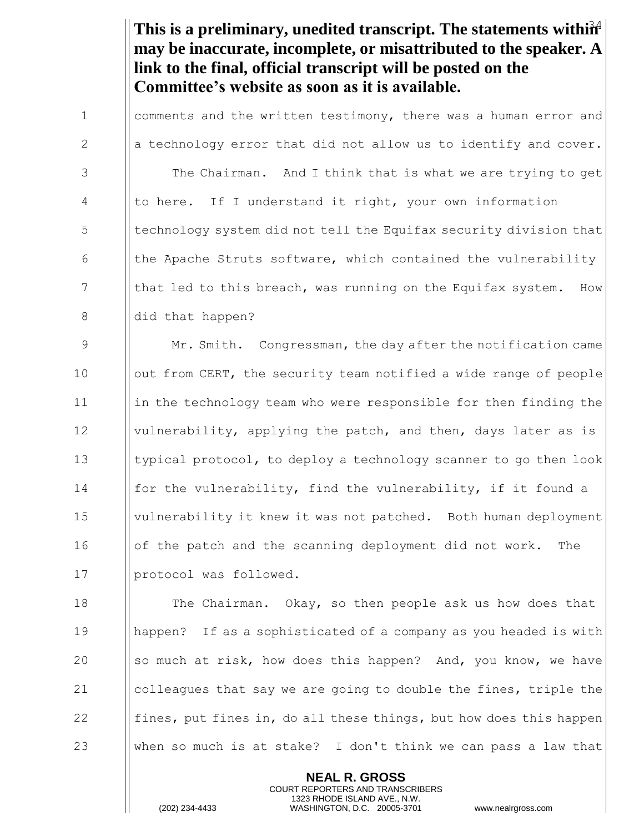This is a preliminary, unedited transcript. The statements within<sup>24</sup> **may be inaccurate, incomplete, or misattributed to the speaker. A link to the final, official transcript will be posted on the Committee's website as soon as it is available.**

1 I comments and the written testimony, there was a human error and 2  $\|\cdot\|$  a technology error that did not allow us to identify and cover. 3 | The Chairman. And I think that is what we are trying to get 4 | to here. If I understand it right, your own information 5 **I** technology system did not tell the Equifax security division that 6  $\parallel$  the Apache Struts software, which contained the vulnerability 7  $\parallel$  that led to this breach, was running on the Equifax system. How 8 || did that happen?

9 Mr. Smith. Congressman, the day after the notification came 10 | out from CERT, the security team notified a wide range of people 11 I in the technology team who were responsible for then finding the 12 I vulnerability, applying the patch, and then, days later as is 13 typical protocol, to deploy a technology scanner to go then look 14 **for the vulnerability, find the vulnerability, if it found a** 15 vulnerability it knew it was not patched. Both human deployment 16 | | of the patch and the scanning deployment did not work. The 17 | protocol was followed.

**The Chairman.** Okay, so then people ask us how does that happen? If as a sophisticated of a company as you headed is with  $\|\circ\|$  so much at risk, how does this happen? And, you know, we have  $\|\circ\|$  colleagues that say we are going to double the fines, triple the  $\parallel$  fines, put fines in, do all these things, but how does this happen 23 When so much is at stake? I don't think we can pass a law that

> **NEAL R. GROSS** COURT REPORTERS AND TRANSCRIBERS 1323 RHODE ISLAND AVE., N.W.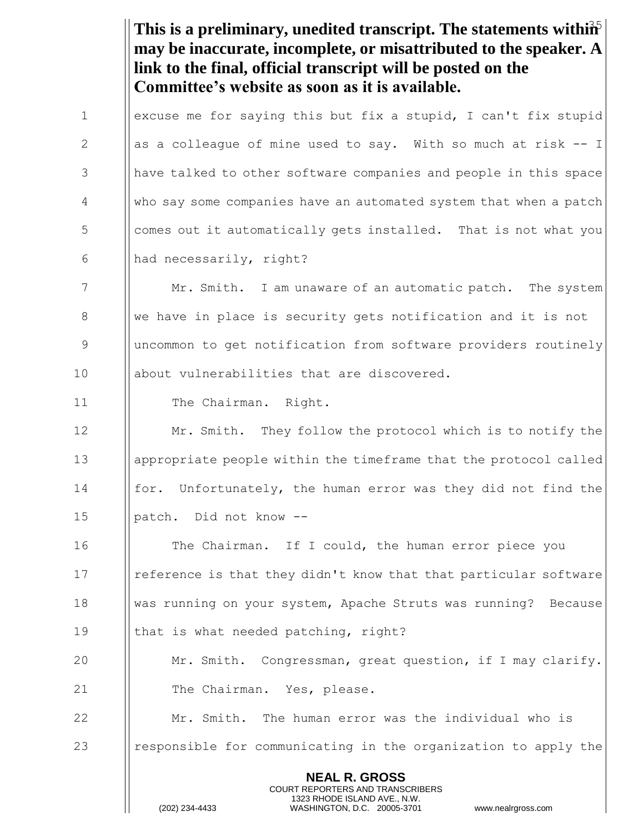This is a preliminary, unedited transcript. The statements within<sup>5</sup> **NEAL R. GROSS** COURT REPORTERS AND TRANSCRIBERS 1323 RHODE ISLAND AVE., N.W. **may be inaccurate, incomplete, or misattributed to the speaker. A link to the final, official transcript will be posted on the Committee's website as soon as it is available.** 1 | excuse me for saying this but fix a stupid, I can't fix stupid 2  $\parallel$  as a colleague of mine used to say. With so much at risk  $-1$ 3 have talked to other software companies and people in this space 4 who say some companies have an automated system that when a patch 5 | comes out it automatically gets installed. That is not what you 6  $\parallel$  had necessarily, right? 7 Mr. Smith. I am unaware of an automatic patch. The system 8 We have in place is security gets notification and it is not 9 uncommon to get notification from software providers routinely 10 | about vulnerabilities that are discovered. 11 | The Chairman. Right. 12 **Mr.** Smith. They follow the protocol which is to notify the 13 appropriate people within the timeframe that the protocol called 14 **for.** Unfortunately, the human error was they did not find the 15 | patch. Did not know --16 **I** The Chairman. If I could, the human error piece you 17 **I** reference is that they didn't know that that particular software 18 was running on your system, Apache Struts was running? Because 19 || that is what needed patching, right? 20 **Mr.** Smith. Congressman, great question, if I may clarify. 21 | The Chairman. Yes, please. 22 Mr. Smith. The human error was the individual who is 23 **I** responsible for communicating in the organization to apply the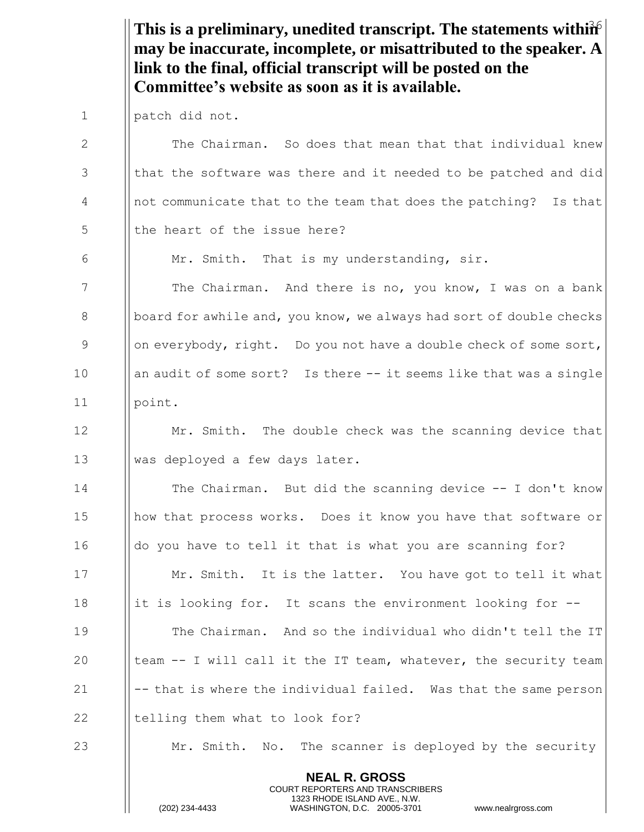This is a preliminary, unedited transcript. The statements within  $\hat{\mathbf{h}}$ **may be inaccurate, incomplete, or misattributed to the speaker. A link to the final, official transcript will be posted on the Committee's website as soon as it is available.**

1 | patch did not.

**NEAL R. GROSS** 2 The Chairman. So does that mean that that individual knew  $3$  || that the software was there and it needed to be patched and did 4 | not communicate that to the team that does the patching? Is that 5 I the heart of the issue here? 6 | Mr. Smith. That is my understanding, sir. 7 The Chairman. And there is no, you know, I was on a bank 8  $\vert\vert$  board for awhile and, you know, we always had sort of double checks 9 || on everybody, right. Do you not have a double check of some sort, 10 || an audit of some sort? Is there -- it seems like that was a single 11 | point. 12  $\parallel$  Mr. Smith. The double check was the scanning device that 13 || was deployed a few days later. 14 **The Chairman.** But did the scanning device -- I don't know 15 **how that process works.** Does it know you have that software or 16  $\parallel$  do you have to tell it that is what you are scanning for? 17 **Mr.** Smith. It is the latter. You have got to tell it what 18 it is looking for. It scans the environment looking for  $-$ -19 **The Chairman.** And so the individual who didn't tell the IT 20  $\parallel$  team -- I will call it the IT team, whatever, the security team 21  $\|$  -- that is where the individual failed. Was that the same person  $22$  || telling them what to look for? 23 **Mr.** Smith. No. The scanner is deployed by the security

> COURT REPORTERS AND TRANSCRIBERS 1323 RHODE ISLAND AVE., N.W.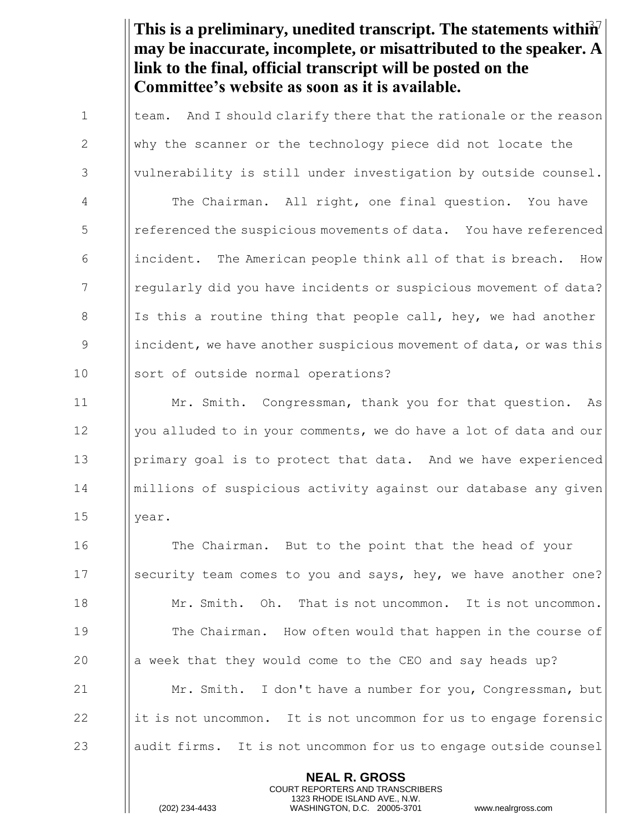This is a preliminary, unedited transcript. The statements within<sup>7</sup> **may be inaccurate, incomplete, or misattributed to the speaker. A link to the final, official transcript will be posted on the Committee's website as soon as it is available.**

1  $\parallel$  team. And I should clarify there that the rationale or the reason 2 | Why the scanner or the technology piece did not locate the 3 | vulnerability is still under investigation by outside counsel. 4 | The Chairman. All right, one final question. You have 5 | referenced the suspicious movements of data. You have referenced 6 incident. The American people think all of that is breach. How 7 **I** regularly did you have incidents or suspicious movement of data? 8 Is this a routine thing that people call, hey, we had another 9 incident, we have another suspicious movement of data, or was this 10 || sort of outside normal operations? 11 Mr. Smith. Congressman, thank you for that question. As 12 | you alluded to in your comments, we do have a lot of data and our 13 **primary goal is to protect that data.** And we have experienced 14 millions of suspicious activity against our database any given 15 || year. 16 **The Chairman.** But to the point that the head of your 17 Security team comes to you and says, hey, we have another one? 18 Mr. Smith. Oh. That is not uncommon. It is not uncommon. 19 **The Chairman.** How often would that happen in the course of 20  $\parallel$  a week that they would come to the CEO and say heads up? 21 **Mr.** Smith. I don't have a number for you, Congressman, but  $22$  ||it is not uncommon. It is not uncommon for us to engage forensic

**NEAL R. GROSS**

23 audit firms. It is not uncommon for us to engage outside counsel

COURT REPORTERS AND TRANSCRIBERS 1323 RHODE ISLAND AVE., N.W.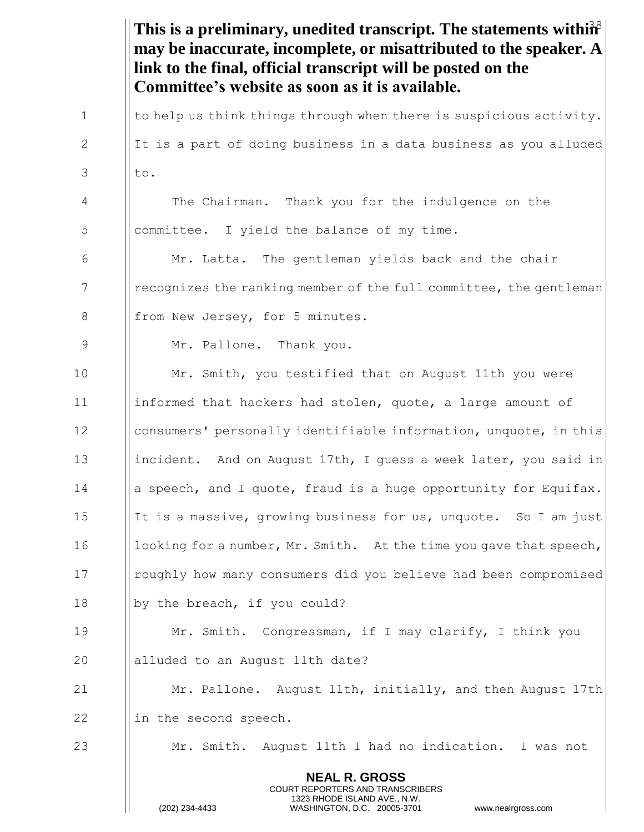|             | This is a preliminary, unedited transcript. The statements within <sup>38</sup><br>may be inaccurate, incomplete, or misattributed to the speaker. A<br>link to the final, official transcript will be posted on the<br>Committee's website as soon as it is available. |
|-------------|-------------------------------------------------------------------------------------------------------------------------------------------------------------------------------------------------------------------------------------------------------------------------|
| 1           | to help us think things through when there is suspicious activity.                                                                                                                                                                                                      |
| 2           | It is a part of doing business in a data business as you alluded                                                                                                                                                                                                        |
| 3           | to.                                                                                                                                                                                                                                                                     |
| 4           | The Chairman. Thank you for the indulgence on the                                                                                                                                                                                                                       |
| 5           | committee. I yield the balance of my time.                                                                                                                                                                                                                              |
| 6           | Mr. Latta. The gentleman yields back and the chair                                                                                                                                                                                                                      |
| 7           | recognizes the ranking member of the full committee, the gentleman                                                                                                                                                                                                      |
| 8           | from New Jersey, for 5 minutes.                                                                                                                                                                                                                                         |
| $\mathsf 9$ | Mr. Pallone. Thank you.                                                                                                                                                                                                                                                 |
| 10          | Mr. Smith, you testified that on August 11th you were                                                                                                                                                                                                                   |
| 11          | informed that hackers had stolen, quote, a large amount of                                                                                                                                                                                                              |
| 12          | consumers' personally identifiable information, unquote, in this                                                                                                                                                                                                        |
| 13          | incident. And on August 17th, I guess a week later, you said in                                                                                                                                                                                                         |
| 14          | a speech, and I quote, fraud is a huge opportunity for Equifax.                                                                                                                                                                                                         |
| 15          | It is a massive, growing business for us, unquote. So I am just                                                                                                                                                                                                         |
| 16          | looking for a number, Mr. Smith. At the time you gave that speech,                                                                                                                                                                                                      |
| 17          | roughly how many consumers did you believe had been compromised                                                                                                                                                                                                         |
| 18          | by the breach, if you could?                                                                                                                                                                                                                                            |
| 19          | Mr. Smith. Congressman, if I may clarify, I think you                                                                                                                                                                                                                   |
| 20          | alluded to an August 11th date?                                                                                                                                                                                                                                         |
| 21          | Mr. Pallone. August 11th, initially, and then August 17th                                                                                                                                                                                                               |
| 22          | in the second speech.                                                                                                                                                                                                                                                   |
| 23          | Mr. Smith. August 11th I had no indication. I was not                                                                                                                                                                                                                   |
|             | <b>NEAL R. GROSS</b><br>COURT REPORTERS AND TRANSCRIBERS<br>1323 RHODE ISLAND AVE., N.W.<br>(202) 234-4433<br>WASHINGTON, D.C. 20005-3701<br>www.nealrgross.com                                                                                                         |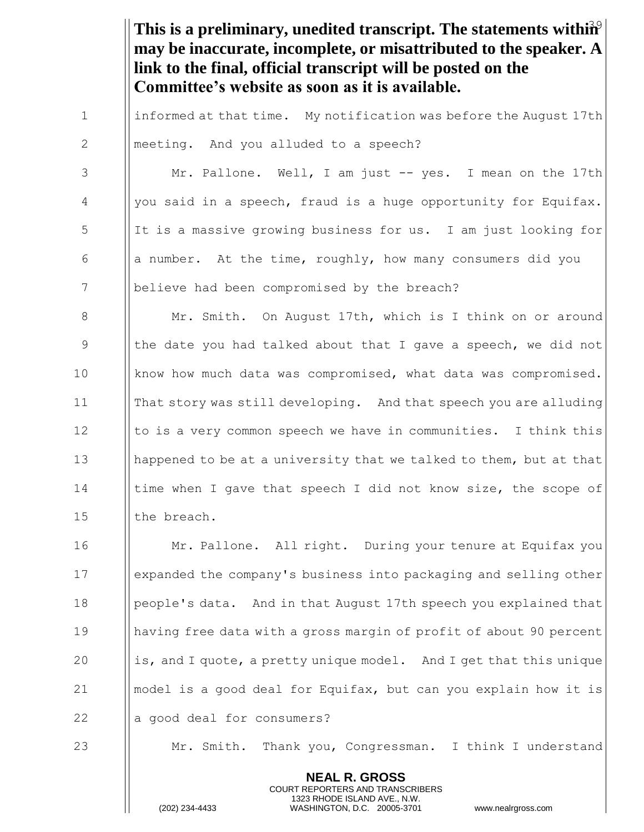This is a preliminary, unedited transcript. The statements within<sup>9</sup> **may be inaccurate, incomplete, or misattributed to the speaker. A link to the final, official transcript will be posted on the Committee's website as soon as it is available.**

1 | informed at that time. My notification was before the August 17th 2 | meeting. And you alluded to a speech?

3 Mr. Pallone. Well, I am just -- yes. I mean on the 17th  $4$  | you said in a speech, fraud is a huge opportunity for Equifax.  $\frac{1}{1}$  5 If is a massive growing business for us. I am just looking for 6  $\Box$  a number. At the time, roughly, how many consumers did you 7 | believe had been compromised by the breach?

8 | Mr. Smith. On August 17th, which is I think on or around 9 In the date you had talked about that I gave a speech, we did not 10 | know how much data was compromised, what data was compromised. 11 That story was still developing. And that speech you are alluding 12  $\parallel$  to is a very common speech we have in communities. I think this 13 | happened to be at a university that we talked to them, but at that 14 I time when I gave that speech I did not know size, the scope of 15 | the breach.

**Mr. Pallone.** All right. During your tenure at Equifax you expanded the company's business into packaging and selling other 18 | people's data. And in that August 17th speech you explained that having free data with a gross margin of profit of about 90 percent  $\parallel$  is, and I quote, a pretty unique model. And I get that this unique  $\Box$  | model is a good deal for Equifax, but can you explain how it is  $\parallel$  a good deal for consumers?

23 Mr. Smith. Thank you, Congressman. I think I understand

**NEAL R. GROSS** COURT REPORTERS AND TRANSCRIBERS 1323 RHODE ISLAND AVE., N.W.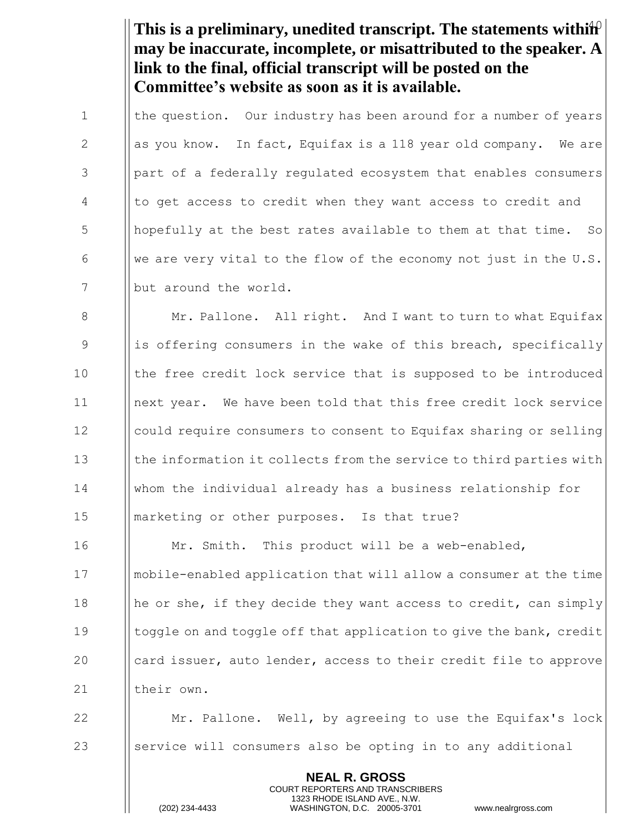This is a preliminary, unedited transcript. The statements within<sup>0</sup> **may be inaccurate, incomplete, or misattributed to the speaker. A link to the final, official transcript will be posted on the Committee's website as soon as it is available.**

1 I the question. Our industry has been around for a number of years 2  $\parallel$  as you know. In fact, Equifax is a 118 year old company. We are 3 | part of a federally regulated ecosystem that enables consumers 4 | to get access to credit when they want access to credit and  $\frac{1}{10}$  hopefully at the best rates available to them at that time. So 6 We are very vital to the flow of the economy not just in the U.S. 7 | but around the world.

8 | Mr. Pallone. All right. And I want to turn to what Equifax 9 is offering consumers in the wake of this breach, specifically 10 In the free credit lock service that is supposed to be introduced next year. We have been told that this free credit lock service could require consumers to consent to Equifax sharing or selling || the information it collects from the service to third parties with whom the individual already has a business relationship for **I** marketing or other purposes. Is that true?

16 | Mr. Smith. This product will be a web-enabled, mobile-enabled application that will allow a consumer at the time  $\|\$ he or she, if they decide they want access to credit, can simply **I** toggle on and toggle off that application to give the bank, credit **card issuer, auto lender, access to their credit file to approve** 21 | their own.

22 **Mr. Pallone.** Well, by agreeing to use the Equifax's lock  $23$  Service will consumers also be opting in to any additional

> **NEAL R. GROSS** COURT REPORTERS AND TRANSCRIBERS 1323 RHODE ISLAND AVE., N.W.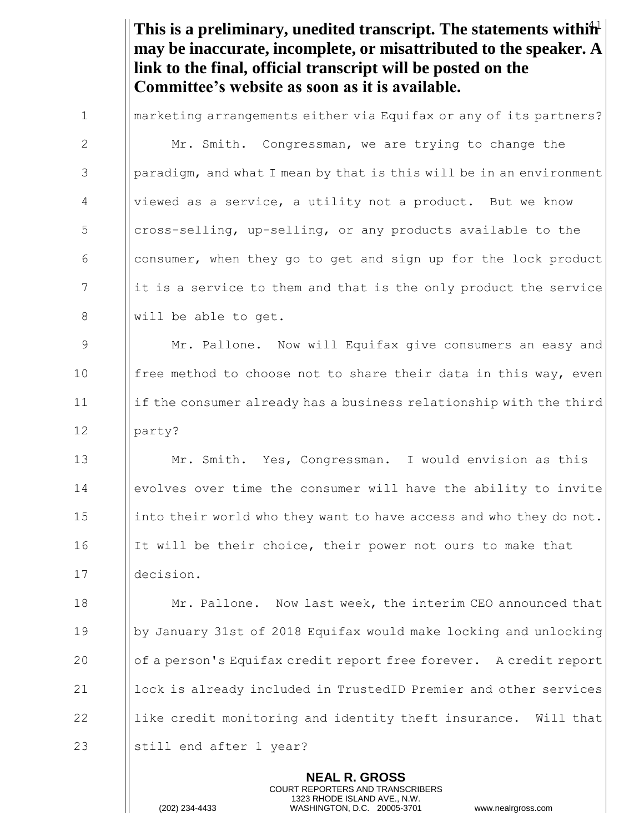This is a preliminary, unedited transcript. The statements within<sup>1</sup> **may be inaccurate, incomplete, or misattributed to the speaker. A link to the final, official transcript will be posted on the Committee's website as soon as it is available.**

|              | <b>NEAL R. GROSS</b>                                                |
|--------------|---------------------------------------------------------------------|
| 23           | still end after 1 year?                                             |
| 22           | like credit monitoring and identity theft insurance. Will that      |
| 21           | lock is already included in TrustedID Premier and other services    |
| 20           | of a person's Equifax credit report free forever. A credit report   |
| 19           | by January 31st of 2018 Equifax would make locking and unlocking    |
| 18           | Mr. Pallone. Now last week, the interim CEO announced that          |
| 17           | decision.                                                           |
| 16           | It will be their choice, their power not ours to make that          |
| 15           | into their world who they want to have access and who they do not.  |
| 14           | evolves over time the consumer will have the ability to invite      |
| 13           | Mr. Smith. Yes, Congressman. I would envision as this               |
| 12           | party?                                                              |
| 11           | if the consumer already has a business relationship with the third  |
| 10           | free method to choose not to share their data in this way, even     |
| 9            | Mr. Pallone. Now will Equifax give consumers an easy and            |
| $8\,$        | will be able to get.                                                |
| 7            | it is a service to them and that is the only product the service    |
| 6            | consumer, when they go to get and sign up for the lock product      |
| 5            | cross-selling, up-selling, or any products available to the         |
| 4            | viewed as a service, a utility not a product. But we know           |
| 3            | paradigm, and what I mean by that is this will be in an environment |
| $\mathbf{2}$ | Mr. Smith. Congressman, we are trying to change the                 |
| $\mathbf 1$  | marketing arrangements either via Equifax or any of its partners?   |

COURT REPORTERS AND TRANSCRIBERS 1323 RHODE ISLAND AVE., N.W.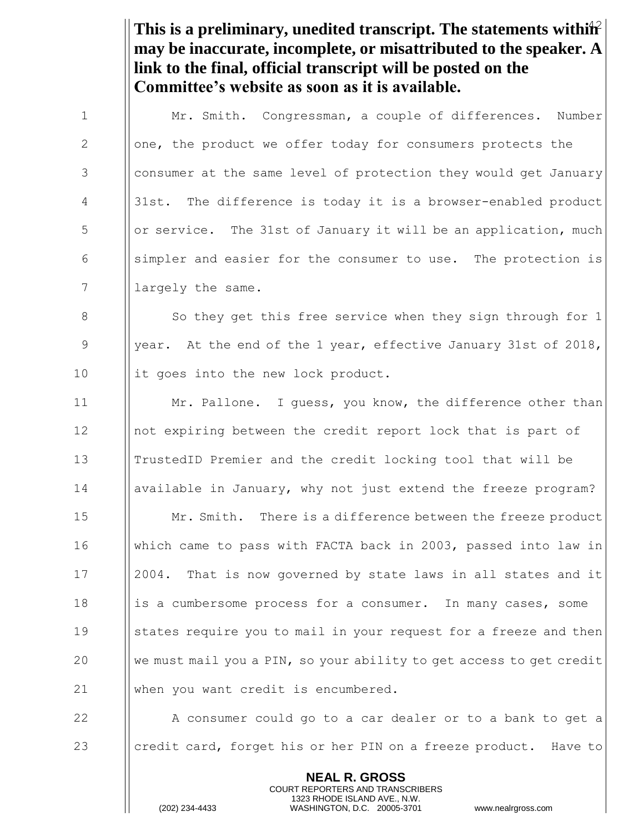This is a preliminary, unedited transcript. The statements within<sup>2</sup> **may be inaccurate, incomplete, or misattributed to the speaker. A link to the final, official transcript will be posted on the Committee's website as soon as it is available.**

1  $\parallel$  Mr. Smith. Congressman, a couple of differences. Number 2 | | one, the product we offer today for consumers protects the 3 | consumer at the same level of protection they would get January 4 | 31st. The difference is today it is a browser-enabled product  $\frac{1}{5}$  || or service. The 31st of January it will be an application, much  $\begin{array}{c|c} 6 & \text{[displacement]} \end{array}$  simpler and easier for the consumer to use. The protection is 7 | largely the same.

8 So they get this free service when they sign through for 1 9 || year. At the end of the 1 year, effective January 31st of 2018, 10 || it goes into the new lock product.

11 | Mr. Pallone. I guess, you know, the difference other than not expiring between the credit report lock that is part of TrustedID Premier and the credit locking tool that will be available in January, why not just extend the freeze program? **Mr. Smith.** There is a difference between the freeze product which came to pass with FACTA back in 2003, passed into law in 2004. That is now governed by state laws in all states and it **i** is a cumbersome process for a consumer. In many cases, some 19 States require you to mail in your request for a freeze and then  $\parallel$  we must mail you a PIN, so your ability to get access to get credit 21 When you want credit is encumbered.

22 A consumer could go to a car dealer or to a bank to get a 23 credit card, forget his or her PIN on a freeze product. Have to

> **NEAL R. GROSS** COURT REPORTERS AND TRANSCRIBERS 1323 RHODE ISLAND AVE., N.W.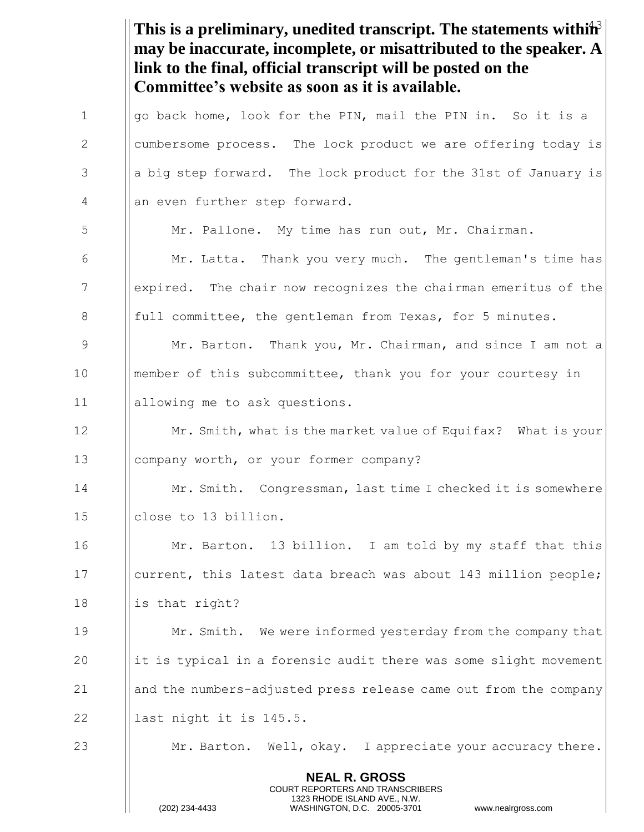This is a preliminary, unedited transcript. The statements within<sup>3</sup> **may be inaccurate, incomplete, or misattributed to the speaker. A link to the final, official transcript will be posted on the Committee's website as soon as it is available.**

| $\mathbf{1}$    | go back home, look for the PIN, mail the PIN in. So it is a                                                                                                            |
|-----------------|------------------------------------------------------------------------------------------------------------------------------------------------------------------------|
| $\mathbf{2}$    | cumbersome process. The lock product we are offering today is                                                                                                          |
| 3               | a big step forward. The lock product for the 31st of January is                                                                                                        |
| 4               | an even further step forward.                                                                                                                                          |
| 5               | Mr. Pallone. My time has run out, Mr. Chairman.                                                                                                                        |
| 6               | Mr. Latta. Thank you very much. The gentleman's time has                                                                                                               |
| $7\phantom{.0}$ | expired. The chair now recognizes the chairman emeritus of the                                                                                                         |
| $8\,$           | full committee, the gentleman from Texas, for 5 minutes.                                                                                                               |
| $\mathcal{G}$   | Mr. Barton. Thank you, Mr. Chairman, and since I am not a                                                                                                              |
| 10              | member of this subcommittee, thank you for your courtesy in                                                                                                            |
| 11              | allowing me to ask questions.                                                                                                                                          |
| 12              | Mr. Smith, what is the market value of Equifax? What is your                                                                                                           |
| 13              | company worth, or your former company?                                                                                                                                 |
| 14              | Mr. Smith. Congressman, last time I checked it is somewhere                                                                                                            |
| 15              | close to 13 billion.                                                                                                                                                   |
| 16              | Mr. Barton. 13 billion. I am told by my staff that this                                                                                                                |
| 17              | current, this latest data breach was about 143 million people;                                                                                                         |
| 18              | is that right?                                                                                                                                                         |
| 19              | Mr. Smith. We were informed yesterday from the company that                                                                                                            |
| 20              | it is typical in a forensic audit there was some slight movement                                                                                                       |
| 21              | and the numbers-adjusted press release came out from the company                                                                                                       |
| 22              | last night it is 145.5.                                                                                                                                                |
| 23              | Mr. Barton. Well, okay. I appreciate your accuracy there.                                                                                                              |
|                 | <b>NEAL R. GROSS</b><br><b>COURT REPORTERS AND TRANSCRIBERS</b><br>1323 RHODE ISLAND AVE., N.W.<br>(202) 234-4433<br>WASHINGTON, D.C. 20005-3701<br>www.nealrgross.com |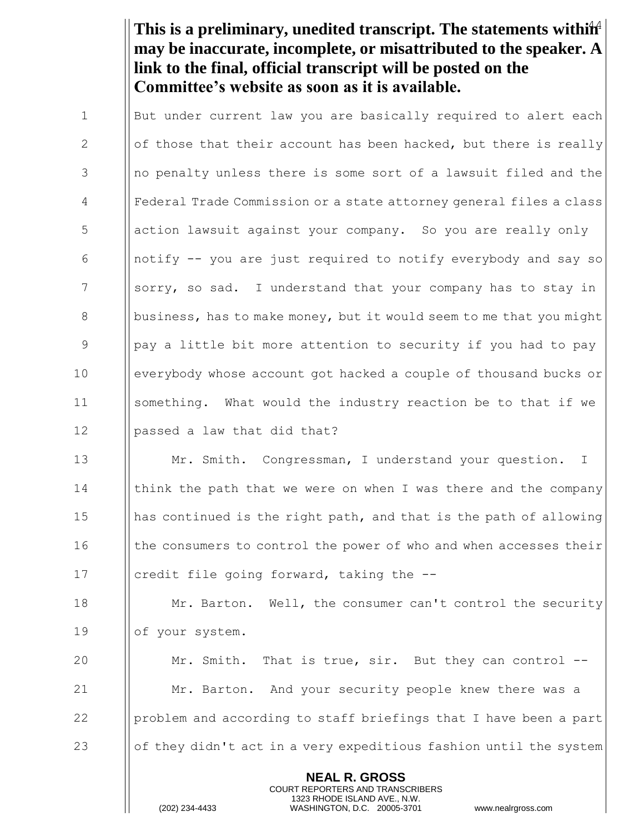This is a preliminary, unedited transcript. The statements within<sup>4</sup> **may be inaccurate, incomplete, or misattributed to the speaker. A link to the final, official transcript will be posted on the Committee's website as soon as it is available.**

1 I But under current law you are basically required to alert each 2  $\|\$  of those that their account has been hacked, but there is really 3 1 || no penalty unless there is some sort of a lawsuit filed and the 4 Federal Trade Commission or a state attorney general files a class 5 | action lawsuit against your company. So you are really only 6 | notify  $-$  you are just required to notify everybody and say so 7 Superty, so sad. I understand that your company has to stay in 8 business, has to make money, but it would seem to me that you might 9 9 Pay a little bit more attention to security if you had to pay 10 everybody whose account got hacked a couple of thousand bucks or 11 something. What would the industry reaction be to that if we 12 | | passed a law that did that?

13 **Mr. Smith.** Congressman, I understand your question. I 14 I | think the path that we were on when I was there and the company 15 has continued is the right path, and that is the path of allowing 16 I the consumers to control the power of who and when accesses their 17 | credit file going forward, taking the --

18 **Mr. Barton.** Well, the consumer can't control the security 19 | of your system.

**Mr.** Smith. That is true, sir. But they can control --**Mr.** Barton. And your security people knew there was a **problem and according to staff briefings that I have been a part**  $\Box$  of they didn't act in a very expeditious fashion until the system

> **NEAL R. GROSS** COURT REPORTERS AND TRANSCRIBERS 1323 RHODE ISLAND AVE., N.W.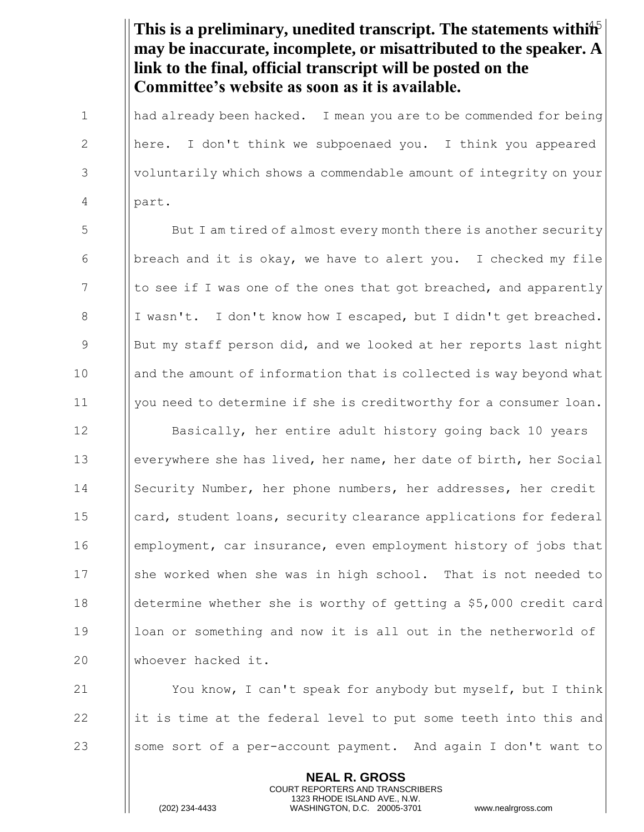This is a preliminary, unedited transcript. The statements within<sup>5</sup> **may be inaccurate, incomplete, or misattributed to the speaker. A link to the final, official transcript will be posted on the Committee's website as soon as it is available.**

1  $\parallel$  had already been hacked. I mean you are to be commended for being 2 | here. I don't think we subpoenaed you. I think you appeared 3 Voluntarily which shows a commendable amount of integrity on your 4 part.

5 But I am tired of almost every month there is another security 6 breach and it is okay, we have to alert you. I checked my file  $7$  || to see if I was one of the ones that got breached, and apparently 8  $\parallel$  I wasn't. I don't know how I escaped, but I didn't get breached. 9 But my staff person did, and we looked at her reports last night 10 and the amount of information that is collected is way beyond what 11 | you need to determine if she is creditworthy for a consumer loan.

**I** Basically, her entire adult history going back 10 years everywhere she has lived, her name, her date of birth, her Social 14 Security Number, her phone numbers, her addresses, her credit card, student loans, security clearance applications for federal employment, car insurance, even employment history of jobs that 17 She worked when she was in high school. That is not needed to determine whether she is worthy of getting a \$5,000 credit card 19 Ioan or something and now it is all out in the netherworld of whoever hacked it.

21  $\parallel$  You know, I can't speak for anybody but myself, but I think 22 include 1 it is time at the federal level to put some teeth into this and 23 Sept 1 some sort of a per-account payment. And again I don't want to

> **NEAL R. GROSS** COURT REPORTERS AND TRANSCRIBERS 1323 RHODE ISLAND AVE., N.W.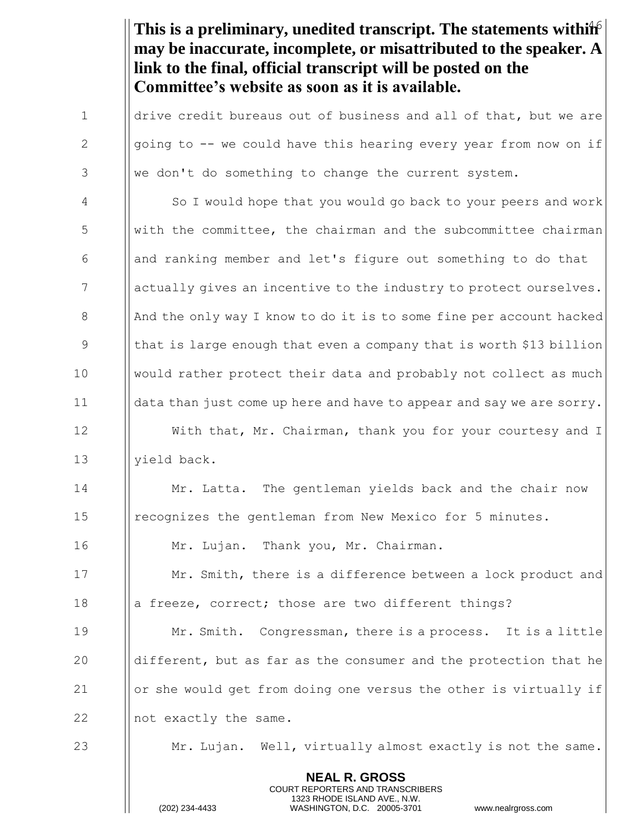This is a preliminary, unedited transcript. The statements within<sup>6</sup> **may be inaccurate, incomplete, or misattributed to the speaker. A link to the final, official transcript will be posted on the Committee's website as soon as it is available.**

 $\parallel$  drive credit bureaus out of business and all of that, but we are  $\parallel$  going to -- we could have this hearing every year from now on if || we don't do something to change the current system. So I would hope that you would go back to your peers and work With the committee, the chairman and the subcommittee chairman  $\Box$  and ranking member and let's figure out something to do that 7 actually gives an incentive to the industry to protect ourselves.  $\parallel$  And the only way I know to do it is to some fine per account hacked 9 In that is large enough that even a company that is worth \$13 billion would rather protect their data and probably not collect as much data than just come up here and have to appear and say we are sorry. 12 | With that, Mr. Chairman, thank you for your courtesy and I 13 | vield back. **Mr. Latta.** The gentleman yields back and the chair now recognizes the gentleman from New Mexico for 5 minutes. Mr. Lujan. Thank you, Mr. Chairman.

17 **Mr.** Smith, there is a difference between a lock product and 18 **a** a freeze, correct; those are two different things?

**Mr. Smith.** Congressman, there is a process. It is a little  $\parallel$  different, but as far as the consumer and the protection that he  $\Box$  or she would get from doing one versus the other is virtually if  $\parallel$  not exactly the same.

 $23$   $\parallel$  Mr. Lujan. Well, virtually almost exactly is not the same.

**NEAL R. GROSS** COURT REPORTERS AND TRANSCRIBERS 1323 RHODE ISLAND AVE., N.W.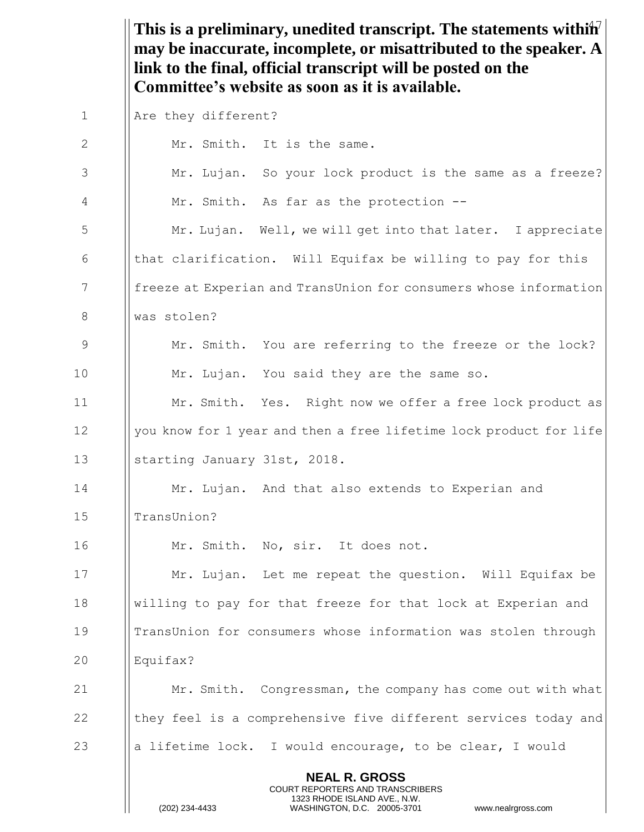This is a preliminary, unedited transcript. The statements withih<sup>7</sup> **may be inaccurate, incomplete, or misattributed to the speaker. A link to the final, official transcript will be posted on the Committee's website as soon as it is available.**

| $\mathbf 1$ | Are they different?                                                                                                                                                    |
|-------------|------------------------------------------------------------------------------------------------------------------------------------------------------------------------|
| 2           | Mr. Smith. It is the same.                                                                                                                                             |
| 3           | Mr. Lujan. So your lock product is the same as a freeze?                                                                                                               |
| 4           | Mr. Smith. As far as the protection --                                                                                                                                 |
| 5           | Mr. Lujan. Well, we will get into that later. I appreciate                                                                                                             |
| 6           | that clarification. Will Equifax be willing to pay for this                                                                                                            |
| 7           | freeze at Experian and TransUnion for consumers whose information                                                                                                      |
| 8           | was stolen?                                                                                                                                                            |
| 9           | Mr. Smith. You are referring to the freeze or the lock?                                                                                                                |
| 10          | Mr. Lujan. You said they are the same so.                                                                                                                              |
| 11          | Mr. Smith. Yes. Right now we offer a free lock product as                                                                                                              |
| 12          | you know for 1 year and then a free lifetime lock product for life                                                                                                     |
| 13          | starting January 31st, 2018.                                                                                                                                           |
| 14          | Mr. Lujan. And that also extends to Experian and                                                                                                                       |
| 15          | TransUnion?                                                                                                                                                            |
| 16          | Mr. Smith. No, sir. It does not.                                                                                                                                       |
| 17          | Mr. Lujan. Let me repeat the question. Will Equifax be                                                                                                                 |
| 18          | willing to pay for that freeze for that lock at Experian and                                                                                                           |
| 19          | TransUnion for consumers whose information was stolen through                                                                                                          |
| 20          | Equifax?                                                                                                                                                               |
| 21          | Mr. Smith. Congressman, the company has come out with what                                                                                                             |
| 22          | they feel is a comprehensive five different services today and                                                                                                         |
| 23          | a lifetime lock. I would encourage, to be clear, I would                                                                                                               |
|             | <b>NEAL R. GROSS</b><br><b>COURT REPORTERS AND TRANSCRIBERS</b><br>1323 RHODE ISLAND AVE., N.W.<br>(202) 234-4433<br>WASHINGTON, D.C. 20005-3701<br>www.nealrgross.com |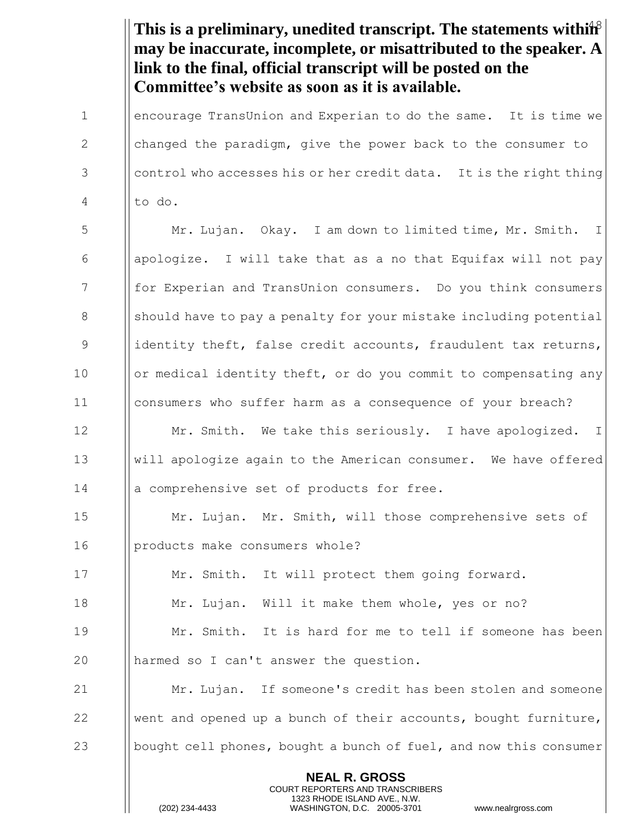This is a preliminary, unedited transcript. The statements within<sup>8</sup> **NEAL R. GROSS** COURT REPORTERS AND TRANSCRIBERS 1323 RHODE ISLAND AVE., N.W. **may be inaccurate, incomplete, or misattributed to the speaker. A link to the final, official transcript will be posted on the Committee's website as soon as it is available.** 1 **encourage TransUnion and Experian to do the same.** It is time we 2  $\parallel$  changed the paradigm, give the power back to the consumer to 3 Control who accesses his or her credit data. It is the right thing  $4$  || to do. 5  $\parallel$  Mr. Lujan. Okay. I am down to limited time, Mr. Smith. I 6 | | apologize. I will take that as a no that Equifax will not pay 7 **for Experian and TransUnion consumers.** Do you think consumers 8 Should have to pay a penalty for your mistake including potential 9 identity theft, false credit accounts, fraudulent tax returns, 10 | or medical identity theft, or do you commit to compensating any 11 consumers who suffer harm as a consequence of your breach? 12  $\parallel$  Mr. Smith. We take this seriously. I have apologized. I 13 will apologize again to the American consumer. We have offered 14 || a comprehensive set of products for free. 15 **Mr. Lujan.** Mr. Smith, will those comprehensive sets of 16 | products make consumers whole? 17 | Mr. Smith. It will protect them going forward. 18 **Mr.** Lujan. Will it make them whole, yes or no? 19  $\parallel$  Mr. Smith. It is hard for me to tell if someone has been 20 || harmed so I can't answer the question. 21 Mr. Lujan. If someone's credit has been stolen and someone 22  $\parallel$  went and opened up a bunch of their accounts, bought furniture, 23 bought cell phones, bought a bunch of fuel, and now this consumer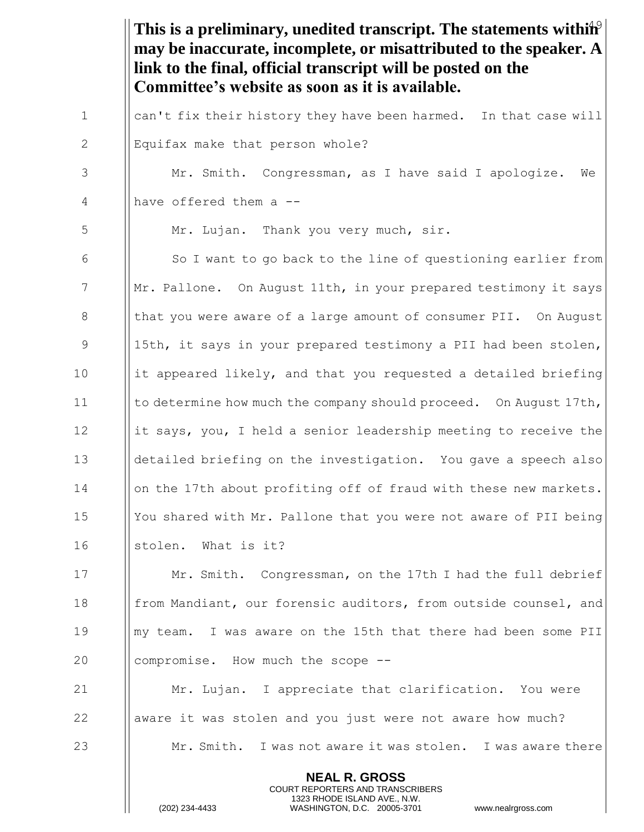This is a preliminary, unedited transcript. The statements within<sup>9</sup> **NEAL R. GROSS may be inaccurate, incomplete, or misattributed to the speaker. A link to the final, official transcript will be posted on the Committee's website as soon as it is available.** 1  $\parallel$  can't fix their history they have been harmed. In that case will 2 | Equifax make that person whole? 3 | Mr. Smith. Congressman, as I have said I apologize. We 4 || have offered them a --5 | Mr. Lujan. Thank you very much, sir. 6 | So I want to go back to the line of questioning earlier from  $7$  ||Mr. Pallone. On August 11th, in your prepared testimony it says 8 In that you were aware of a large amount of consumer PII. On August 9 9 ||15th, it says in your prepared testimony a PII had been stolen,  $10$  ||it appeared likely, and that you requested a detailed briefing 11 Ito determine how much the company should proceed. On August 17th, 12  $\parallel$  it says, you, I held a senior leadership meeting to receive the 13 detailed briefing on the investigation. You gave a speech also 14 | | on the 17th about profiting off of fraud with these new markets. 15 | You shared with Mr. Pallone that you were not aware of PII being 16 | | stolen. What is it? 17 **Mr. Smith.** Congressman, on the 17th I had the full debrief 18 **from Mandiant, our forensic auditors, from outside counsel, and** 19 my team. I was aware on the 15th that there had been some PII 20 | compromise. How much the scope --21  $\parallel$  Mr. Lujan. I appreciate that clarification. You were 22 absolut aware it was stolen and you just were not aware how much? 23 Mr. Smith. I was not aware it was stolen. I was aware there

> COURT REPORTERS AND TRANSCRIBERS 1323 RHODE ISLAND AVE., N.W.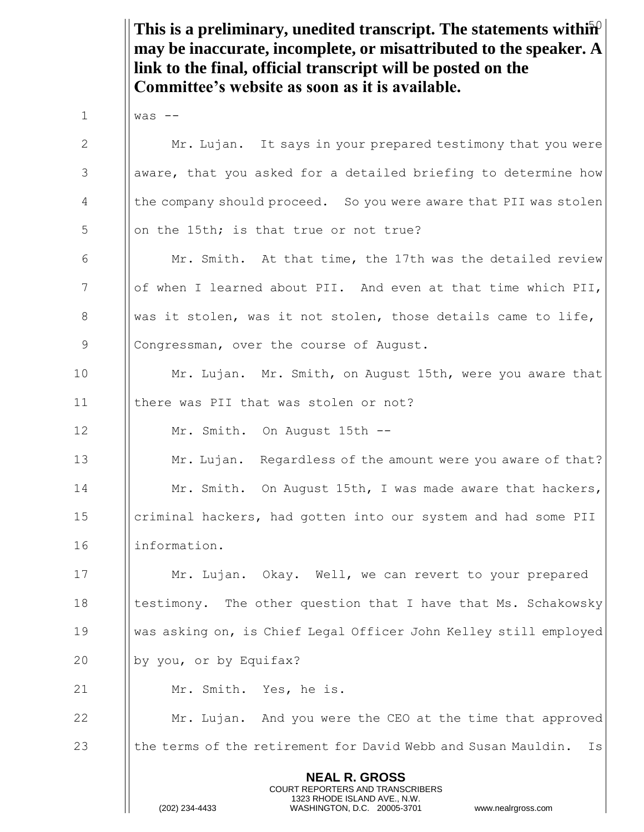This is a preliminary, unedited transcript. The statements within<sup>2</sup> **NEAL R. GROSS** COURT REPORTERS AND TRANSCRIBERS 1323 RHODE ISLAND AVE., N.W. **may be inaccurate, incomplete, or misattributed to the speaker. A link to the final, official transcript will be posted on the Committee's website as soon as it is available.**  $1$   $|$  was  $-$ 2 Mr. Lujan. It says in your prepared testimony that you were 3 aware, that you asked for a detailed briefing to determine how 4 Inthe company should proceed. So you were aware that PII was stolen  $\frac{1}{5}$  || on the 15th; is that true or not true? 6  $\parallel$  Mr. Smith. At that time, the 17th was the detailed review  $7$  || of when I learned about PII. And even at that time which PII, 8 Was it stolen, was it not stolen, those details came to life, 9 | Congressman, over the course of August. 10 | Mr. Lujan. Mr. Smith, on August 15th, were you aware that 11 there was PII that was stolen or not? 12 | Mr. Smith. On August 15th --13 **Mr. Lujan.** Regardless of the amount were you aware of that? 14 **Mr. Smith.** On August 15th, I was made aware that hackers, 15 **criminal hackers, had gotten into our system and had some PII** 16 information. 17 **Mr. Lujan.** Okay. Well, we can revert to your prepared 18 I testimony. The other question that I have that Ms. Schakowsky 19 was asking on, is Chief Legal Officer John Kelley still employed 20 | by you, or by Equifax? 21 | Mr. Smith. Yes, he is. 22 **Mr.** Lujan. And you were the CEO at the time that approved 23 **the terms of the retirement for David Webb and Susan Mauldin.** Is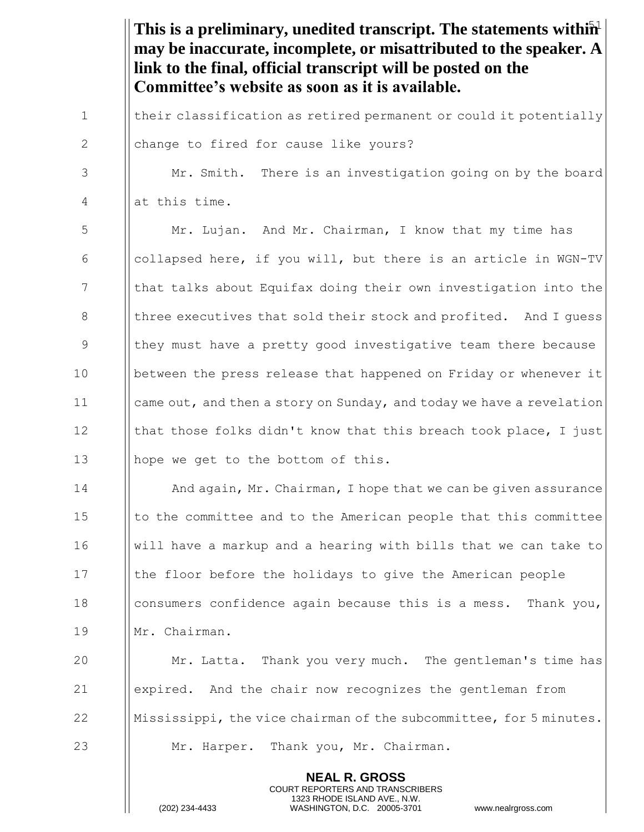This is a preliminary, unedited transcript. The statements within<sup>1</sup> **NEAL R. GROSS** COURT REPORTERS AND TRANSCRIBERS 1323 RHODE ISLAND AVE., N.W. **may be inaccurate, incomplete, or misattributed to the speaker. A link to the final, official transcript will be posted on the Committee's website as soon as it is available.** 1 | their classification as retired permanent or could it potentially 2 | change to fired for cause like yours? 3 | Mr. Smith. There is an investigation going on by the board  $4$  || at this time. 5 | Mr. Lujan. And Mr. Chairman, I know that my time has 6  $\Box$  collapsed here, if you will, but there is an article in WGN-TV 7 That talks about Equifax doing their own investigation into the 8 **I** three executives that sold their stock and profited. And I quess 9 In they must have a pretty good investigative team there because 10 **between the press release that happened on Friday or whenever it** 11 came out, and then a story on Sunday, and today we have a revelation 12  $\parallel$  that those folks didn't know that this breach took place, I just 13 | | hope we get to the bottom of this. 14 **I** And again, Mr. Chairman, I hope that we can be given assurance  $15$  || to the committee and to the American people that this committee  $16$  || will have a markup and a hearing with bills that we can take to 17 Ithe floor before the holidays to give the American people 18 **consumers confidence again because this is a mess.** Thank you, 19 Mr. Chairman. 20 Mr. Latta. Thank you very much. The gentleman's time has 21 | expired. And the chair now recognizes the gentleman from 22  $\|\mathbf{M}$  Mississippi, the vice chairman of the subcommittee, for 5 minutes. 23 **Mr. Harper.** Thank you, Mr. Chairman.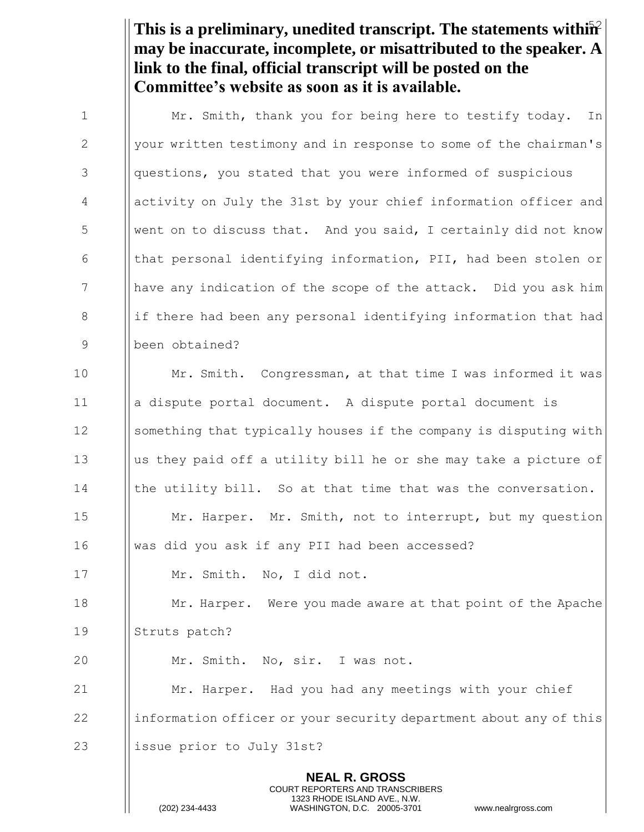This is a preliminary, unedited transcript. The statements within<sup>2</sup> **may be inaccurate, incomplete, or misattributed to the speaker. A link to the final, official transcript will be posted on the Committee's website as soon as it is available.**

**NEAL R. GROSS** COURT REPORTERS AND TRANSCRIBERS 1 | Mr. Smith, thank you for being here to testify today. In 2 | your written testimony and in response to some of the chairman's 3 | questions, you stated that you were informed of suspicious 4 activity on July the 31st by your chief information officer and 5 Went on to discuss that. And you said, I certainly did not know 6  $\parallel$  that personal identifying information, PII, had been stolen or 7 In ave any indication of the scope of the attack. Did you ask him 8 if there had been any personal identifying information that had 9 been obtained? 10 Mr. Smith. Congressman, at that time I was informed it was 11 a dispute portal document. A dispute portal document is 12 Something that typically houses if the company is disputing with 13  $\parallel$  us they paid off a utility bill he or she may take a picture of  $14$  | the utility bill. So at that time that was the conversation. 15 **Mr. Harper.** Mr. Smith, not to interrupt, but my question 16 was did you ask if any PII had been accessed? 17 | Mr. Smith. No, I did not. 18 **Mr. Harper.** Were you made aware at that point of the Apache 19 || Struts patch? 20 | Mr. Smith. No, sir. I was not. 21 **Mr.** Harper. Had you had any meetings with your chief 22 information officer or your security department about any of this 23 || issue prior to July 31st?

1323 RHODE ISLAND AVE., N.W.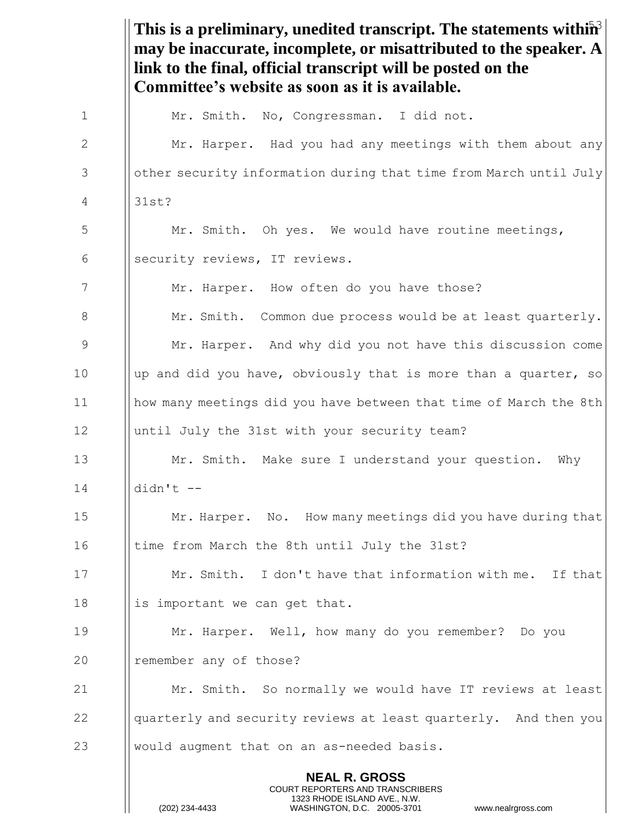This is a preliminary, unedited transcript. The statements within<sup>3</sup> **NEAL R. GROSS** COURT REPORTERS AND TRANSCRIBERS 1323 RHODE ISLAND AVE., N.W. **may be inaccurate, incomplete, or misattributed to the speaker. A link to the final, official transcript will be posted on the Committee's website as soon as it is available.** 1 | Mr. Smith. No, Congressman. I did not. 2 Mr. Harper. Had you had any meetings with them about any 3 **Suppreprent information during that time from March until July** 4 31st? 5 | Mr. Smith. Oh yes. We would have routine meetings, 6 || security reviews, IT reviews. 7 **Mr.** Harper. How often do you have those? 8 | Mr. Smith. Common due process would be at least quarterly. 9 Mr. Harper. And why did you not have this discussion come 10  $\parallel$  up and did you have, obviously that is more than a quarter, so 11 how many meetings did you have between that time of March the 8th 12 | until July the 31st with your security team? 13 **Mr.** Smith. Make sure I understand your question. Why 14 didn't -- 15 **Mr. Harper.** No. How many meetings did you have during that 16 Itime from March the 8th until July the 31st? 17 | Mr. Smith. I don't have that information with me. If that 18  $\parallel$  is important we can get that. 19 Mr. Harper. Well, how many do you remember? Do you 20 | remember any of those? 21 Mr. Smith. So normally we would have IT reviews at least 22 and I quarterly and security reviews at least quarterly. And then you 23  $\parallel$  would augment that on an as-needed basis.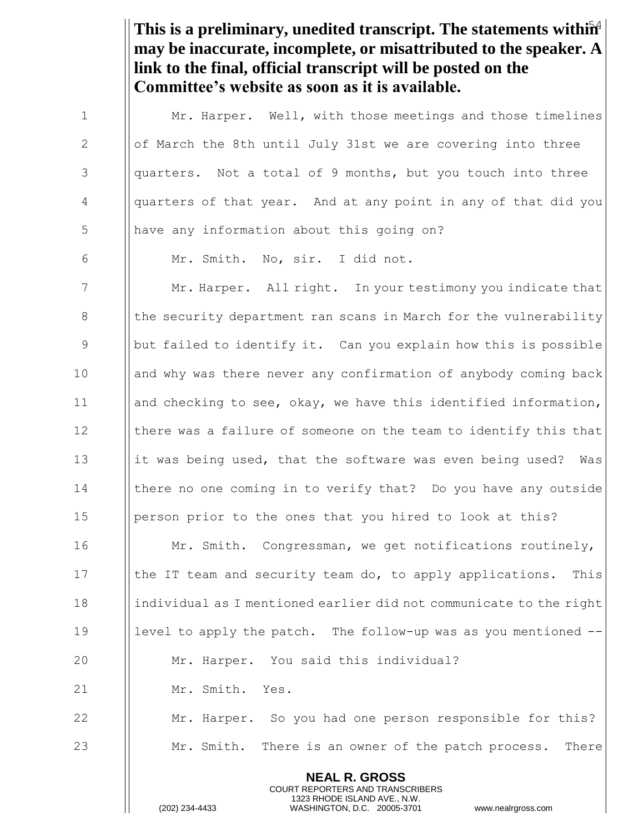This is a preliminary, unedited transcript. The statements within<sup>4</sup> **may be inaccurate, incomplete, or misattributed to the speaker. A link to the final, official transcript will be posted on the Committee's website as soon as it is available.**

1  $\parallel$  Mr. Harper. Well, with those meetings and those timelines 2  $\parallel$  of March the 8th until July 31st we are covering into three  $3$  || quarters. Not a total of 9 months, but you touch into three 4 | quarters of that year. And at any point in any of that did you 5 || have any information about this going on? 6 Mr. Smith. No, sir. I did not. 7 Mr. Harper. All right. In your testimony you indicate that 8 In the security department ran scans in March for the vulnerability 9 but failed to identify it. Can you explain how this is possible 10 and why was there never any confirmation of anybody coming back 11 || and checking to see, okay, we have this identified information, 12 I there was a failure of someone on the team to identify this that 13 it was being used, that the software was even being used? Was 14 Ichere no one coming in to verify that? Do you have any outside 15 | person prior to the ones that you hired to look at this? 16 **Mr. Smith.** Congressman, we get notifications routinely, 17 Ithe IT team and security team do, to apply applications. This 18 individual as I mentioned earlier did not communicate to the right 19 Ievel to apply the patch. The follow-up was as you mentioned --20 | Mr. Harper. You said this individual? 21 | Mr. Smith. Yes. 22 **Mr.** Harper. So you had one person responsible for this?

23 Mr. Smith. There is an owner of the patch process. There

**NEAL R. GROSS** COURT REPORTERS AND TRANSCRIBERS 1323 RHODE ISLAND AVE., N.W.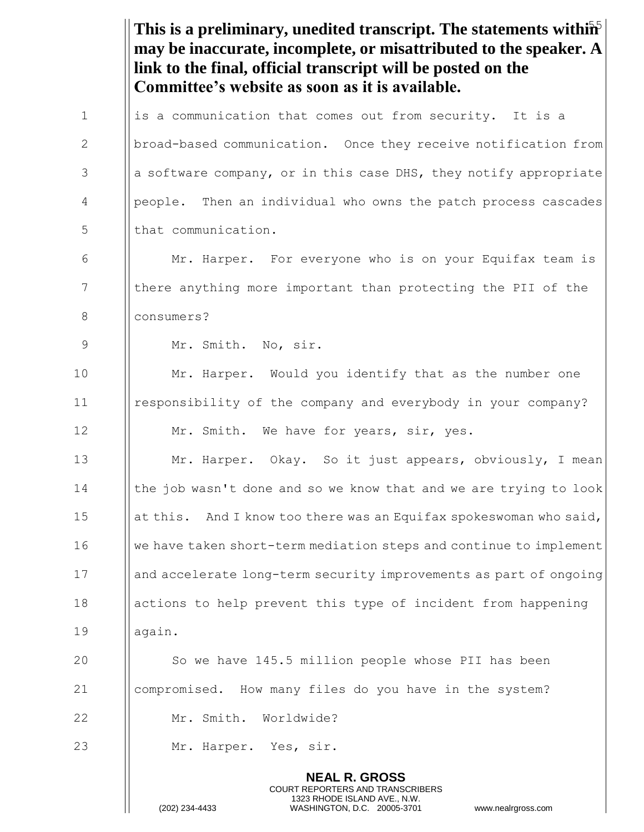|             | This is a preliminary, unedited transcript. The statements with $\mathbf{\hat{m}}$<br>may be inaccurate, incomplete, or misattributed to the speaker. A<br>link to the final, official transcript will be posted on the<br>Committee's website as soon as it is available. |
|-------------|----------------------------------------------------------------------------------------------------------------------------------------------------------------------------------------------------------------------------------------------------------------------------|
| $\mathbf 1$ | is a communication that comes out from security. It is a                                                                                                                                                                                                                   |
| 2           | broad-based communication. Once they receive notification from                                                                                                                                                                                                             |
| 3           | a software company, or in this case DHS, they notify appropriate                                                                                                                                                                                                           |
| 4           | people. Then an individual who owns the patch process cascades                                                                                                                                                                                                             |
| 5           | that communication.                                                                                                                                                                                                                                                        |
| 6           | Mr. Harper. For everyone who is on your Equifax team is                                                                                                                                                                                                                    |
| 7           | there anything more important than protecting the PII of the                                                                                                                                                                                                               |
| 8           | consumers?                                                                                                                                                                                                                                                                 |
| 9           | Mr. Smith. No, sir.                                                                                                                                                                                                                                                        |
| 10          | Mr. Harper. Would you identify that as the number one                                                                                                                                                                                                                      |
| 11          | responsibility of the company and everybody in your company?                                                                                                                                                                                                               |
| 12          | Mr. Smith. We have for years, sir, yes.                                                                                                                                                                                                                                    |
| 13          | Mr. Harper. Okay. So it just appears, obviously, I mean                                                                                                                                                                                                                    |
| 14          | the job wasn't done and so we know that and we are trying to look                                                                                                                                                                                                          |
| 15          | at this. And I know too there was an Equifax spokeswoman who said,                                                                                                                                                                                                         |
| 16          | we have taken short-term mediation steps and continue to implement                                                                                                                                                                                                         |
| 17          | and accelerate long-term security improvements as part of ongoing                                                                                                                                                                                                          |
| 18          | actions to help prevent this type of incident from happening                                                                                                                                                                                                               |
| 19          | again.                                                                                                                                                                                                                                                                     |
| 20          | So we have 145.5 million people whose PII has been                                                                                                                                                                                                                         |
| 21          | compromised. How many files do you have in the system?                                                                                                                                                                                                                     |
| 22          | Mr. Smith. Worldwide?                                                                                                                                                                                                                                                      |
| 23          | Mr. Harper. Yes, sir.                                                                                                                                                                                                                                                      |
|             | <b>NEAL R. GROSS</b><br>COURT REPORTERS AND TRANSCRIBERS<br>1323 RHODE ISLAND AVE., N.W.<br>(202) 234-4433<br>WASHINGTON, D.C. 20005-3701<br>www.nealrgross.com                                                                                                            |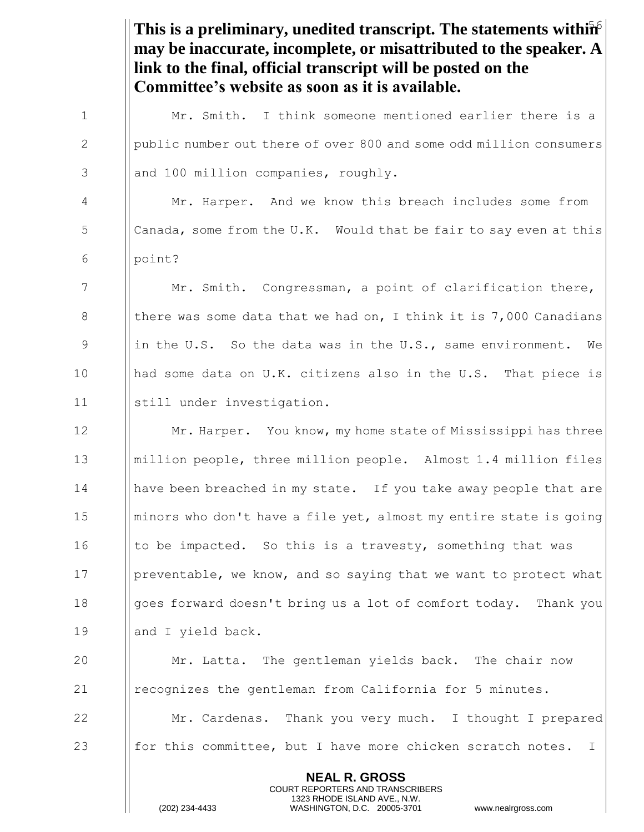|             | This is a preliminary, unedited transcript. The statements within $\hat{P}$<br>may be inaccurate, incomplete, or misattributed to the speaker. A<br>link to the final, official transcript will be posted on the<br>Committee's website as soon as it is available. |
|-------------|---------------------------------------------------------------------------------------------------------------------------------------------------------------------------------------------------------------------------------------------------------------------|
| $\mathbf 1$ | Mr. Smith. I think someone mentioned earlier there is a                                                                                                                                                                                                             |
| 2           | public number out there of over 800 and some odd million consumers                                                                                                                                                                                                  |
| 3           | and 100 million companies, roughly.                                                                                                                                                                                                                                 |
| 4           | Mr. Harper. And we know this breach includes some from                                                                                                                                                                                                              |
| 5           | Canada, some from the U.K. Would that be fair to say even at this                                                                                                                                                                                                   |
| 6           | point?                                                                                                                                                                                                                                                              |
| 7           | Mr. Smith. Congressman, a point of clarification there,                                                                                                                                                                                                             |
| 8           | there was some data that we had on, I think it is $7,000$ Canadians                                                                                                                                                                                                 |
| 9           | in the U.S. So the data was in the U.S., same environment.<br>We                                                                                                                                                                                                    |
| 10          | had some data on U.K. citizens also in the U.S. That piece is                                                                                                                                                                                                       |
| 11          | still under investigation.                                                                                                                                                                                                                                          |
| 12          | Mr. Harper. You know, my home state of Mississippi has three                                                                                                                                                                                                        |
| 13          | million people, three million people. Almost 1.4 million files                                                                                                                                                                                                      |
| 14          | have been breached in my state. If you take away people that are                                                                                                                                                                                                    |
| 15          | minors who don't have a file yet, almost my entire state is going                                                                                                                                                                                                   |
| 16          | to be impacted. So this is a travesty, something that was                                                                                                                                                                                                           |
| 17          | preventable, we know, and so saying that we want to protect what                                                                                                                                                                                                    |
| 18          | goes forward doesn't bring us a lot of comfort today. Thank you                                                                                                                                                                                                     |
| 19          | and I yield back.                                                                                                                                                                                                                                                   |
| 20          | Mr. Latta. The gentleman yields back. The chair now                                                                                                                                                                                                                 |
| 21          | recognizes the gentleman from California for 5 minutes.                                                                                                                                                                                                             |
| 22          | Mr. Cardenas. Thank you very much. I thought I prepared                                                                                                                                                                                                             |
| 23          | for this committee, but I have more chicken scratch notes.<br>$\mathbf{I}$                                                                                                                                                                                          |
|             | <b>NEAL R. GROSS</b><br><b>COURT REPORTERS AND TRANSCRIBERS</b><br>1323 RHODE ISLAND AVE., N.W.<br>(202) 234-4433<br>WASHINGTON, D.C. 20005-3701<br>www.nealrgross.com                                                                                              |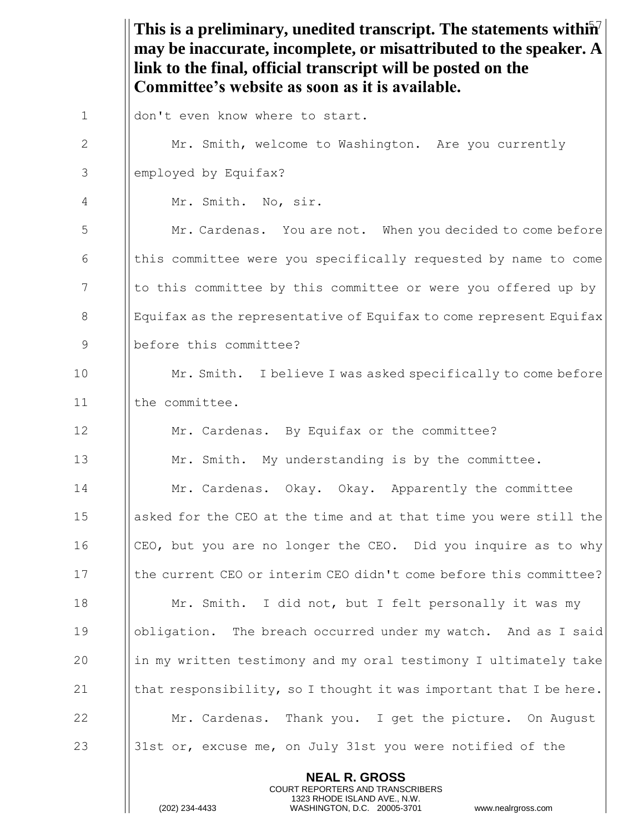This is a preliminary, unedited transcript. The statements within<sup>7</sup> **may be inaccurate, incomplete, or misattributed to the speaker. A link to the final, official transcript will be posted on the Committee's website as soon as it is available.**

| $\mathbf 1$    | don't even know where to start.                                    |
|----------------|--------------------------------------------------------------------|
| $\overline{2}$ | Mr. Smith, welcome to Washington. Are you currently                |
| 3              | employed by Equifax?                                               |
| 4              | Mr. Smith. No, sir.                                                |
| 5              | Mr. Cardenas. You are not. When you decided to come before         |
| 6              | this committee were you specifically requested by name to come     |
| 7              | to this committee by this committee or were you offered up by      |
| 8              | Equifax as the representative of Equifax to come represent Equifax |
| 9              | before this committee?                                             |
| 10             | Mr. Smith. I believe I was asked specifically to come before       |
| 11             | the committee.                                                     |
| 12             | Mr. Cardenas. By Equifax or the committee?                         |
| 13             | Mr. Smith. My understanding is by the committee.                   |
| 14             | Mr. Cardenas. Okay. Okay. Apparently the committee                 |
| 15             | asked for the CEO at the time and at that time you were still the  |
| 16             | CEO, but you are no longer the CEO. Did you inquire as to why      |
| 17             | the current CEO or interim CEO didn't come before this committee?  |
| 18             | Mr. Smith. I did not, but I felt personally it was my              |
| 19             | obligation. The breach occurred under my watch. And as I said      |
| 20             | in my written testimony and my oral testimony I ultimately take    |
| 21             | that responsibility, so I thought it was important that I be here. |
| 22             | Mr. Cardenas. Thank you. I get the picture. On August              |
| 23             | 31st or, excuse me, on July 31st you were notified of the          |
|                | <b>NEAL R. GROSS</b>                                               |

COURT REPORTERS AND TRANSCRIBERS 1323 RHODE ISLAND AVE., N.W.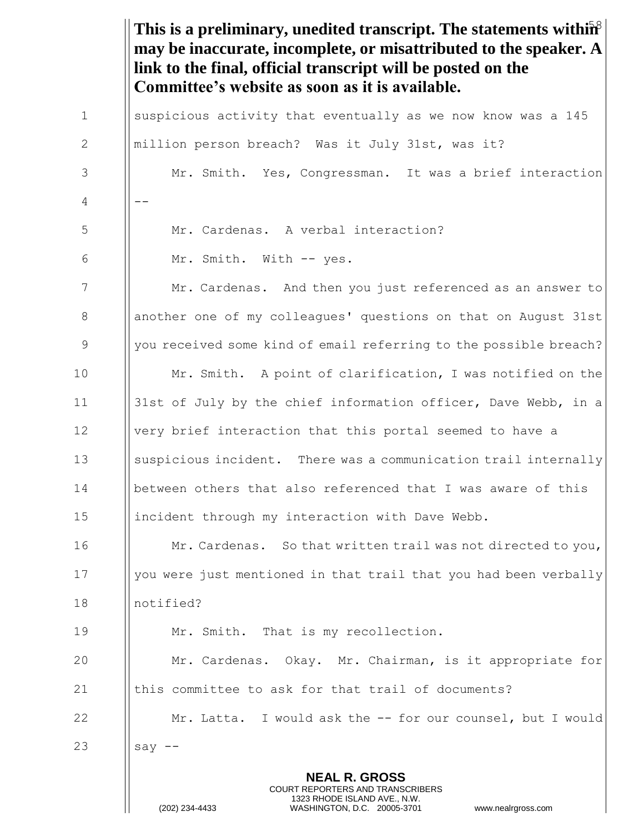This is a preliminary, unedited transcript. The statements within<sup>8</sup> **NEAL R. GROSS** COURT REPORTERS AND TRANSCRIBERS 1323 RHODE ISLAND AVE., N.W. (202) 234-4433 WASHINGTON, D.C. 20005-3701 www.nealrgross.com **may be inaccurate, incomplete, or misattributed to the speaker. A link to the final, official transcript will be posted on the Committee's website as soon as it is available.** 1 **I** suspicious activity that eventually as we now know was a 145 2 | million person breach? Was it July 31st, was it? 3 | Mr. Smith. Yes, Congressman. It was a brief interaction  $4$   $||$   $-$ 5 Mr. Cardenas. A verbal interaction? 6 | Mr. Smith. With -- yes. 7 Mr. Cardenas. And then you just referenced as an answer to 8 | another one of my colleagues' questions on that on August 31st 9 || you received some kind of email referring to the possible breach? 10 **Mr.** Smith. A point of clarification, I was notified on the 11 31st of July by the chief information officer, Dave Webb, in a 12 | | very brief interaction that this portal seemed to have a 13 Suspicious incident. There was a communication trail internally 14 between others that also referenced that I was aware of this 15 | incident through my interaction with Dave Webb. 16 **Mr. Cardenas.** So that written trail was not directed to you, 17 | you were just mentioned in that trail that you had been verbally 18 notified? 19 | Mr. Smith. That is my recollection. 20 Mr. Cardenas. Okay. Mr. Chairman, is it appropriate for 21 Ithis committee to ask for that trail of documents? 22 **Mr. Latta.** I would ask the -- for our counsel, but I would 23  $\parallel$  say --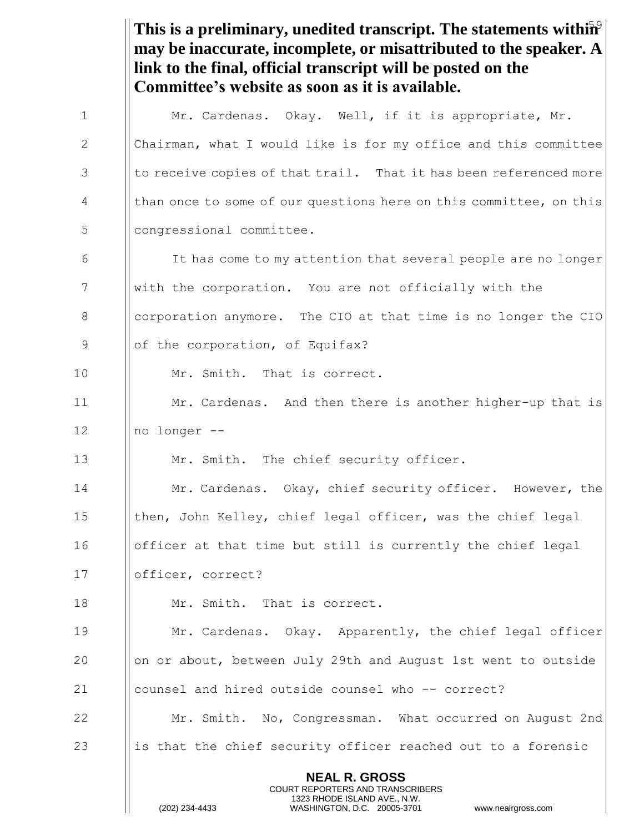This is a preliminary, unedited transcript. The statements within<sup>9</sup> **NEAL R. GROSS** COURT REPORTERS AND TRANSCRIBERS 1323 RHODE ISLAND AVE., N.W. (202) 234-4433 WASHINGTON, D.C. 20005-3701 www.nealrgross.com **may be inaccurate, incomplete, or misattributed to the speaker. A link to the final, official transcript will be posted on the Committee's website as soon as it is available.** 1 | Mr. Cardenas. Okay. Well, if it is appropriate, Mr. 2 | Chairman, what I would like is for my office and this committee  $3$  || to receive copies of that trail. That it has been referenced more 4 | than once to some of our questions here on this committee, on this 5 || congressional committee. 6 I It has come to my attention that several people are no longer 7 | With the corporation. You are not officially with the 8 **I** corporation anymore. The CIO at that time is no longer the CIO 9 | of the corporation, of Equifax? 10 | Mr. Smith. That is correct. 11 | Mr. Cardenas. And then there is another higher-up that is  $12$  || no longer --13  $\parallel$  Mr. Smith. The chief security officer. 14 Mr. Cardenas. Okay, chief security officer. However, the 15 **then, John Kelley, chief legal officer, was the chief legal** 16 officer at that time but still is currently the chief legal 17 | | officer, correct? 18 Mr. Smith. That is correct. 19 Mr. Cardenas. Okay. Apparently, the chief legal officer 20 on or about, between July 29th and August 1st went to outside 21 counsel and hired outside counsel who -- correct? 22 Mr. Smith. No, Congressman. What occurred on August 2nd 23 is that the chief security officer reached out to a forensic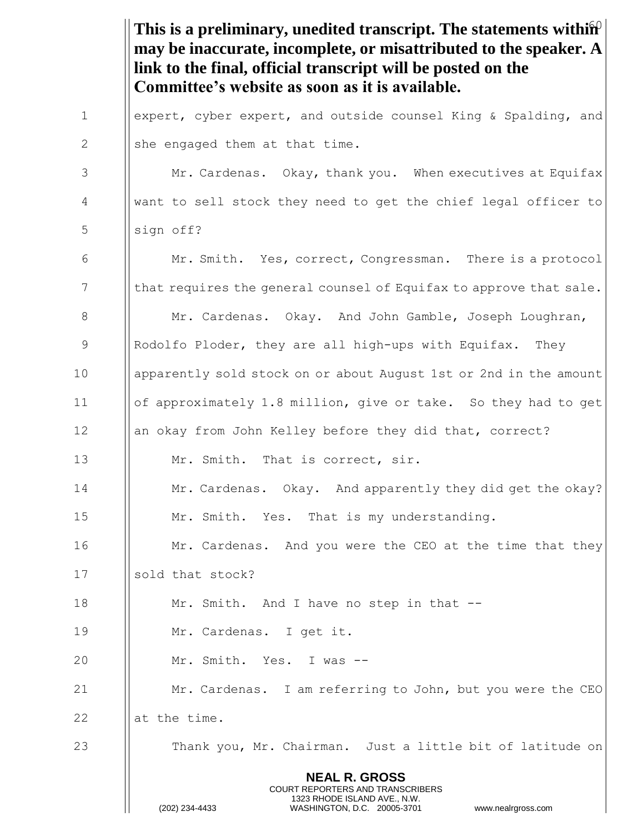This is a preliminary, unedited transcript. The statements within<sup>2</sup> **NEAL R. GROSS** COURT REPORTERS AND TRANSCRIBERS 1323 RHODE ISLAND AVE., N.W. (202) 234-4433 WASHINGTON, D.C. 20005-3701 www.nealrgross.com **may be inaccurate, incomplete, or misattributed to the speaker. A link to the final, official transcript will be posted on the Committee's website as soon as it is available.** 1 **expert, cyber expert, and outside counsel King & Spalding, and** 2  $\|\$ she engaged them at that time. 3 | Mr. Cardenas. Okay, thank you. When executives at Equifax 4 want to sell stock they need to get the chief legal officer to  $5$  | sign off? 6 Mr. Smith. Yes, correct, Congressman. There is a protocol 7  $\parallel$  that requires the general counsel of Equifax to approve that sale. 8 | Mr. Cardenas. Okay. And John Gamble, Joseph Loughran, 9 || Rodolfo Ploder, they are all high-ups with Equifax. They 10 apparently sold stock on or about August 1st or 2nd in the amount 11 of approximately 1.8 million, give or take. So they had to get 12 an okay from John Kelley before they did that, correct? 13 | Mr. Smith. That is correct, sir. 14 **Mr. Cardenas.** Okay. And apparently they did get the okay? 15 | Mr. Smith. Yes. That is my understanding. 16 **I** Mr. Cardenas. And you were the CEO at the time that they 17 I sold that stock? 18 **Mr.** Smith. And I have no step in that --19 Mr. Cardenas. I get it. 20 Mr. Smith. Yes. I was -- 21 **Mr. Cardenas.** I am referring to John, but you were the CEO  $22$   $\phantom{0}$   $\phantom{0}$   $\phantom{0}$   $\phantom{0}$  at the time. 23 Thank you, Mr. Chairman. Just a little bit of latitude on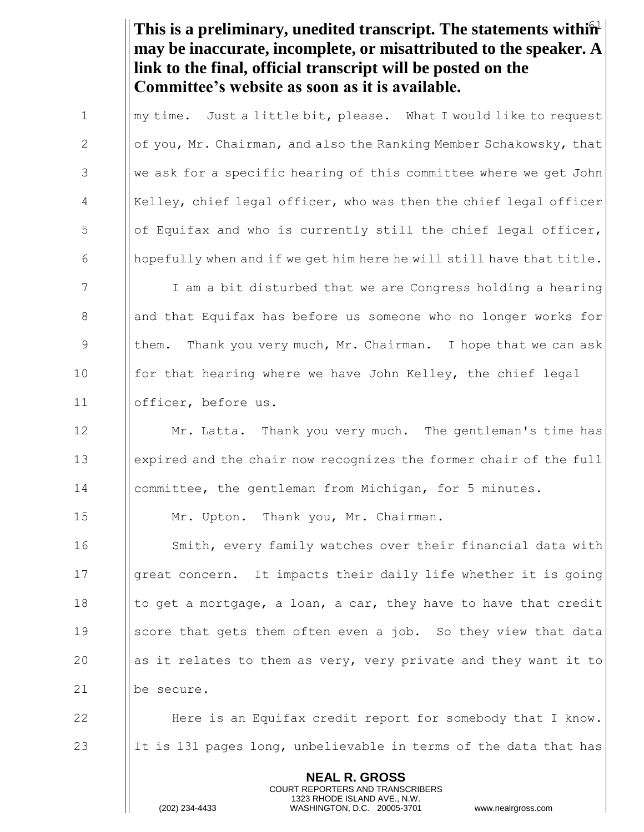This is a preliminary, unedited transcript. The statements within<sup>1</sup> **may be inaccurate, incomplete, or misattributed to the speaker. A link to the final, official transcript will be posted on the Committee's website as soon as it is available.**

1  $\parallel$  my time. Just a little bit, please. What I would like to request 2  $\|\circ f$  you, Mr. Chairman, and also the Ranking Member Schakowsky, that 3 We ask for a specific hearing of this committee where we get John 4 | Kelley, chief legal officer, who was then the chief legal officer  $\frac{1}{10}$   $\frac{1}{100}$   $\frac{1}{100}$  of Equifax and who is currently still the chief legal officer, 6  $\Box$  hopefully when and if we get him here he will still have that title. 7 I I am a bit disturbed that we are Congress holding a hearing 8 and that Equifax has before us someone who no longer works for 9 **them.** Thank you very much, Mr. Chairman. I hope that we can ask 10 **for that hearing where we have John Kelley, the chief legal** 11 officer, before us.

12 **I** Mr. Latta. Thank you very much. The gentleman's time has 13 expired and the chair now recognizes the former chair of the full 14 committee, the gentleman from Michigan, for 5 minutes.

15 | Mr. Upton. Thank you, Mr. Chairman.

16 Smith, every family watches over their financial data with 17 Igreat concern. It impacts their daily life whether it is going 18  $\parallel$  to get a mortgage, a loan, a car, they have to have that credit 19 Score that gets them often even a job. So they view that data 20  $\parallel$  as it relates to them as very, very private and they want it to 21 | be secure.

22 **Here is an Equifax credit report for somebody that I know.** 23 It is 131 pages long, unbelievable in terms of the data that has

> **NEAL R. GROSS** COURT REPORTERS AND TRANSCRIBERS 1323 RHODE ISLAND AVE., N.W.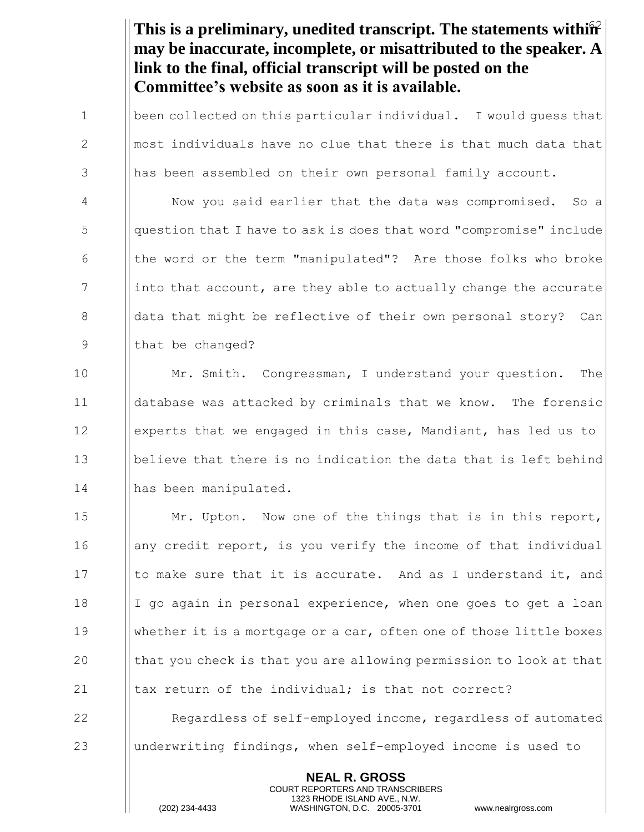This is a preliminary, unedited transcript. The statements within<sup>2</sup> **may be inaccurate, incomplete, or misattributed to the speaker. A link to the final, official transcript will be posted on the Committee's website as soon as it is available.**

**been collected on this particular individual.** I would quess that  $\Box$  most individuals have no clue that there is that much data that 3 || has been assembled on their own personal family account.

 Now you said earlier that the data was compromised. So a question that I have to ask is does that word "compromise" include the word or the term "manipulated"? Are those folks who broke ||into that account, are they able to actually change the accurate 8 a data that might be reflective of their own personal story? Can 9 || that be changed?

 Mr. Smith. Congressman, I understand your question. The database was attacked by criminals that we know. The forensic experts that we engaged in this case, Mandiant, has led us to believe that there is no indication the data that is left behind 14 || has been manipulated.

**Mr.** Upton. Now one of the things that is in this report, **a** | any credit report, is you verify the income of that individual  $\parallel$  to make sure that it is accurate. And as I understand it, and |  $\vert$  I go again in personal experience, when one goes to get a loan whether it is a mortgage or a car, often one of those little boxes  $\parallel$  that you check is that you are allowing permission to look at that  $\parallel$  tax return of the individual; is that not correct?

**I** Regardless of self-employed income, regardless of automated underwriting findings, when self-employed income is used to

> **NEAL R. GROSS** COURT REPORTERS AND TRANSCRIBERS 1323 RHODE ISLAND AVE., N.W.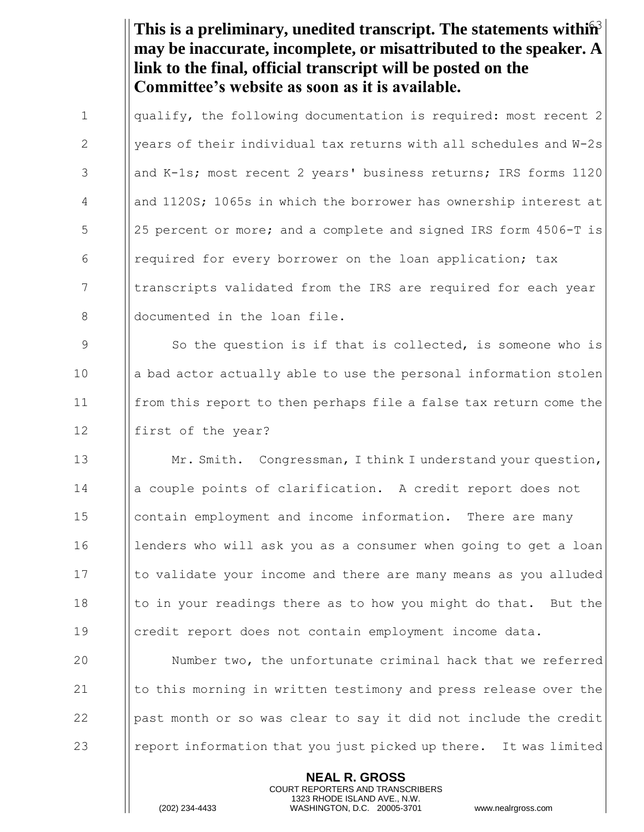This is a preliminary, unedited transcript. The statements within<sup>3</sup> **may be inaccurate, incomplete, or misattributed to the speaker. A link to the final, official transcript will be posted on the Committee's website as soon as it is available.**

1  $\parallel$  qualify, the following documentation is required: most recent 2 2  $\parallel$  years of their individual tax returns with all schedules and W-2s 3 || and K-1s; most recent 2 years' business returns; IRS forms 1120 4 And 1120S; 1065s in which the borrower has ownership interest at 5 | 25 percent or more; and a complete and signed IRS form 4506-T is 6 | required for every borrower on the loan application; tax 7 | | transcripts validated from the IRS are required for each year 8 **documented in the loan file.** 

9  $\parallel$  So the question is if that is collected, is someone who is 10 a bad actor actually able to use the personal information stolen 11 from this report to then perhaps file a false tax return come the 12 | first of the year?

13 **Mr. Smith.** Congressman, I think I understand your question, 14 a couple points of clarification. A credit report does not 15 | contain employment and income information. There are many 16 I lenders who will ask you as a consumer when going to get a loan 17 Ito validate your income and there are many means as you alluded 18  $\parallel$  to in your readings there as to how you might do that. But the 19 credit report does not contain employment income data.

 Number two, the unfortunate criminal hack that we referred  $\parallel$  to this morning in written testimony and press release over the 22 |  $\Box$  | past month or so was clear to say it did not include the credit **e**  $\parallel$  report information that you just picked up there. It was limited

> **NEAL R. GROSS** COURT REPORTERS AND TRANSCRIBERS 1323 RHODE ISLAND AVE., N.W.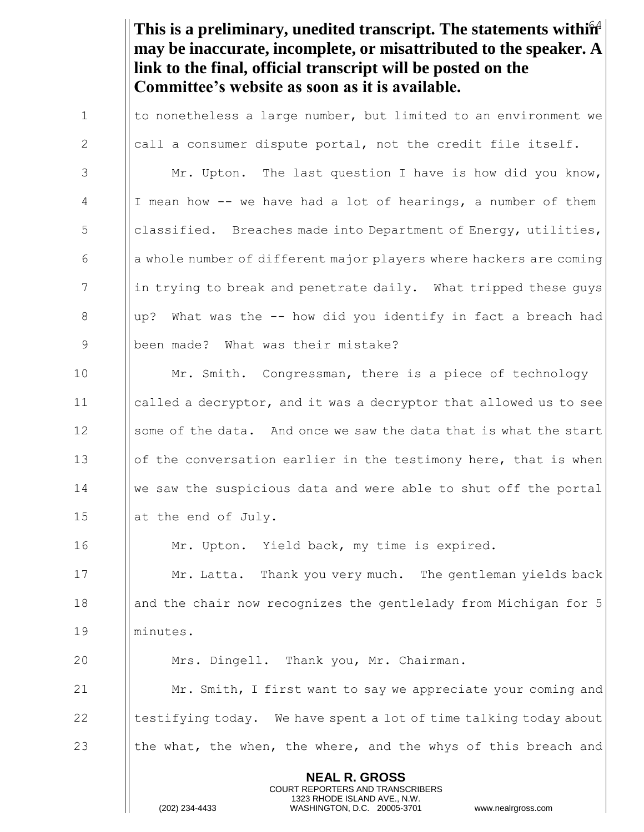This is a preliminary, unedited transcript. The statements within<sup>4</sup> **may be inaccurate, incomplete, or misattributed to the speaker. A link to the final, official transcript will be posted on the Committee's website as soon as it is available.**

1  $\parallel$  to nonetheless a large number, but limited to an environment we 2  $\parallel$  call a consumer dispute portal, not the credit file itself. 3 | Mr. Upton. The last question I have is how did you know,  $4$  || I mean how -- we have had a lot of hearings, a number of them 5 classified. Breaches made into Department of Energy, utilities,  $\begin{array}{c|c|c|c|c} 6 & & \text{if } 6 & \text{otherwise} \end{array}$  a whole number of different major players where hackers are coming 7 in trying to break and penetrate daily. What tripped these guys 8  $\parallel$  up? What was the -- how did you identify in fact a breach had 9 | been made? What was their mistake?

10 | Mr. Smith. Congressman, there is a piece of technology 11 called a decryptor, and it was a decryptor that allowed us to see 12 Some of the data. And once we saw the data that is what the start 13 **order** 13 **order** 13 of the conversation earlier in the testimony here, that is when 14 We saw the suspicious data and were able to shut off the portal 15  $\parallel$  at the end of July.

16 | Mr. Upton. Yield back, my time is expired.

17 **Mr. Latta.** Thank you very much. The gentleman yields back 18 **and the chair now recognizes the gentlelady from Michigan for 5** 19 minutes.

 Mrs. Dingell. Thank you, Mr. Chairman.  $\parallel$  Mr. Smith, I first want to say we appreciate your coming and  $\parallel$  testifying today. We have spent a lot of time talking today about  $\parallel$  the what, the when, the where, and the whys of this breach and

> **NEAL R. GROSS** COURT REPORTERS AND TRANSCRIBERS 1323 RHODE ISLAND AVE., N.W.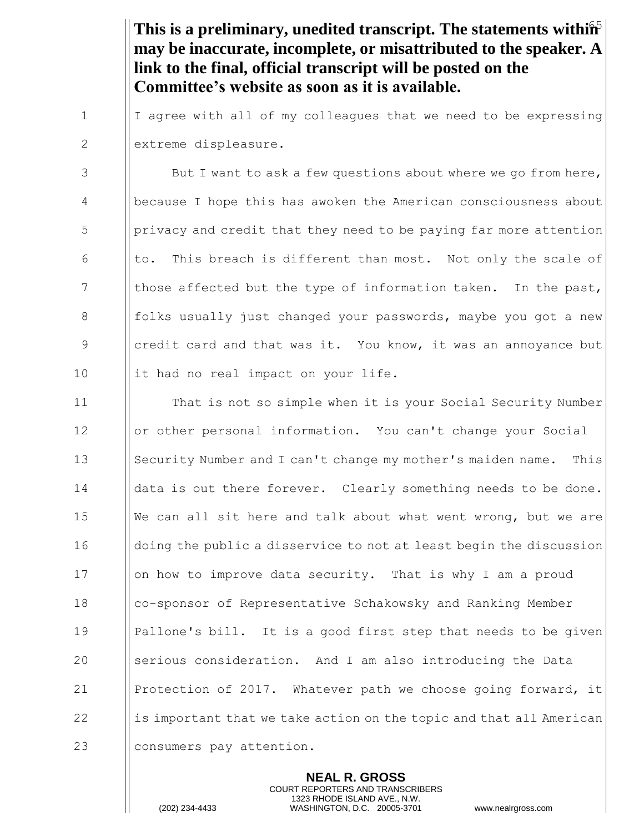This is a preliminary, unedited transcript. The statements within<sup>5</sup> **may be inaccurate, incomplete, or misattributed to the speaker. A link to the final, official transcript will be posted on the Committee's website as soon as it is available.**

 $1$  | I agree with all of my colleagues that we need to be expressing 2 | extreme displeasure.

 $\vert$  But I want to ask a few questions about where we go from here, 4 because I hope this has awoken the American consciousness about  $\frac{1}{2}$  | privacy and credit that they need to be paying far more attention 6  $\parallel$  to. This breach is different than most. Not only the scale of 7  $\parallel$  those affected but the type of information taken. In the past, 8 folks usually just changed your passwords, maybe you got a new 9 Soll credit card and that was it. You know, it was an annoyance but 10 it had no real impact on your life.

11 **Inducate 1** That is not so simple when it is your Social Security Number 12 | | or other personal information. You can't change your Social 13 Security Number and I can't change my mother's maiden name. This 14 | data is out there forever. Clearly something needs to be done. 15  $\|\n$  We can all sit here and talk about what went wrong, but we are 16 **doluge 1** doing the public a disservice to not at least begin the discussion 17 | | on how to improve data security. That is why I am a proud 18 co-sponsor of Representative Schakowsky and Ranking Member 19 Pallone's bill. It is a good first step that needs to be given 20 Serious consideration. And I am also introducing the Data 21 | Protection of 2017. Whatever path we choose going forward, it 22  $\parallel$  is important that we take action on the topic and that all American 23 || consumers pay attention.

> **NEAL R. GROSS** COURT REPORTERS AND TRANSCRIBERS 1323 RHODE ISLAND AVE., N.W.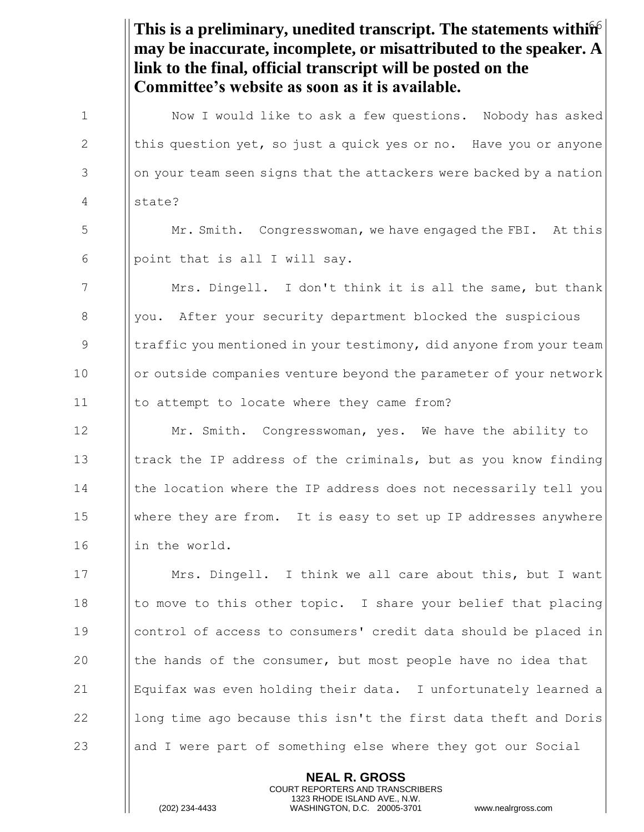This is a preliminary, unedited transcript. The statements within **may be inaccurate, incomplete, or misattributed to the speaker. A link to the final, official transcript will be posted on the Committee's website as soon as it is available.** 1 | Now I would like to ask a few questions. Nobody has asked 2  $\parallel$  this question yet, so just a quick yes or no. Have you or anyone  $3$  || on your team seen signs that the attackers were backed by a nation 4 state? 5 Mr. Smith. Congresswoman, we have engaged the FBI. At this 6 | point that is all I will say. 7 **Mrs. Dingell.** I don't think it is all the same, but thank 8 | you. After your security department blocked the suspicious 9 Intraffic you mentioned in your testimony, did anyone from your team 10 | or outside companies venture beyond the parameter of your network 11 | to attempt to locate where they came from? 12 **Mr.** Smith. Congresswoman, yes. We have the ability to 13 Itrack the IP address of the criminals, but as you know finding 14 I | the location where the IP address does not necessarily tell you 15 where they are from. It is easy to set up IP addresses anywhere 16 | | | in the world. 17 **I** Mrs. Dingell. I think we all care about this, but I want 18  $\parallel$  to move to this other topic. I share your belief that placing 19 control of access to consumers' credit data should be placed in 20  $\parallel$  the hands of the consumer, but most people have no idea that 21 Equifax was even holding their data. I unfortunately learned a 22  $\parallel$  long time ago because this isn't the first data theft and Doris 23 and I were part of something else where they got our Social

> **NEAL R. GROSS** COURT REPORTERS AND TRANSCRIBERS 1323 RHODE ISLAND AVE., N.W.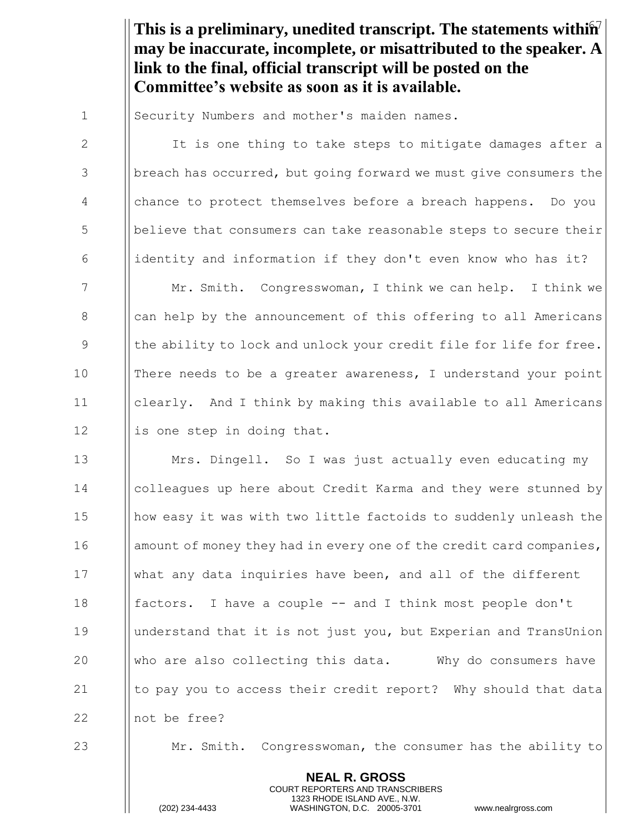This is a preliminary, unedited transcript. The statements within<sup>7</sup> **may be inaccurate, incomplete, or misattributed to the speaker. A link to the final, official transcript will be posted on the Committee's website as soon as it is available.**

1 | Security Numbers and mother's maiden names.

2 | It is one thing to take steps to mitigate damages after a 3 breach has occurred, but going forward we must give consumers the 4 chance to protect themselves before a breach happens. Do you 5 believe that consumers can take reasonable steps to secure their 6 identity and information if they don't even know who has it? 7 Mr. Smith. Congresswoman, I think we can help. I think we 8 S || can help by the announcement of this offering to all Americans 9  $\parallel$  the ability to lock and unlock your credit file for life for free. 10 There needs to be a greater awareness, I understand your point 11 clearly. And I think by making this available to all Americans  $12$  || is one step in doing that.

**Mrs. Dingell.** So I was just actually even educating my colleagues up here about Credit Karma and they were stunned by 15 | | how easy it was with two little factoids to suddenly unleash the 16 amount of money they had in every one of the credit card companies, what any data inquiries have been, and all of the different factors. I have a couple -- and I think most people don't understand that it is not just you, but Experian and TransUnion  $\parallel$  who are also collecting this data. Why do consumers have  $\parallel$  to pay you to access their credit report? Why should that data **I** not be free?

23 Mr. Smith. Congresswoman, the consumer has the ability to

**NEAL R. GROSS** COURT REPORTERS AND TRANSCRIBERS 1323 RHODE ISLAND AVE., N.W.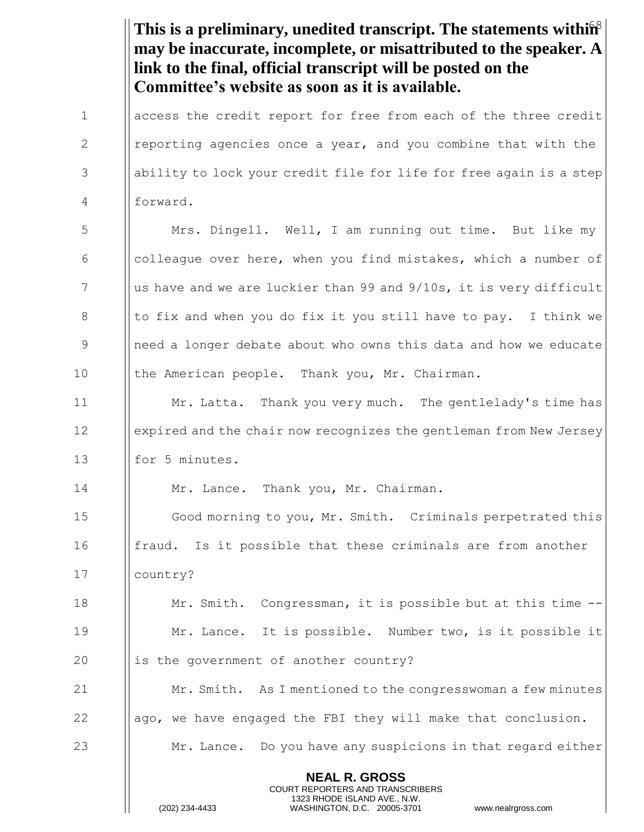This is a preliminary, unedited transcript. The statements within<sup>8</sup> **NEAL R. GROSS** COURT REPORTERS AND TRANSCRIBERS 1323 RHODE ISLAND AVE., N.W. **may be inaccurate, incomplete, or misattributed to the speaker. A link to the final, official transcript will be posted on the Committee's website as soon as it is available.** 1 | access the credit report for free from each of the three credit 2 **I** reporting agencies once a year, and you combine that with the 3 ability to lock your credit file for life for free again is a step 4 forward. 5 Mrs. Dingell. Well, I am running out time. But like my 6  $\Box$  colleague over here, when you find mistakes, which a number of 7  $\parallel$  us have and we are luckier than 99 and 9/10s, it is very difficult 8  $\parallel$  to fix and when you do fix it you still have to pay. I think we 9 9 || need a longer debate about who owns this data and how we educate 10 | the American people. Thank you, Mr. Chairman. 11 **Mr. Latta.** Thank you very much. The gentlelady's time has 12 | expired and the chair now recognizes the gentleman from New Jersey 13 **I** for 5 minutes. 14 | Mr. Lance. Thank you, Mr. Chairman. 15 **I** Good morning to you, Mr. Smith. Criminals perpetrated this 16 **fraud.** Is it possible that these criminals are from another 17 country? 18 **Mr. Smith.** Congressman, it is possible but at this time --19 **Mr. Lance.** It is possible. Number two, is it possible it  $20$  || is the government of another country? 21 Mr. Smith. As I mentioned to the congresswoman a few minutes  $22$  ||ago, we have engaged the FBI they will make that conclusion. 23 Mr. Lance. Do you have any suspicions in that regard either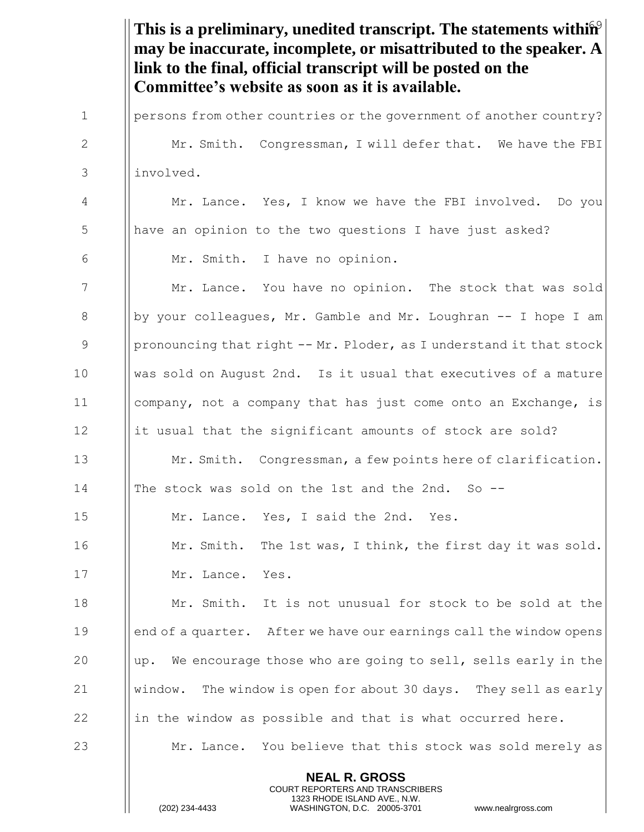This is a preliminary, unedited transcript. The statements within<sup>9</sup> **NEAL R. GROSS** COURT REPORTERS AND TRANSCRIBERS **may be inaccurate, incomplete, or misattributed to the speaker. A link to the final, official transcript will be posted on the Committee's website as soon as it is available.** 1 | persons from other countries or the government of another country? 2 Mr. Smith. Congressman, I will defer that. We have the FBI 3 involved. 4 Mr. Lance. Yes, I know we have the FBI involved. Do you 5 | have an opinion to the two questions I have just asked? 6 Mr. Smith. I have no opinion. 7 | Mr. Lance. You have no opinion. The stock that was sold 8 by your colleagues, Mr. Gamble and Mr. Loughran  $-$  I hope I am 9 | pronouncing that right  $-$ - Mr. Ploder, as I understand it that stock 10 was sold on August 2nd. Is it usual that executives of a mature 11 company, not a company that has just come onto an Exchange, is 12 it usual that the significant amounts of stock are sold? 13 **Mr. Smith.** Congressman, a few points here of clarification. 14 The stock was sold on the 1st and the 2nd. So -- 15 **Mr. Lance.** Yes, I said the 2nd. Yes. 16 **Mr. Smith.** The 1st was, I think, the first day it was sold. 17 Mr. Lance. Yes. 18 Mr. Smith. It is not unusual for stock to be sold at the 19 end of a quarter. After we have our earnings call the window opens 20  $\parallel$  up. We encourage those who are going to sell, sells early in the 21  $\parallel$  window. The window is open for about 30 days. They sell as early 22 in the window as possible and that is what occurred here. 23 Mr. Lance. You believe that this stock was sold merely as

1323 RHODE ISLAND AVE., N.W.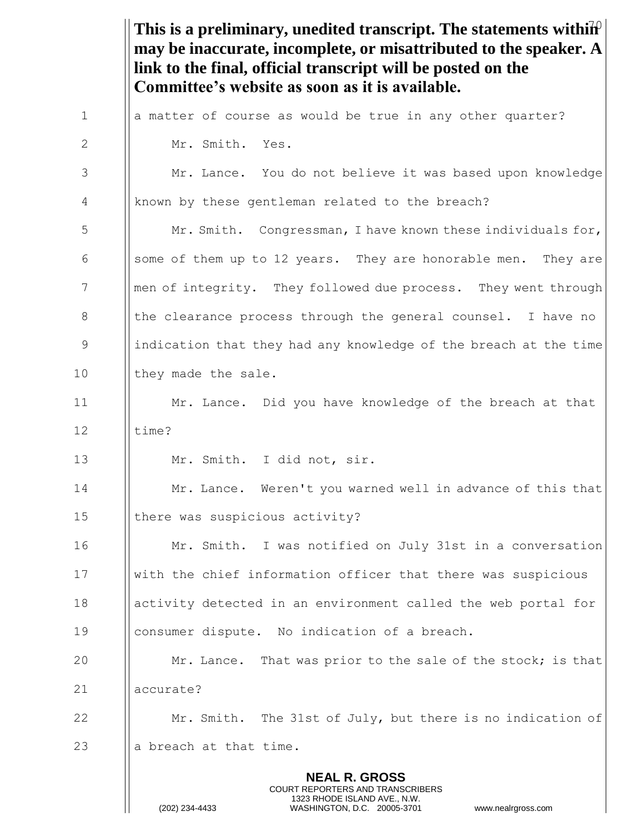This is a preliminary, unedited transcript. The statements withi $\hat{h}^0$ **NEAL R. GROSS** COURT REPORTERS AND TRANSCRIBERS 1323 RHODE ISLAND AVE., N.W. **may be inaccurate, incomplete, or misattributed to the speaker. A link to the final, official transcript will be posted on the Committee's website as soon as it is available.**  $1$  || a matter of course as would be true in any other quarter? 2 II Mr. Smith. Yes. 3 Mr. Lance. You do not believe it was based upon knowledge 4 known by these gentleman related to the breach? 5 | Mr. Smith. Congressman, I have known these individuals for, 6 Some of them up to 12 years. They are honorable men. They are 7 **Ional Theory Menuion** mey followed due process. They went through 8 In the clearance process through the general counsel. I have no 9 indication that they had any knowledge of the breach at the time 10 || they made the sale. 11 **Mr.** Lance. Did you have knowledge of the breach at that  $12$  | time? 13 | Mr. Smith. I did not, sir. 14 **I** Mr. Lance. Weren't you warned well in advance of this that 15 | there was suspicious activity? 16 **Mr. Smith.** I was notified on July 31st in a conversation 17 with the chief information officer that there was suspicious 18 activity detected in an environment called the web portal for 19 consumer dispute. No indication of a breach. 20 **Mr.** Lance. That was prior to the sale of the stock; is that 21 accurate? 22 **Mr.** Smith. The 31st of July, but there is no indication of 23  $\parallel$  a breach at that time.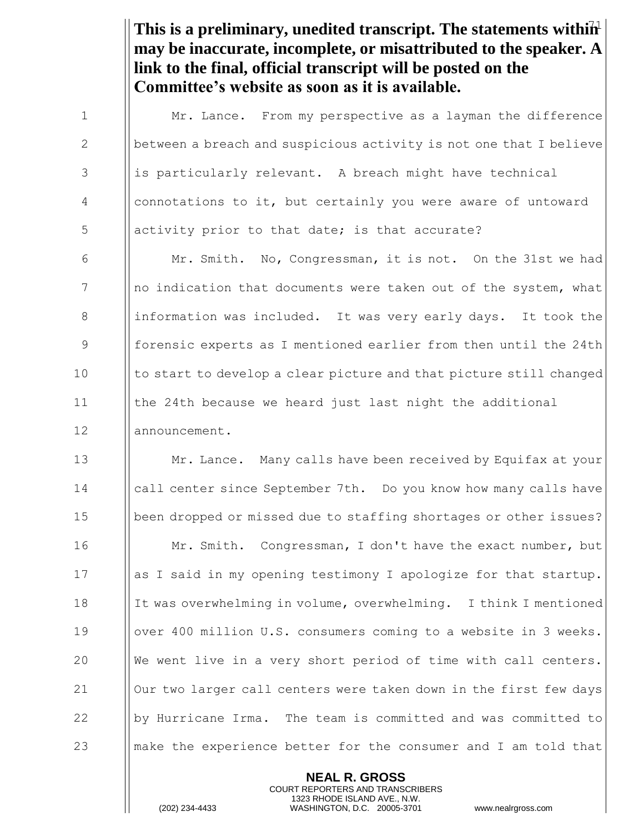This is a preliminary, unedited transcript. The statements within<sup>1</sup> **may be inaccurate, incomplete, or misattributed to the speaker. A link to the final, official transcript will be posted on the Committee's website as soon as it is available.**

**I** Mr. Lance. From my perspective as a layman the difference 2 between a breach and suspicious activity is not one that I believe 3 is particularly relevant. A breach might have technical connotations to it, but certainly you were aware of untoward  $\frac{1}{5}$  || activity prior to that date; is that accurate?  $\parallel$  Mr. Smith. No, Congressman, it is not. On the 31st we had || no indication that documents were taken out of the system, what 8 information was included. It was very early days. It took the **formally** forensic experts as I mentioned earlier from then until the 24th 10 I to start to develop a clear picture and that picture still changed the 24th because we heard just last night the additional 12 || announcement. **Mr. Lance.** Many calls have been received by Equifax at your call center since September 7th. Do you know how many calls have been dropped or missed due to staffing shortages or other issues? **Mr. Smith.** Congressman, I don't have the exact number, but || as I said in my opening testimony I apologize for that startup. It was overwhelming in volume, overwhelming. I think I mentioned 19 | | over 400 million U.S. consumers coming to a website in 3 weeks.  $\|\n$  We went live in a very short period of time with call centers. 21 | Our two larger call centers were taken down in the first few days 22 || by Hurricane Irma. The team is committed and was committed to make the experience better for the consumer and I am told that

> **NEAL R. GROSS** COURT REPORTERS AND TRANSCRIBERS 1323 RHODE ISLAND AVE., N.W.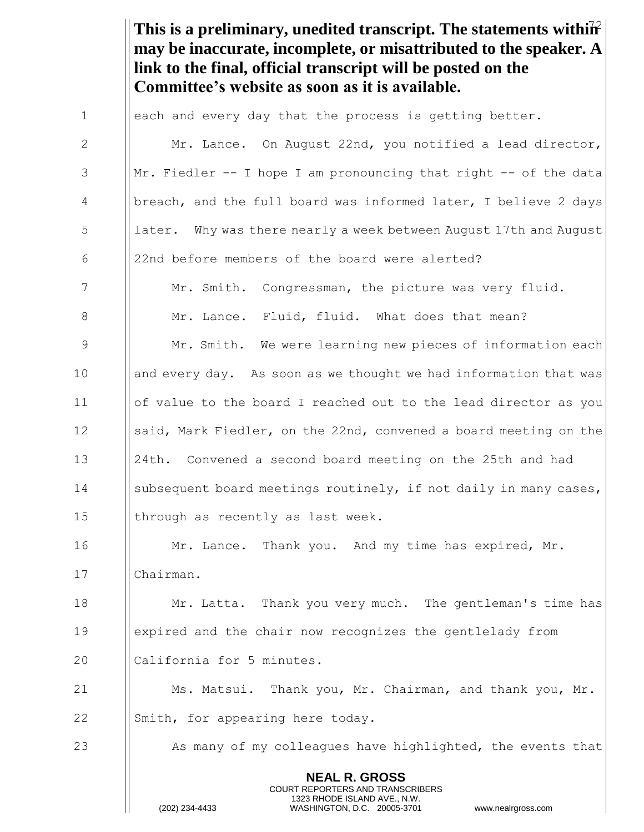This is a preliminary, unedited transcript. The statements within<sup>2</sup> **may be inaccurate, incomplete, or misattributed to the speaker. A link to the final, official transcript will be posted on the Committee's website as soon as it is available.**

| $\mathbf 1$  | each and every day that the process is getting better.                                                                                                                 |
|--------------|------------------------------------------------------------------------------------------------------------------------------------------------------------------------|
| $\mathbf{2}$ | Mr. Lance. On August 22nd, you notified a lead director,                                                                                                               |
| 3            | Mr. Fiedler -- I hope I am pronouncing that right -- of the data                                                                                                       |
| 4            | breach, and the full board was informed later, I believe 2 days                                                                                                        |
| 5            | later. Why was there nearly a week between August 17th and August                                                                                                      |
| 6            | 22nd before members of the board were alerted?                                                                                                                         |
| 7            | Mr. Smith. Congressman, the picture was very fluid.                                                                                                                    |
| 8            | Mr. Lance. Fluid, fluid. What does that mean?                                                                                                                          |
| 9            | Mr. Smith. We were learning new pieces of information each                                                                                                             |
| 10           | and every day. As soon as we thought we had information that was                                                                                                       |
| 11           | of value to the board I reached out to the lead director as you                                                                                                        |
| 12           | said, Mark Fiedler, on the 22nd, convened a board meeting on the                                                                                                       |
| 13           | 24th. Convened a second board meeting on the 25th and had                                                                                                              |
| 14           | subsequent board meetings routinely, if not daily in many cases,                                                                                                       |
| 15           | through as recently as last week.                                                                                                                                      |
| 16           | Mr. Lance. Thank you. And my time has expired, Mr.                                                                                                                     |
| 17           | Chairman.                                                                                                                                                              |
| 18           | Mr. Latta. Thank you very much. The gentleman's time has                                                                                                               |
| 19           | expired and the chair now recognizes the gentlelady from                                                                                                               |
| 20           | California for 5 minutes.                                                                                                                                              |
| 21           | Ms. Matsui. Thank you, Mr. Chairman, and thank you, Mr.                                                                                                                |
| 22           | Smith, for appearing here today.                                                                                                                                       |
| 23           | As many of my colleagues have highlighted, the events that                                                                                                             |
|              | <b>NEAL R. GROSS</b><br><b>COURT REPORTERS AND TRANSCRIBERS</b><br>1323 RHODE ISLAND AVE., N.W.<br>(202) 234-4433<br>WASHINGTON, D.C. 20005-3701<br>www.nealrgross.com |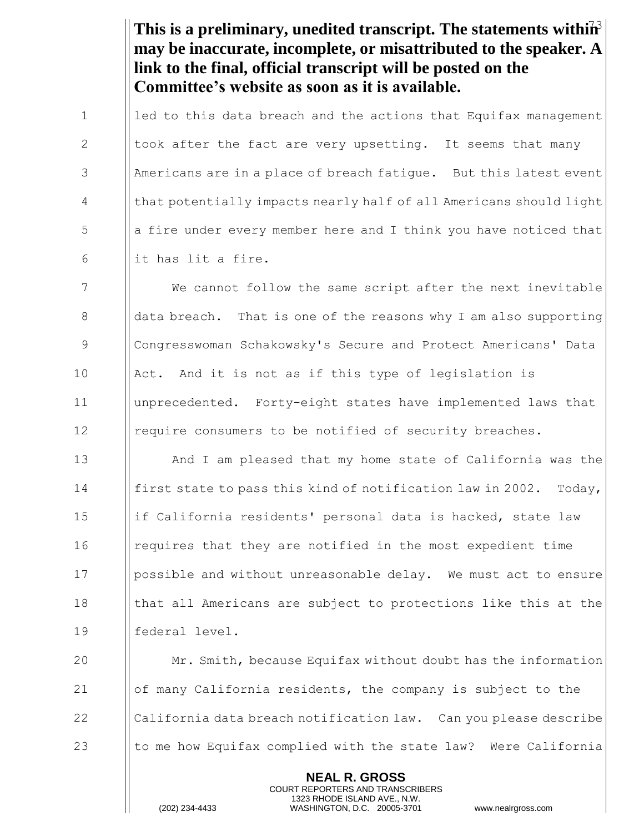This is a preliminary, unedited transcript. The statements within<sup>3</sup> **may be inaccurate, incomplete, or misattributed to the speaker. A link to the final, official transcript will be posted on the Committee's website as soon as it is available.**

1  $\parallel$  led to this data breach and the actions that Equifax management 2  $\parallel$  took after the fact are very upsetting. It seems that many 3 Americans are in a place of breach fatique. But this latest event 4 | that potentially impacts nearly half of all Americans should light  $\begin{bmatrix} 5 \end{bmatrix}$  a fire under every member here and I think you have noticed that 6  $\parallel$  it has lit a fire.

7 We cannot follow the same script after the next inevitable 8 a data breach. That is one of the reasons why I am also supporting 9 Congresswoman Schakowsky's Secure and Protect Americans' Data 10 | Act. And it is not as if this type of legislation is 11 unprecedented. Forty-eight states have implemented laws that 12 I require consumers to be notified of security breaches.

 And I am pleased that my home state of California was the **First state to pass this kind of notification law in 2002.** Today, 15 | if California residents' personal data is hacked, state law requires that they are notified in the most expedient time 17 Ipossible and without unreasonable delay. We must act to ensure  $\parallel$  that all Americans are subject to protections like this at the federal level.

**Mr.** Smith, because Equifax without doubt has the information of many California residents, the company is subject to the  $\parallel$  California data breach notification law. Can you please describe  $\parallel$  to me how Equifax complied with the state law? Were California

> **NEAL R. GROSS** COURT REPORTERS AND TRANSCRIBERS 1323 RHODE ISLAND AVE., N.W.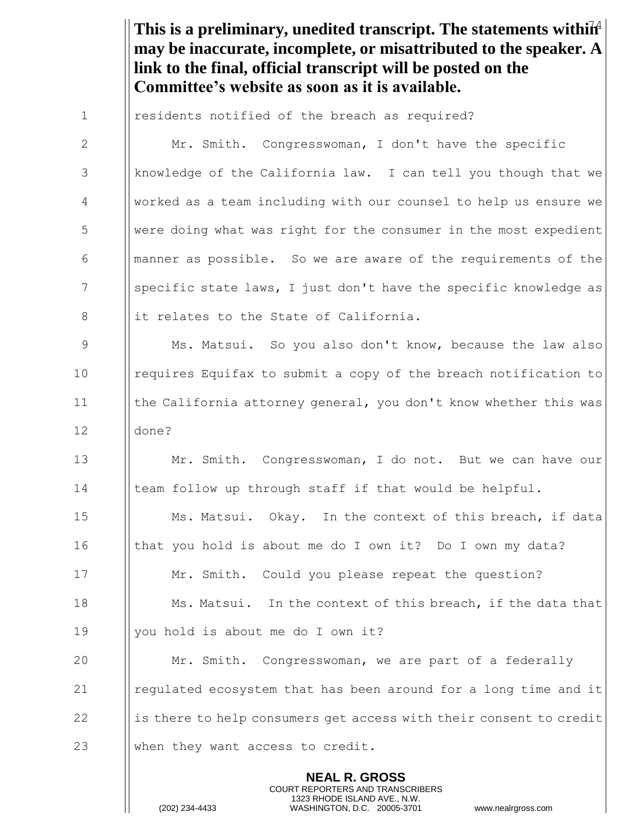This is a preliminary, unedited transcript. The statements within<sup>4</sup> **may be inaccurate, incomplete, or misattributed to the speaker. A link to the final, official transcript will be posted on the Committee's website as soon as it is available.**

**NEAL R. GROSS** COURT REPORTERS AND TRANSCRIBERS 1 | residents notified of the breach as required? 2 | Mr. Smith. Congresswoman, I don't have the specific 3 | knowledge of the California law. I can tell you though that we 4 worked as a team including with our counsel to help us ensure we 5 Were doing what was right for the consumer in the most expedient 6 **I** manner as possible. So we are aware of the requirements of the 7 Supecific state laws, I just don't have the specific knowledge as 8 it relates to the State of California. 9 Ms. Matsui. So you also don't know, because the law also 10 I requires Equifax to submit a copy of the breach notification to 11 **the California attorney general, you don't know whether this was** 12 done? 13 Mr. Smith. Congresswoman, I do not. But we can have our 14 I team follow up through staff if that would be helpful. 15 **Ms. Matsui.** Okay. In the context of this breach, if data 16 Ithat you hold is about me do I own it? Do I own my data? 17 **Mr.** Smith. Could you please repeat the question? 18 **Ms. Matsui.** In the context of this breach, if the data that 19 | you hold is about me do I own it? 20 **Mr.** Smith. Congresswoman, we are part of a federally 21  $\parallel$  regulated ecosystem that has been around for a long time and it  $22$  is there to help consumers get access with their consent to credit 23 When they want access to credit.

1323 RHODE ISLAND AVE., N.W.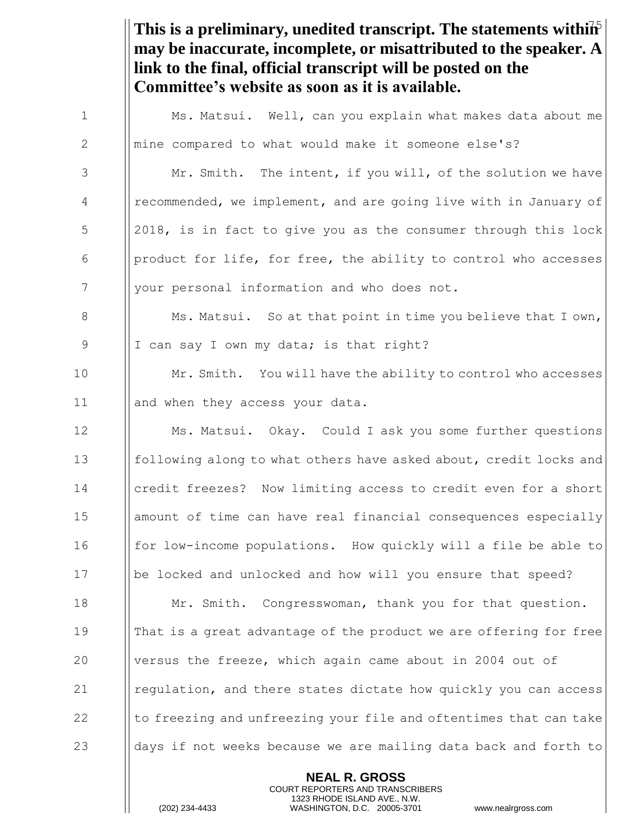This is a preliminary, unedited transcript. The statements within<sup>5</sup> **may be inaccurate, incomplete, or misattributed to the speaker. A link to the final, official transcript will be posted on the Committee's website as soon as it is available.** 1 Ms. Matsui. Well, can you explain what makes data about me

3 | Mr. Smith. The intent, if you will, of the solution we have 4 | recommended, we implement, and are going live with in January of 5 2018, is in fact to give you as the consumer through this lock  $\begin{array}{c|c} \hline \text{6} & \text{[product for life, for free, the ability to control who accesses} \end{array}$ 7 | your personal information and who does not.

2 | mine compared to what would make it someone else's?

8 **Ms. Matsui.** So at that point in time you believe that I own, 9 | I can say I own my data; is that right?

10  $\parallel$  Mr. Smith. You will have the ability to control who accesses 11 || and when they access your data.

**Ms. Matsui.** Okay. Could I ask you some further questions **following along to what others have asked about, credit locks and** 14 Icredit freezes? Now limiting access to credit even for a short amount of time can have real financial consequences especially 16 for low-income populations. How quickly will a file be able to be locked and unlocked and how will you ensure that speed? **Mr.** Smith. Congresswoman, thank you for that question. **Indum** That is a great advantage of the product we are offering for free versus the freeze, which again came about in 2004 out of  $\parallel$  regulation, and there states dictate how quickly you can access  $\parallel$  to freezing and unfreezing your file and oftentimes that can take  $\Box$  days if not weeks because we are mailing data back and forth to

> **NEAL R. GROSS** COURT REPORTERS AND TRANSCRIBERS 1323 RHODE ISLAND AVE., N.W.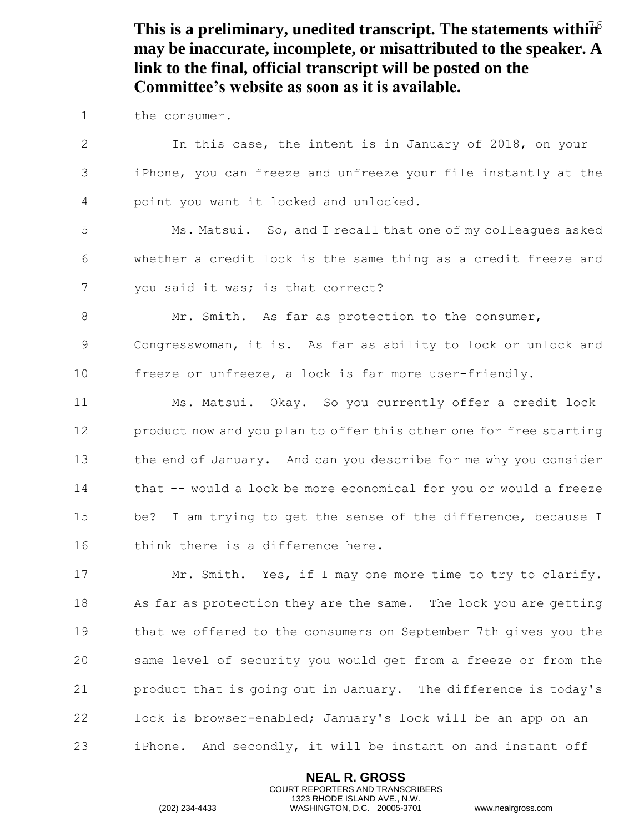This is a preliminary, unedited transcript. The statements within **may be inaccurate, incomplete, or misattributed to the speaker. A link to the final, official transcript will be posted on the Committee's website as soon as it is available.**

1 | the consumer.

2 I In this case, the intent is in January of 2018, on your 3 iPhone, you can freeze and unfreeze your file instantly at the 4 | point you want it locked and unlocked. 5 | Ms. Matsui. So, and I recall that one of my colleagues asked 6 whether a credit lock is the same thing as a credit freeze and 7 | you said it was; is that correct? 8 | Mr. Smith. As far as protection to the consumer, 9 Congresswoman, it is. As far as ability to lock or unlock and 10 | freeze or unfreeze, a lock is far more user-friendly. 11 | Ms. Matsui. Okay. So you currently offer a credit lock 12 | product now and you plan to offer this other one for free starting 13 **the end of January.** And can you describe for me why you consider 14 I | that -- would a lock be more economical for you or would a freeze 15 || be? I am trying to get the sense of the difference, because I  $16$  || think there is a difference here. 17 | Mr. Smith. Yes, if I may one more time to try to clarify. 18  $\parallel$  As far as protection they are the same. The lock you are getting 19 that we offered to the consumers on September 7th gives you the 20 Same level of security you would get from a freeze or from the 21 product that is going out in January. The difference is today's 22  $\parallel$  lock is browser-enabled; January's lock will be an app on an 23 iphone. And secondly, it will be instant on and instant off

> **NEAL R. GROSS** COURT REPORTERS AND TRANSCRIBERS 1323 RHODE ISLAND AVE., N.W.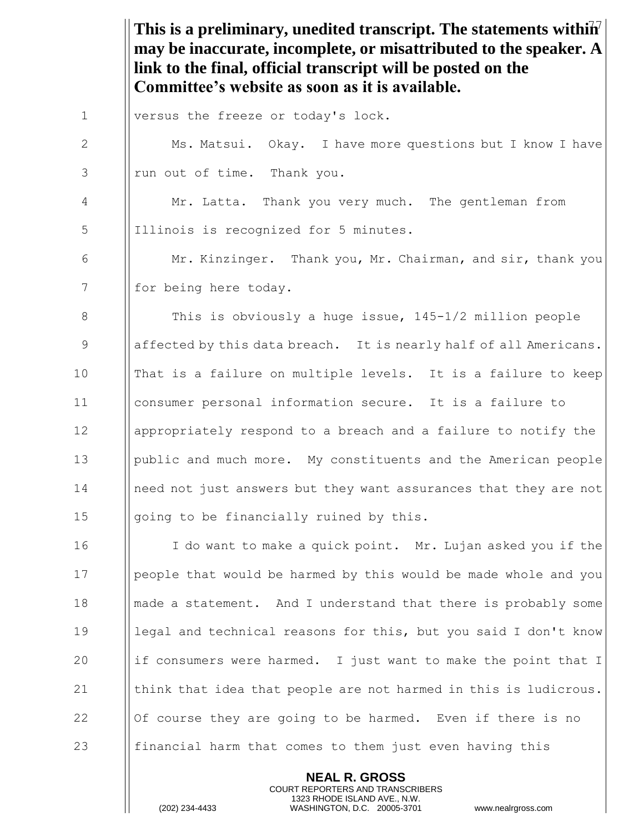This is a preliminary, unedited transcript. The statements within<sup>7</sup> **may be inaccurate, incomplete, or misattributed to the speaker. A link to the final, official transcript will be posted on the Committee's website as soon as it is available.**

1 |versus the freeze or today's lock.

2 Ms. Matsui. Okay. I have more questions but I know I have  $3$  || run out of time. Thank you. 4 Mr. Latta. Thank you very much. The gentleman from 5 || Illinois is recognized for 5 minutes. 6 Mr. Kinzinger. Thank you, Mr. Chairman, and sir, thank you 7 | for being here today. 8 **This is obviously a huge issue, 145-1/2 million people** 9 affected by this data breach. It is nearly half of all Americans. 10 Imat is a failure on multiple levels. It is a failure to keep 11 consumer personal information secure. It is a failure to 12 appropriately respond to a breach and a failure to notify the 13 public and much more. My constituents and the American people 14 I need not just answers but they want assurances that they are not 15  $\Box$   $\Box$   $\Box$   $\Box$   $\Box$   $\Box$   $\Diamond$   $\Diamond$  to be financially ruined by this. 16 I do want to make a quick point. Mr. Lujan asked you if the 17 | people that would be harmed by this would be made whole and you 18 made a statement. And I understand that there is probably some 19 legal and technical reasons for this, but you said I don't know 20 if consumers were harmed. I just want to make the point that I 21  $\parallel$  think that idea that people are not harmed in this is ludicrous. 22  $\parallel$  Of course they are going to be harmed. Even if there is no 23 **financial harm that comes to them just even having this** 

> **NEAL R. GROSS** COURT REPORTERS AND TRANSCRIBERS 1323 RHODE ISLAND AVE., N.W.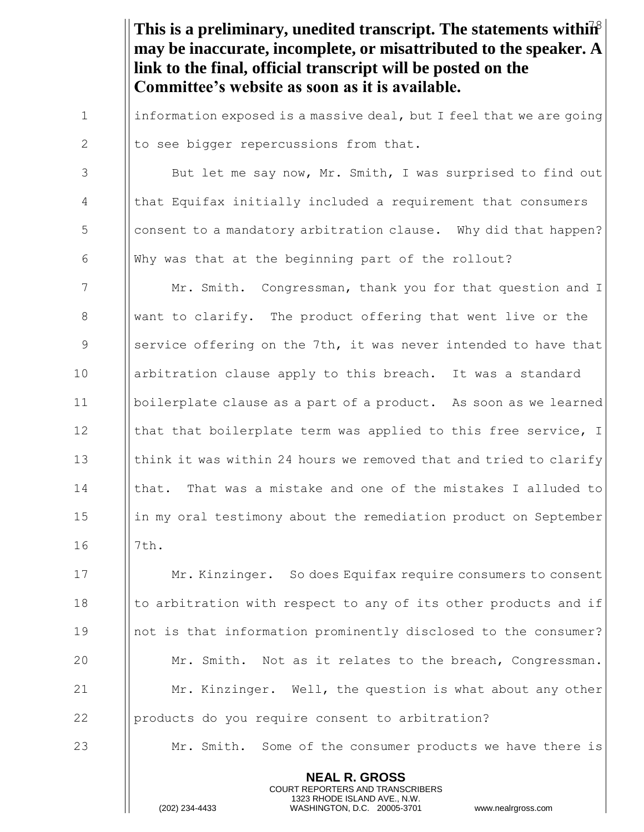This is a preliminary, unedited transcript. The statements within<sup>8</sup> **may be inaccurate, incomplete, or misattributed to the speaker. A link to the final, official transcript will be posted on the Committee's website as soon as it is available.**

1 | information exposed is a massive deal, but I feel that we are going 2  $\|\mathsf{to}$  see bigger repercussions from that.

3 | But let me say now, Mr. Smith, I was surprised to find out 4 that Equifax initially included a requirement that consumers 5 S consent to a mandatory arbitration clause. Why did that happen? 6  $\parallel$  Why was that at the beginning part of the rollout?

7 Mr. Smith. Congressman, thank you for that question and I 8 want to clarify. The product offering that went live or the 9 Service offering on the 7th, it was never intended to have that 10 | arbitration clause apply to this breach. It was a standard 11 boilerplate clause as a part of a product. As soon as we learned 12 I | that that boilerplate term was applied to this free service, I 13  $\parallel$  think it was within 24 hours we removed that and tried to clarify 14 Ichat. That was a mistake and one of the mistakes I alluded to 15 in my oral testimony about the remediation product on September 16 || 7th.

**Mr. Kinzinger.** So does Equifax require consumers to consent  $\parallel$  to arbitration with respect to any of its other products and if not is that information prominently disclosed to the consumer? **Mr.** Smith. Not as it relates to the breach, Congressman. **Mr.** Kinzinger. Well, the question is what about any other **products do you require consent to arbitration?** 

23 Mr. Smith. Some of the consumer products we have there is

**NEAL R. GROSS** COURT REPORTERS AND TRANSCRIBERS 1323 RHODE ISLAND AVE., N.W.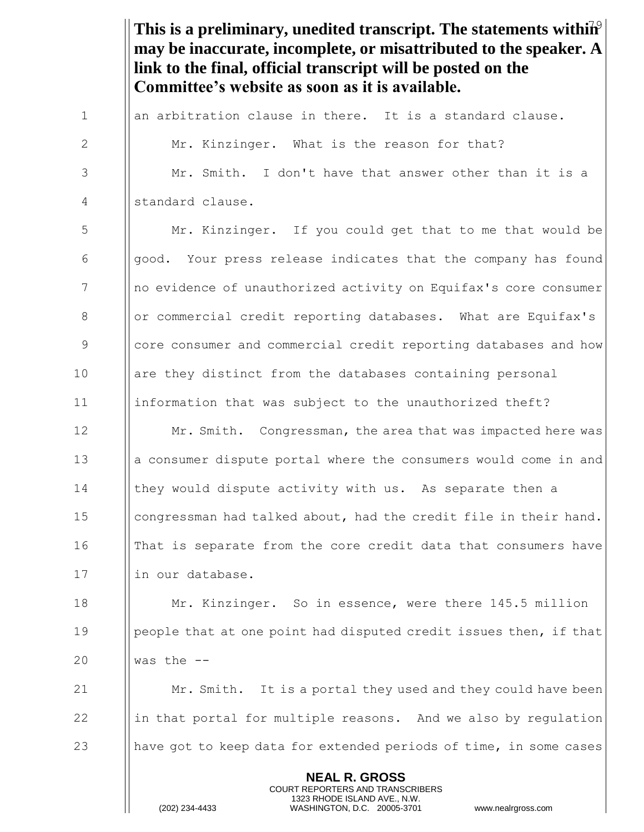This is a preliminary, unedited transcript. The statements within<sup>9</sup> **NEAL R. GROSS** COURT REPORTERS AND TRANSCRIBERS 1323 RHODE ISLAND AVE., N.W. **may be inaccurate, incomplete, or misattributed to the speaker. A link to the final, official transcript will be posted on the Committee's website as soon as it is available.** 1  $\parallel$  an arbitration clause in there. It is a standard clause. 2 **Mr.** Kinzinger. What is the reason for that? 3 Mr. Smith. I don't have that answer other than it is a 4 | standard clause. 5 | Mr. Kinzinger. If you could get that to me that would be  $\begin{array}{c|c} 6 & \text{|good.} \end{array}$  Your press release indicates that the company has found 7 Ino evidence of unauthorized activity on Equifax's core consumer 8 | | or commercial credit reporting databases. What are Equifax's 9 Supersum and commercial credit reporting databases and how 10 **are they distinct from the databases containing personal** 11 information that was subject to the unauthorized theft? 12 **Mr. Smith.** Congressman, the area that was impacted here was 13 **a** a consumer dispute portal where the consumers would come in and 14 Ichey would dispute activity with us. As separate then a 15 | congressman had talked about, had the credit file in their hand. 16 In That is separate from the core credit data that consumers have 17 | lin our database. 18 **Mr. Kinzinger.** So in essence, were there 145.5 million 19 **people that at one point had disputed credit issues then, if that** 20  $\parallel$  was the  $-$ 21  $\parallel$  Mr. Smith. It is a portal they used and they could have been 22 in that portal for multiple reasons. And we also by regulation 23 have got to keep data for extended periods of time, in some cases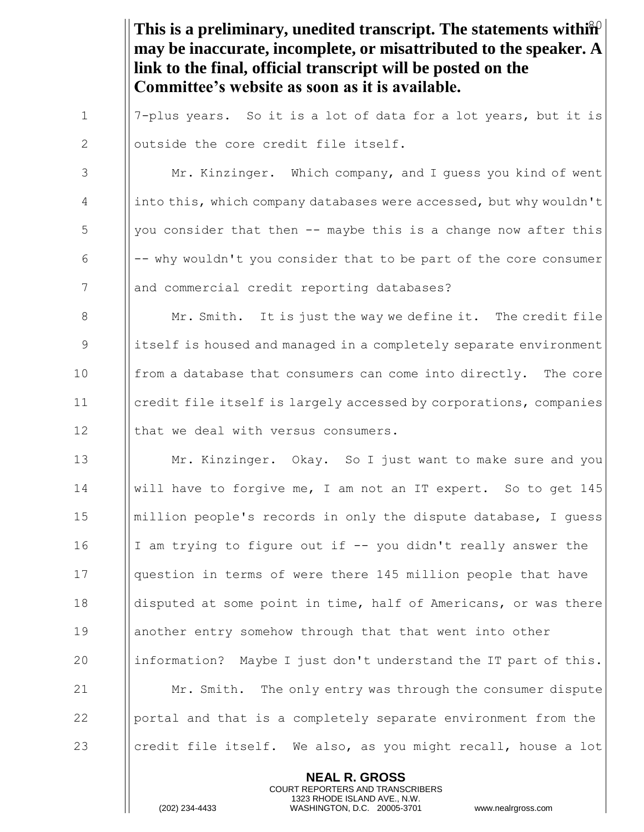This is a preliminary, unedited transcript. The statements within<sup>2</sup> **may be inaccurate, incomplete, or misattributed to the speaker. A link to the final, official transcript will be posted on the Committee's website as soon as it is available.**

1  $\parallel$  7-plus years. So it is a lot of data for a lot years, but it is 2 | outside the core credit file itself.

3 | Mr. Kinzinger. Which company, and I guess you kind of went 4 into this, which company databases were accessed, but why wouldn't  $5$  || you consider that then -- maybe this is a change now after this  $\begin{array}{c|c|c|c|c|c} \hline \text{6} & - & \text{why wouldn't you consider that to be part of the core consumer} \end{array}$ 7 || and commercial credit reporting databases?

8 Mr. Smith. It is just the way we define it. The credit file 9 itself is housed and managed in a completely separate environment 10 **from a database that consumers can come into directly.** The core 11 **credit file itself is largely accessed by corporations, companies** 12  $\parallel$  that we deal with versus consumers.

13 **Mr. Kinzinger.** Okay. So I just want to make sure and you 14 will have to forgive me, I am not an IT expert. So to get 145 15  $\parallel$  million people's records in only the dispute database, I guess 16 I am trying to figure out if  $-$  you didn't really answer the 17 | | question in terms of were there 145 million people that have 18 | disputed at some point in time, half of Americans, or was there 19 another entry somehow through that that went into other 20 information? Maybe I just don't understand the IT part of this. 21 **Mr.** Smith. The only entry was through the consumer dispute 22 **portal and that is a completely separate environment from the** 23 credit file itself. We also, as you might recall, house a lot

> **NEAL R. GROSS** COURT REPORTERS AND TRANSCRIBERS 1323 RHODE ISLAND AVE., N.W.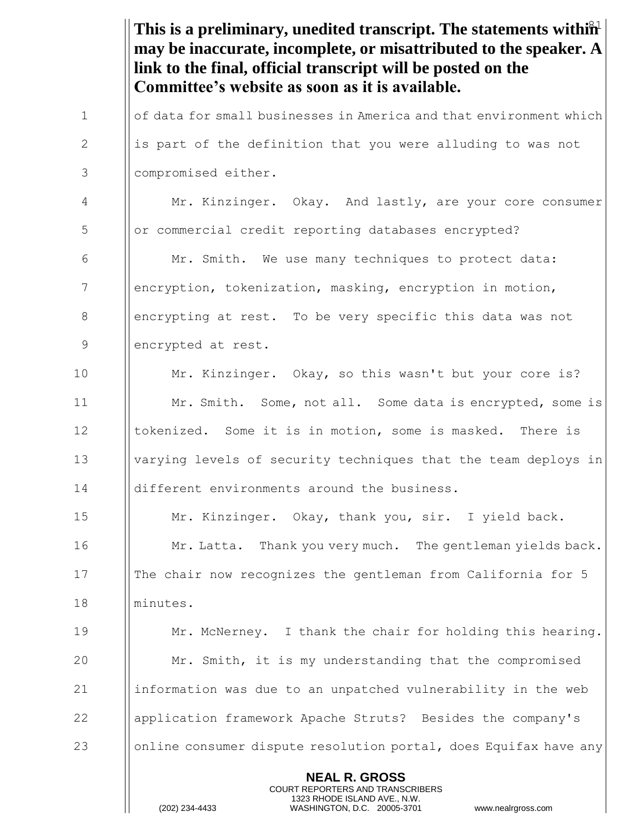This is a preliminary, unedited transcript. The statements within<sup>2</sup> **NEAL R. GROSS** COURT REPORTERS AND TRANSCRIBERS 1323 RHODE ISLAND AVE., N.W. **may be inaccurate, incomplete, or misattributed to the speaker. A link to the final, official transcript will be posted on the Committee's website as soon as it is available.** 1 | of data for small businesses in America and that environment which  $2$  || is part of the definition that you were alluding to was not 3 compromised either. 4 Mr. Kinzinger. Okay. And lastly, are your core consumer 5 or commercial credit reporting databases encrypted? 6 | Mr. Smith. We use many techniques to protect data: 7 encryption, tokenization, masking, encryption in motion, 8 encrypting at rest. To be very specific this data was not 9 ||encrypted at rest. 10 Mr. Kinzinger. Okay, so this wasn't but your core is? 11 | Mr. Smith. Some, not all. Some data is encrypted, some is 12 Ibokenized. Some it is in motion, some is masked. There is 13 varying levels of security techniques that the team deploys in 14 different environments around the business. 15 Mr. Kinzinger. Okay, thank you, sir. I yield back. 16 **Mr. Latta.** Thank you very much. The gentleman yields back. 17 The chair now recognizes the gentleman from California for 5 18 minutes. 19 Mr. McNerney. I thank the chair for holding this hearing. 20 **Mr.** Smith, it is my understanding that the compromised  $21$  ||information was due to an unpatched vulnerability in the web 22 application framework Apache Struts? Besides the company's 23 Olonline consumer dispute resolution portal, does Equifax have any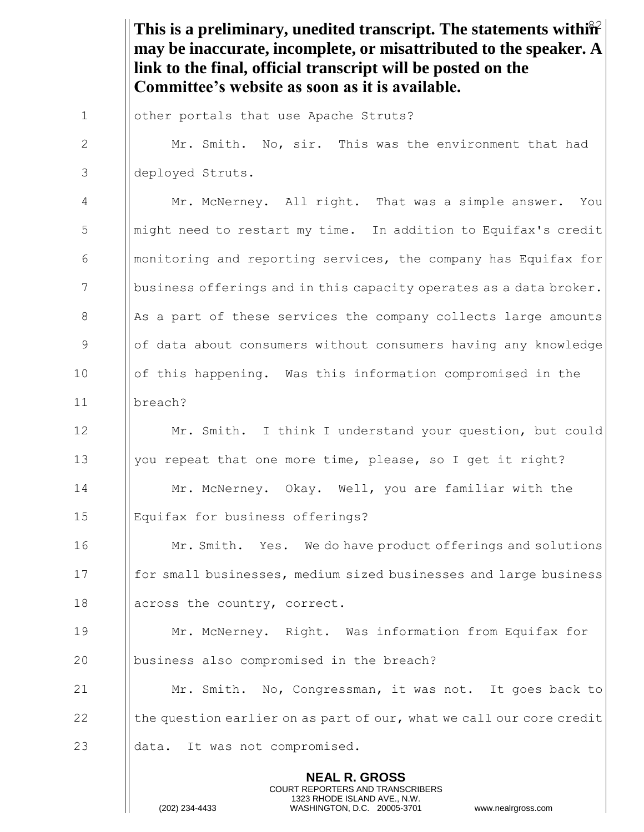This is a preliminary, unedited transcript. The statements within<sup>22</sup> **NEAL R. GROSS** COURT REPORTERS AND TRANSCRIBERS 1323 RHODE ISLAND AVE., N.W. **may be inaccurate, incomplete, or misattributed to the speaker. A link to the final, official transcript will be posted on the Committee's website as soon as it is available.** 1 | other portals that use Apache Struts? 2 Mr. Smith. No, sir. This was the environment that had deployed Struts. Mr. McNerney. All right. That was a simple answer. You might need to restart my time. In addition to Equifax's credit || monitoring and reporting services, the company has Equifax for  $\Box$  business offerings and in this capacity operates as a data broker. || As a part of these services the company collects large amounts of data about consumers without consumers having any knowledge of this happening. Was this information compromised in the breach? Mr. Smith. I think I understand your question, but could  $\parallel$  you repeat that one more time, please, so I get it right? Mr. McNerney. Okay. Well, you are familiar with the Equifax for business offerings? **Mr. Smith.** Yes. We do have product offerings and solutions for small businesses, medium sized businesses and large business 18 || across the country, correct. Mr. McNerney. Right. Was information from Equifax for **business also compromised in the breach? Mr.** Smith. No, Congressman, it was not. It goes back to  $\|\cdot\|$  the question earlier on as part of our, what we call our core credit **data.** It was not compromised.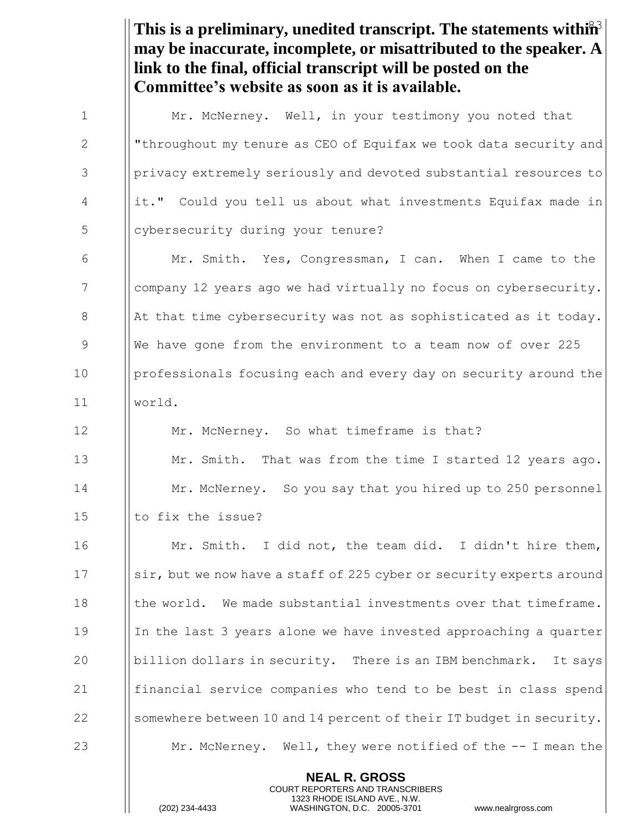This is a preliminary, unedited transcript. The statements within<sup>3</sup> **may be inaccurate, incomplete, or misattributed to the speaker. A link to the final, official transcript will be posted on the Committee's website as soon as it is available.** 1 | Mr. McNerney. Well, in your testimony you noted that 2 | "throughout my tenure as CEO of Equifax we took data security and 3 Privacy extremely seriously and devoted substantial resources to 4 | it." Could you tell us about what investments Equifax made in 5 | cybersecurity during your tenure? 6 Mr. Smith. Yes, Congressman, I can. When I came to the 7 company 12 years ago we had virtually no focus on cybersecurity. 8  $\parallel$  At that time cybersecurity was not as sophisticated as it today. 9 We have gone from the environment to a team now of over 225 10 | professionals focusing each and every day on security around the 11 world. 12 **Mr. McNerney.** So what timeframe is that? 13 **Mr.** Smith. That was from the time I started 12 years ago. 14 Mr. McNerney. So you say that you hired up to 250 personnel 15  $\parallel$  to fix the issue? 16 | Mr. Smith. I did not, the team did. I didn't hire them, 17 Sir, but we now have a staff of 225 cyber or security experts around 18  $\parallel$  the world. We made substantial investments over that timeframe. 19 In the last 3 years alone we have invested approaching a quarter 20 billion dollars in security. There is an IBM benchmark. It says 21 financial service companies who tend to be best in class spend 22 Somewhere between 10 and 14 percent of their IT budget in security.

23 Mr. McNerney. Well, they were notified of the -- I mean the

**NEAL R. GROSS** COURT REPORTERS AND TRANSCRIBERS 1323 RHODE ISLAND AVE., N.W.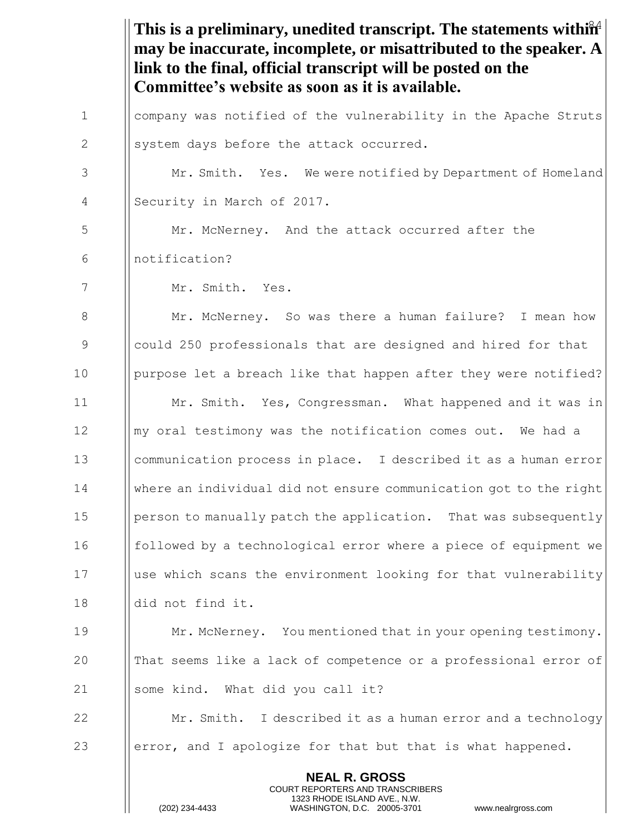This is a preliminary, unedited transcript. The statements within<sup>24</sup> **NEAL R. GROSS** COURT REPORTERS AND TRANSCRIBERS 1323 RHODE ISLAND AVE., N.W. **may be inaccurate, incomplete, or misattributed to the speaker. A link to the final, official transcript will be posted on the Committee's website as soon as it is available.** 1 company was notified of the vulnerability in the Apache Struts  $2 \parallel$  system days before the attack occurred. 3 | Mr. Smith. Yes. We were notified by Department of Homeland 4 | Security in March of 2017. 5  $\parallel$  Mr. McNerney. And the attack occurred after the 6 notification? 7 Mr. Smith. Yes. 8 | Mr. McNerney. So was there a human failure? I mean how 9 could 250 professionals that are designed and hired for that 10 | purpose let a breach like that happen after they were notified? 11 Mr. Smith. Yes, Congressman. What happened and it was in 12 Imy oral testimony was the notification comes out. We had a 13 communication process in place. I described it as a human error 14 where an individual did not ensure communication got to the right 15 person to manually patch the application. That was subsequently 16 **followed by a technological error where a piece of equipment we** 17 use which scans the environment looking for that vulnerability 18 did not find it. 19 Mr. McNerney. You mentioned that in your opening testimony. 20 That seems like a lack of competence or a professional error of 21 | some kind. What did you call it? 22 **Mr. Smith.** I described it as a human error and a technology 23  $\parallel$  error, and I apologize for that but that is what happened.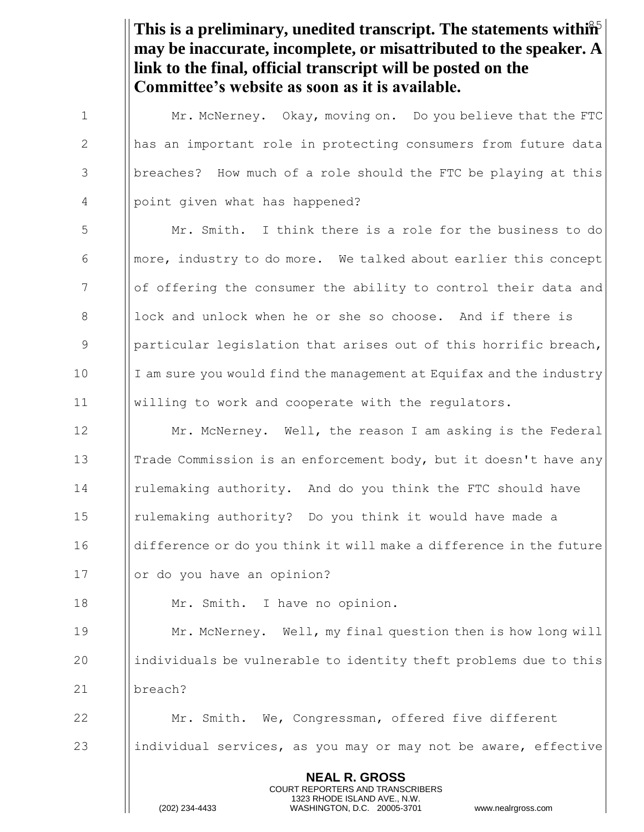This is a preliminary, unedited transcript. The statements within<sup>5</sup> **may be inaccurate, incomplete, or misattributed to the speaker. A link to the final, official transcript will be posted on the Committee's website as soon as it is available.**

**NEAL R. GROSS** COURT REPORTERS AND TRANSCRIBERS 1 Mr. McNerney. Okay, moving on. Do you believe that the FTC 2 || has an important role in protecting consumers from future data 3 | | breaches? How much of a role should the FTC be playing at this 4 | point given what has happened? 5  $\parallel$  Mr. Smith. I think there is a role for the business to do  $\begin{array}{c|c} \n6 & \text{linear} \n\end{array}$  more, industry to do more. We talked about earlier this concept 7 Iof offering the consumer the ability to control their data and  $8$  lock and unlock when he or she so choose. And if there is 9 9 || particular legislation that arises out of this horrific breach,  $10$  I am sure you would find the management at Equifax and the industry 11 willing to work and cooperate with the regulators. 12 | Mr. McNerney. Well, the reason I am asking is the Federal 13 **Trade Commission is an enforcement body, but it doesn't have any** 14 rulemaking authority. And do you think the FTC should have 15 rulemaking authority? Do you think it would have made a 16 | difference or do you think it will make a difference in the future 17 | | or do you have an opinion? 18 | Mr. Smith. I have no opinion. 19 Mr. McNerney. Well, my final question then is how long will 20 individuals be vulnerable to identity theft problems due to this 21 breach? 22 | Mr. Smith. We, Congressman, offered five different 23 individual services, as you may or may not be aware, effective

1323 RHODE ISLAND AVE., N.W.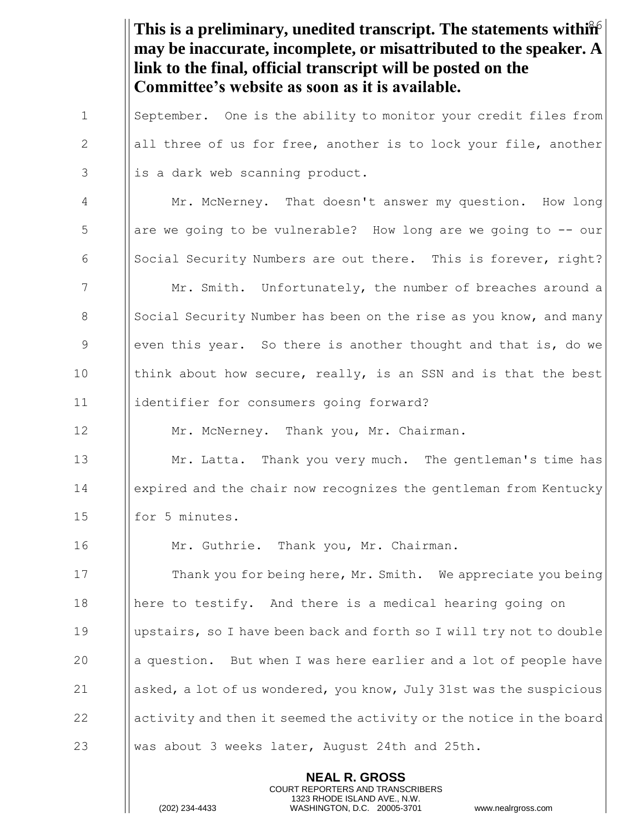This is a preliminary, unedited transcript. The statements within  $\hat{\mathbf{h}}$ **may be inaccurate, incomplete, or misattributed to the speaker. A link to the final, official transcript will be posted on the Committee's website as soon as it is available.** 1 | September. One is the ability to monitor your credit files from 2 all three of us for free, another is to lock your file, another

 $3$  || is a dark web scanning product.

4 Mr. McNerney. That doesn't answer my question. How long 5 are we going to be vulnerable? How long are we going to -- our 6  $\|\$  Social Security Numbers are out there. This is forever, right? 7 | Mr. Smith. Unfortunately, the number of breaches around a 8 Social Security Number has been on the rise as you know, and many 9 Supermenthis year. So there is another thought and that is, do we 10 In think about how secure, really, is an SSN and is that the best 11 identifier for consumers going forward?

12 | Mr. McNerney. Thank you, Mr. Chairman.

13 **Mr. Latta.** Thank you very much. The gentleman's time has 14 **expired and the chair now recognizes the gentleman from Kentucky** 15 || for 5 minutes.

16 | Mr. Guthrie. Thank you, Mr. Chairman.

**Thank you for being here, Mr. Smith.** We appreciate you being 18 | here to testify. And there is a medical hearing going on upstairs, so I have been back and forth so I will try not to double  $\parallel$  a question. But when I was here earlier and a lot of people have  $\|\$ asked, a lot of us wondered, you know, July 31st was the suspicious activity and then it seemed the activity or the notice in the board 23 Was about 3 weeks later, August 24th and 25th.

> **NEAL R. GROSS** COURT REPORTERS AND TRANSCRIBERS 1323 RHODE ISLAND AVE., N.W.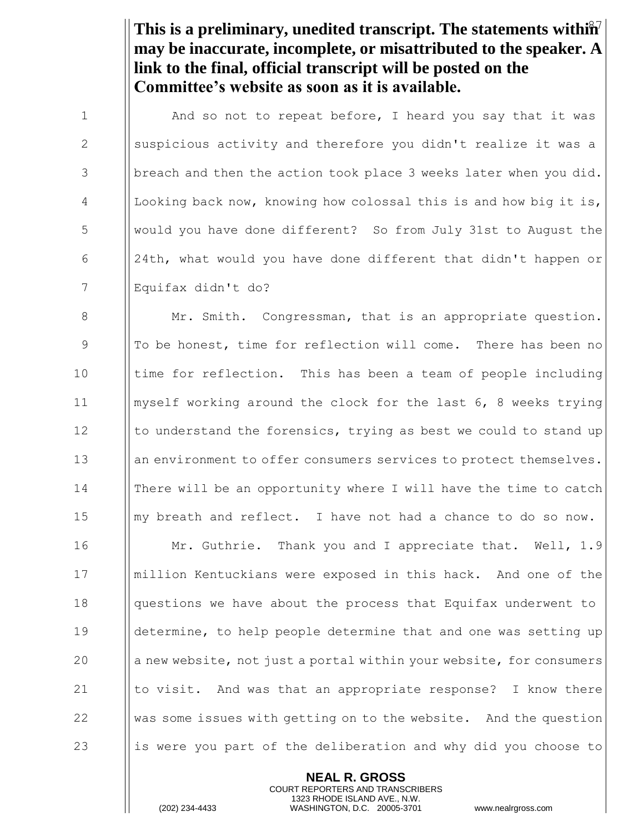This is a preliminary, unedited transcript. The statements within<sup>7</sup> **may be inaccurate, incomplete, or misattributed to the speaker. A link to the final, official transcript will be posted on the Committee's website as soon as it is available.**

1 | And so not to repeat before, I heard you say that it was 2 Suspicious activity and therefore you didn't realize it was a 3 | breach and then the action took place 3 weeks later when you did. 4 | Looking back now, knowing how colossal this is and how big it is, 5 would you have done different? So from July 31st to August the 6  $\parallel$  24th, what would you have done different that didn't happen or 7 Equifax didn't do?

**Mr.** Smith. Congressman, that is an appropriate question. 9 || To be honest, time for reflection will come. There has been no 10 Itime for reflection. This has been a team of people including myself working around the clock for the last 6, 8 weeks trying  $\parallel$  to understand the forensics, trying as best we could to stand up 13 an environment to offer consumers services to protect themselves. There will be an opportunity where I will have the time to catch ||my breath and reflect. I have not had a chance to do so now. **Mr. Guthrie.** Thank you and I appreciate that. Well, 1.9 million Kentuckians were exposed in this hack. And one of the **questions we have about the process that Equifax underwent to**  determine, to help people determine that and one was setting up || a new website, not just a portal within your website, for consumers  $\parallel$  to visit. And was that an appropriate response? I know there  $\parallel$  was some issues with getting on to the website. And the question 23 is let is were you part of the deliberation and why did you choose to

> **NEAL R. GROSS** COURT REPORTERS AND TRANSCRIBERS 1323 RHODE ISLAND AVE., N.W.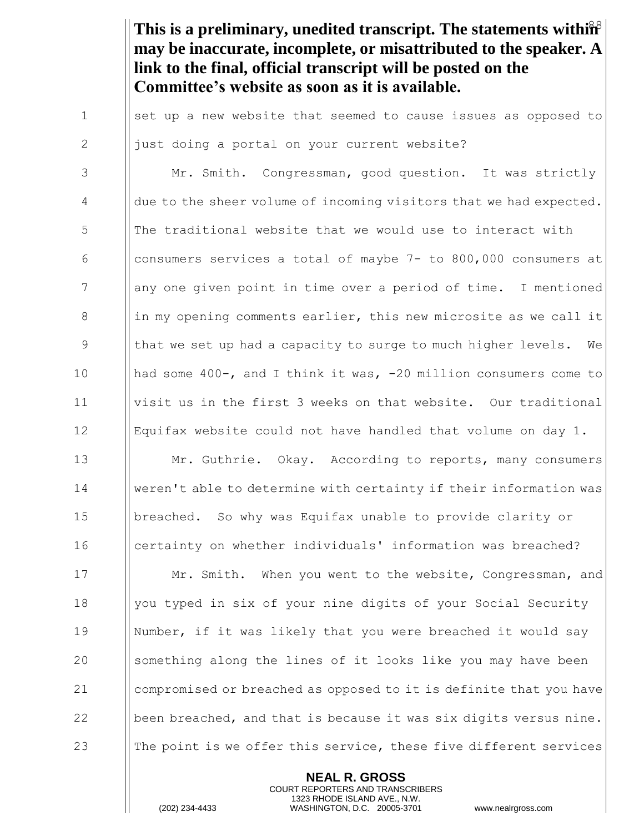This is a preliminary, unedited transcript. The statements within<sup>38</sup> **may be inaccurate, incomplete, or misattributed to the speaker. A link to the final, official transcript will be posted on the Committee's website as soon as it is available.**

1 | set up a new website that seemed to cause issues as opposed to 2  $\parallel$  just doing a portal on your current website?

3 | Mr. Smith. Congressman, good question. It was strictly  $\parallel$  due to the sheer volume of incoming visitors that we had expected. **The follumizational website that we would use to interact with** 6 | consumers services a total of maybe  $7-$  to 800,000 consumers at 7 any one given point in time over a period of time. I mentioned ||in my opening comments earlier, this new microsite as we call it 9 In that we set up had a capacity to surge to much higher levels. We had some 400-, and I think it was, -20 million consumers come to visit us in the first 3 weeks on that website. Our traditional Equifax website could not have handled that volume on day 1.  $\parallel$  Mr. Guthrie. Okay. According to reports, many consumers weren't able to determine with certainty if their information was breached. So why was Equifax unable to provide clarity or certainty on whether individuals' information was breached? **Mr.** Smith. When you went to the website, Congressman, and 18 | you typed in six of your nine digits of your Social Security Number, if it was likely that you were breached it would say 20 Something along the lines of it looks like you may have been compromised or breached as opposed to it is definite that you have  $\|\$  been breached, and that is because it was six digits versus nine.  $\parallel$  The point is we offer this service, these five different services

> **NEAL R. GROSS** COURT REPORTERS AND TRANSCRIBERS 1323 RHODE ISLAND AVE., N.W.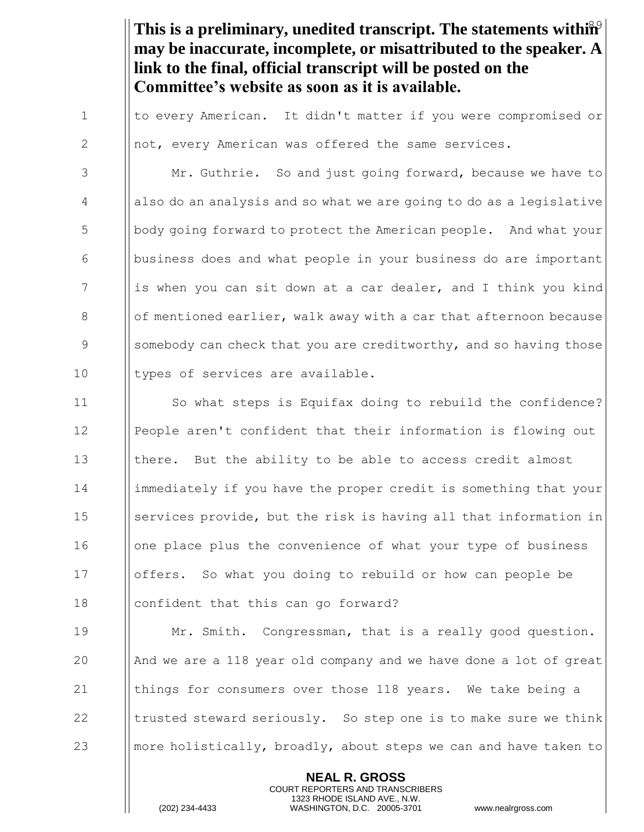This is a preliminary, unedited transcript. The statements within<sup>9</sup> **may be inaccurate, incomplete, or misattributed to the speaker. A link to the final, official transcript will be posted on the Committee's website as soon as it is available.**

1 I to every American. It didn't matter if you were compromised or 2  $\parallel$  not, every American was offered the same services.

3 | Mr. Guthrie. So and just going forward, because we have to 4 also do an analysis and so what we are going to do as a legislative 5 body going forward to protect the American people. And what your 6 business does and what people in your business do are important 7 is when you can sit down at a car dealer, and I think you kind 8  $\|\circ\|$  of mentioned earlier, walk away with a car that afternoon because 9 Sumebody can check that you are creditworthy, and so having those 10 | types of services are available.

11 So what steps is Equifax doing to rebuild the confidence? 12 | People aren't confident that their information is flowing out 13 Ithere. But the ability to be able to access credit almost 14 immediately if you have the proper credit is something that your 15 Services provide, but the risk is having all that information in 16 | | one place plus the convenience of what your type of business 17 offers. So what you doing to rebuild or how can people be 18 **confident that this can go forward?** 

 Mr. Smith. Congressman, that is a really good question.  $\parallel$  And we are a 118 year old company and we have done a lot of great  $\parallel$  things for consumers over those 118 years. We take being a  $\parallel$  trusted steward seriously. So step one is to make sure we think **more holistically, broadly, about steps we can and have taken to** 

> **NEAL R. GROSS** COURT REPORTERS AND TRANSCRIBERS 1323 RHODE ISLAND AVE., N.W.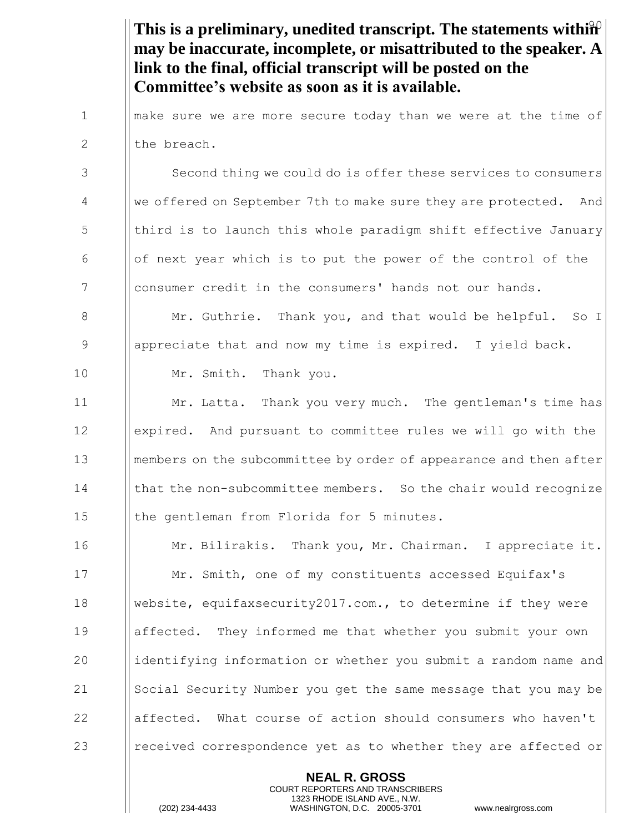This is a preliminary, unedited transcript. The statements within<sup>2</sup> **may be inaccurate, incomplete, or misattributed to the speaker. A link to the final, official transcript will be posted on the Committee's website as soon as it is available.**

1 I make sure we are more secure today than we were at the time of 2 Ithe breach.

3 Second thing we could do is offer these services to consumers 4 We offered on September 7th to make sure they are protected. And 5 In third is to launch this whole paradigm shift effective January  $\begin{array}{c|c|c|c|c|c} \hline \text{6} & \text{of} & \text{next} \text{.} \end{array}$  which is to put the power of the control of the 7 | consumer credit in the consumers' hands not our hands.

8 **Mr.** Guthrie. Thank you, and that would be helpful. So I 9 appreciate that and now my time is expired. I yield back. 10 Mr. Smith. Thank you.

11 Mr. Latta. Thank you very much. The gentleman's time has 12 expired. And pursuant to committee rules we will go with the 13 **I** members on the subcommittee by order of appearance and then after 14 I | that the non-subcommittee members. So the chair would recognize 15 | the gentleman from Florida for 5 minutes.

**Mr. Bilirakis.** Thank you, Mr. Chairman. I appreciate it. **Mr.** Smith, one of my constituents accessed Equifax's website, equifaxsecurity2017.com., to determine if they were affected. They informed me that whether you submit your own 20 identifying information or whether you submit a random name and 21 Social Security Number you get the same message that you may be 22 affected. What course of action should consumers who haven't **I** received correspondence yet as to whether they are affected or

> **NEAL R. GROSS** COURT REPORTERS AND TRANSCRIBERS 1323 RHODE ISLAND AVE., N.W.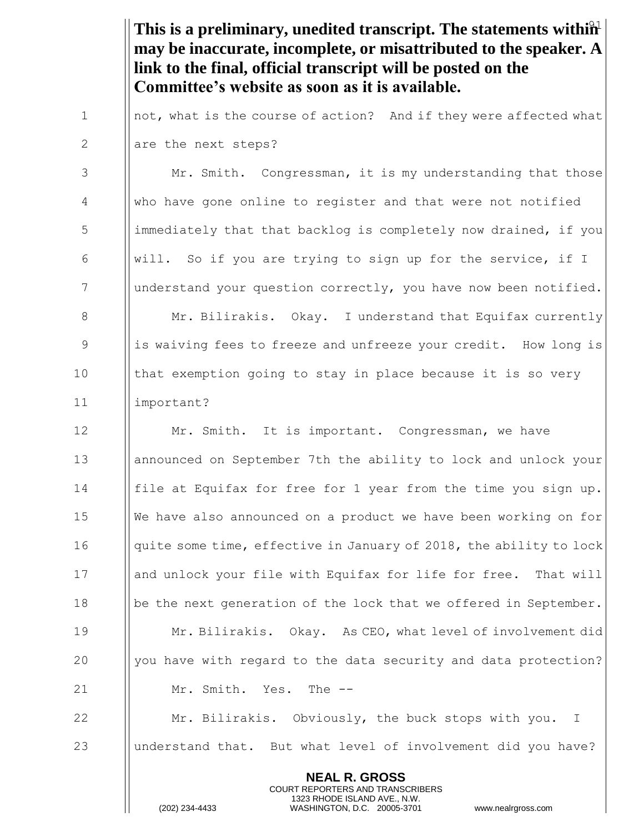This is a preliminary, unedited transcript. The statements within<sup>2</sup> **may be inaccurate, incomplete, or misattributed to the speaker. A link to the final, official transcript will be posted on the Committee's website as soon as it is available.**

1  $\parallel$  not, what is the course of action? And if they were affected what  $2$  || are the next steps?

3 | Mr. Smith. Congressman, it is my understanding that those 4 | Who have gone online to register and that were not notified 5 immediately that that backlog is completely now drained, if you 6 | will. So if you are trying to sign up for the service, if I 7 | understand your question correctly, you have now been notified. 8 Mr. Bilirakis. Okay. I understand that Equifax currently 9 is waiving fees to freeze and unfreeze your credit. How long is 10 Ithat exemption going to stay in place because it is so very 11 important?

**Mr.** Smith. It is important. Congressman, we have **a** announced on September 7th the ability to lock and unlock your file at Equifax for free for 1 year from the time you sign up. 15 | We have also announced on a product we have been working on for  $\parallel$  quite some time, effective in January of 2018, the ability to lock 17 and unlock your file with Equifax for life for free. That will be the next generation of the lock that we offered in September. **Mr. Bilirakis.** Okay. As CEO, what level of involvement did  $\parallel$  you have with regard to the data security and data protection? 21 | Mr. Smith. Yes. The --**Mr. Bilirakis.** Obviously, the buck stops with you. I

23 Uunderstand that. But what level of involvement did you have?

**NEAL R. GROSS** COURT REPORTERS AND TRANSCRIBERS 1323 RHODE ISLAND AVE., N.W.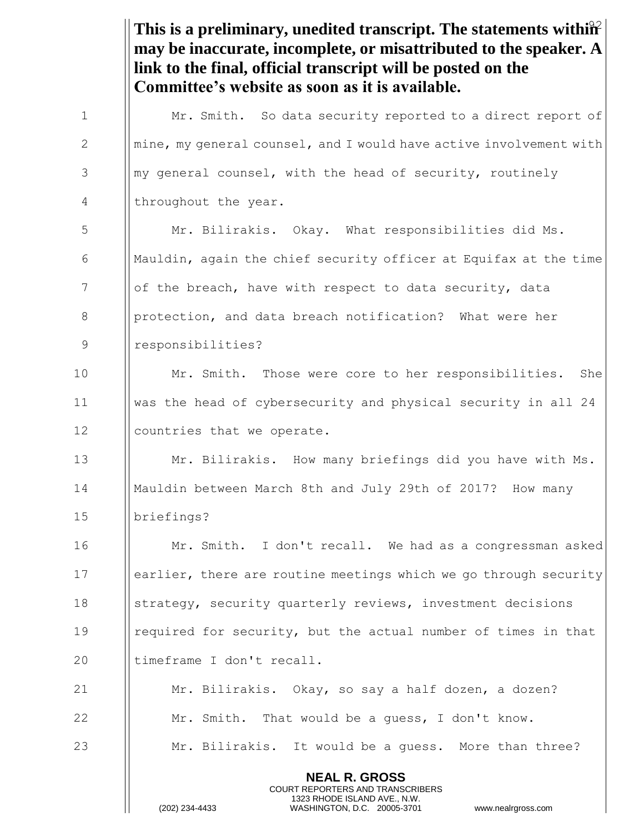This is a preliminary, unedited transcript. The statements within<sup>2</sup> **may be inaccurate, incomplete, or misattributed to the speaker. A link to the final, official transcript will be posted on the Committee's website as soon as it is available.** 1 | Mr. Smith. So data security reported to a direct report of  $2 \t\t \parallel mine$ , my general counsel, and I would have active involvement with  $3$  ||my general counsel, with the head of security, routinely 4 | throughout the year. 5 | Mr. Bilirakis. Okay. What responsibilities did Ms. 6  $\blacksquare$  Mauldin, again the chief security officer at Equifax at the time 7 Iof the breach, have with respect to data security, data 8 **protection, and data breach notification?** What were her 9 responsibilities? 10 || Mr. Smith. Those were core to her responsibilities. She 11 was the head of cybersecurity and physical security in all 24 12 | countries that we operate. 13  $\parallel$  Mr. Bilirakis. How many briefings did you have with Ms. 14 Mauldin between March 8th and July 29th of 2017? How many 15 briefings? 16 | Mr. Smith. I don't recall. We had as a congressman asked 17 earlier, there are routine meetings which we go through security 18 Strategy, security quarterly reviews, investment decisions 19 I required for security, but the actual number of times in that 20 Iltimeframe I don't recall.

21 | Mr. Bilirakis. Okay, so say a half dozen, a dozen? 22  $\parallel$  Mr. Smith. That would be a quess, I don't know. 23 | Mr. Bilirakis. It would be a quess. More than three?

> **NEAL R. GROSS** COURT REPORTERS AND TRANSCRIBERS 1323 RHODE ISLAND AVE., N.W.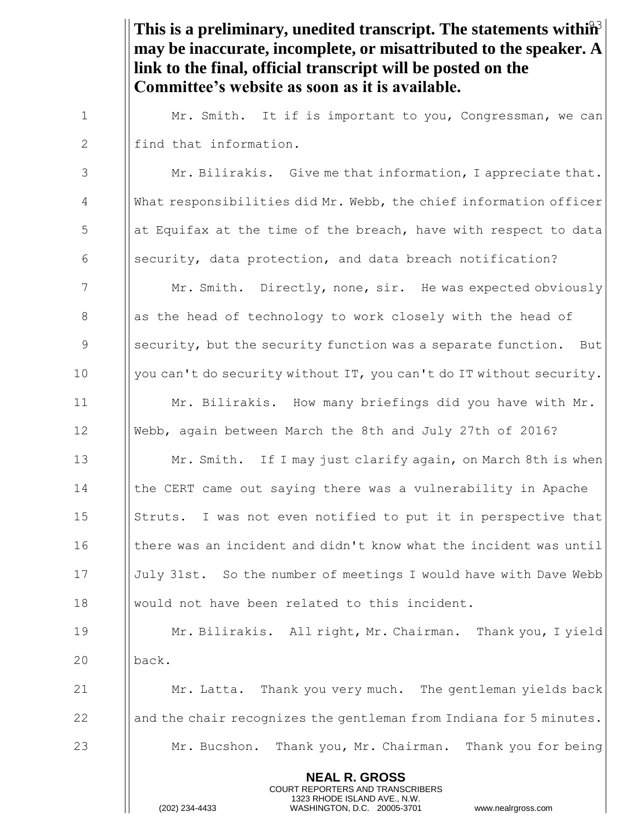This is a preliminary, unedited transcript. The statements within<sup>3</sup> **may be inaccurate, incomplete, or misattributed to the speaker. A link to the final, official transcript will be posted on the Committee's website as soon as it is available.**

1 | Mr. Smith. It if is important to you, Congressman, we can 2 | find that information.

3 | Mr. Bilirakis. Give me that information, I appreciate that. 4 What responsibilities did Mr. Webb, the chief information officer  $\frac{1}{2}$  5 at Equifax at the time of the breach, have with respect to data  $\begin{array}{c|c} 6 & \text{|} \text{security, data protection, and data breach notification?} \end{array}$ 7 Mr. Smith. Directly, none, sir. He was expected obviously  $8$  || as the head of technology to work closely with the head of

9 Security, but the security function was a separate function. But 10 | you can't do security without IT, you can't do IT without security. 11 Mr. Bilirakis. How many briefings did you have with Mr.

12 Webb, again between March the 8th and July 27th of 2016?

**Mr. Smith.** If I may just clarify again, on March 8th is when the CERT came out saying there was a vulnerability in Apache 15 Struts. I was not even notified to put it in perspective that 16 I there was an incident and didn't know what the incident was until **Iuly 31st.** So the number of meetings I would have with Dave Webb would not have been related to this incident.

19 Mr. Bilirakis. All right, Mr. Chairman. Thank you, I yield 20 back.

21  $\parallel$  Mr. Latta. Thank you very much. The gentleman yields back 22  $\parallel$  and the chair recognizes the gentleman from Indiana for 5 minutes. 23 Mr. Bucshon. Thank you, Mr. Chairman. Thank you for being

> **NEAL R. GROSS** COURT REPORTERS AND TRANSCRIBERS 1323 RHODE ISLAND AVE., N.W.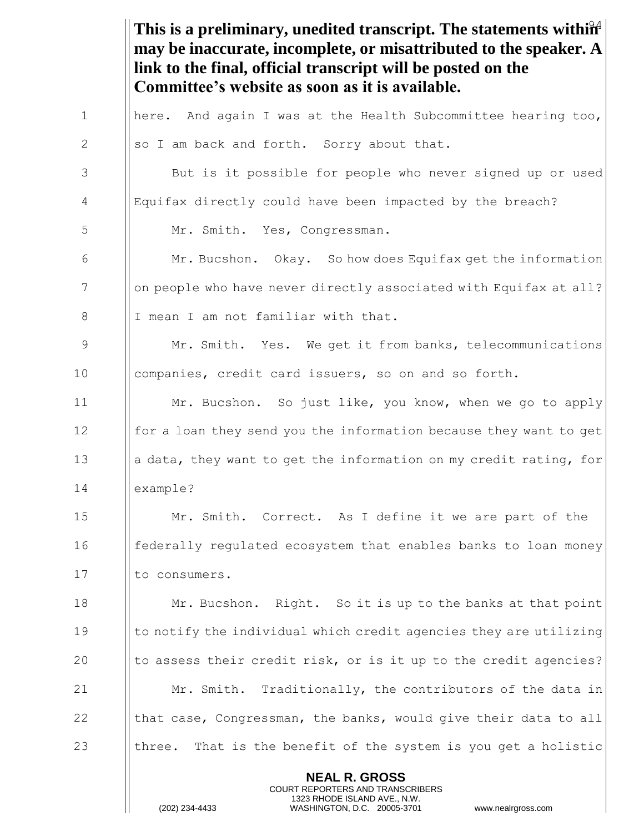This is a preliminary, unedited transcript. The statements within<sup>24</sup> **NEAL R. GROSS** COURT REPORTERS AND TRANSCRIBERS 1323 RHODE ISLAND AVE., N.W. **may be inaccurate, incomplete, or misattributed to the speaker. A link to the final, official transcript will be posted on the Committee's website as soon as it is available.** 1  $\parallel$  here. And again I was at the Health Subcommittee hearing too, 2  $\|\text{so I am back and forth.}$  Sorry about that. 3 | But is it possible for people who never signed up or used 4 Equifax directly could have been impacted by the breach? 5 | Mr. Smith. Yes, Congressman. 6 Mr. Bucshon. Okay. So how does Equifax get the information 7 | | on people who have never directly associated with Equifax at all? 8 | I mean I am not familiar with that. 9 Mr. Smith. Yes. We get it from banks, telecommunications 10 **companies, credit card issuers, so on and so forth.** 11 | Mr. Bucshon. So just like, you know, when we go to apply 12 **for a loan they send you the information because they want to get** 13 a data, they want to get the information on my credit rating, for 14 example? 15 Mr. Smith. Correct. As I define it we are part of the 16 **Federally regulated ecosystem that enables banks to loan money** 17 Il to consumers. 18 **Mr. Bucshon.** Right. So it is up to the banks at that point 19 Ito notify the individual which credit agencies they are utilizing 20  $\vert\vert$  to assess their credit risk, or is it up to the credit agencies? 21  $\parallel$  Mr. Smith. Traditionally, the contributors of the data in 22  $\parallel$  that case, Congressman, the banks, would give their data to all 23  $\parallel$  three. That is the benefit of the system is you get a holistic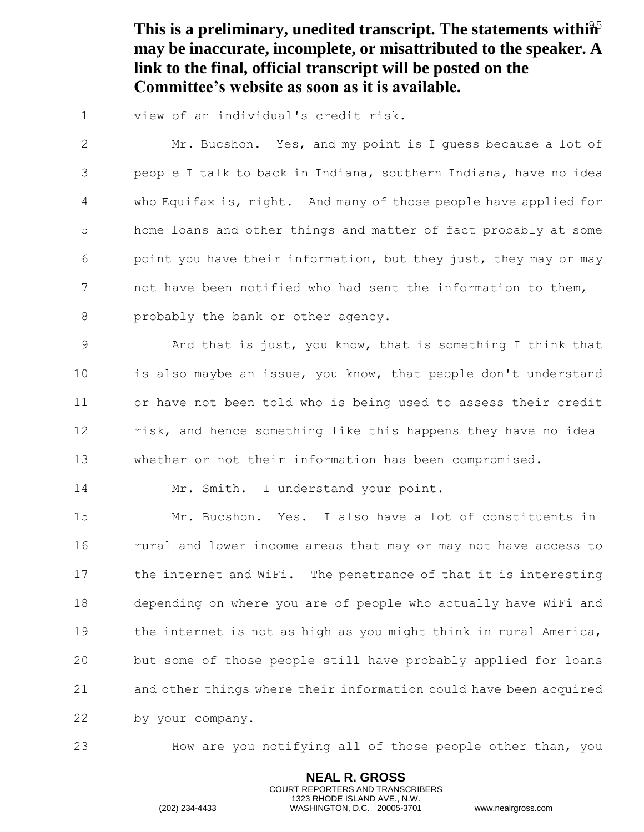This is a preliminary, unedited transcript. The statements within<sup>5</sup> **may be inaccurate, incomplete, or misattributed to the speaker. A link to the final, official transcript will be posted on the Committee's website as soon as it is available.**

1 | view of an individual's credit risk.

2 | Mr. Bucshon. Yes, and my point is I quess because a lot of  $3$  || people I talk to back in Indiana, southern Indiana, have no idea 4 who Equifax is, right. And many of those people have applied for 5 home loans and other things and matter of fact probably at some 6 | point you have their information, but they just, they may or may 7 || not have been notified who had sent the information to them,  $8$  || probably the bank or other agency.

9 And that is just, you know, that is something I think that 10 is also maybe an issue, you know, that people don't understand 11 | | | | or have not been told who is being used to assess their credit 12 I risk, and hence something like this happens they have no idea 13 whether or not their information has been compromised.

14 | Mr. Smith. I understand your point.

15 Mr. Bucshon. Yes. I also have a lot of constituents in 16 I rural and lower income areas that may or may not have access to 17 Ithe internet and WiFi. The penetrance of that it is interesting 18 depending on where you are of people who actually have WiFi and 19  $\parallel$  the internet is not as high as you might think in rural America, 20 but some of those people still have probably applied for loans 21 and other things where their information could have been acquired 22 | by your company.

23 H How are you notifying all of those people other than, you

**NEAL R. GROSS** COURT REPORTERS AND TRANSCRIBERS 1323 RHODE ISLAND AVE., N.W.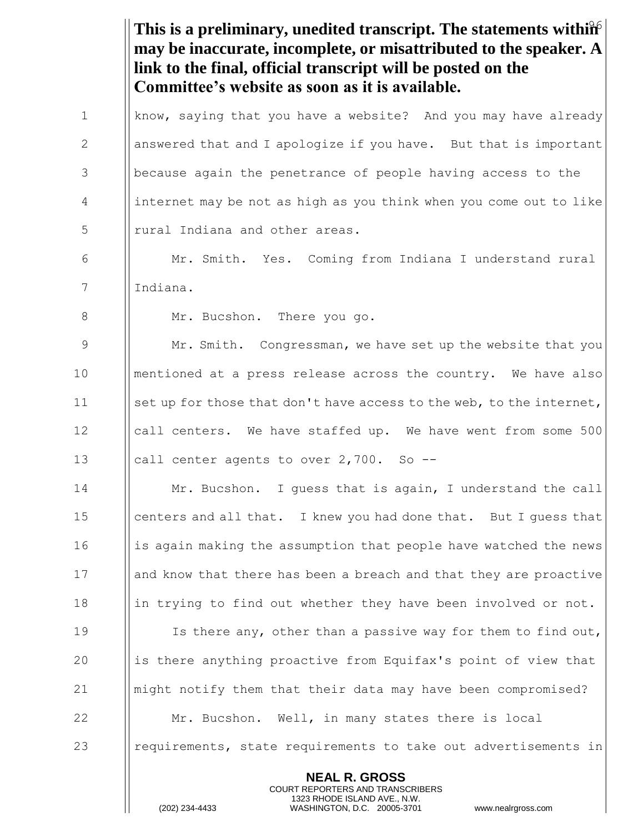This is a preliminary, unedited transcript. The statements within **NEAL R. GROSS** COURT REPORTERS AND TRANSCRIBERS **may be inaccurate, incomplete, or misattributed to the speaker. A link to the final, official transcript will be posted on the Committee's website as soon as it is available.** 1 | know, saying that you have a website? And you may have already 2  $\parallel$  answered that and I apologize if you have. But that is important 3 **because again the penetrance of people having access to the** 4 internet may be not as high as you think when you come out to like 5 || rural Indiana and other areas. 6 Mr. Smith. Yes. Coming from Indiana I understand rural 7 | Indiana. 8 | Mr. Bucshon. There you go. 9 Mr. Smith. Congressman, we have set up the website that you 10 mentioned at a press release across the country. We have also 11 Set up for those that don't have access to the web, to the internet, 12 Icall centers. We have staffed up. We have went from some 500 13  $\parallel$  call center agents to over 2,700. So --14 **Mr.** Bucshon. I guess that is again, I understand the call 15 **centers and all that.** I knew you had done that. But I guess that  $16$  || is again making the assumption that people have watched the news 17 and know that there has been a breach and that they are proactive 18 in trying to find out whether they have been involved or not. 19 **I** Is there any, other than a passive way for them to find out, 20 is there anything proactive from Equifax's point of view that 21 might notify them that their data may have been compromised? 22 | Mr. Bucshon. Well, in many states there is local 23 **e** requirements, state requirements to take out advertisements in

1323 RHODE ISLAND AVE., N.W.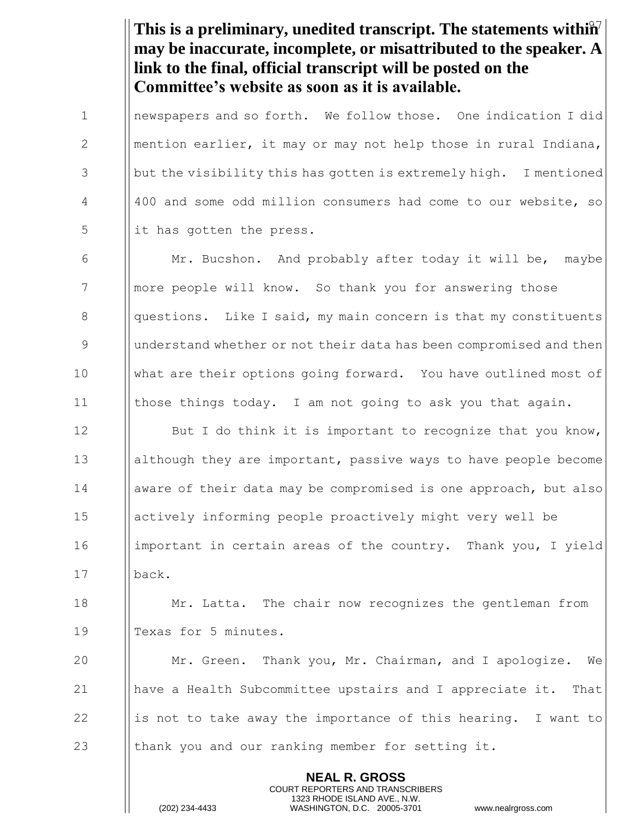This is a preliminary, unedited transcript. The statements within<sup>7</sup> **may be inaccurate, incomplete, or misattributed to the speaker. A link to the final, official transcript will be posted on the Committee's website as soon as it is available.**

1 | newspapers and so forth. We follow those. One indication I did 2 | mention earlier, it may or may not help those in rural Indiana, 3 | but the visibility this has gotten is extremely high. I mentioned 4 ||400 and some odd million consumers had come to our website, so  $\frac{1}{1}$  it has gotten the press.

6  $\parallel$  Mr. Bucshon. And probably after today it will be, maybe 7 | | more people will know. So thank you for answering those  $8$  || questions. Like I said, my main concern is that my constituents 9 9 || understand whether or not their data has been compromised and then 10 What are their options going forward. You have outlined most of 11 those things today. I am not going to ask you that again.

**I** But I do think it is important to recognize that you know, although they are important, passive ways to have people become **a** | aware of their data may be compromised is one approach, but also actively informing people proactively might very well be important in certain areas of the country. Thank you, I yield 17 back.

18 **Mr. Latta.** The chair now recognizes the gentleman from 19 || Texas for 5 minutes.

 Mr. Green. Thank you, Mr. Chairman, and I apologize. We have a Health Subcommittee upstairs and I appreciate it. That 22 is not to take away the importance of this hearing. I want to  $\parallel$  thank you and our ranking member for setting it.

> **NEAL R. GROSS** COURT REPORTERS AND TRANSCRIBERS 1323 RHODE ISLAND AVE., N.W.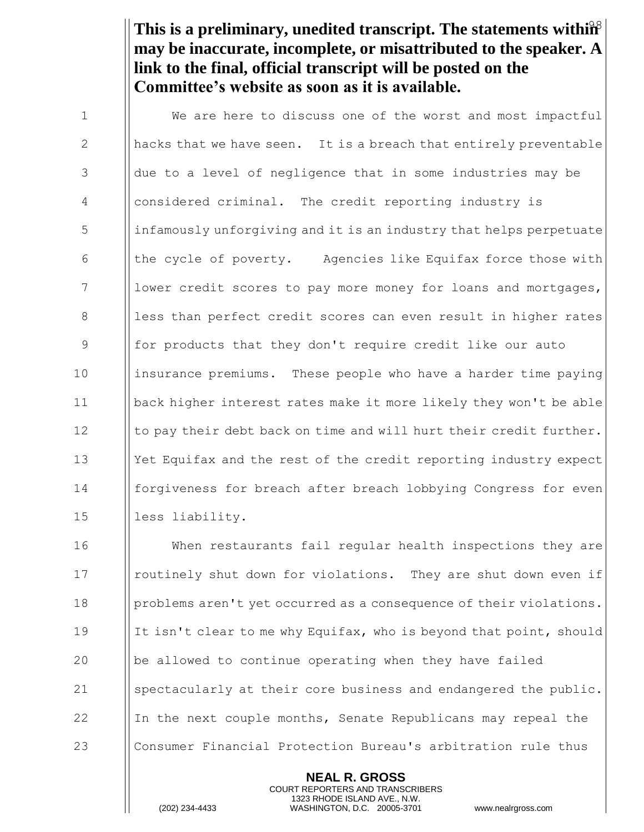This is a preliminary, unedited transcript. The statements within<sup>8</sup> **may be inaccurate, incomplete, or misattributed to the speaker. A link to the final, official transcript will be posted on the Committee's website as soon as it is available.**

1 | We are here to discuss one of the worst and most impactful 2  $\|\$  hacks that we have seen. It is a breach that entirely preventable  $3$  || due to a level of negligence that in some industries may be 4 considered criminal. The credit reporting industry is 5 infamously unforgiving and it is an industry that helps perpetuate 6  $\blacksquare$  the cycle of poverty. Agencies like Equifax force those with 7 lower credit scores to pay more money for loans and mortgages, 8 less than perfect credit scores can even result in higher rates 9 for products that they don't require credit like our auto 10 | insurance premiums. These people who have a harder time paying 11 back higher interest rates make it more likely they won't be able  $12$  || to pay their debt back on time and will hurt their credit further. 13 | Yet Equifax and the rest of the credit reporting industry expect 14 forgiveness for breach after breach lobbying Congress for even 15 || less liability.

16 When restaurants fail regular health inspections they are 17 I routinely shut down for violations. They are shut down even if 18 problems aren't yet occurred as a consequence of their violations. 19 It isn't clear to me why Equifax, who is beyond that point, should 20  $\|\$ be allowed to continue operating when they have failed 21 spectacularly at their core business and endangered the public. 22  $\parallel$  In the next couple months, Senate Republicans may repeal the 23 Consumer Financial Protection Bureau's arbitration rule thus

> **NEAL R. GROSS** COURT REPORTERS AND TRANSCRIBERS 1323 RHODE ISLAND AVE., N.W.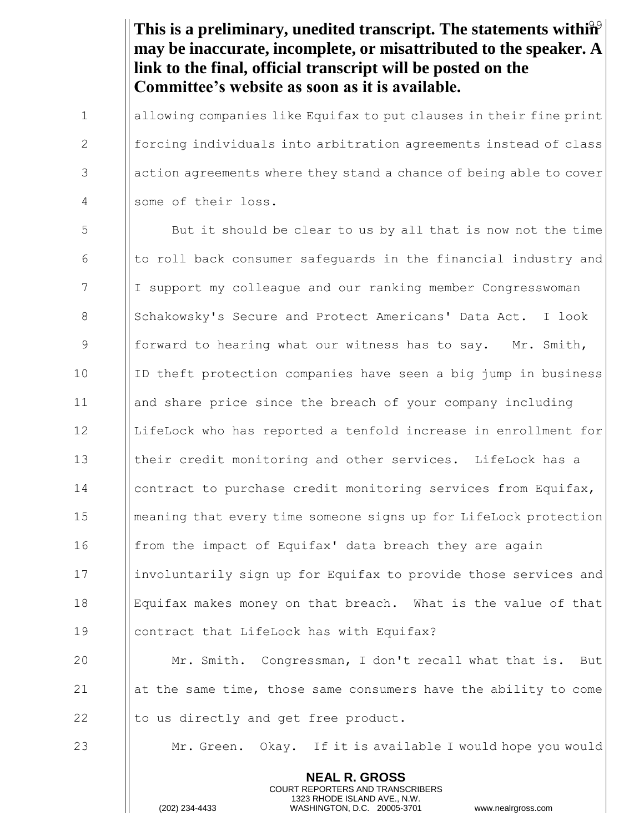This is a preliminary, unedited transcript. The statements within<sup>9</sup> **may be inaccurate, incomplete, or misattributed to the speaker. A link to the final, official transcript will be posted on the Committee's website as soon as it is available.**

1 allowing companies like Equifax to put clauses in their fine print 2 forcing individuals into arbitration agreements instead of class 3 action agreements where they stand a chance of being able to cover 4 some of their loss.

 But it should be clear to us by all that is now not the time  $\begin{array}{c|c|c|c|c|c} \hline \text{6} & \text{of} & \text{of} \\ \hline \text{6} & \text{of} & \text{of} \\ \hline \end{array}$  to roll back consumer safeguards in the financial industry and 7 I I support my colleague and our ranking member Congresswoman 8 Schakowsky's Secure and Protect Americans' Data Act. I look **Formall** forward to hearing what our witness has to say. Mr. Smith, 10 ID theft protection companies have seen a big jump in business and share price since the breach of your company including LifeLock who has reported a tenfold increase in enrollment for 13 Itheir credit monitoring and other services. LifeLock has a **contract to purchase credit monitoring services from Equifax,**  meaning that every time someone signs up for LifeLock protection **from the impact of Equifax' data breach they are again**  involuntarily sign up for Equifax to provide those services and Equifax makes money on that breach. What is the value of that contract that LifeLock has with Equifax?

20 Mr. Smith. Congressman, I don't recall what that is. But 21 at the same time, those same consumers have the ability to come 22  $\parallel$  to us directly and get free product.

23 Mr. Green. Okay. If it is available I would hope you would

**NEAL R. GROSS** COURT REPORTERS AND TRANSCRIBERS 1323 RHODE ISLAND AVE., N.W.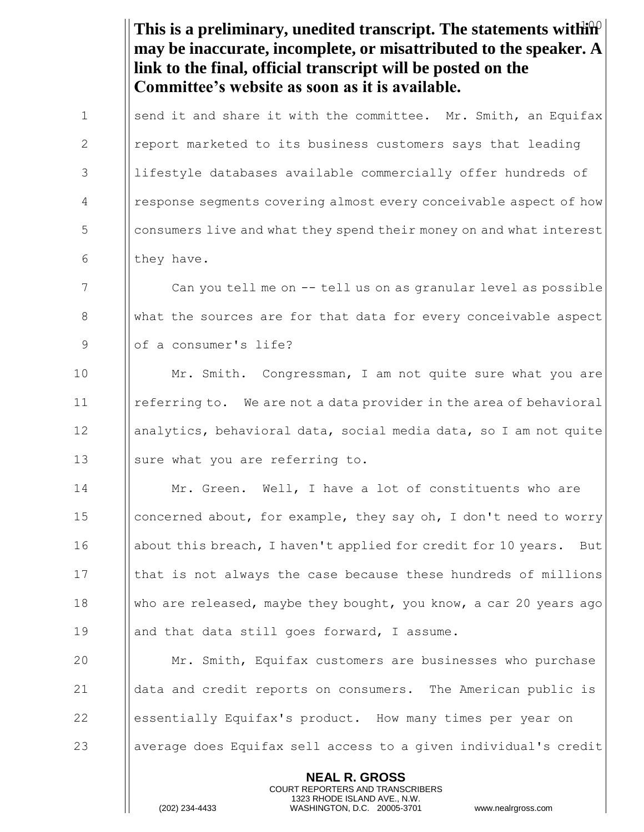|              | This is a preliminary, unedited transcript. The statements with $\hat{w}$<br>may be inaccurate, incomplete, or misattributed to the speaker. A<br>link to the final, official transcript will be posted on the<br>Committee's website as soon as it is available. |
|--------------|-------------------------------------------------------------------------------------------------------------------------------------------------------------------------------------------------------------------------------------------------------------------|
| $\mathbf{1}$ | send it and share it with the committee. Mr. Smith, an Equifax                                                                                                                                                                                                    |
| 2            | report marketed to its business customers says that leading                                                                                                                                                                                                       |
| 3            | lifestyle databases available commercially offer hundreds of                                                                                                                                                                                                      |
| 4            | response segments covering almost every conceivable aspect of how                                                                                                                                                                                                 |
| 5            | consumers live and what they spend their money on and what interest                                                                                                                                                                                               |
| 6            | they have.                                                                                                                                                                                                                                                        |
| 7            | Can you tell me on -- tell us on as granular level as possible                                                                                                                                                                                                    |
| 8            | what the sources are for that data for every conceivable aspect                                                                                                                                                                                                   |
| 9            | of a consumer's life?                                                                                                                                                                                                                                             |
| 10           | Mr. Smith. Congressman, I am not quite sure what you are                                                                                                                                                                                                          |
| 11           | referring to. We are not a data provider in the area of behavioral                                                                                                                                                                                                |
| 12           | analytics, behavioral data, social media data, so I am not quite                                                                                                                                                                                                  |
| 13           | sure what you are referring to.                                                                                                                                                                                                                                   |
| 14           | Mr. Green. Well, I have a lot of constituents who are                                                                                                                                                                                                             |
| 15           | concerned about, for example, they say oh, I don't need to worry                                                                                                                                                                                                  |
| 16           | about this breach, I haven't applied for credit for 10 years. But                                                                                                                                                                                                 |
| 17           | that is not always the case because these hundreds of millions                                                                                                                                                                                                    |
| 18           | who are released, maybe they bought, you know, a car 20 years ago                                                                                                                                                                                                 |
| 19           | and that data still goes forward, I assume.                                                                                                                                                                                                                       |
| 20           | Mr. Smith, Equifax customers are businesses who purchase                                                                                                                                                                                                          |
| 21           | data and credit reports on consumers. The American public is                                                                                                                                                                                                      |
| 22           | essentially Equifax's product. How many times per year on                                                                                                                                                                                                         |
| 23           | average does Equifax sell access to a given individual's credit                                                                                                                                                                                                   |
|              | <b>NEAL R. GROSS</b><br>COURT REPORTERS AND TRANSCRIBERS<br>1323 RHODE ISLAND AVE., N.W.<br>(202) 234-4433<br>WASHINGTON, D.C. 20005-3701<br>www.nealrgross.com                                                                                                   |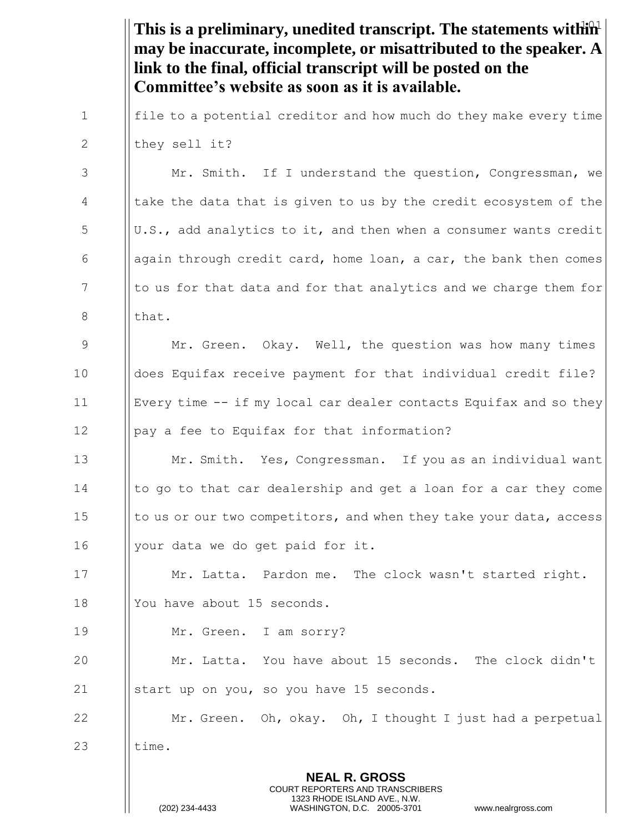This is a preliminary, unedited transcript. The statements within<sup>1</sup> **may be inaccurate, incomplete, or misattributed to the speaker. A link to the final, official transcript will be posted on the Committee's website as soon as it is available.**

1 **file to a potential creditor and how much do they make every time** 2  $\parallel$  they sell it?

3 | Mr. Smith. If I understand the question, Congressman, we  $4$  | take the data that is given to us by the credit ecosystem of the  $\begin{bmatrix} 5 \end{bmatrix}$  U.S., add analytics to it, and then when a consumer wants credit 6  $\Box$  again through credit card, home loan, a car, the bank then comes  $7$  || to us for that data and for that analytics and we charge them for  $8 \t\t \t l$  that.

9 | Mr. Green. Okay. Well, the question was how many times does Equifax receive payment for that individual credit file? Every time -- if my local car dealer contacts Equifax and so they pay a fee to Equifax for that information?

13 Mr. Smith. Yes, Congressman. If you as an individual want 14 I | to go to that car dealership and get a loan for a car they come 15 | to us or our two competitors, and when they take your data, access 16 | your data we do get paid for it.

17 | Mr. Latta. Pardon me. The clock wasn't started right. 18 || You have about 15 seconds.

19 | Mr. Green. I am sorry?

20 Mr. Latta. You have about 15 seconds. The clock didn't 21  $\parallel$  start up on you, so you have 15 seconds.

22  $\parallel$  Mr. Green. Oh, okay. Oh, I thought I just had a perpetual 23  $\parallel$  time.

> **NEAL R. GROSS** COURT REPORTERS AND TRANSCRIBERS 1323 RHODE ISLAND AVE., N.W.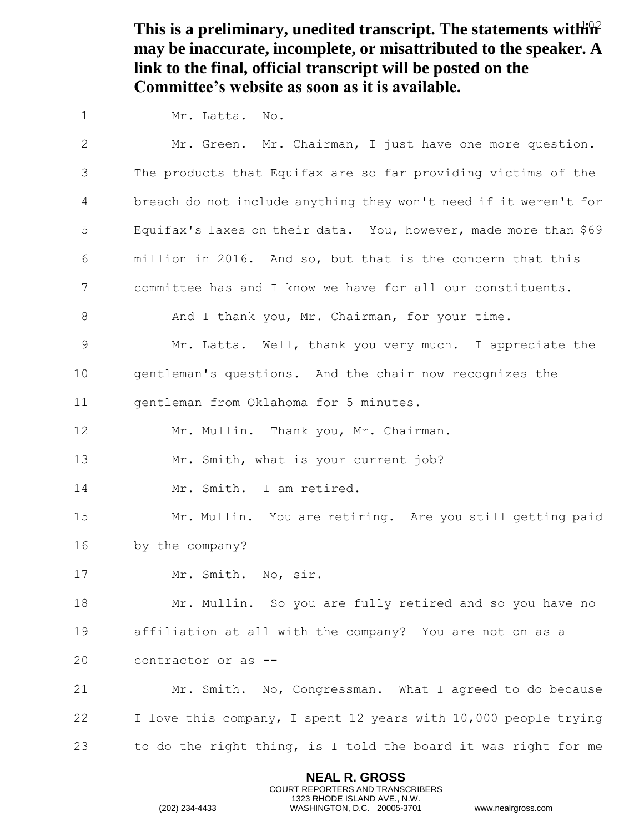This is a preliminary, unedited transcript. The statements within<sup>2</sup> **may be inaccurate, incomplete, or misattributed to the speaker. A link to the final, official transcript will be posted on the Committee's website as soon as it is available.**

1 | Mr. Latta. No.

**NEAL R. GROSS** COURT REPORTERS AND TRANSCRIBERS 1323 RHODE ISLAND AVE., N.W. (202) 234-4433 WASHINGTON, D.C. 20005-3701 www.nealrgross.com 2 | Mr. Green. Mr. Chairman, I just have one more question. 3 | The products that Equifax are so far providing victims of the 4 breach do not include anything they won't need if it weren't for 5 Equifax's laxes on their data. You, however, made more than \$69 6 **Inillion in 2016.** And so, but that is the concern that this 7 | committee has and I know we have for all our constituents. 8 **And I thank you, Mr. Chairman, for your time.** 9 Mr. Latta. Well, thank you very much. I appreciate the 10 **gentleman's questions.** And the chair now recognizes the 11 **I** gentleman from Oklahoma for 5 minutes. 12 | Mr. Mullin. Thank you, Mr. Chairman. 13 **Mr.** Smith, what is your current job? 14 Mr. Smith. I am retired. 15 | Mr. Mullin. You are retiring. Are you still getting paid 16 | by the company? 17 | Mr. Smith. No, sir. 18 **Mr. Mullin.** So you are fully retired and so you have no 19 affiliation at all with the company? You are not on as a 20 **contractor or as --**21 Mr. Smith. No, Congressman. What I agreed to do because 22  $\parallel$  I love this company, I spent 12 years with 10,000 people trying 23 to do the right thing, is I told the board it was right for me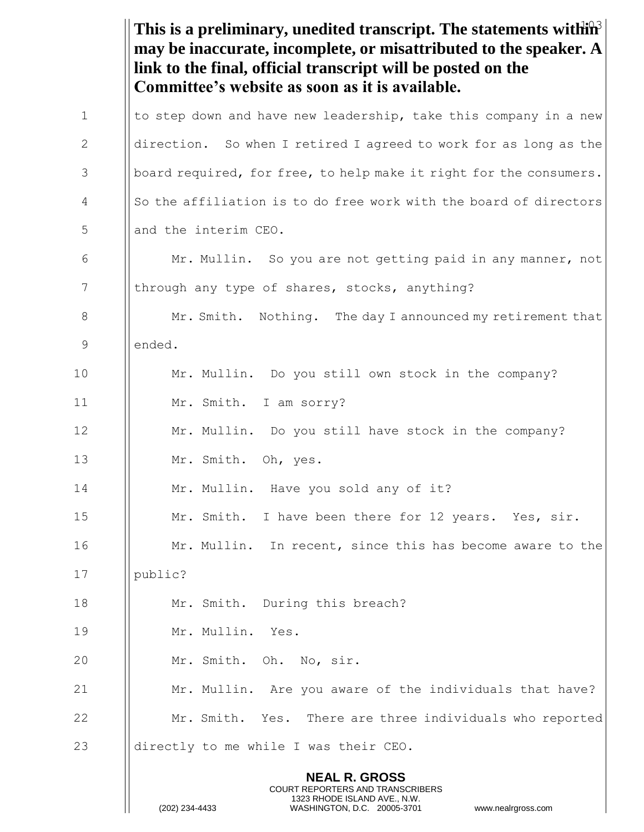This is a preliminary, unedited transcript. The statements within<sup>3</sup> **NEAL R. GROSS** COURT REPORTERS AND TRANSCRIBERS 1323 RHODE ISLAND AVE., N.W. (202) 234-4433 WASHINGTON, D.C. 20005-3701 www.nealrgross.com **may be inaccurate, incomplete, or misattributed to the speaker. A link to the final, official transcript will be posted on the Committee's website as soon as it is available.** 1  $\parallel$  to step down and have new leadership, take this company in a new 2 | direction. So when I retired I agreed to work for as long as the 3 | board required, for free, to help make it right for the consumers.  $\parallel$  So the affiliation is to do free work with the board of directors 5 || and the interim CEO. 6 Mr. Mullin. So you are not getting paid in any manner, not 7 | through any type of shares, stocks, anything? 8 Mr. Smith. Nothing. The day I announced my retirement that 9 ended. 10 Mr. Mullin. Do you still own stock in the company? 11 Mr. Smith. I am sorry? 12 **Mr. Mullin.** Do you still have stock in the company? 13 | Mr. Smith. Oh, yes. 14 | Mr. Mullin. Have you sold any of it? 15 | Mr. Smith. I have been there for 12 years. Yes, sir. 16 **Mr. Mullin.** In recent, since this has become aware to the 17 | public? 18 | Mr. Smith. During this breach? 19 Mr. Mullin. Yes. 20 || Mr. Smith. Oh. No, sir. 21 **Mr. Mullin.** Are you aware of the individuals that have? 22 **Mr. Smith.** Yes. There are three individuals who reported 23  $\parallel$  directly to me while I was their CEO.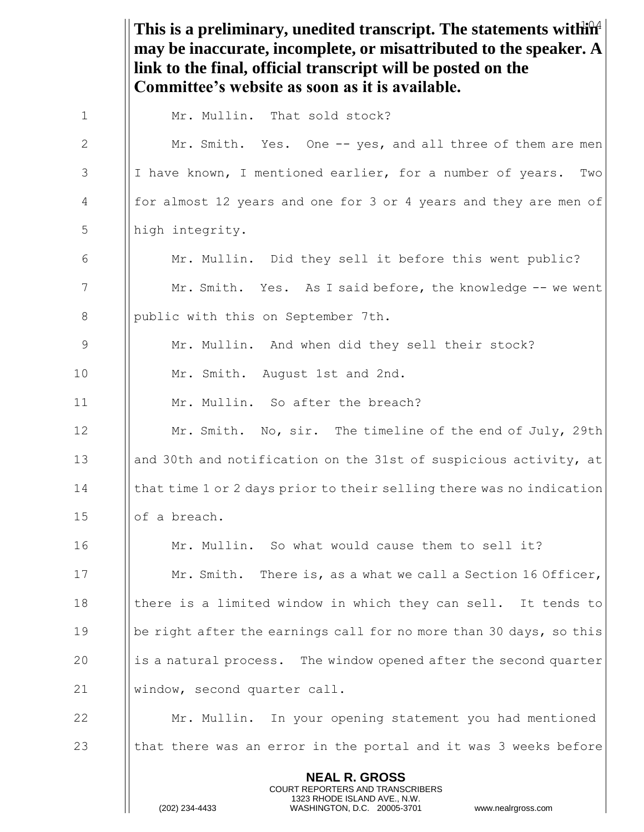This is a preliminary, unedited transcript. The statements within<sup>4</sup> **NEAL R. GROSS** COURT REPORTERS AND TRANSCRIBERS 1323 RHODE ISLAND AVE., N.W. **may be inaccurate, incomplete, or misattributed to the speaker. A link to the final, official transcript will be posted on the Committee's website as soon as it is available.** 1 | Mr. Mullin. That sold stock? 2 | Mr. Smith. Yes. One -- yes, and all three of them are men 3 | I have known, I mentioned earlier, for a number of years. Two 4 **for almost 12 years and one for 3 or 4 years and they are men of** 5 | high integrity. 6  $\parallel$  Mr. Mullin. Did they sell it before this went public? 7 Mr. Smith. Yes. As I said before, the knowledge -- we went 8 | public with this on September 7th. 9 | Mr. Mullin. And when did they sell their stock? 10 | Mr. Smith. August 1st and 2nd. 11 Mr. Mullin. So after the breach? 12 **Mr. Smith.** No, sir. The timeline of the end of July, 29th 13 and 30th and notification on the 31st of suspicious activity, at 14 **that time 1 or 2 days prior to their selling there was no indication** 15 | | of a breach. 16 **Mr. Mullin.** So what would cause them to sell it? 17 **Mr. Smith.** There is, as a what we call a Section 16 Officer, 18 Ichere is a limited window in which they can sell. It tends to 19 **be right after the earnings call for no more than 30 days, so this**  $20$  ||is a natural process. The window opened after the second quarter 21 Window, second quarter call. 22 Mr. Mullin. In your opening statement you had mentioned 23  $\parallel$  that there was an error in the portal and it was 3 weeks before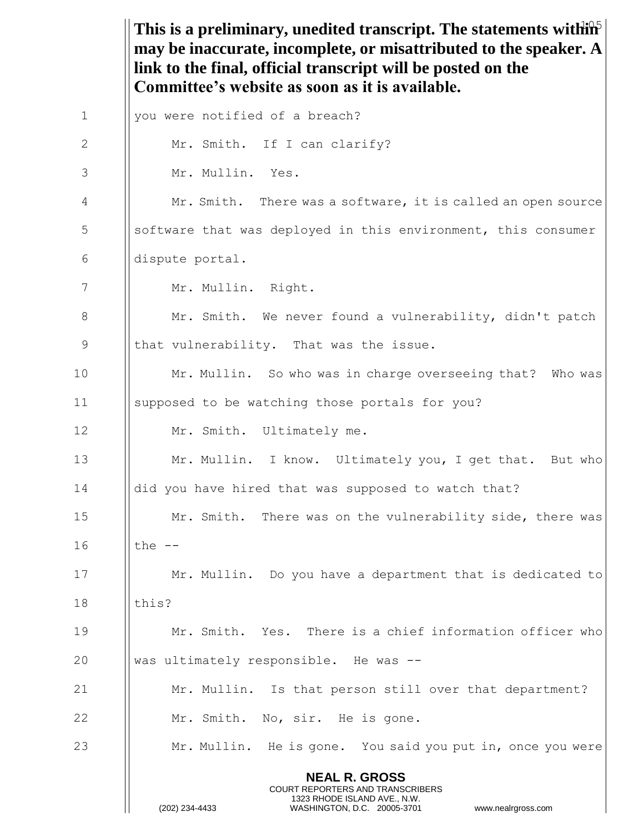This is a preliminary, unedited transcript. The statements within<sup>5</sup> **NEAL R. GROSS** COURT REPORTERS AND TRANSCRIBERS 1323 RHODE ISLAND AVE., N.W. (202) 234-4433 WASHINGTON, D.C. 20005-3701 www.nealrgross.com **may be inaccurate, incomplete, or misattributed to the speaker. A link to the final, official transcript will be posted on the Committee's website as soon as it is available.** 1 | you were notified of a breach? 2 | Mr. Smith. If I can clarify? 3 Mr. Mullin. Yes. 4 Mr. Smith. There was a software, it is called an open source 5 S Septuare that was deployed in this environment, this consumer 6 dispute portal. 7 | Mr. Mullin. Right. 8 Mr. Smith. We never found a vulnerability, didn't patch 9 || that vulnerability. That was the issue. 10 **Mr. Mullin.** So who was in charge overseeing that? Who was 11 supposed to be watching those portals for you? 12 | Mr. Smith. Ultimately me. 13 **Mr. Mullin.** I know. Ultimately you, I get that. But who 14 | did you have hired that was supposed to watch that? 15 **Mr.** Smith. There was on the vulnerability side, there was  $16$  I the  $-$ 17 **Mr. Mullin.** Do you have a department that is dedicated to 18 Ithis? 19 Mr. Smith. Yes. There is a chief information officer who 20  $\parallel$  was ultimately responsible. He was  $-$ 21 | Mr. Mullin. Is that person still over that department? 22 | Mr. Smith. No, sir. He is gone. 23 Mr. Mullin. He is gone. You said you put in, once you were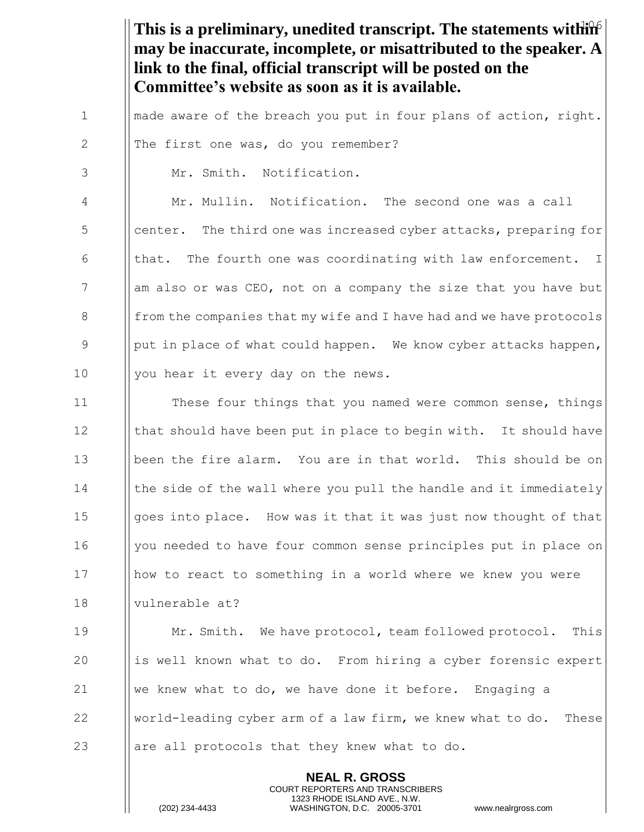This is a preliminary, unedited transcript. The statements within **may be inaccurate, incomplete, or misattributed to the speaker. A link to the final, official transcript will be posted on the Committee's website as soon as it is available.**

1  $\parallel$  made aware of the breach you put in four plans of action, right.

2 || The first one was, do you remember?

3 Mr. Smith. Notification.

4 Mr. Mullin. Notification. The second one was a call 5 Supersuper. The third one was increased cyber attacks, preparing for 6  $\parallel$  that. The fourth one was coordinating with law enforcement. I 7 am also or was CEO, not on a company the size that you have but 8 from the companies that my wife and I have had and we have protocols 9 | put in place of what could happen. We know cyber attacks happen, 10 || you hear it every day on the news.

**India** These four things that you named were common sense, things  $\parallel$  that should have been put in place to begin with. It should have been the fire alarm. You are in that world. This should be on 14 I the side of the wall where you pull the handle and it immediately **goes into place.** How was it that it was just now thought of that 16 | you needed to have four common sense principles put in place on how to react to something in a world where we knew you were vulnerable at?

19 Mr. Smith. We have protocol, team followed protocol. This 20 is well known what to do. From hiring a cyber forensic expert 21  $\parallel$  we knew what to do, we have done it before. Engaging a 22 World-leading cyber arm of a law firm, we knew what to do. These 23 are all protocols that they knew what to do.

> **NEAL R. GROSS** COURT REPORTERS AND TRANSCRIBERS 1323 RHODE ISLAND AVE., N.W.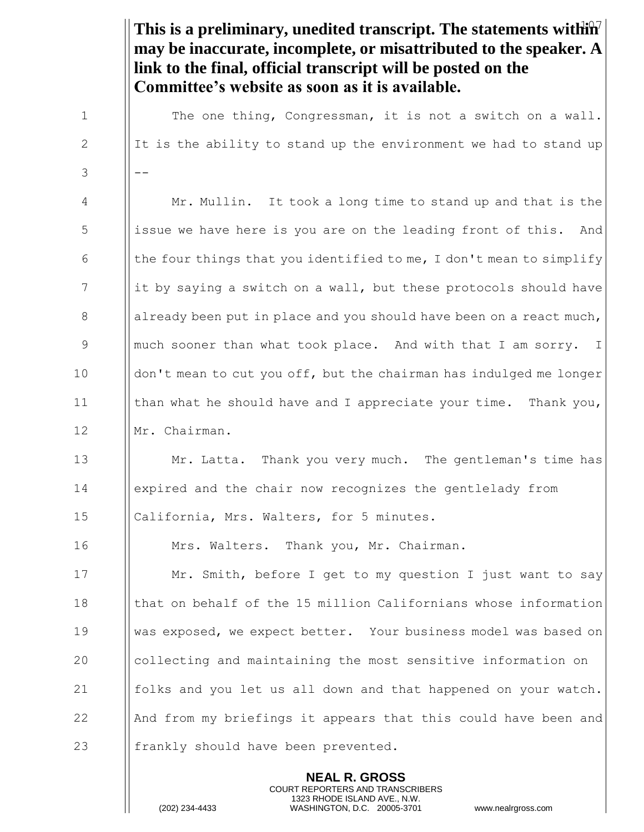This is a preliminary, unedited transcript. The statements within<sup>7</sup> **may be inaccurate, incomplete, or misattributed to the speaker. A link to the final, official transcript will be posted on the Committee's website as soon as it is available.** 1 | The one thing, Congressman, it is not a switch on a wall. 2 If is the ability to stand up the environment we had to stand up  $3 \left| \left| \right| - \right|$ 4 Mr. Mullin. It took a long time to stand up and that is the 5 issue we have here is you are on the leading front of this. And 6  $\parallel$  the four things that you identified to me, I don't mean to simplify 7 it by saying a switch on a wall, but these protocols should have 8 already been put in place and you should have been on a react much, 9 9 || much sooner than what took place. And with that I am sorry. I 10 | don't mean to cut you off, but the chairman has indulged me longer 11  $\parallel$  than what he should have and I appreciate your time. Thank you, 12 | Mr. Chairman. 13 Mr. Latta. Thank you very much. The gentleman's time has 14 expired and the chair now recognizes the gentlelady from 15 || California, Mrs. Walters, for 5 minutes. 16 | Mrs. Walters. Thank you, Mr. Chairman. 17 **I** Mr. Smith, before I get to my question I just want to say 18 **that on behalf of the 15 million Californians whose information** 19 was exposed, we expect better. Your business model was based on 20 collecting and maintaining the most sensitive information on 21  $\parallel$  folks and you let us all down and that happened on your watch. 22  $\parallel$  And from my briefings it appears that this could have been and 23  $\parallel$  frankly should have been prevented.

> **NEAL R. GROSS** COURT REPORTERS AND TRANSCRIBERS 1323 RHODE ISLAND AVE., N.W.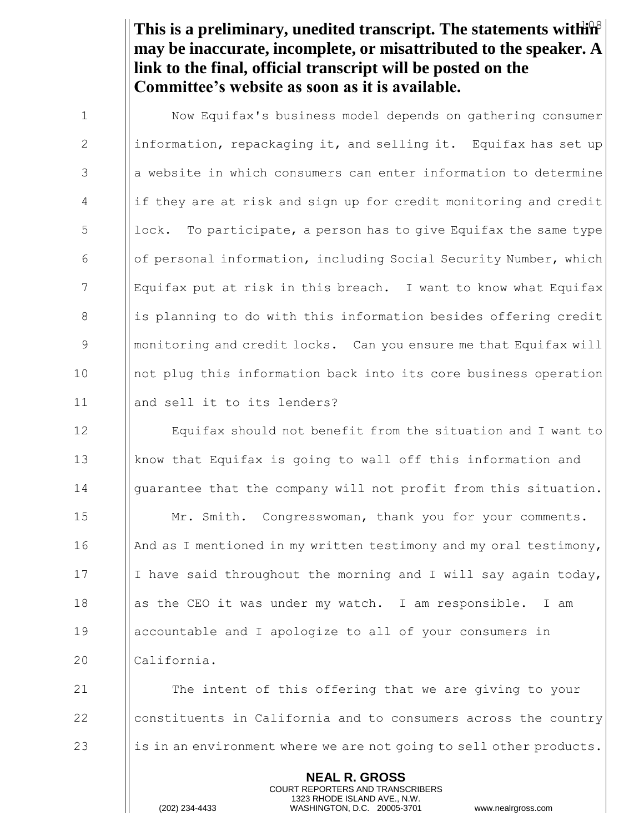This is a preliminary, unedited transcript. The statements within<sup>8</sup> **may be inaccurate, incomplete, or misattributed to the speaker. A link to the final, official transcript will be posted on the Committee's website as soon as it is available.**

| $\mathbf{1}$    | Now Equifax's business model depends on gathering consumer          |
|-----------------|---------------------------------------------------------------------|
| 2               | information, repackaging it, and selling it. Equifax has set up     |
| 3               | a website in which consumers can enter information to determine     |
| 4               | if they are at risk and sign up for credit monitoring and credit    |
| 5               | lock. To participate, a person has to give Equifax the same type    |
| 6               | of personal information, including Social Security Number, which    |
| $7\phantom{.0}$ | Equifax put at risk in this breach. I want to know what Equifax     |
| 8               | is planning to do with this information besides offering credit     |
| 9               | monitoring and credit locks. Can you ensure me that Equifax will    |
| 10              | not plug this information back into its core business operation     |
| 11              | and sell it to its lenders?                                         |
| 12              | Equifax should not benefit from the situation and I want to         |
| 13              | know that Equifax is going to wall off this information and         |
| 14              | guarantee that the company will not profit from this situation.     |
| 15              | Mr. Smith. Congresswoman, thank you for your comments.              |
| 16              | And as I mentioned in my written testimony and my oral testimony,   |
| 17              | I have said throughout the morning and I will say again today,      |
| 18              | as the CEO it was under my watch. I am responsible.<br>I am         |
| 19              | accountable and I apologize to all of your consumers in             |
| 20              | California.                                                         |
| 21              | The intent of this offering that we are giving to your              |
| 22              | constituents in California and to consumers across the country      |
| 23              | is in an environment where we are not going to sell other products. |
|                 | <b>NEAL R. GROSS</b>                                                |

COURT REPORTERS AND TRANSCRIBERS 1323 RHODE ISLAND AVE., N.W.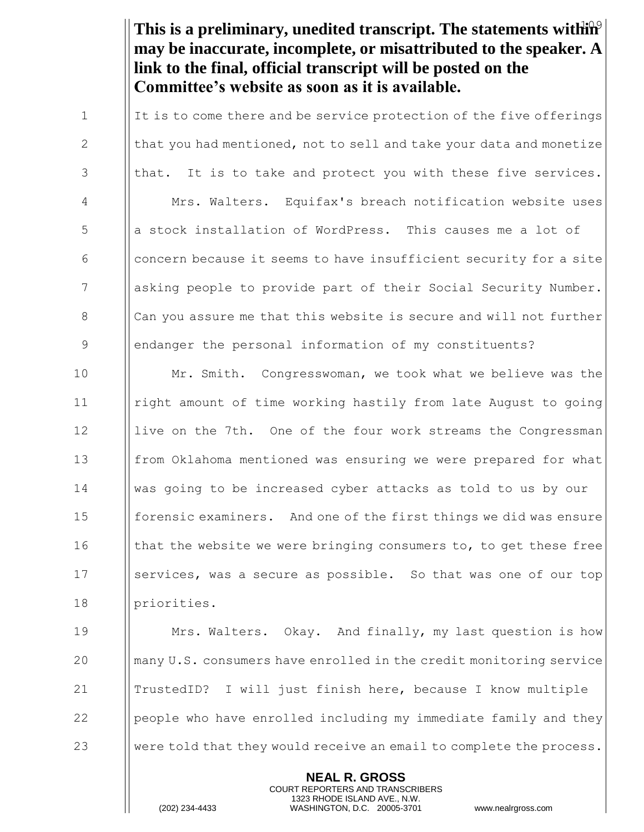This is a preliminary, unedited transcript. The statements within<sup>9</sup> **may be inaccurate, incomplete, or misattributed to the speaker. A link to the final, official transcript will be posted on the Committee's website as soon as it is available.**

1 It is to come there and be service protection of the five offerings  $\Vert$  that you had mentioned, not to sell and take your data and monetize || that. It is to take and protect you with these five services. Mrs. Walters. Equifax's breach notification website uses **b** a stock installation of WordPress. This causes me a lot of concern because it seems to have insufficient security for a site **a** asking people to provide part of their Social Security Number. 8 Can you assure me that this website is secure and will not further endanger the personal information of my constituents?

10 **Mr. Smith.** Congresswoman, we took what we believe was the 11 right amount of time working hastily from late August to going 12 I live on the 7th. One of the four work streams the Congressman 13 **from Oklahoma mentioned was ensuring we were prepared for what** 14 was going to be increased cyber attacks as told to us by our 15 **forensic examiners.** And one of the first things we did was ensure 16 I that the website we were bringing consumers to, to get these free 17 Services, was a secure as possible. So that was one of our top 18 | priorities.

**Mrs. Walters.** Okay. And finally, my last question is how many U.S. consumers have enrolled in the credit monitoring service TrustedID? I will just finish here, because I know multiple  $\Box$  people who have enrolled including my immediate family and they 23 Were told that they would receive an email to complete the process.

> **NEAL R. GROSS** COURT REPORTERS AND TRANSCRIBERS 1323 RHODE ISLAND AVE., N.W.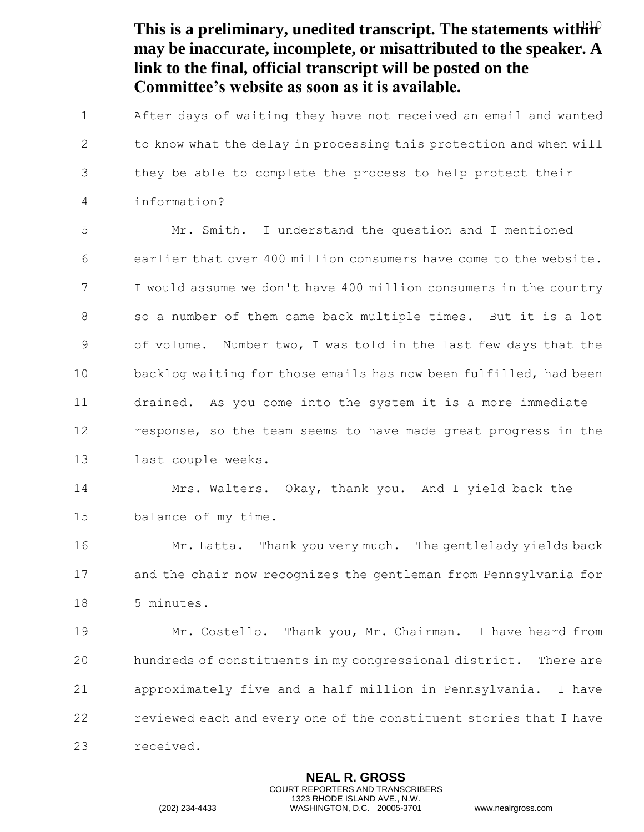|             | This is a preliminary, unedited transcript. The statements with $\mathbf{h}$<br>may be inaccurate, incomplete, or misattributed to the speaker. A<br>link to the final, official transcript will be posted on the<br>Committee's website as soon as it is available. |
|-------------|----------------------------------------------------------------------------------------------------------------------------------------------------------------------------------------------------------------------------------------------------------------------|
| $\mathbf 1$ | After days of waiting they have not received an email and wanted                                                                                                                                                                                                     |
| 2           | to know what the delay in processing this protection and when will                                                                                                                                                                                                   |
| 3           | they be able to complete the process to help protect their                                                                                                                                                                                                           |
| 4           | information?                                                                                                                                                                                                                                                         |
| 5           | Mr. Smith. I understand the question and I mentioned                                                                                                                                                                                                                 |
| 6           | earlier that over 400 million consumers have come to the website.                                                                                                                                                                                                    |
| 7           | I would assume we don't have 400 million consumers in the country                                                                                                                                                                                                    |
| 8           | so a number of them came back multiple times. But it is a lot                                                                                                                                                                                                        |
| 9           | of volume.<br>Number two, I was told in the last few days that the                                                                                                                                                                                                   |
| 10          | backlog waiting for those emails has now been fulfilled, had been                                                                                                                                                                                                    |
| 11          | drained. As you come into the system it is a more immediate                                                                                                                                                                                                          |
| 12          | response, so the team seems to have made great progress in the                                                                                                                                                                                                       |
| 13          | last couple weeks.                                                                                                                                                                                                                                                   |
| 14          | Mrs. Walters. Okay, thank you. And I yield back the                                                                                                                                                                                                                  |
| 15          | balance of my time.                                                                                                                                                                                                                                                  |
| 16          | Mr. Latta. Thank you very much. The gentlelady yields back                                                                                                                                                                                                           |
| 17          | and the chair now recognizes the gentleman from Pennsylvania for                                                                                                                                                                                                     |
| 18          | 5 minutes.                                                                                                                                                                                                                                                           |
| 19          | Mr. Costello. Thank you, Mr. Chairman. I have heard from                                                                                                                                                                                                             |
| 20          | hundreds of constituents in my congressional district. There are                                                                                                                                                                                                     |
| 21          | approximately five and a half million in Pennsylvania.<br>I have                                                                                                                                                                                                     |
| 22          | reviewed each and every one of the constituent stories that I have                                                                                                                                                                                                   |
| 23          | received.                                                                                                                                                                                                                                                            |
|             | <b>NEAL R. GROSS</b>                                                                                                                                                                                                                                                 |

COURT REPORTERS AND TRANSCRIBERS 1323 RHODE ISLAND AVE., N.W.

 $\prod_{i=1}^{n}$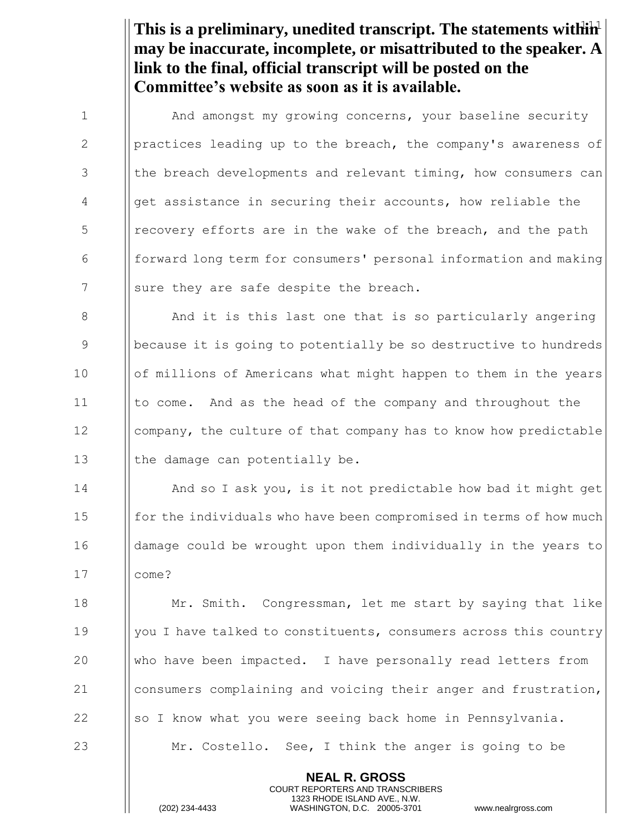This is a preliminary, unedited transcript. The statements within<sup>1</sup> **may be inaccurate, incomplete, or misattributed to the speaker. A link to the final, official transcript will be posted on the Committee's website as soon as it is available.**

1 | And amongst my growing concerns, your baseline security 2 | | practices leading up to the breach, the company's awareness of  $3$  || the breach developments and relevant timing, how consumers can 4 | get assistance in securing their accounts, how reliable the  $\frac{1}{5}$  | recovery efforts are in the wake of the breach, and the path 6 forward long term for consumers' personal information and making  $7$  | sure they are safe despite the breach. 8 And it is this last one that is so particularly angering 9 Because it is going to potentially be so destructive to hundreds 10 | of millions of Americans what might happen to them in the years 11 Ito come. And as the head of the company and throughout the

12 | company, the culture of that company has to know how predictable 13  $\parallel$  the damage can potentially be.

14 And so I ask you, is it not predictable how bad it might get  $\frac{15}{\pi}$  for the individuals who have been compromised in terms of how much 16 damage could be wrought upon them individually in the years to 17 come?

**Mr.** Smith. Congressman, let me start by saying that like 19 | you I have talked to constituents, consumers across this country who have been impacted. I have personally read letters from consumers complaining and voicing their anger and frustration,  $\parallel$  so I know what you were seeing back home in Pennsylvania. **Mr.** Costello. See, I think the anger is going to be

> **NEAL R. GROSS** COURT REPORTERS AND TRANSCRIBERS 1323 RHODE ISLAND AVE., N.W.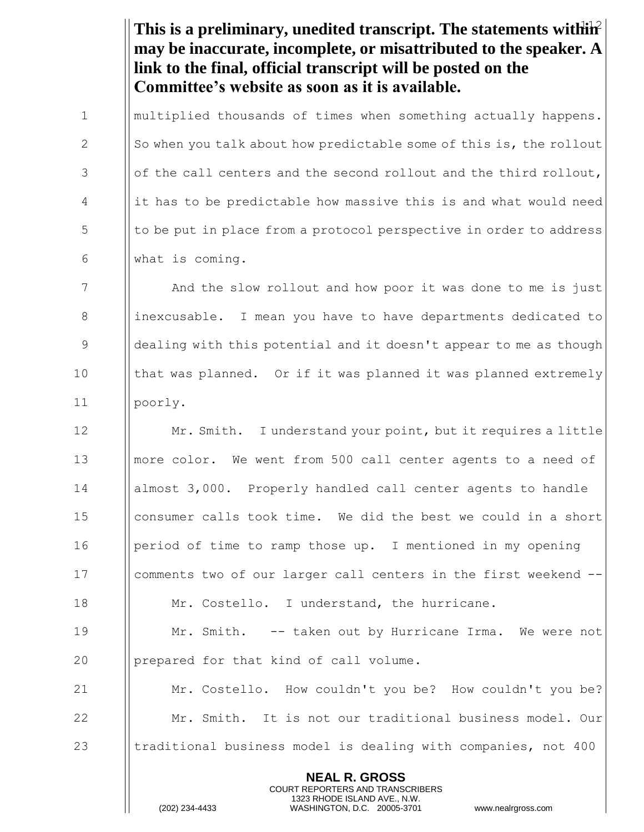This is a preliminary, unedited transcript. The statements within<sup>2</sup> **may be inaccurate, incomplete, or misattributed to the speaker. A link to the final, official transcript will be posted on the Committee's website as soon as it is available.**

1 I multiplied thousands of times when something actually happens. 2  $\|\$  So when you talk about how predictable some of this is, the rollout  $3$  || of the call centers and the second rollout and the third rollout,  $\frac{4}{1}$  it has to be predictable how massive this is and what would need 5 | to be put in place from a protocol perspective in order to address 6 what is coming.

7 **I** And the slow rollout and how poor it was done to me is just 8 inexcusable. I mean you have to have departments dedicated to 9 Superming 1 dealing with this potential and it doesn't appear to me as though 10 Ithat was planned. Or if it was planned it was planned extremely 11 | | poorly.

**Mr. Smith.** I understand your point, but it requires a little more color. We went from 500 call center agents to a need of almost 3,000. Properly handled call center agents to handle consumer calls took time. We did the best we could in a short 16 Iperiod of time to ramp those up. I mentioned in my opening comments two of our larger call centers in the first weekend --  $\parallel$  Mr. Costello. I understand, the hurricane. Mr. Smith. -- taken out by Hurricane Irma. We were not 20 | prepared for that kind of call volume. Mr. Costello. How couldn't you be? How couldn't you be? Mr. Smith. It is not our traditional business model. Our  $\parallel$  traditional business model is dealing with companies, not 400

> **NEAL R. GROSS** COURT REPORTERS AND TRANSCRIBERS 1323 RHODE ISLAND AVE., N.W.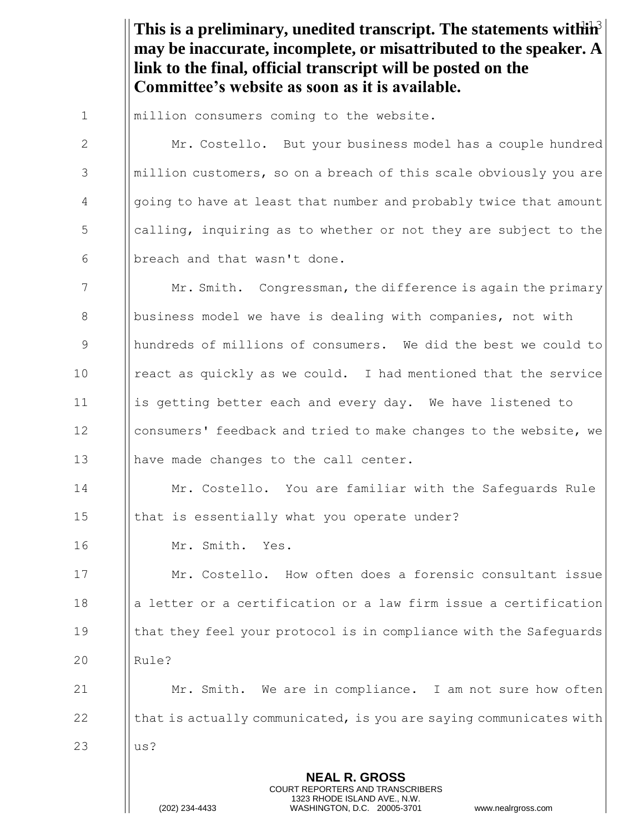This is a preliminary, unedited transcript. The statements within<sup>3</sup> **may be inaccurate, incomplete, or misattributed to the speaker. A link to the final, official transcript will be posted on the Committee's website as soon as it is available.**

1 | million consumers coming to the website.

2 | Mr. Costello. But your business model has a couple hundred 3 Mullion customers, so on a breach of this scale obviously you are 4 going to have at least that number and probably twice that amount  $\frac{1}{2}$   $\frac{1}{2}$  calling, inquiring as to whether or not they are subject to the  $6$  || breach and that wasn't done.

7 Mr. Smith. Congressman, the difference is again the primary 8 Business model we have is dealing with companies, not with hundreds of millions of consumers. We did the best we could to | react as quickly as we could. I had mentioned that the service **is getting better each and every day.** We have listened to **consumers'** feedback and tried to make changes to the website, we **have made changes to the call center.** 

14 Mr. Costello. You are familiar with the Safeguards Rule 15  $\parallel$  that is essentially what you operate under?

16 Mr. Smith. Yes.

17 | Mr. Costello. How often does a forensic consultant issue 18 a letter or a certification or a law firm issue a certification 19 **that they feel your protocol is in compliance with the Safequards** 20 | Rule?

21 **Mr.** Smith. We are in compliance. I am not sure how often 22  $\parallel$  that is actually communicated, is you are saying communicates with

> **NEAL R. GROSS** COURT REPORTERS AND TRANSCRIBERS 1323 RHODE ISLAND AVE., N.W.

23 us?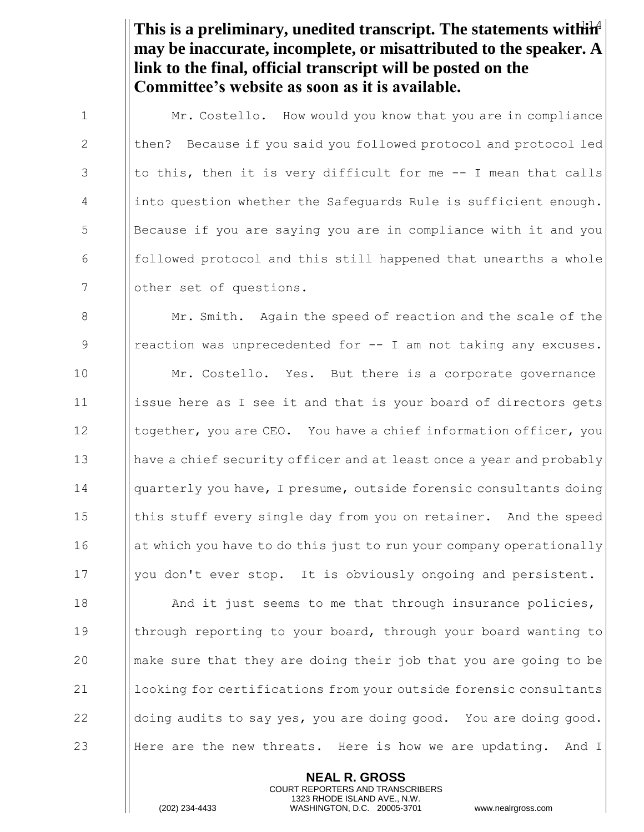This is a preliminary, unedited transcript. The statements within<sup>4</sup> **may be inaccurate, incomplete, or misattributed to the speaker. A link to the final, official transcript will be posted on the Committee's website as soon as it is available.**

1 Mr. Costello. How would you know that you are in compliance 2 | then? Because if you said you followed protocol and protocol led  $3$  || to this, then it is very difficult for me  $-$ - I mean that calls 4 | into question whether the Safeguards Rule is sufficient enough. 5 Because if you are saying you are in compliance with it and you  $\begin{array}{c|c|c|c|c|c} \hline \text{6} & \text{[followed protocol and this still happened that unearths a whole]} \hline \end{array}$ 7 | other set of questions.

8 Mr. Smith. Again the speed of reaction and the scale of the 9 | reaction was unprecedented for -- I am not taking any excuses. 10 Mr. Costello. Yes. But there is a corporate governance 11 | | | issue here as I see it and that is your board of directors gets 12 **together, you are CEO.** You have a chief information officer, you 13 have a chief security officer and at least once a year and probably 14 **quarterly you have, I presume, outside forensic consultants doing** 15 In this stuff every single day from you on retainer. And the speed  $16$  || at which you have to do this just to run your company operationally 17 | you don't ever stop. It is obviously ongoing and persistent. 18 **And it just seems to me that through insurance policies,** 19 through reporting to your board, through your board wanting to 20  $\parallel$  make sure that they are doing their job that you are going to be 21 | looking for certifications from your outside forensic consultants  $22$  doing audits to say yes, you are doing good. You are doing good.

> **NEAL R. GROSS** COURT REPORTERS AND TRANSCRIBERS 1323 RHODE ISLAND AVE., N.W.

23 Here are the new threats. Here is how we are updating. And I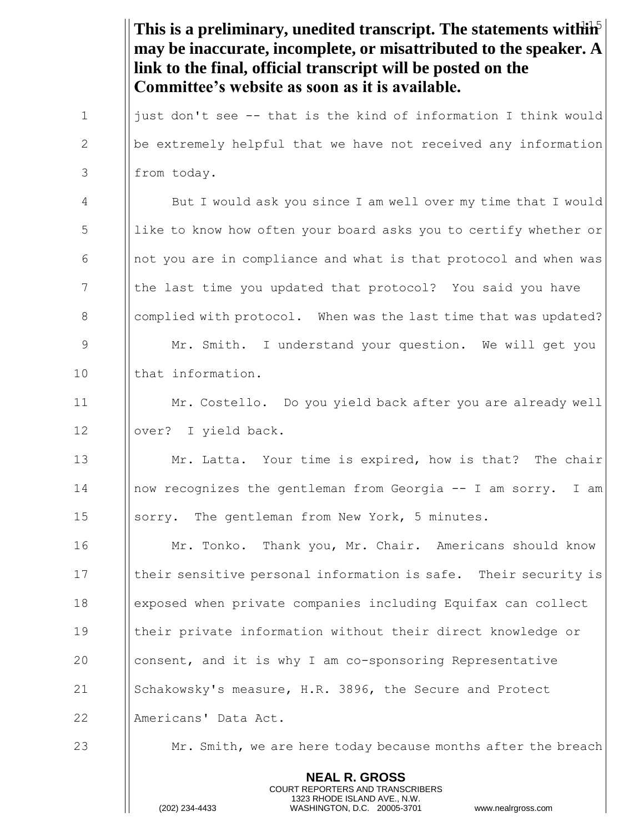This is a preliminary, unedited transcript. The statements within<sup>5</sup> **NEAL R. GROSS** COURT REPORTERS AND TRANSCRIBERS 1323 RHODE ISLAND AVE., N.W. **may be inaccurate, incomplete, or misattributed to the speaker. A link to the final, official transcript will be posted on the Committee's website as soon as it is available.** 1 | | just don't see -- that is the kind of information I think would  $2$  || be extremely helpful that we have not received any information 3 | from today. 4 But I would ask you since I am well over my time that I would 5 | like to know how often your board asks you to certify whether or  $\begin{array}{c|c|c|c|c|c} \hline \text{6} & \text{not you are in compliance and what is that protocol and when was} \end{array}$ 7 I the last time you updated that protocol? You said you have 8 S Complied with protocol. When was the last time that was updated? 9 Mr. Smith. I understand your question. We will get you 10 I that information. 11 Mr. Costello. Do you yield back after you are already well 12 | | over? I yield back. 13  $\parallel$  Mr. Latta. Your time is expired, how is that? The chair 14 now recognizes the gentleman from Georgia -- I am sorry. I am 15 | sorry. The gentleman from New York, 5 minutes. 16 **Mr. Tonko.** Thank you, Mr. Chair. Americans should know 17 Inter sensitive personal information is safe. Their security is 18 exposed when private companies including Equifax can collect 19 their private information without their direct knowledge or 20 consent, and it is why I am co-sponsoring Representative 21 Schakowsky's measure, H.R. 3896, the Secure and Protect 22 | Americans' Data Act. 23  $\parallel$  Mr. Smith, we are here today because months after the breach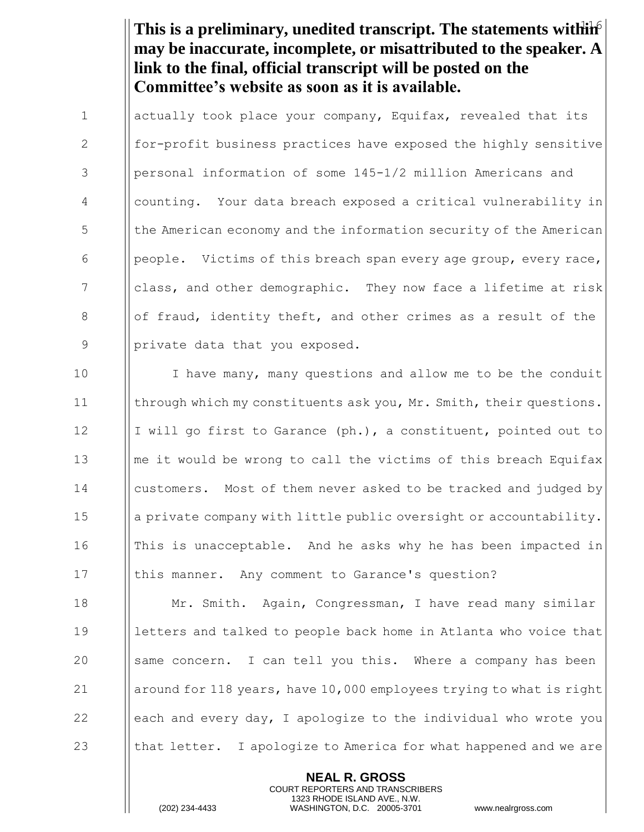This is a preliminary, unedited transcript. The statements within<sup>6</sup> **may be inaccurate, incomplete, or misattributed to the speaker. A link to the final, official transcript will be posted on the Committee's website as soon as it is available.**

1 | actually took place your company, Equifax, revealed that its 2 for-profit business practices have exposed the highly sensitive 3 | personal information of some 145-1/2 million Americans and 4 counting. Your data breach exposed a critical vulnerability in 5 | the American economy and the information security of the American 6 | people. Victims of this breach span every age group, every race, 7 class, and other demographic. They now face a lifetime at risk 8  $\|\circ\|$  of fraud, identity theft, and other crimes as a result of the 9 | | private data that you exposed.

10 I have many, many questions and allow me to be the conduit 11 **through which my constituents ask you, Mr. Smith, their questions.** 12 I I will go first to Garance  $(ph.)$ , a constituent, pointed out to 13  $\|\cdot\|$  me it would be wrong to call the victims of this breach Equifax 14 **customers.** Most of them never asked to be tracked and judged by 15 a private company with little public oversight or accountability. 16 In This is unacceptable. And he asks why he has been impacted in 17 Ithis manner. Any comment to Garance's question?

**Mr.** Smith. Again, Congressman, I have read many similar 19 Ietters and talked to people back home in Atlanta who voice that 20 Same concern. I can tell you this. Where a company has been  $\parallel$  around for 118 years, have 10,000 employees trying to what is right  $\Box$  | each and every day, I apologize to the individual who wrote you  $\parallel$  that letter. I apologize to America for what happened and we are

> **NEAL R. GROSS** COURT REPORTERS AND TRANSCRIBERS 1323 RHODE ISLAND AVE., N.W.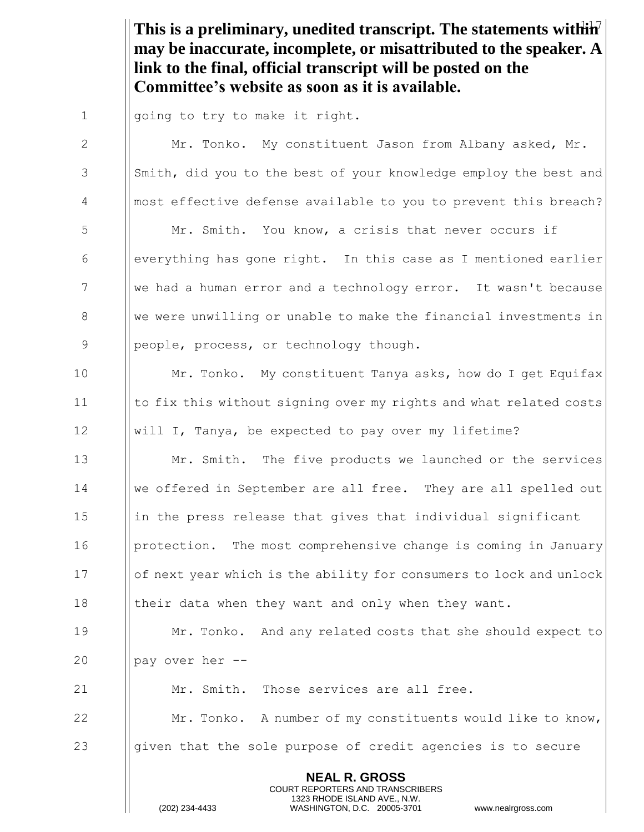This is a preliminary, unedited transcript. The statements within<sup>7</sup> **may be inaccurate, incomplete, or misattributed to the speaker. A link to the final, official transcript will be posted on the Committee's website as soon as it is available.**

1 || going to try to make it right.

**NEAL R. GROSS** COURT REPORTERS AND TRANSCRIBERS 1323 RHODE ISLAND AVE., N.W. 2 | Mr. Tonko. My constituent Jason from Albany asked, Mr. 3 Smith, did you to the best of your knowledge employ the best and 4 most effective defense available to you to prevent this breach? 5  $\parallel$  Mr. Smith. You know, a crisis that never occurs if 6  $\Box$  everything has gone right. In this case as I mentioned earlier 7 We had a human error and a technology error. It wasn't because 8 We were unwilling or unable to make the financial investments in 9 | people, process, or technology though. 10 | Mr. Tonko. My constituent Tanya asks, how do I get Equifax 11 Ito fix this without signing over my rights and what related costs 12 will I, Tanya, be expected to pay over my lifetime? 13  $\parallel$  Mr. Smith. The five products we launched or the services 14 we offered in September are all free. They are all spelled out  $15$  ||in the press release that gives that individual significant 16 **protection.** The most comprehensive change is coming in January 17 **Iological Interpretenal Interpretenal Inter** lock and unlock and unlock 18 I their data when they want and only when they want. 19 **Mr. Tonko.** And any related costs that she should expect to 20  $\parallel$  pay over her --21 **Mr.** Smith. Those services are all free. 22 **Mr. Tonko.** A number of my constituents would like to know, 23  $\|\$ qiven that the sole purpose of credit agencies is to secure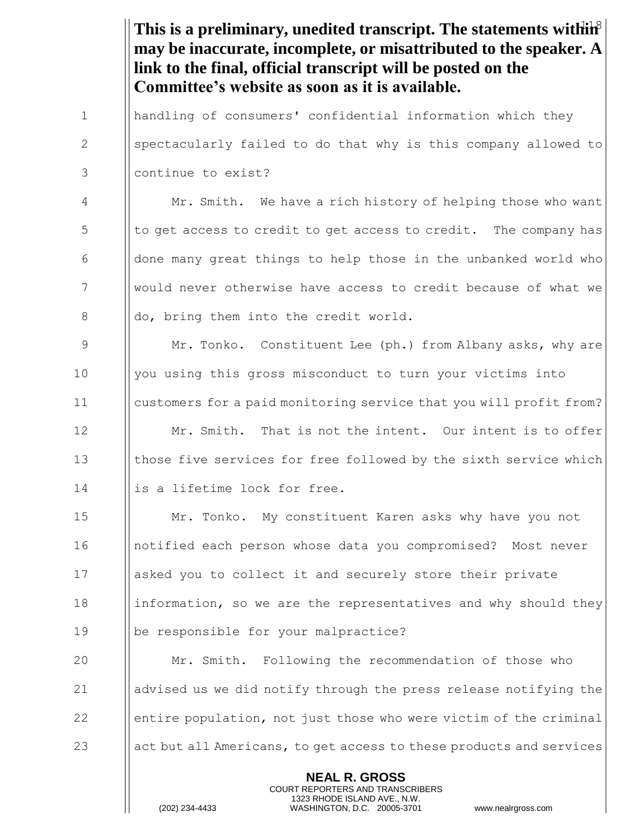This is a preliminary, unedited transcript. The statements within<sup>8</sup> **NEAL R. GROSS** COURT REPORTERS AND TRANSCRIBERS 1323 RHODE ISLAND AVE., N.W. **may be inaccurate, incomplete, or misattributed to the speaker. A link to the final, official transcript will be posted on the Committee's website as soon as it is available.** 1 handling of consumers' confidential information which they 2 Sepectacularly failed to do that why is this company allowed to 3 continue to exist? 4 | Mr. Smith. We have a rich history of helping those who want  $\frac{1}{5}$  to get access to credit to get access to credit. The company has 6  $\Box$  done many great things to help those in the unbanked world who 7 would never otherwise have access to credit because of what we 8 and do, bring them into the credit world. 9  $\parallel$  Mr. Tonko. Constituent Lee (ph.) from Albany asks, why are 10 | you using this gross misconduct to turn your victims into 11 customers for a paid monitoring service that you will profit from? 12  $\parallel$  Mr. Smith. That is not the intent. Our intent is to offer 13 Ithose five services for free followed by the sixth service which 14 is a lifetime lock for free. 15 Mr. Tonko. My constituent Karen asks why have you not 16 notified each person whose data you compromised? Most never 17 asked you to collect it and securely store their private 18 information, so we are the representatives and why should they 19 be responsible for your malpractice? 20 Mr. Smith. Following the recommendation of those who 21  $\parallel$  advised us we did notify through the press release notifying the  $22$  entire population, not just those who were victim of the criminal  $23$  act but all Americans, to get access to these products and services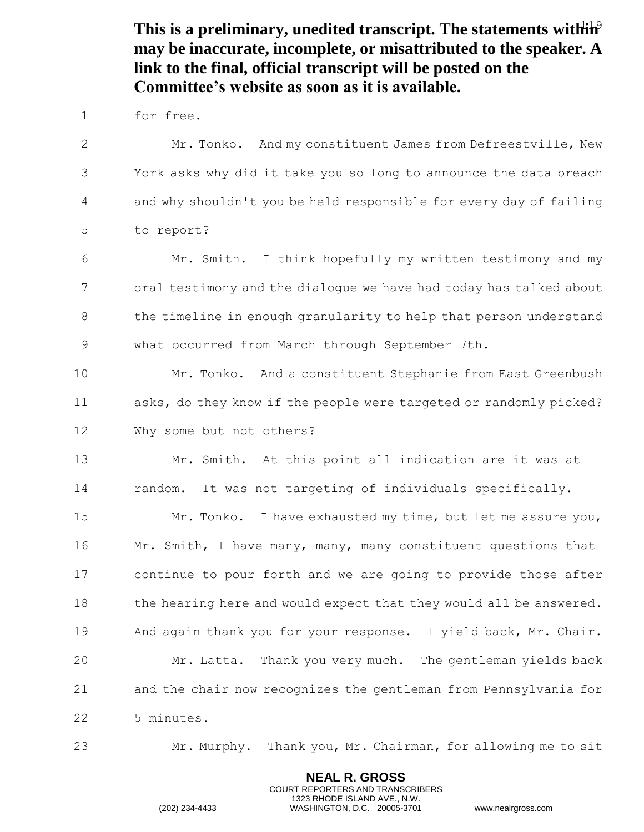|              | This is a preliminary, unedited transcript. The statements with $\hat{H}^{\circ}$<br>may be inaccurate, incomplete, or misattributed to the speaker. A<br>link to the final, official transcript will be posted on the<br>Committee's website as soon as it is available. |
|--------------|---------------------------------------------------------------------------------------------------------------------------------------------------------------------------------------------------------------------------------------------------------------------------|
| $\mathbf{1}$ | for free.                                                                                                                                                                                                                                                                 |
| 2            | Mr. Tonko. And my constituent James from Defreestville, New                                                                                                                                                                                                               |
| 3            | York asks why did it take you so long to announce the data breach                                                                                                                                                                                                         |
| 4            | and why shouldn't you be held responsible for every day of failing                                                                                                                                                                                                        |
| 5            | to report?                                                                                                                                                                                                                                                                |
| 6            | Mr. Smith. I think hopefully my written testimony and my                                                                                                                                                                                                                  |
| 7            | oral testimony and the dialogue we have had today has talked about                                                                                                                                                                                                        |
| 8            | the timeline in enough granularity to help that person understand                                                                                                                                                                                                         |
| 9            | what occurred from March through September 7th.                                                                                                                                                                                                                           |
| 10           | Mr. Tonko. And a constituent Stephanie from East Greenbush                                                                                                                                                                                                                |
| 11           | asks, do they know if the people were targeted or randomly picked?                                                                                                                                                                                                        |
| 12           | Why some but not others?                                                                                                                                                                                                                                                  |
| 13           | Mr. Smith. At this point all indication are it was at                                                                                                                                                                                                                     |
| 14           | It was not targeting of individuals specifically.<br>random.                                                                                                                                                                                                              |
| 15           | Mr. Tonko. I have exhausted my time, but let me assure you,                                                                                                                                                                                                               |
| 16           | Mr. Smith, I have many, many, many constituent questions that                                                                                                                                                                                                             |
| 17           | continue to pour forth and we are going to provide those after                                                                                                                                                                                                            |
| 18           | the hearing here and would expect that they would all be answered.                                                                                                                                                                                                        |
| 19           | And again thank you for your response. I yield back, Mr. Chair.                                                                                                                                                                                                           |
| 20           | Mr. Latta. Thank you very much. The gentleman yields back                                                                                                                                                                                                                 |
| 21           | and the chair now recognizes the gentleman from Pennsylvania for                                                                                                                                                                                                          |
| 22           | 5 minutes.                                                                                                                                                                                                                                                                |
| 23           | Mr. Murphy. Thank you, Mr. Chairman, for allowing me to sit                                                                                                                                                                                                               |
|              | <b>NEAL R. GROSS</b><br>COURT REPORTERS AND TRANSCRIBERS<br>1323 RHODE ISLAND AVE., N.W.<br>(202) 234-4433<br>WASHINGTON, D.C. 20005-3701<br>www.nealrgross.com                                                                                                           |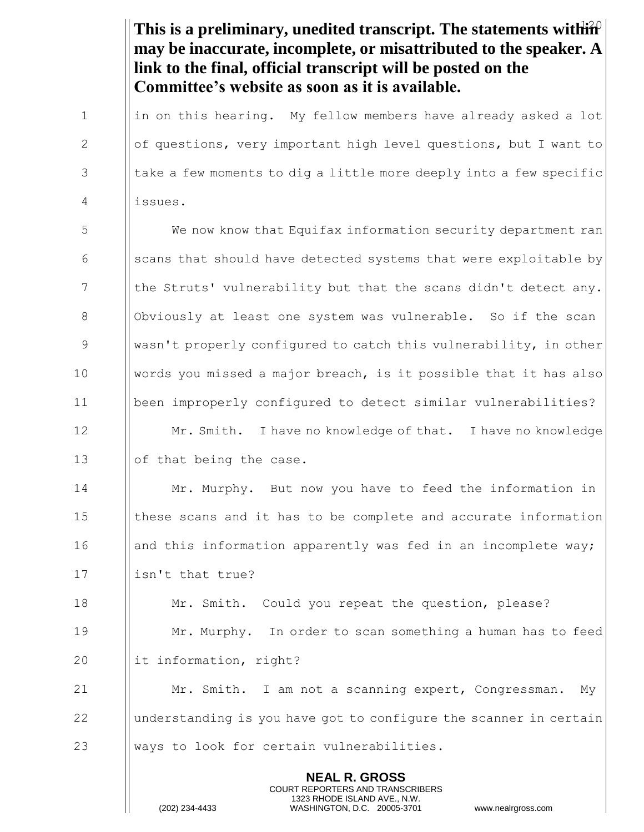This is a preliminary, unedited transcript. The statements within<sup>2</sup> **NEAL R. GROSS** COURT REPORTERS AND TRANSCRIBERS **may be inaccurate, incomplete, or misattributed to the speaker. A link to the final, official transcript will be posted on the Committee's website as soon as it is available.**  $1$  ||in on this hearing. My fellow members have already asked a lot 2 | of questions, very important high level questions, but I want to  $3$  || take a few moments to dig a little more deeply into a few specific 4 issues. 5 We now know that Equifax information security department ran  $\begin{array}{c|c} 6 & \text{if } s \text{ can be that should have detected systems that were exploited by} \end{array}$  $7$  || the Struts' vulnerability but that the scans didn't detect any. 8 | Obviously at least one system was vulnerable. So if the scan 9 wasn't properly configured to catch this vulnerability, in other 10 words you missed a major breach, is it possible that it has also 11 been improperly configured to detect similar vulnerabilities? 12 **Mr. Smith.** I have no knowledge of that. I have no knowledge 13 | | | of that being the case. 14 **Mr. Murphy.** But now you have to feed the information in 15 I these scans and it has to be complete and accurate information 16 | and this information apparently was fed in an incomplete way; 17 | lisn't that true? 18 **Mr.** Smith. Could you repeat the question, please? 19 **Mr. Murphy.** In order to scan something a human has to feed 20  $\parallel$  it information, right? 21 | Mr. Smith. I am not a scanning expert, Congressman. My  $22$  || understanding is you have got to configure the scanner in certain 23 Whays to look for certain vulnerabilities.

1323 RHODE ISLAND AVE., N.W.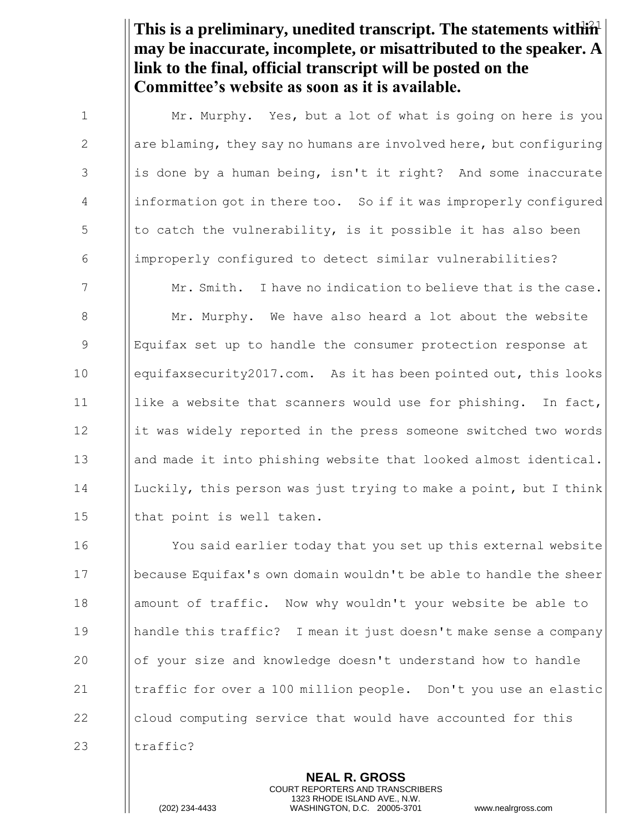This is a preliminary, unedited transcript. The statements within<sup>1</sup> **may be inaccurate, incomplete, or misattributed to the speaker. A link to the final, official transcript will be posted on the Committee's website as soon as it is available.**

1 | Mr. Murphy. Yes, but a lot of what is going on here is you  $\parallel$  are blaming, they say no humans are involved here, but configuring || is done by a human being, isn't it right? And some inaccurate information got in there too. So if it was improperly configured || to catch the vulnerability, is it possible it has also been improperly configured to detect similar vulnerabilities?

**Mr.** Smith. I have no indication to believe that is the case.  $\parallel$  Mr. Murphy. We have also heard a lot about the website Equifax set up to handle the consumer protection response at equifaxsecurity2017.com. As it has been pointed out, this looks  $\parallel$  like a website that scanners would use for phishing. In fact, 12 | it was widely reported in the press someone switched two words 13 and made it into phishing website that looked almost identical. Luckily, this person was just trying to make a point, but I think  $\parallel$  that point is well taken.

 You said earlier today that you set up this external website because Equifax's own domain wouldn't be able to handle the sheer 18 | amount of traffic. Now why wouldn't your website be able to handle this traffic? I mean it just doesn't make sense a company **or**  $\int$  of your size and knowledge doesn't understand how to handle **I** traffic for over a 100 million people. Don't you use an elastic 22 cloud computing service that would have accounted for this  $\parallel$  traffic?

> **NEAL R. GROSS** COURT REPORTERS AND TRANSCRIBERS 1323 RHODE ISLAND AVE., N.W.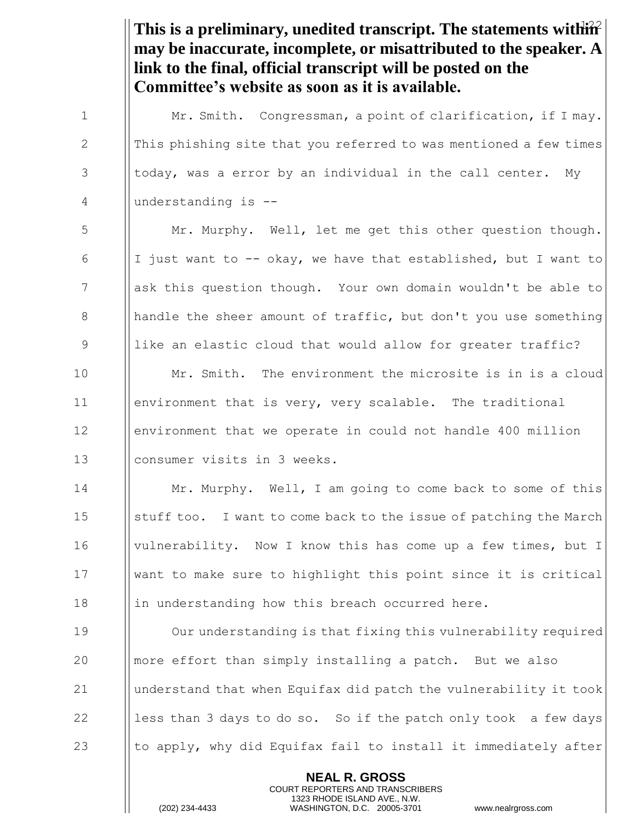This is a preliminary, unedited transcript. The statements within<sup>2</sup> **NEAL R. GROSS may be inaccurate, incomplete, or misattributed to the speaker. A link to the final, official transcript will be posted on the Committee's website as soon as it is available.** 1 | Mr. Smith. Congressman, a point of clarification, if I may. 2  $\parallel$  This phishing site that you referred to was mentioned a few times  $3$  ||today, was a error by an individual in the call center. My 4 understanding is -- 5 Mr. Murphy. Well, let me get this other question though. 6 I I just want to  $-$ - okay, we have that established, but I want to 7 ask this question though. Your own domain wouldn't be able to 8  $\parallel$  handle the sheer amount of traffic, but don't you use something 9 || like an elastic cloud that would allow for greater traffic? 10 **Mr.** Smith. The environment the microsite is in is a cloud 11 environment that is very, very scalable. The traditional 12 environment that we operate in could not handle 400 million 13 || consumer visits in 3 weeks. 14 **Mr. Murphy.** Well, I am going to come back to some of this 15 | stuff too. I want to come back to the issue of patching the March 16 **Vulnerability.** Now I know this has come up a few times, but I 17 want to make sure to highlight this point since it is critical 18 in understanding how this breach occurred here. 19 Our understanding is that fixing this vulnerability required 20  $\parallel$  more effort than simply installing a patch. But we also 21 understand that when Equifax did patch the vulnerability it took 22  $\parallel$  less than 3 days to do so. So if the patch only took a few days 23  $\parallel$  to apply, why did Equifax fail to install it immediately after

> COURT REPORTERS AND TRANSCRIBERS 1323 RHODE ISLAND AVE., N.W.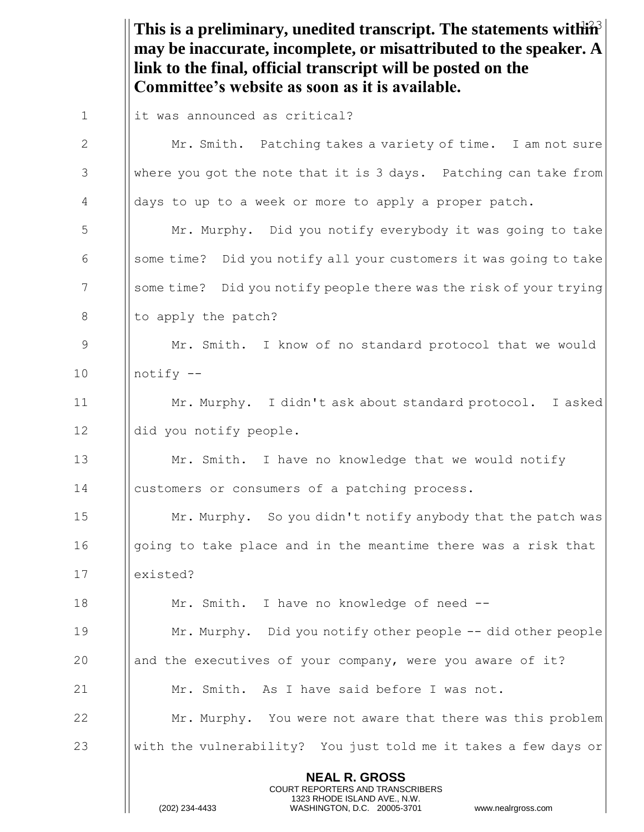This is a preliminary, unedited transcript. The statements within<sup>3</sup> **may be inaccurate, incomplete, or misattributed to the speaker. A link to the final, official transcript will be posted on the Committee's website as soon as it is available.**

| $\mathbf 1$ | it was announced as critical?                                                                                                                                   |
|-------------|-----------------------------------------------------------------------------------------------------------------------------------------------------------------|
| 2           | Mr. Smith. Patching takes a variety of time. I am not sure                                                                                                      |
| 3           | where you got the note that it is 3 days. Patching can take from                                                                                                |
| 4           | days to up to a week or more to apply a proper patch.                                                                                                           |
| 5           | Mr. Murphy. Did you notify everybody it was going to take                                                                                                       |
| 6           | some time? Did you notify all your customers it was going to take                                                                                               |
| 7           | some time? Did you notify people there was the risk of your trying                                                                                              |
| 8           | to apply the patch?                                                                                                                                             |
| 9           | Mr. Smith. I know of no standard protocol that we would                                                                                                         |
| 10          | notify --                                                                                                                                                       |
| 11          | Mr. Murphy. I didn't ask about standard protocol. I asked                                                                                                       |
| 12          | did you notify people.                                                                                                                                          |
| 13          | Mr. Smith. I have no knowledge that we would notify                                                                                                             |
| 14          | customers or consumers of a patching process.                                                                                                                   |
| 15          | Mr. Murphy. So you didn't notify anybody that the patch was                                                                                                     |
| 16          | going to take place and in the meantime there was a risk that                                                                                                   |
| 17          | existed?                                                                                                                                                        |
| 18          | Mr. Smith. I have no knowledge of need --                                                                                                                       |
| 19          | Mr. Murphy. Did you notify other people -- did other people                                                                                                     |
| 20          | and the executives of your company, were you aware of it?                                                                                                       |
| 21          | Mr. Smith. As I have said before I was not.                                                                                                                     |
| 22          | Mr. Murphy. You were not aware that there was this problem                                                                                                      |
| 23          | with the vulnerability? You just told me it takes a few days or                                                                                                 |
|             | <b>NEAL R. GROSS</b><br>COURT REPORTERS AND TRANSCRIBERS<br>1323 RHODE ISLAND AVE., N.W.<br>(202) 234-4433<br>WASHINGTON, D.C. 20005-3701<br>www.nealrgross.com |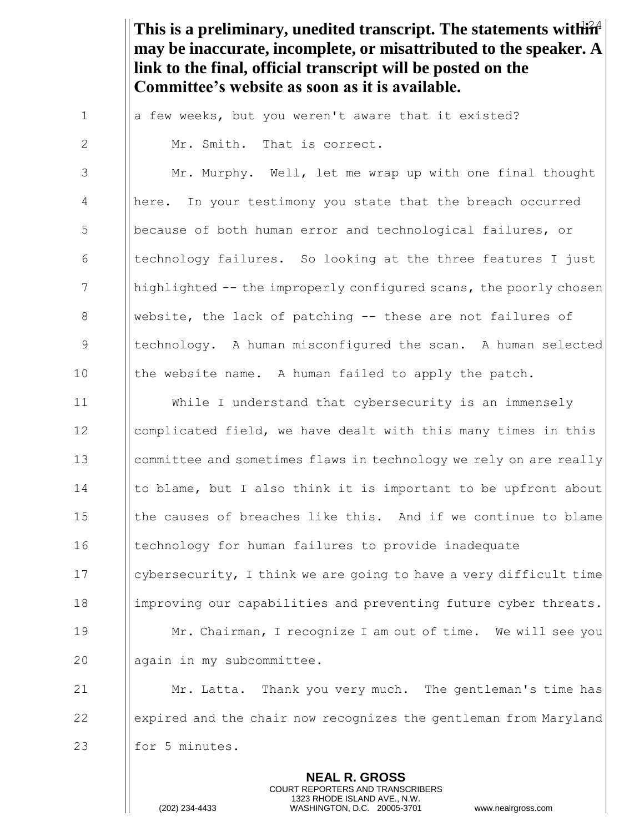This is a preliminary, unedited transcript. The statements within<sup>4</sup> **may be inaccurate, incomplete, or misattributed to the speaker. A link to the final, official transcript will be posted on the Committee's website as soon as it is available.**

 $1$  || a few weeks, but you weren't aware that it existed? 2  $\parallel$  Mr. Smith. That is correct.

3 | Mr. Murphy. Well, let me wrap up with one final thought 4 | | here. In your testimony you state that the breach occurred 5 **b** because of both human error and technological failures, or 6  $\blacksquare$  [ technology failures. So looking at the three features I just  $7$  || highlighted  $-$  the improperly configured scans, the poorly chosen 8 Website, the lack of patching  $-$  these are not failures of 9 Intechnology. A human misconfigured the scan. A human selected 10 | the website name. A human failed to apply the patch.

11 While I understand that cybersecurity is an immensely 12 Icomplicated field, we have dealt with this many times in this 13 **committee and sometimes flaws in technology we rely on are really** 14  $\parallel$  to blame, but I also think it is important to be upfront about 15  $\parallel$  the causes of breaches like this. And if we continue to blame 16 I echnology for human failures to provide inadequate 17  $\Box$  cybersecurity, I think we are going to have a very difficult time 18 | improving our capabilities and preventing future cyber threats. 19 **Mr. Chairman, I recognize I am out of time.** We will see you 20 || again in my subcommittee.

21 Mr. Latta. Thank you very much. The gentleman's time has 22 expired and the chair now recognizes the gentleman from Maryland 23  $\parallel$  for 5 minutes.

> **NEAL R. GROSS** COURT REPORTERS AND TRANSCRIBERS 1323 RHODE ISLAND AVE., N.W.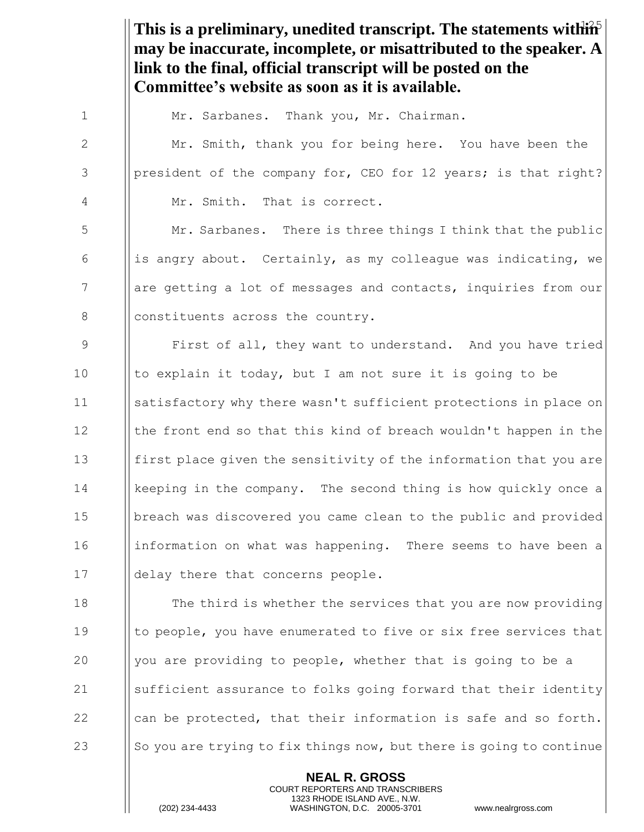This is a preliminary, unedited transcript. The statements within<sup>5</sup> **NEAL R. GROSS may be inaccurate, incomplete, or misattributed to the speaker. A link to the final, official transcript will be posted on the Committee's website as soon as it is available.** 1 | Mr. Sarbanes. Thank you, Mr. Chairman. 2 | Mr. Smith, thank you for being here. You have been the 3 | | | | president of the company for, CEO for 12 years; is that right? 4 || Mr. Smith. That is correct. 5 Mr. Sarbanes. There is three things I think that the public 6 is angry about. Certainly, as my colleague was indicating, we 7 are getting a lot of messages and contacts, inquiries from our 8 **constituents across the country.** 9 First of all, they want to understand. And you have tried 10  $\parallel$  to explain it today, but I am not sure it is going to be 11 satisfactory why there wasn't sufficient protections in place on 12  $\parallel$  the front end so that this kind of breach wouldn't happen in the 13 first place given the sensitivity of the information that you are 14 I | keeping in the company. The second thing is how quickly once a 15 | | breach was discovered you came clean to the public and provided 16 information on what was happening. There seems to have been a 17 | delay there that concerns people. 18 **The third is whether the services that you are now providing** 19 Ito people, you have enumerated to five or six free services that 20  $\parallel$  you are providing to people, whether that is going to be a 21 Sufficient assurance to folks going forward that their identity 22  $\parallel$  can be protected, that their information is safe and so forth. 23 So you are trying to fix things now, but there is going to continue

> COURT REPORTERS AND TRANSCRIBERS 1323 RHODE ISLAND AVE., N.W.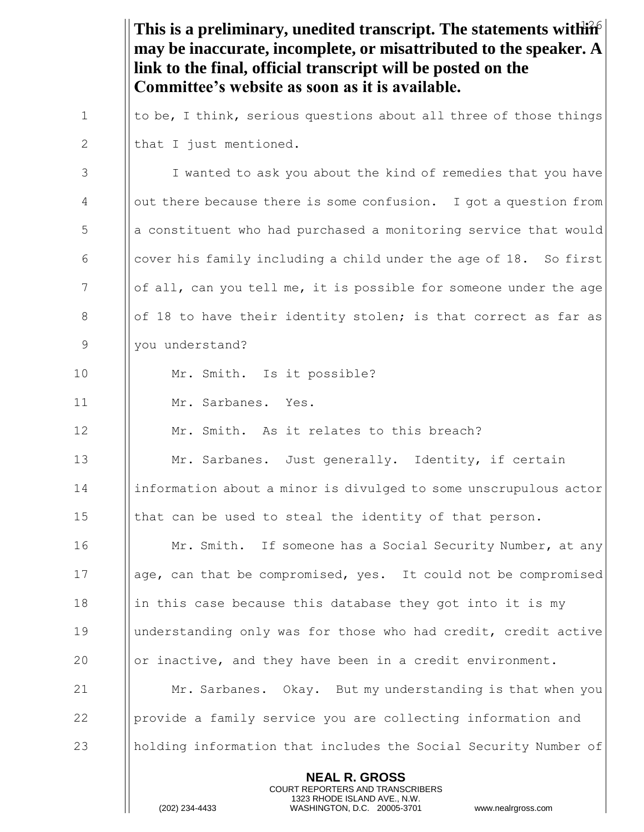This is a preliminary, unedited transcript. The statements within **NEAL R. GROSS** COURT REPORTERS AND TRANSCRIBERS **may be inaccurate, incomplete, or misattributed to the speaker. A link to the final, official transcript will be posted on the Committee's website as soon as it is available.** 1  $\parallel$  to be, I think, serious questions about all three of those things 2  $\parallel$  that I just mentioned. 3 I vanted to ask you about the kind of remedies that you have 4 out there because there is some confusion. I got a question from 5 **b** a constituent who had purchased a monitoring service that would 6  $\Box$  cover his family including a child under the age of 18. So first  $7$  || of all, can you tell me, it is possible for someone under the age 8 || of 18 to have their identity stolen; is that correct as far as 9 | you understand? 10 || Mr. Smith. Is it possible? 11 Mr. Sarbanes. Yes. 12 **Mr.** Smith. As it relates to this breach? 13  $\parallel$  Mr. Sarbanes. Just generally. Identity, if certain 14 information about a minor is divulged to some unscrupulous actor 15  $\parallel$  that can be used to steal the identity of that person. 16 **Mr. Smith.** If someone has a Social Security Number, at any 17 **age, can that be compromised, yes.** It could not be compromised 18 in this case because this database they got into it is my 19 understanding only was for those who had credit, credit active 20  $\parallel$  or inactive, and they have been in a credit environment. 21 Mr. Sarbanes. Okay. But my understanding is that when you  $22$  || provide a family service you are collecting information and 23 holding information that includes the Social Security Number of

> 1323 RHODE ISLAND AVE., N.W. (202) 234-4433 WASHINGTON, D.C. 20005-3701 www.nealrgross.com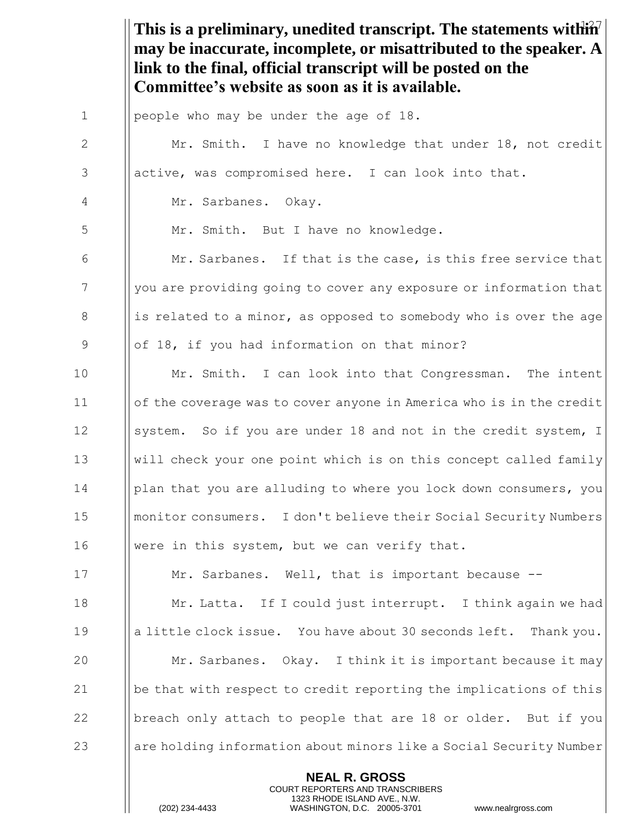This is a preliminary, unedited transcript. The statements within<sup>7</sup> **NEAL R. GROSS may be inaccurate, incomplete, or misattributed to the speaker. A link to the final, official transcript will be posted on the Committee's website as soon as it is available.** 1 people who may be under the age of 18. 2 | Mr. Smith. I have no knowledge that under 18, not credit  $3$  || active, was compromised here. I can look into that. 4 Mr. Sarbanes. Okay. 5 | Mr. Smith. But I have no knowledge. 6  $\parallel$  Mr. Sarbanes. If that is the case, is this free service that 7 you are providing going to cover any exposure or information that 8 is related to a minor, as opposed to somebody who is over the age 9 || of 18, if you had information on that minor? 10 **Mr.** Smith. I can look into that Congressman. The intent 11 of the coverage was to cover anyone in America who is in the credit 12 System. So if you are under 18 and not in the credit system, I 13 will check your one point which is on this concept called family 14 Iglan that you are alluding to where you lock down consumers, you 15 monitor consumers. I don't believe their Social Security Numbers 16 Were in this system, but we can verify that. 17 **Mr. Sarbanes.** Well, that is important because --18 **Mr. Latta.** If I could just interrupt. I think again we had 19 a little clock issue. You have about 30 seconds left. Thank you. 20 **Mr. Sarbanes.** Okay. I think it is important because it may 21  $\|\$ be that with respect to credit reporting the implications of this 22  $\Box$  | breach only attach to people that are 18 or older. But if you 23 are holding information about minors like a Social Security Number

> COURT REPORTERS AND TRANSCRIBERS 1323 RHODE ISLAND AVE., N.W.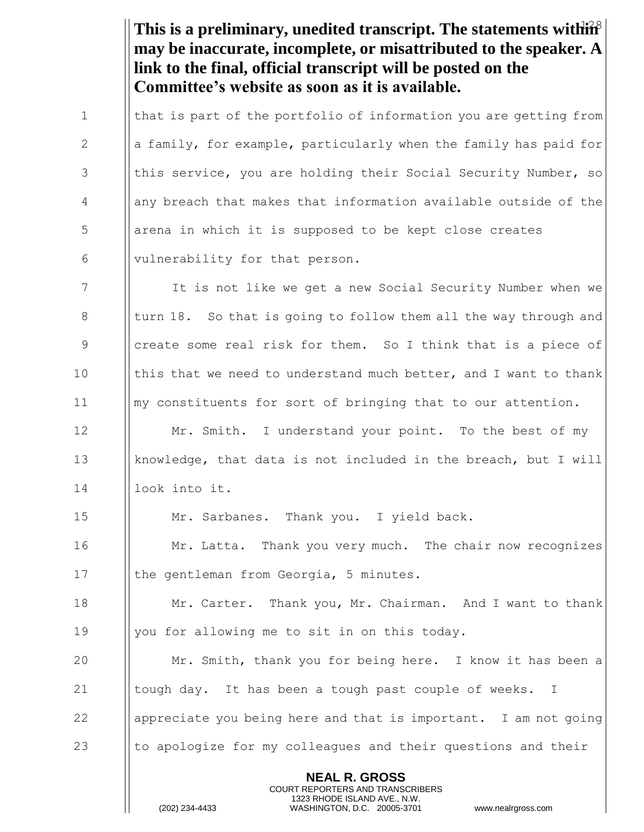This is a preliminary, unedited transcript. The statements within<sup>8</sup> **may be inaccurate, incomplete, or misattributed to the speaker. A link to the final, official transcript will be posted on the Committee's website as soon as it is available.**

1  $\parallel$  that is part of the portfolio of information you are getting from 2  $\parallel$  a family, for example, particularly when the family has paid for 3 | this service, you are holding their Social Security Number, so 4 | any breach that makes that information available outside of the 5 | arena in which it is supposed to be kept close creates  $\begin{array}{c|c} 6 & \text{[l]} \end{array}$  vulnerability for that person.

 It is not like we get a new Social Security Number when we || turn 18. So that is going to follow them all the way through and 9 Interate some real risk for them. So I think that is a piece of  $\parallel$  this that we need to understand much better, and I want to thank my constituents for sort of bringing that to our attention.

12 **Mr.** Smith. I understand your point. To the best of my 13 knowledge, that data is not included in the breach, but I will 14 | look into it.

15 Mr. Sarbanes. Thank you. I yield back.

16 **I** Mr. Latta. Thank you very much. The chair now recognizes 17 | the gentleman from Georgia, 5 minutes.

18 **Mr. Carter.** Thank you, Mr. Chairman. And I want to thank 19  $\parallel$  you for allowing me to sit in on this today.

 Mr. Smith, thank you for being here. I know it has been a  $\parallel$  tough day. It has been a tough past couple of weeks. I **a** | appreciate you being here and that is important. I am not going  $\parallel$  to apologize for my colleagues and their questions and their

> **NEAL R. GROSS** COURT REPORTERS AND TRANSCRIBERS 1323 RHODE ISLAND AVE., N.W.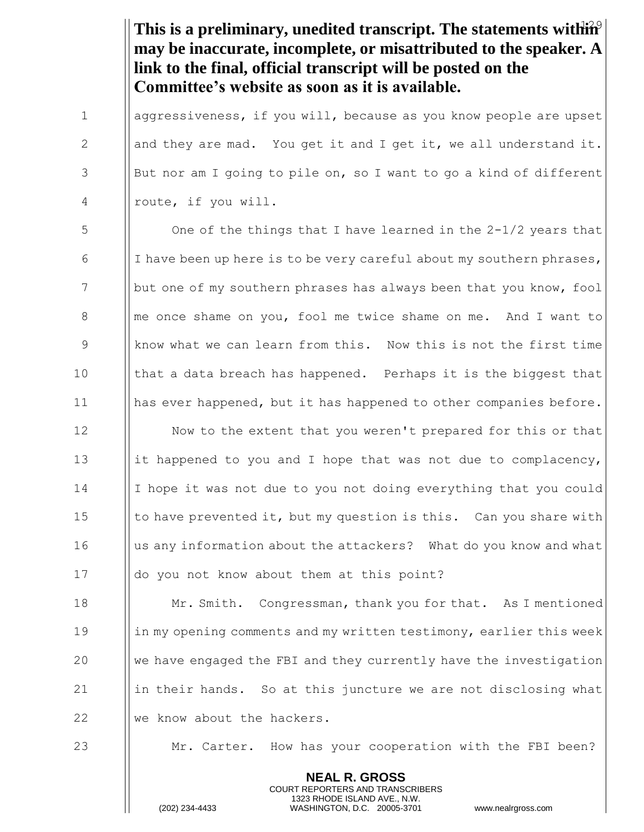This is a preliminary, unedited transcript. The statements within<sup>9</sup> **may be inaccurate, incomplete, or misattributed to the speaker. A link to the final, official transcript will be posted on the Committee's website as soon as it is available.**

1 aggressiveness, if you will, because as you know people are upset 2  $\parallel$  and they are mad. You get it and I get it, we all understand it.  $3$  || But nor am I going to pile on, so I want to go a kind of different 4 || route, if you will.

 $\begin{array}{c|c} 5 \end{array}$  One of the things that I have learned in the 2-1/2 years that 6 I I have been up here is to be very careful about my southern phrases, 7 but one of my southern phrases has always been that you know, fool 8 **I** me once shame on you, fool me twice shame on me. And I want to 9 Supermum What we can learn from this. Now this is not the first time 10  $\parallel$  that a data breach has happened. Perhaps it is the biggest that 11 has ever happened, but it has happened to other companies before.

12 | Now to the extent that you weren't prepared for this or that 13 it happened to you and I hope that was not due to complacency, 14 I hope it was not due to you not doing everything that you could 15 Ito have prevented it, but my question is this. Can you share with 16 I us any information about the attackers? What do you know and what 17 | do you not know about them at this point?

18 **Mr. Smith.** Congressman, thank you for that. As I mentioned 19 in my opening comments and my written testimony, earlier this week 20  $\|\cdot\|$  we have engaged the FBI and they currently have the investigation 21  $\parallel$  in their hands. So at this juncture we are not disclosing what 22 We know about the hackers.

23 Mr. Carter. How has your cooperation with the FBI been?

**NEAL R. GROSS** COURT REPORTERS AND TRANSCRIBERS 1323 RHODE ISLAND AVE., N.W.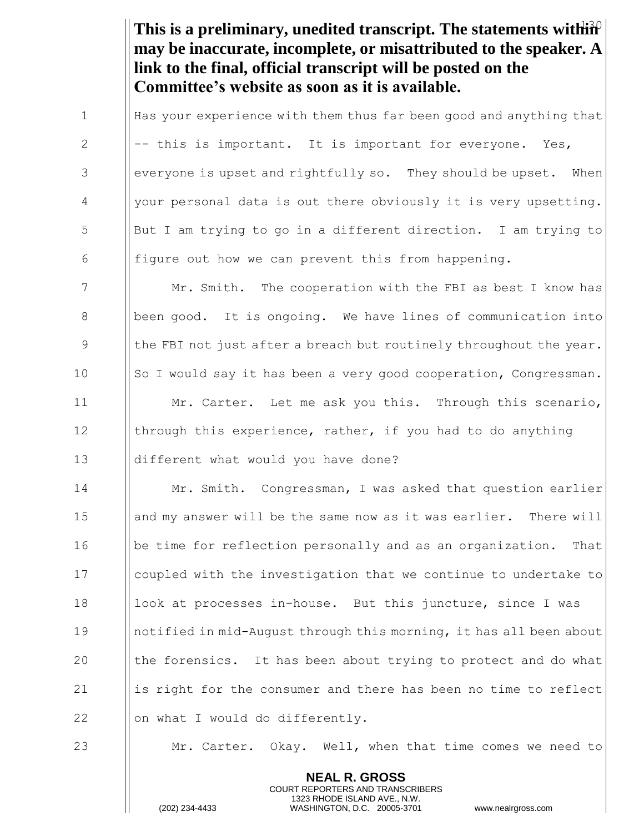This is a preliminary, unedited transcript. The statements within<sup>2</sup> **may be inaccurate, incomplete, or misattributed to the speaker. A link to the final, official transcript will be posted on the Committee's website as soon as it is available.**

 $\parallel$  Has your experience with them thus far been good and anything that  $\parallel$  -- this is important. It is important for everyone. Yes, ||everyone is upset and rightfully so. They should be upset. When 4 | your personal data is out there obviously it is very upsetting. But I am trying to go in a different direction. I am trying to  $\parallel$  figure out how we can prevent this from happening.

7 Mr. Smith. The cooperation with the FBI as best I know has 8 | | been good. It is ongoing. We have lines of communication into 9  $\parallel$  the FBI not just after a breach but routinely throughout the year. 10  $\|\text{So I would say it has been a very good cooperation, Congressman.}$ 11 **Mr. Carter.** Let me ask you this. Through this scenario, 12 Ithrough this experience, rather, if you had to do anything 13 **different what would you have done?** 

 Mr. Smith. Congressman, I was asked that question earlier 15 | || and my answer will be the same now as it was earlier. There will **b** | | be time for reflection personally and as an organization. That coupled with the investigation that we continue to undertake to 18 | | look at processes in-house. But this juncture, since I was notified in mid-August through this morning, it has all been about  $\parallel$  the forensics. It has been about trying to protect and do what  $\parallel$  is right for the consumer and there has been no time to reflect  $\parallel$  on what I would do differently.

23 Mr. Carter. Okay. Well, when that time comes we need to

**NEAL R. GROSS** COURT REPORTERS AND TRANSCRIBERS 1323 RHODE ISLAND AVE., N.W.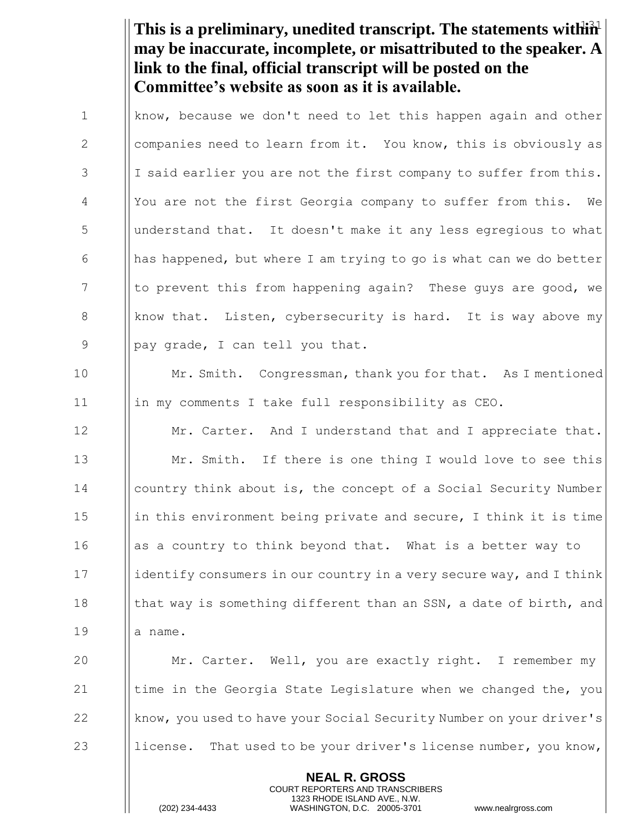This is a preliminary, unedited transcript. The statements within<sup>2</sup> **may be inaccurate, incomplete, or misattributed to the speaker. A link to the final, official transcript will be posted on the Committee's website as soon as it is available.**

 $\parallel$  know, because we don't need to let this happen again and other 2 | companies need to learn from it. You know, this is obviously as ||I said earlier you are not the first company to suffer from this. 4 | You are not the first Georgia company to suffer from this. We understand that. It doesn't make it any less egregious to what  $\parallel$  has happened, but where I am trying to go is what can we do better I to prevent this from happening again? These guys are good, we 8 | know that. Listen, cybersecurity is hard. It is way above my || pay grade, I can tell you that.

10 **Mr. Smith.** Congressman, thank you for that. As I mentioned 11 | | | in my comments I take full responsibility as CEO.

**Mr. Carter.** And I understand that and I appreciate that. **Mr.** Smith. If there is one thing I would love to see this country think about is, the concept of a Social Security Number  $\parallel$  in this environment being private and secure, I think it is time || as a country to think beyond that. What is a better way to 17 identify consumers in our country in a very secure way, and I think **that way is something different than an SSN, a date of birth, and** 19 | a name.

**Mr.** Carter. Well, you are exactly right. I remember my  $\parallel$  time in the Georgia State Legislature when we changed the, you 22 know, you used to have your Social Security Number on your driver's  $\parallel$  license. That used to be your driver's license number, you know,

> **NEAL R. GROSS** COURT REPORTERS AND TRANSCRIBERS 1323 RHODE ISLAND AVE., N.W.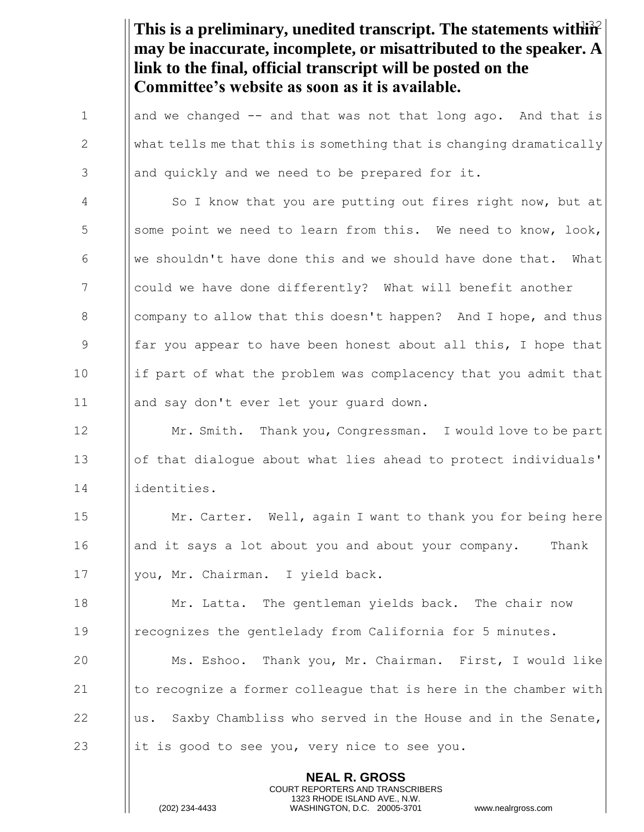This is a preliminary, unedited transcript. The statements within<sup>2</sup> **NEAL R. GROSS** COURT REPORTERS AND TRANSCRIBERS **may be inaccurate, incomplete, or misattributed to the speaker. A link to the final, official transcript will be posted on the Committee's website as soon as it is available.** 1  $\parallel$  and we changed -- and that was not that long ago. And that is 2  $\parallel$  what tells me that this is something that is changing dramatically  $3$  || and quickly and we need to be prepared for it. 4 | So I know that you are putting out fires right now, but at 5 Some point we need to learn from this. We need to know, look, 6 We shouldn't have done this and we should have done that. What 7 could we have done differently? What will benefit another 8 | company to allow that this doesn't happen? And I hope, and thus 9 far you appear to have been honest about all this, I hope that  $10$  ||if part of what the problem was complacency that you admit that 11 || and say don't ever let your quard down. 12 **Mr. Smith.** Thank you, Congressman. I would love to be part 13 **or**  $\|\circ\|$  that dialogue about what lies ahead to protect individuals' 14 identities. 15 **Mr. Carter.** Well, again I want to thank you for being here 16 | and it says a lot about you and about your company. Thank 17 | you, Mr. Chairman. I yield back. 18 **Mr.** Latta. The gentleman yields back. The chair now 19 recognizes the gentlelady from California for 5 minutes. 20 Ms. Eshoo. Thank you, Mr. Chairman. First, I would like 21  $\parallel$  to recognize a former colleague that is here in the chamber with 22  $\parallel$ us. Saxby Chambliss who served in the House and in the Senate, 23 it is good to see you, very nice to see you.

1323 RHODE ISLAND AVE., N.W.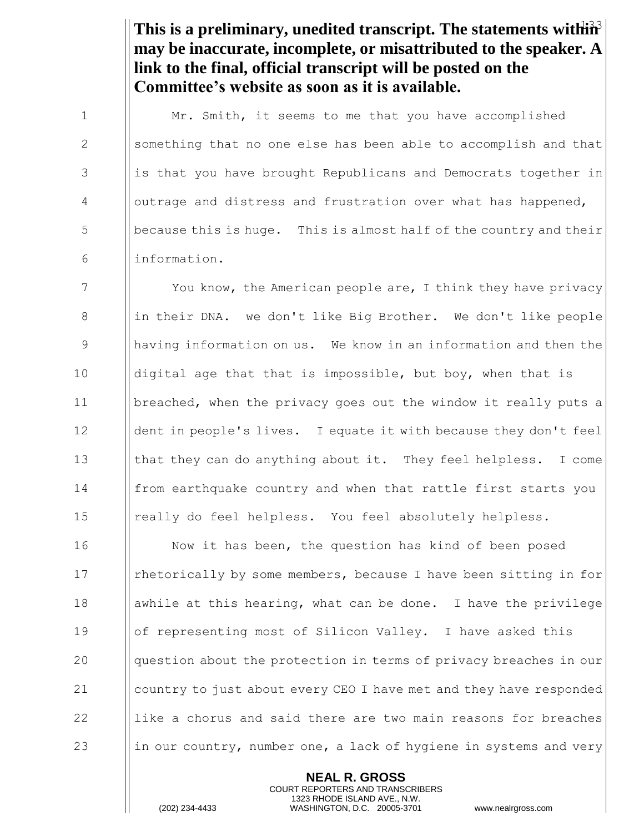This is a preliminary, unedited transcript. The statements within<sup>3</sup> **may be inaccurate, incomplete, or misattributed to the speaker. A link to the final, official transcript will be posted on the Committee's website as soon as it is available.**

1 | Mr. Smith, it seems to me that you have accomplished 2 Something that no one else has been able to accomplish and that 3 is that you have brought Republicans and Democrats together in 4 outrage and distress and frustration over what has happened,  $5 \t\t \parallel$  because this is huge. This is almost half of the country and their 6 information.

7 The You know, the American people are, I think they have privacy 8 in their DNA. we don't like Big Brother. We don't like people 9 having information on us. We know in an information and then the 10 | digital age that that is impossible, but boy, when that is 11 breached, when the privacy goes out the window it really puts a 12 | dent in people's lives. I equate it with because they don't feel 13 | that they can do anything about it. They feel helpless. I come 14 | from earthquake country and when that rattle first starts you 15 || really do feel helpless. You feel absolutely helpless.

**I** Now it has been, the question has kind of been posed 17 | rhetorically by some members, because I have been sitting in for  $\parallel$  awhile at this hearing, what can be done. I have the privilege 19 | | of representing most of Silicon Valley. I have asked this **question about the protection in terms of privacy breaches in our country to just about every CEO I have met and they have responded**  $\parallel$  like a chorus and said there are two main reasons for breaches 23 in our country, number one, a lack of hygiene in systems and very

> **NEAL R. GROSS** COURT REPORTERS AND TRANSCRIBERS 1323 RHODE ISLAND AVE., N.W.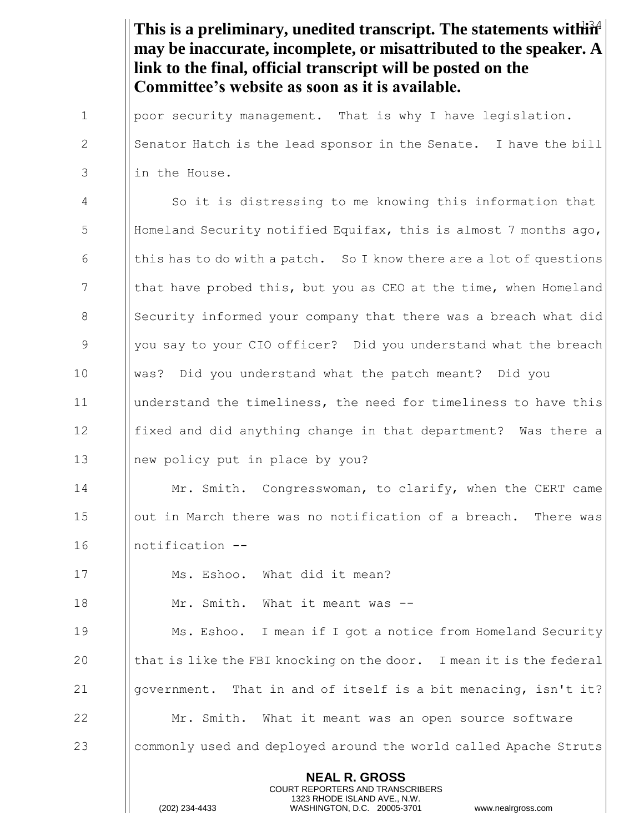This is a preliminary, unedited transcript. The statements within<sup>24</sup> **NEAL R. GROSS** COURT REPORTERS AND TRANSCRIBERS **may be inaccurate, incomplete, or misattributed to the speaker. A link to the final, official transcript will be posted on the Committee's website as soon as it is available.** 1 | poor security management. That is why I have legislation. 2  $\|\cdot\|$  Senator Hatch is the lead sponsor in the Senate. I have the bill 3 Ilin the House. 4 So it is distressing to me knowing this information that 5 Homeland Security notified Equifax, this is almost 7 months ago, 6  $\parallel$  this has to do with a patch. So I know there are a lot of questions 7 In that have probed this, but you as CEO at the time, when Homeland 8 Security informed your company that there was a breach what did 9 9 Wellyou say to your CIO officer? Did you understand what the breach 10 was? Did you understand what the patch meant? Did you 11 understand the timeliness, the need for timeliness to have this 12 **fixed and did anything change in that department?** Was there a 13 Inew policy put in place by you? 14 **Mr.** Smith. Congresswoman, to clarify, when the CERT came 15 | | out in March there was no notification of a breach. There was 16 notification -- 17 Ms. Eshoo. What did it mean? 18 Mr. Smith. What it meant was -- 19 Ms. Eshoo. I mean if I got a notice from Homeland Security 20  $\parallel$  that is like the FBI knocking on the door. I mean it is the federal 21  $\parallel$  qovernment. That in and of itself is a bit menacing, isn't it? 22 **Mr.** Smith. What it meant was an open source software 23 commonly used and deployed around the world called Apache Struts

1323 RHODE ISLAND AVE., N.W.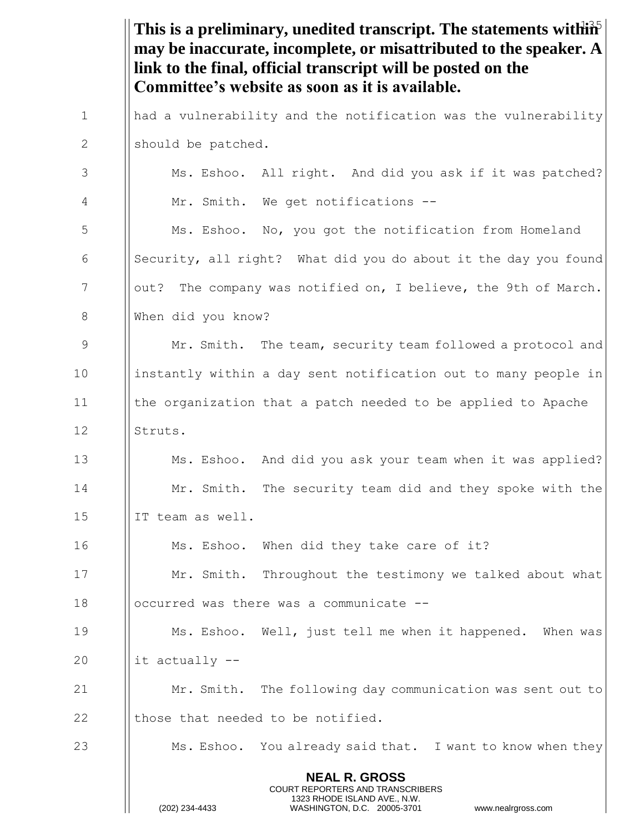|             | This is a preliminary, unedited transcript. The statements with $\mathbf{\hat{H}}^{\mathbf{\hat{S}}}$<br>may be inaccurate, incomplete, or misattributed to the speaker. A<br>link to the final, official transcript will be posted on the<br>Committee's website as soon as it is available. |
|-------------|-----------------------------------------------------------------------------------------------------------------------------------------------------------------------------------------------------------------------------------------------------------------------------------------------|
| $\mathbf 1$ | had a vulnerability and the notification was the vulnerability                                                                                                                                                                                                                                |
| 2           | should be patched.                                                                                                                                                                                                                                                                            |
| 3           | Ms. Eshoo. All right. And did you ask if it was patched?                                                                                                                                                                                                                                      |
| 4           | Mr. Smith. We get notifications --                                                                                                                                                                                                                                                            |
| 5           | Ms. Eshoo. No, you got the notification from Homeland                                                                                                                                                                                                                                         |
| 6           | Security, all right? What did you do about it the day you found                                                                                                                                                                                                                               |
| 7           | out? The company was notified on, I believe, the 9th of March.                                                                                                                                                                                                                                |
| 8           | When did you know?                                                                                                                                                                                                                                                                            |
| $\mathsf 9$ | Mr. Smith. The team, security team followed a protocol and                                                                                                                                                                                                                                    |
| 10          | instantly within a day sent notification out to many people in                                                                                                                                                                                                                                |
| 11          | the organization that a patch needed to be applied to Apache                                                                                                                                                                                                                                  |
| 12          | Struts.                                                                                                                                                                                                                                                                                       |
| 13          | Ms. Eshoo. And did you ask your team when it was applied?                                                                                                                                                                                                                                     |
| 14          | Mr. Smith. The security team did and they spoke with the                                                                                                                                                                                                                                      |
| 15          | IT team as well.                                                                                                                                                                                                                                                                              |
| 16          | Ms. Eshoo. When did they take care of it?                                                                                                                                                                                                                                                     |
| 17          | Mr. Smith. Throughout the testimony we talked about what                                                                                                                                                                                                                                      |
| 18          | occurred was there was a communicate --                                                                                                                                                                                                                                                       |
| 19          | Ms. Eshoo. Well, just tell me when it happened. When was                                                                                                                                                                                                                                      |
| 20          | it actually --                                                                                                                                                                                                                                                                                |
| 21          | Mr. Smith. The following day communication was sent out to                                                                                                                                                                                                                                    |
| 22          | those that needed to be notified.                                                                                                                                                                                                                                                             |
| 23          | Ms. Eshoo. You already said that. I want to know when they                                                                                                                                                                                                                                    |
|             | <b>NEAL R. GROSS</b><br><b>COURT REPORTERS AND TRANSCRIBERS</b><br>1323 RHODE ISLAND AVE., N.W.<br>(202) 234-4433<br>WASHINGTON, D.C. 20005-3701<br>www.nealrgross.com                                                                                                                        |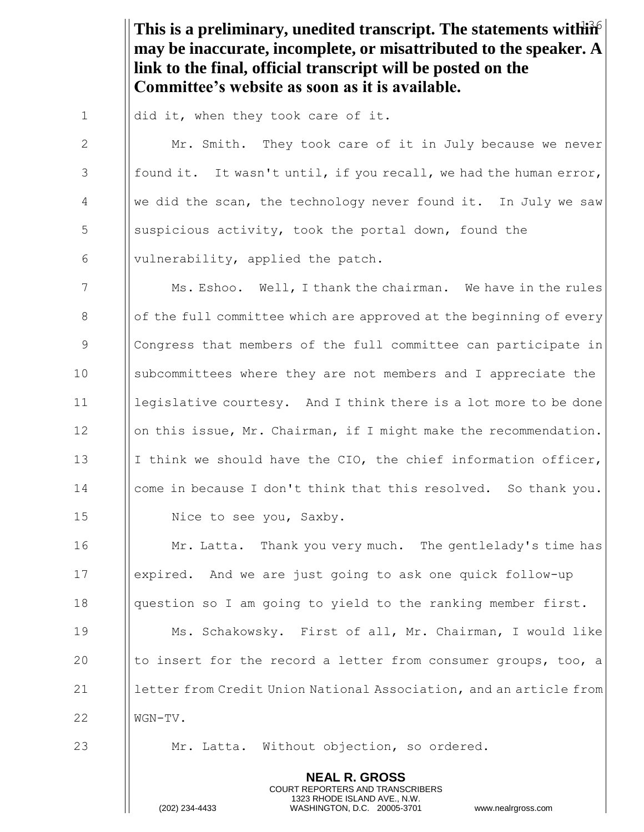This is a preliminary, unedited transcript. The statements within **may be inaccurate, incomplete, or misattributed to the speaker. A link to the final, official transcript will be posted on the Committee's website as soon as it is available.**

1  $\parallel$  did it, when they took care of it.

2 | Mr. Smith. They took care of it in July because we never 3  $\parallel$  found it. It wasn't until, if you recall, we had the human error, 4  $\parallel$  we did the scan, the technology never found it. In July we saw 5 S Suspicious activity, took the portal down, found the 6  $\parallel$  vulnerability, applied the patch.

7 Ms. Eshoo. Well, I thank the chairman. We have in the rules  $8$  || of the full committee which are approved at the beginning of every 9 Congress that members of the full committee can participate in 10 subcommittees where they are not members and I appreciate the 11 **legislative courtesy.** And I think there is a lot more to be done 12 | | on this issue, Mr. Chairman, if I might make the recommendation. 13 I I think we should have the CIO, the chief information officer, 14 | come in because I don't think that this resolved. So thank you. 15 | Nice to see you, Saxby.

**I** Mr. Latta. Thank you very much. The gentlelady's time has expired. And we are just going to ask one quick follow-up 18 | question so I am going to yield to the ranking member first. Ms. Schakowsky. First of all, Mr. Chairman, I would like  $\parallel$  to insert for the record a letter from consumer groups, too, a **letter from Credit Union National Association, and an article from** 

22 **WGN-TV.** 

23 **Mr. Latta.** Without objection, so ordered.

**NEAL R. GROSS** COURT REPORTERS AND TRANSCRIBERS 1323 RHODE ISLAND AVE., N.W.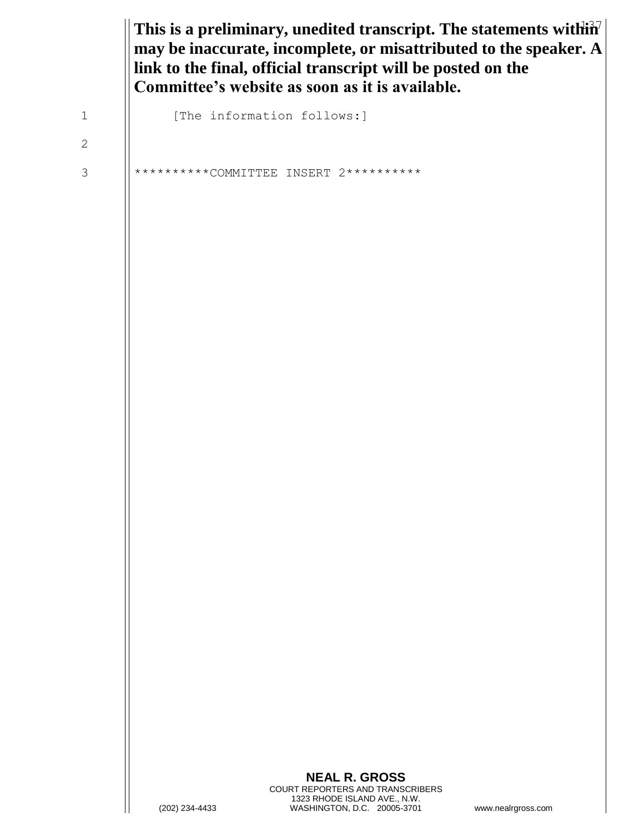This is a preliminary, unedited transcript. The statements with  $\hat{\mathbf{n}}$ <sup>7</sup> **may be inaccurate, incomplete, or misattributed to the speaker. A link to the final, official transcript will be posted on the Committee's website as soon as it is available.**

1 | [The information follows:]

2

3 || \*\*\*\*\*\*\*\*\*\*COMMITTEE INSERT 2\*\*\*\*\*\*\*\*\*\*\*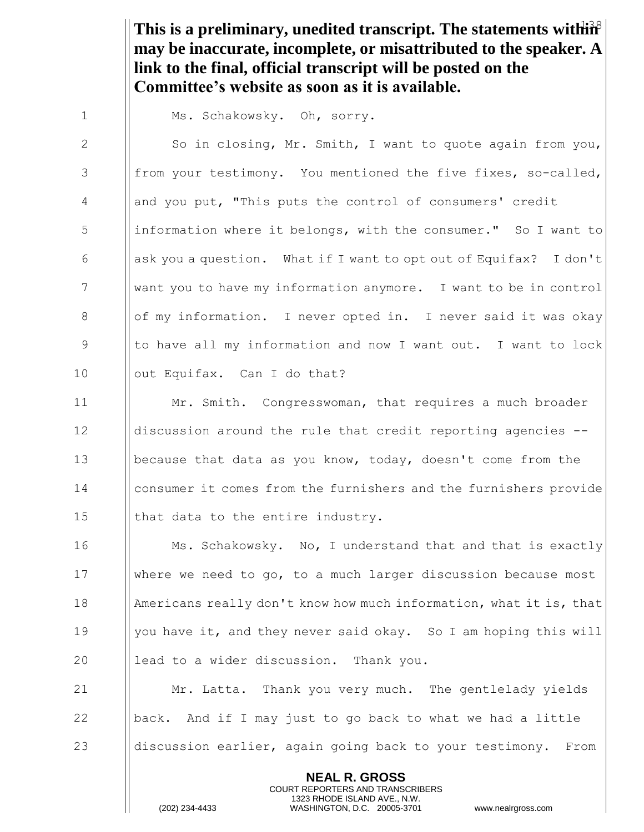This is a preliminary, unedited transcript. The statements within<sup>2</sup> **may be inaccurate, incomplete, or misattributed to the speaker. A link to the final, official transcript will be posted on the Committee's website as soon as it is available.**

1 | Ms. Schakowsky. Oh, sorry.

2 | So in closing, Mr. Smith, I want to quote again from you, 3 | from your testimony. You mentioned the five fixes, so-called, 4 || and you put, "This puts the control of consumers' credit 5 | information where it belongs, with the consumer." So I want to 6  $\Box$  ask you a question. What if I want to opt out of Equifax? I don't 7 want you to have my information anymore. I want to be in control 8 **b** of my information. I never opted in. I never said it was okay 9 I to have all my information and now I want out. I want to lock 10 || out Equifax. Can I do that?

 Mr. Smith. Congresswoman, that requires a much broader discussion around the rule that credit reporting agencies -- because that data as you know, today, doesn't come from the **consumer it comes from the furnishers and the furnishers provide**  $\parallel$  that data to the entire industry.

**Ms. Schakowsky.** No, I understand that and that is exactly where we need to go, to a much larger discussion because most **Americans really don't know how much information, what it is, that** 19 | you have it, and they never said okay. So I am hoping this will  $\parallel$  lead to a wider discussion. Thank you.

21 **Mr. Latta.** Thank you very much. The gentlelady vields 22  $\Box$  | back. And if I may just to go back to what we had a little 23  $\parallel$  discussion earlier, again going back to your testimony. From

> **NEAL R. GROSS** COURT REPORTERS AND TRANSCRIBERS 1323 RHODE ISLAND AVE., N.W.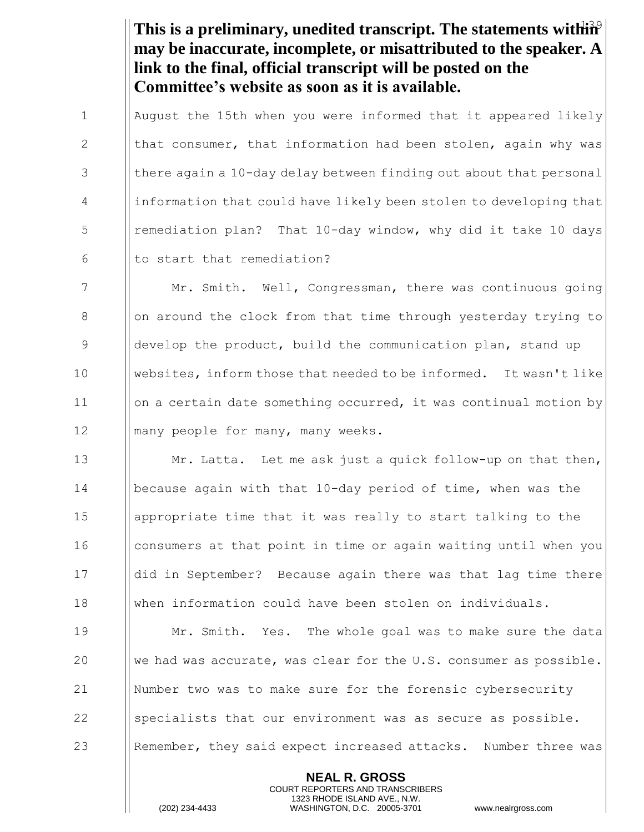This is a preliminary, unedited transcript. The statements within<sup>9</sup> **may be inaccurate, incomplete, or misattributed to the speaker. A link to the final, official transcript will be posted on the Committee's website as soon as it is available.**

 August the 15th when you were informed that it appeared likely  $\parallel$  that consumer, that information had been stolen, again why was || there again a 10-day delay between finding out about that personal 4 | information that could have likely been stolen to developing that 5 | remediation plan? That 10-day window, why did it take 10 days || to start that remediation?

7 Mr. Smith. Well, Congressman, there was continuous going 8 | | on around the clock from that time through yesterday trying to 9 Supermumble product, build the communication plan, stand up 10 websites, inform those that needed to be informed. It wasn't like 11 on a certain date something occurred, it was continual motion by 12 || many people for many, many weeks.

**Mr. Latta.** Let me ask just a quick follow-up on that then, because again with that 10-day period of time, when was the appropriate time that it was really to start talking to the 16 I consumers at that point in time or again waiting until when you did in September? Because again there was that lag time there when information could have been stolen on individuals.

 Mr. Smith. Yes. The whole goal was to make sure the data  $\parallel$  we had was accurate, was clear for the U.S. consumer as possible. Number two was to make sure for the forensic cybersecurity  $\parallel$  specialists that our environment was as secure as possible. **Remember, they said expect increased attacks.** Number three was

> **NEAL R. GROSS** COURT REPORTERS AND TRANSCRIBERS 1323 RHODE ISLAND AVE., N.W.